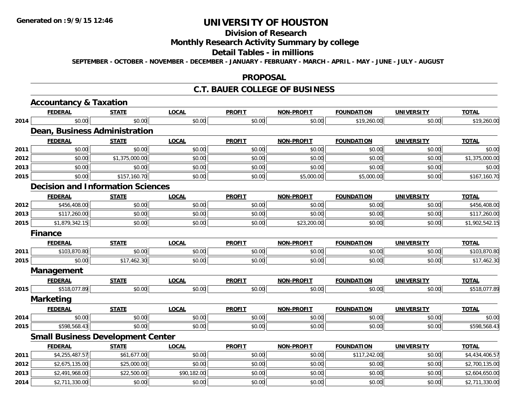## **Division of Research**

## **Monthly Research Activity Summary by college**

### **Detail Tables - in millions**

**SEPTEMBER - OCTOBER - NOVEMBER - DECEMBER - JANUARY - FEBRUARY - MARCH - APRIL - MAY - JUNE - JULY - AUGUST**

### **PROPOSAL**

### **C.T. BAUER COLLEGE OF BUSINESS**

|      | <b>Accountancy &amp; Taxation</b>        |                |              |               |                   |                   |                   |                |
|------|------------------------------------------|----------------|--------------|---------------|-------------------|-------------------|-------------------|----------------|
|      | <b>FEDERAL</b>                           | <b>STATE</b>   | <b>LOCAL</b> | <b>PROFIT</b> | <b>NON-PROFIT</b> | <b>FOUNDATION</b> | <b>UNIVERSITY</b> | <b>TOTAL</b>   |
| 2014 | \$0.00                                   | \$0.00         | \$0.00       | \$0.00        | \$0.00            | \$19,260.00       | \$0.00            | \$19,260.00    |
|      | <b>Dean, Business Administration</b>     |                |              |               |                   |                   |                   |                |
|      | <b>FEDERAL</b>                           | <b>STATE</b>   | <b>LOCAL</b> | <b>PROFIT</b> | <b>NON-PROFIT</b> | <b>FOUNDATION</b> | <b>UNIVERSITY</b> | <b>TOTAL</b>   |
| 2011 | \$0.00                                   | \$0.00         | \$0.00       | \$0.00        | \$0.00            | \$0.00            | \$0.00            | \$0.00         |
| 2012 | \$0.00                                   | \$1,375,000.00 | \$0.00       | \$0.00        | \$0.00            | \$0.00            | \$0.00            | \$1,375,000.00 |
| 2013 | \$0.00                                   | \$0.00         | \$0.00       | \$0.00        | \$0.00            | \$0.00            | \$0.00            | \$0.00         |
| 2015 | \$0.00                                   | \$157,160.70   | \$0.00       | \$0.00        | \$5,000.00        | \$5,000.00        | \$0.00            | \$167,160.70   |
|      | <b>Decision and Information Sciences</b> |                |              |               |                   |                   |                   |                |
|      | <b>FEDERAL</b>                           | <b>STATE</b>   | <b>LOCAL</b> | <b>PROFIT</b> | <b>NON-PROFIT</b> | <b>FOUNDATION</b> | <b>UNIVERSITY</b> | <b>TOTAL</b>   |
| 2012 | \$456,408.00                             | \$0.00         | \$0.00       | \$0.00        | \$0.00            | \$0.00            | \$0.00            | \$456,408.00   |
| 2013 | \$117,260.00                             | \$0.00         | \$0.00       | \$0.00        | \$0.00            | \$0.00            | \$0.00            | \$117,260.00   |
| 2015 | \$1,879,342.15                           | \$0.00         | \$0.00       | \$0.00        | \$23,200.00       | \$0.00            | \$0.00            | \$1,902,542.15 |
|      | <b>Finance</b>                           |                |              |               |                   |                   |                   |                |
|      | <b>FEDERAL</b>                           | <b>STATE</b>   | <b>LOCAL</b> | <b>PROFIT</b> | <b>NON-PROFIT</b> | <b>FOUNDATION</b> | <b>UNIVERSITY</b> | <b>TOTAL</b>   |
| 2011 | \$103,870.80                             | \$0.00         | \$0.00       | \$0.00        | \$0.00            | \$0.00            | \$0.00            | \$103,870.80   |
| 2015 | \$0.00                                   | \$17,462.30    | \$0.00       | \$0.00        | \$0.00            | \$0.00            | \$0.00            | \$17,462.30    |
|      | Management                               |                |              |               |                   |                   |                   |                |
|      | <b>FEDERAL</b>                           | <b>STATE</b>   | <b>LOCAL</b> | <b>PROFIT</b> | <b>NON-PROFIT</b> | <b>FOUNDATION</b> | <b>UNIVERSITY</b> | <b>TOTAL</b>   |
| 2015 | \$518,077.89                             | \$0.00         | \$0.00       | \$0.00        | \$0.00            | \$0.00            | \$0.00            | \$518,077.89   |
|      | <b>Marketing</b>                         |                |              |               |                   |                   |                   |                |
|      | <b>FEDERAL</b>                           | <b>STATE</b>   | <b>LOCAL</b> | <b>PROFIT</b> | <b>NON-PROFIT</b> | <b>FOUNDATION</b> | <b>UNIVERSITY</b> | <b>TOTAL</b>   |
| 2014 | \$0.00                                   | \$0.00         | \$0.00       | \$0.00        | \$0.00            | \$0.00            | \$0.00            | \$0.00         |
| 2015 | \$598,568.43                             | \$0.00         | \$0.00       | \$0.00        | \$0.00            | \$0.00            | \$0.00            | \$598,568.43   |
|      | <b>Small Business Development Center</b> |                |              |               |                   |                   |                   |                |
|      | <b>FEDERAL</b>                           | <b>STATE</b>   | <b>LOCAL</b> | <b>PROFIT</b> | <b>NON-PROFIT</b> | <b>FOUNDATION</b> | <b>UNIVERSITY</b> | <b>TOTAL</b>   |
| 2011 | \$4,255,487.57                           | \$61,677.00    | \$0.00       | \$0.00        | \$0.00            | \$117,242.00      | \$0.00            | \$4,434,406.57 |
| 2012 | \$2,675,135.00                           | \$25,000.00    | \$0.00       | \$0.00        | \$0.00            | \$0.00            | \$0.00            | \$2,700,135.00 |
| 2013 | \$2,491,968.00                           | \$22,500.00    | \$90,182.00  | \$0.00        | \$0.00            | \$0.00            | \$0.00            | \$2,604,650.00 |
| 2014 | \$2,711,330.00                           | \$0.00         | \$0.00       | \$0.00        | \$0.00            | \$0.00            | \$0.00            | \$2,711,330.00 |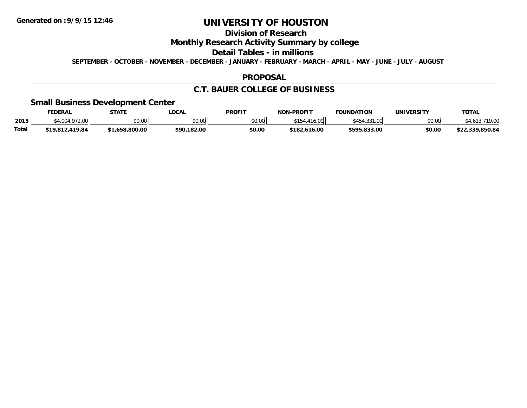# **Division of Research**

## **Monthly Research Activity Summary by college**

### **Detail Tables - in millions**

**SEPTEMBER - OCTOBER - NOVEMBER - DECEMBER - JANUARY - FEBRUARY - MARCH - APRIL - MAY - JUNE - JULY - AUGUST**

### **PROPOSAL**

## **C.T. BAUER COLLEGE OF BUSINESS**

## **Small Business Development Center**

|              | FEDERAL                    | <b>STATE</b>         | .OCAL       | PROFIT | <b>NON-PROFIT</b> | <b>FOUNDATION</b>   | <b>UNIVERSITY</b> | T <u>OTAL</u>   |
|--------------|----------------------------|----------------------|-------------|--------|-------------------|---------------------|-------------------|-----------------|
| 2015         | $\Lambda$ 004 070<br>72.VV | 0000<br><b>JU.UU</b> | \$0.00      | \$0.00 | ററ<br>16.UU       | 0.21<br>$\sim$<br>. | \$0.00            | .719.00         |
| <b>Total</b> | \$19,812,419.84            | 1.658.800.00         | \$90,182.00 | \$0.00 | \$182,616.00      | \$595,833.00        | \$0.00            | \$22.339.850.84 |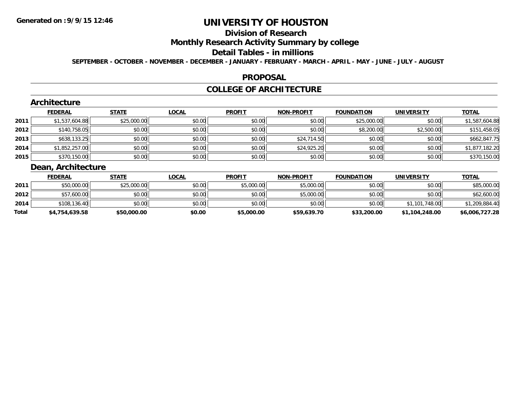# **Division of Research**

## **Monthly Research Activity Summary by college**

### **Detail Tables - in millions**

**SEPTEMBER - OCTOBER - NOVEMBER - DECEMBER - JANUARY - FEBRUARY - MARCH - APRIL - MAY - JUNE - JULY - AUGUST**

### **PROPOSAL**

### **COLLEGE OF ARCHITECTURE**

### **Architecture**

|      | <b>FEDERAL</b> | <b>STATE</b> | <b>LOCAL</b> | <b>PROFIT</b> | <b>NON-PROFIT</b> | <b>FOUNDATION</b> | <b>UNIVERSITY</b> | <b>TOTAL</b>   |
|------|----------------|--------------|--------------|---------------|-------------------|-------------------|-------------------|----------------|
| 2011 | \$1,537,604.88 | \$25,000.00  | \$0.00       | \$0.00        | \$0.00            | \$25,000.00       | \$0.00            | \$1,587,604.88 |
| 2012 | \$140,758.05   | \$0.00       | \$0.00       | \$0.00        | \$0.00            | \$8,200.00        | \$2,500.00        | \$151,458.05   |
| 2013 | \$638,133.25   | \$0.00       | \$0.00       | \$0.00        | \$24,714.50       | \$0.00            | \$0.00            | \$662,847.75   |
| 2014 | \$1,852,257.00 | \$0.00       | \$0.00       | \$0.00        | \$24,925.20       | \$0.00            | \$0.00            | \$1,877,182.20 |
| 2015 | \$370,150.00   | \$0.00       | \$0.00       | \$0.00        | \$0.00            | \$0.00            | \$0.00            | \$370,150.00   |

## **Dean, Architecture**

|       | <b>FEDERAL</b> | <u>STATE</u> | <u>LOCAL</u> | <b>PROFIT</b> | <b>NON-PROFIT</b> | <b>FOUNDATION</b> | <b>UNIVERSITY</b> | <b>TOTAL</b>   |
|-------|----------------|--------------|--------------|---------------|-------------------|-------------------|-------------------|----------------|
| 2011  | \$50,000.00    | \$25,000.00  | \$0.00       | \$5,000.00    | \$5,000.00        | \$0.00            | \$0.00            | \$85,000.00    |
| 2012  | \$57,600.00    | \$0.00       | \$0.00       | \$0.00        | \$5,000.00        | \$0.00            | \$0.00            | \$62,600.00    |
| 2014  | \$108,136.40   | \$0.00       | \$0.00       | \$0.00        | \$0.00            | \$0.00            | \$1,101,748.00    | \$1,209,884.40 |
| Total | \$4,754,639.58 | \$50,000.00  | \$0.00       | \$5,000.00    | \$59,639.70       | \$33,200.00       | \$1,104,248.00    | \$6,006,727.28 |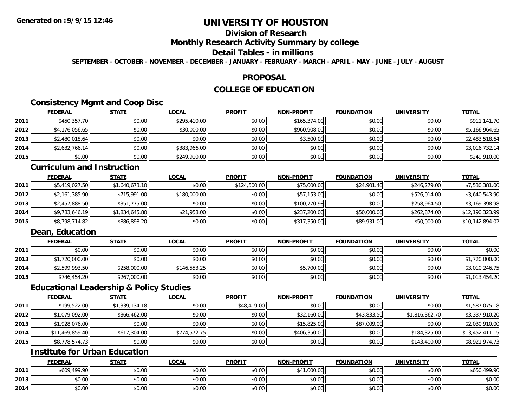## **Division of Research**

## **Monthly Research Activity Summary by college**

### **Detail Tables - in millions**

**SEPTEMBER - OCTOBER - NOVEMBER - DECEMBER - JANUARY - FEBRUARY - MARCH - APRIL - MAY - JUNE - JULY - AUGUST**

### **PROPOSAL**

## **COLLEGE OF EDUCATION**

## **Consistency Mgmt and Coop Disc**

|      | <b>FEDERAL</b> | <b>STATE</b> | <b>LOCAL</b> | <b>PROFIT</b> | <b>NON-PROFIT</b> | <b>FOUNDATION</b> | <b>UNIVERSITY</b> | <b>TOTAL</b>   |
|------|----------------|--------------|--------------|---------------|-------------------|-------------------|-------------------|----------------|
| 2011 | \$450,357.70   | \$0.00       | \$295,410.00 | \$0.00        | \$165,374.00      | \$0.00            | \$0.00            | \$911,141.70   |
| 2012 | \$4,176,056.65 | \$0.00       | \$30,000.00  | \$0.00        | \$960,908.00      | \$0.00            | \$0.00            | \$5,166,964.65 |
| 2013 | \$2,480,018.64 | \$0.00       | \$0.00       | \$0.00        | \$3,500.00        | \$0.00            | \$0.00            | \$2,483,518.64 |
| 2014 | \$2,632,766.14 | \$0.00       | \$383,966.00 | \$0.00        | \$0.00            | \$0.00            | \$0.00            | \$3,016,732.14 |
| 2015 | \$0.00         | \$0.00       | \$249,910.00 | \$0.00        | \$0.00            | \$0.00            | \$0.00            | \$249,910.00   |

## **Curriculum and Instruction**

|      | <b>FEDERAL</b> | <b>STATE</b>   | <u>LOCAL</u> | <b>PROFIT</b> | <b>NON-PROFIT</b> | <b>FOUNDATION</b> | <b>UNIVERSITY</b> | <b>TOTAL</b>    |
|------|----------------|----------------|--------------|---------------|-------------------|-------------------|-------------------|-----------------|
| 2011 | \$5,419,027.50 | \$1,640,673.10 | \$0.00       | \$124,500.00  | \$75,000.00       | \$24,901.40       | \$246,279.00      | \$7,530,381.00  |
| 2012 | \$2,161,385.90 | \$715,991.00   | \$180,000,00 | \$0.00        | \$57,153.00       | \$0.00            | \$526,014.00      | \$3,640,543.90  |
| 2013 | \$2,457,888.50 | \$351,775.00   | \$0.00       | \$0.00        | \$100,770.98      | \$0.00            | \$258,964.50      | \$3,169,398.98  |
| 2014 | \$9,783,646.19 | \$1,834,645.80 | \$21,958.00  | \$0.00        | \$237,200.00      | \$50,000.00       | \$262,874.00      | \$12,190,323.99 |
| 2015 | \$8,798,714.82 | \$886,898.20   | \$0.00       | \$0.00        | \$317,350.00      | \$89,931.00       | \$50,000.00       | \$10,142,894.02 |

## **Dean, Education**

|      | <u>FEDERAL</u> | <b>STATE</b> | <u>LOCAL</u> | <b>PROFIT</b> | <b>NON-PROFIT</b> | <b>FOUNDATION</b> | <b>UNIVERSITY</b> | <b>TOTAL</b>   |
|------|----------------|--------------|--------------|---------------|-------------------|-------------------|-------------------|----------------|
| 2011 | \$0.00         | \$0.00       | \$0.00       | \$0.00        | \$0.00            | \$0.00            | \$0.00            | \$0.00         |
| 2013 | \$1,720,000.00 | \$0.00       | \$0.00       | \$0.00        | \$0.00            | \$0.00            | \$0.00            | \$1,720,000.00 |
| 2014 | \$2,599,993.50 | \$258,000.00 | \$146.553.25 | \$0.00        | \$5,700.00        | \$0.00            | \$0.00            | \$3,010,246.75 |
| 2015 | \$746,454.20   | \$267,000.00 | \$0.00       | \$0.00        | \$0.00            | \$0.00            | \$0.00            | \$1,013,454.20 |

## **Educational Leadership & Policy Studies**

|      | <b>FEDERAL</b>  | <b>STATE</b>   | <b>LOCAL</b> | <b>PROFIT</b> | <b>NON-PROFIT</b> | <b>FOUNDATION</b> | <b>UNIVERSITY</b> | <b>TOTAL</b>    |
|------|-----------------|----------------|--------------|---------------|-------------------|-------------------|-------------------|-----------------|
| 2011 | \$199,522.00    | \$1,339,134.18 | \$0.00       | \$48,419.00   | \$0.00            | \$0.00            | \$0.00            | \$1,587,075.18  |
| 2012 | \$1,079,092.00  | \$366,462.00   | \$0.00       | \$0.00        | \$32,160.00       | \$43,833.50       | \$1,816,362.70    | \$3,337,910.20  |
| 2013 | \$1,928,076.00  | \$0.00         | \$0.00       | \$0.00        | \$15,825.00       | \$87,009.00       | \$0.00            | \$2,030,910.00  |
| 2014 | \$11,469,859.40 | \$617,304.00   | \$774,572.75 | \$0.00        | \$406,350.00      | \$0.00            | \$184,325.00      | \$13,452,411.15 |
| 2015 | \$8,778,574.73  | \$0.00         | \$0.00       | \$0.00        | \$0.00            | \$0.00            | \$143,400.00      | \$8,921,974.73  |

## **Institute for Urban Education**

|      | <b>FEDERAL</b> | <b>STATE</b> | <u>LOCAL</u> | <b>PROFIT</b> | <b>NON-PROFIT</b> | <b>FOUNDATION</b> | <b>UNIVERSITY</b> | <b>TOTAL</b> |
|------|----------------|--------------|--------------|---------------|-------------------|-------------------|-------------------|--------------|
| 2011 | \$609,499.90   | \$0.00       | \$0.00       | \$0.00        | \$41,000.00       | \$0.00            | \$0.00            | \$650,499.90 |
| 2013 | \$0.00         | \$0.00       | \$0.00       | \$0.00        | \$0.00            | \$0.00            | \$0.00            | \$0.00       |
| 2014 | \$0.00         | \$0.00       | \$0.00       | \$0.00        | \$0.00            | \$0.00            | \$0.00            | \$0.00       |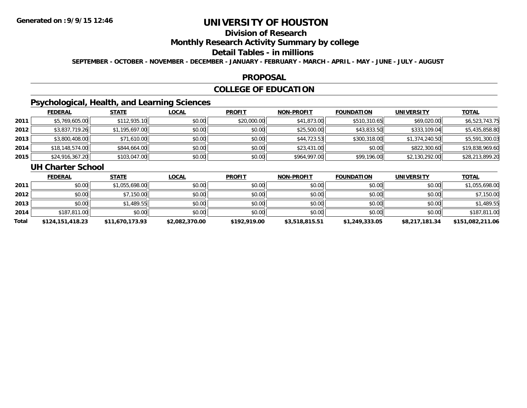# **Division of Research**

## **Monthly Research Activity Summary by college**

### **Detail Tables - in millions**

**SEPTEMBER - OCTOBER - NOVEMBER - DECEMBER - JANUARY - FEBRUARY - MARCH - APRIL - MAY - JUNE - JULY - AUGUST**

### **PROPOSAL**

## **COLLEGE OF EDUCATION**

## **Psychological, Health, and Learning Sciences**

|      | <b>FEDERAL</b>  | <b>STATE</b>   | <b>LOCAL</b> | <b>PROFIT</b> | <b>NON-PROFIT</b> | <b>FOUNDATION</b> | <b>UNIVERSITY</b> | <b>TOTAL</b>    |
|------|-----------------|----------------|--------------|---------------|-------------------|-------------------|-------------------|-----------------|
| 2011 | \$5,769,605.00  | \$112,935.10   | \$0.00       | \$20,000.00   | \$41,873.00       | \$510,310.65      | \$69,020.00       | \$6,523,743.75  |
| 2012 | \$3,837,719.26  | \$1,195,697.00 | \$0.00       | \$0.00        | \$25,500.00       | \$43,833.50       | \$333,109.04      | \$5,435,858.80  |
| 2013 | \$3,800,408.00  | \$71,610.00    | \$0.00       | \$0.00        | \$44,723.53       | \$300,318.00      | \$1,374,240.50    | \$5,591,300.03  |
| 2014 | \$18,148,574.00 | \$844,664.00   | \$0.00       | \$0.00        | \$23,431.00       | \$0.00            | \$822,300.60      | \$19,838,969.60 |
| 2015 | \$24,916,367.20 | \$103,047.00   | \$0.00       | \$0.00        | \$964,997.00      | \$99,196.00       | \$2,130,292.00    | \$28,213,899.20 |

### **UH Charter School**

|       | <b>FEDERAL</b>   | <b>STATE</b>    | <b>LOCAL</b>   | <b>PROFIT</b> | <b>NON-PROFIT</b> | <b>FOUNDATION</b> | <b>UNIVERSITY</b> | <u>TOTAL</u>     |
|-------|------------------|-----------------|----------------|---------------|-------------------|-------------------|-------------------|------------------|
| 2011  | \$0.00           | \$1,055,698.00  | \$0.00         | \$0.00        | \$0.00            | \$0.00            | \$0.00            | \$1,055,698.00   |
| 2012  | \$0.00           | \$7,150.00      | \$0.00         | \$0.00        | \$0.00            | \$0.00            | \$0.00            | \$7,150.00       |
| 2013  | \$0.00           | \$1,489.55      | \$0.00         | \$0.00        | \$0.00            | \$0.00            | \$0.00            | \$1,489.55       |
| 2014  | \$187,811.00     | \$0.00          | \$0.00         | \$0.00        | \$0.00            | \$0.00            | \$0.00            | \$187,811.00     |
| Total | \$124,151,418.23 | \$11,670,173.93 | \$2,082,370.00 | \$192,919.00  | \$3,518,815.51    | \$1,249,333.05    | \$8,217,181.34    | \$151,082,211.06 |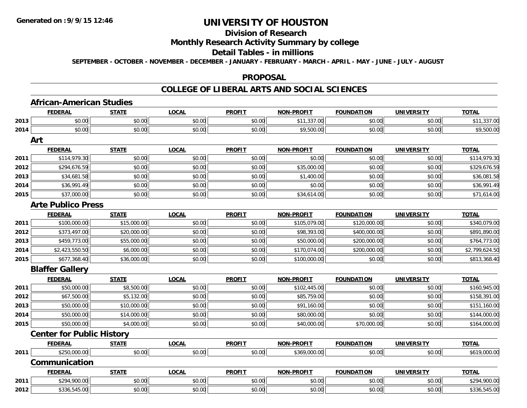# **Division of Research**

## **Monthly Research Activity Summary by college**

### **Detail Tables - in millions**

**SEPTEMBER - OCTOBER - NOVEMBER - DECEMBER - JANUARY - FEBRUARY - MARCH - APRIL - MAY - JUNE - JULY - AUGUST**

### **PROPOSAL**

### **COLLEGE OF LIBERAL ARTS AND SOCIAL SCIENCES**

|      | <b>African-American Studies</b>  |              |              |               |                   |                   |                   |                |
|------|----------------------------------|--------------|--------------|---------------|-------------------|-------------------|-------------------|----------------|
|      | <b>FEDERAL</b>                   | <b>STATE</b> | <b>LOCAL</b> | <b>PROFIT</b> | <b>NON-PROFIT</b> | <b>FOUNDATION</b> | <b>UNIVERSITY</b> | <b>TOTAL</b>   |
| 2013 | \$0.00                           | \$0.00       | \$0.00       | \$0.00        | \$11,337.00       | \$0.00            | \$0.00            | \$11,337.00    |
| 2014 | \$0.00                           | \$0.00       | \$0.00       | \$0.00        | \$9,500.00        | \$0.00            | \$0.00            | \$9,500.00     |
|      | Art                              |              |              |               |                   |                   |                   |                |
|      | <b>FEDERAL</b>                   | <b>STATE</b> | <b>LOCAL</b> | <b>PROFIT</b> | <b>NON-PROFIT</b> | <b>FOUNDATION</b> | <b>UNIVERSITY</b> | <b>TOTAL</b>   |
| 2011 | \$114,979.30                     | \$0.00       | \$0.00       | \$0.00        | \$0.00            | \$0.00            | \$0.00            | \$114,979.30   |
| 2012 | \$294,676.59                     | \$0.00       | \$0.00       | \$0.00        | \$35,000.00       | \$0.00            | \$0.00            | \$329,676.59   |
| 2013 | \$34,681.58                      | \$0.00       | \$0.00       | \$0.00        | \$1,400.00        | \$0.00            | \$0.00            | \$36,081.58    |
| 2014 | \$36,991.49                      | \$0.00       | \$0.00       | \$0.00        | \$0.00            | \$0.00            | \$0.00            | \$36,991.49    |
| 2015 | \$37,000.00                      | \$0.00       | \$0.00       | \$0.00        | \$34,614.00       | \$0.00            | \$0.00            | \$71,614.00    |
|      | <b>Arte Publico Press</b>        |              |              |               |                   |                   |                   |                |
|      | <b>FEDERAL</b>                   | <b>STATE</b> | <b>LOCAL</b> | <b>PROFIT</b> | <b>NON-PROFIT</b> | <b>FOUNDATION</b> | <b>UNIVERSITY</b> | <b>TOTAL</b>   |
| 2011 | \$100,000.00                     | \$15,000.00  | \$0.00       | \$0.00        | \$105,079.00      | \$120,000.00      | \$0.00            | \$340,079.00   |
| 2012 | \$373,497.00                     | \$20,000.00  | \$0.00       | \$0.00        | \$98,393.00       | \$400,000.00      | \$0.00            | \$891,890.00   |
| 2013 | \$459,773.00                     | \$55,000.00  | \$0.00       | \$0.00        | \$50,000.00       | \$200,000.00      | \$0.00            | \$764,773.00   |
| 2014 | \$2,423,550.50                   | \$6,000.00   | \$0.00       | \$0.00        | \$170,074.00      | \$200,000.00      | \$0.00            | \$2,799,624.50 |
| 2015 | \$677,368.40                     | \$36,000.00  | \$0.00       | \$0.00        | \$100,000.00      | \$0.00            | \$0.00            | \$813,368.40   |
|      | <b>Blaffer Gallery</b>           |              |              |               |                   |                   |                   |                |
|      | <b>FEDERAL</b>                   | <b>STATE</b> | <b>LOCAL</b> | <b>PROFIT</b> | <b>NON-PROFIT</b> | <b>FOUNDATION</b> | <b>UNIVERSITY</b> | <b>TOTAL</b>   |
| 2011 | \$50,000.00                      | \$8,500.00   | \$0.00       | \$0.00        | \$102,445.00      | \$0.00            | \$0.00            | \$160,945.00   |
| 2012 | \$67,500.00                      | \$5,132.00   | \$0.00       | \$0.00        | \$85,759.00       | \$0.00            | \$0.00            | \$158,391.00   |
| 2013 | \$50,000.00                      | \$10,000.00  | \$0.00       | \$0.00        | \$91,160.00       | \$0.00            | \$0.00            | \$151,160.00   |
| 2014 | \$50,000.00                      | \$14,000.00  | \$0.00       | \$0.00        | \$80,000.00       | \$0.00            | \$0.00            | \$144,000.00   |
| 2015 | \$50,000.00                      | \$4,000.00   | \$0.00       | \$0.00        | \$40,000.00       | \$70,000.00       | \$0.00            | \$164,000.00   |
|      | <b>Center for Public History</b> |              |              |               |                   |                   |                   |                |
|      | <b>FEDERAL</b>                   | <b>STATE</b> | <b>LOCAL</b> | <b>PROFIT</b> | <b>NON-PROFIT</b> | <b>FOUNDATION</b> | <b>UNIVERSITY</b> | <b>TOTAL</b>   |
| 2011 | \$250,000.00                     | \$0.00       | \$0.00       | \$0.00        | \$369,000.00      | \$0.00            | \$0.00            | \$619,000.00   |
|      | Communication                    |              |              |               |                   |                   |                   |                |
|      | <b>FEDERAL</b>                   | <b>STATE</b> | <b>LOCAL</b> | <b>PROFIT</b> | <b>NON-PROFIT</b> | <b>FOUNDATION</b> | <b>UNIVERSITY</b> | <b>TOTAL</b>   |
| 2011 | \$294,900.00                     | \$0.00       | \$0.00       | \$0.00        | \$0.00            | \$0.00            | \$0.00            | \$294,900.00   |
| 2012 | \$336,545.00                     | \$0.00       | \$0.00       | \$0.00        | \$0.00            | \$0.00            | \$0.00            | \$336,545.00   |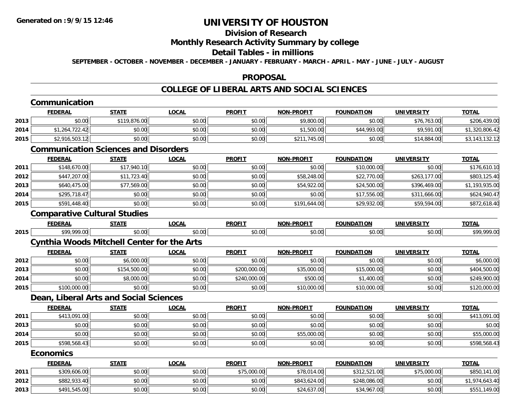### **Division of Research**

### **Monthly Research Activity Summary by college**

### **Detail Tables - in millions**

**SEPTEMBER - OCTOBER - NOVEMBER - DECEMBER - JANUARY - FEBRUARY - MARCH - APRIL - MAY - JUNE - JULY - AUGUST**

### **PROPOSAL**

## **COLLEGE OF LIBERAL ARTS AND SOCIAL SCIENCES**

#### **CommunicationFEDERAL STATE LOCAL PROFIT NON-PROFIT FOUNDATION UNIVERSITY TOTALTOTAL 2013** $\textbf{3} \mid \textbf{3} \mid \textbf{5} \mid \textbf{5} \mid \textbf{6}, \textbf{7} \mid \textbf{6}, \textbf{8} \mid \textbf{7} \mid \textbf{8}, \textbf{9} \mid \textbf{8}, \textbf{0}, \textbf{0} \mid \textbf{1} \mid \textbf{1} \mid \textbf{1} \mid \textbf{1} \mid \textbf{1} \mid \textbf{1} \mid \textbf{1} \mid \textbf{1} \mid \textbf{1} \mid \textbf{1} \mid \textbf{1} \mid \textbf{1} \mid \textbf{1} \mid \textbf{1} \mid \textbf{1}$ **2014**4 \$1,264,722.42 \$0.00 \$0.00 \$0.00 \$0.00 \$0.00 \$0.00 \$1,500.00 \$1,500.00 \$44,993.00 \$9,591.00 \$1,320,806.42 **2015** \$2,916,503.12 \$0.00 \$0.00 \$0.00 \$211,745.00 \$0.00 \$14,884.00 \$3,143,132.12 **Communication Sciences and DisordersFEDERAL STATE LOCAL PROFIT NON-PROFIT FOUNDATION UNIVERSITY TOTAL2011** \$148,670.00 \$17,940.10 \$0.00 \$0.00 \$0.00 \$10,000.00 \$0.00 \$176,610.10 **2012** \$447,207.00 \$11,723.40 \$0.00 \$0.00 \$58,248.00 \$22,770.00 \$263,177.00 \$803,125.40 **2013** \$640,475.00 \$77,569.00 \$0.00 \$0.00 \$54,922.00 \$24,500.00 \$396,469.00 \$1,193,935.00 **2014**4 \$295,718.47|| \$0.00|| \$0.00|| \$0.00|| \$0.00|| \$17,556.00|| \$311,666.00|| \$624,940.47 **2015** \$591,448.40 \$0.00 \$0.00 \$0.00 \$191,644.00 \$29,932.00 \$59,594.00 \$872,618.40 **Comparative Cultural Studies FEDERAL STATE LOCAL PROFIT NON-PROFIT FOUNDATION UNIVERSITY TOTAL2015** \$99,999.00 \$0.00 \$0.00 \$0.00 \$0.00 \$0.00 \$0.00 \$99,999.00 **Cynthia Woods Mitchell Center for the Arts FEDERAL STATE LOCAL PROFIT NON-PROFIT FOUNDATION UNIVERSITY TOTAL2012**2 | \$0.00 | \$6,000.00 | \$0.00 | \$0.00 | \$0.00 | \$0.00 | \$6,000.00 | \$0.00 | **2013**3 | \$0.00| \$154,500.00| \$154,500.00| \$0.00| \$200,000.00| \$35,000.00| \$15,000.00| \$0.00| \$0.00| \$404,500.00 **2014**4 \$0.00 \$0.00 \$0.00 \$8,000.00 \$0.00 \$0.00 \$0.00 \$240,000.00 \$240,000.00 \$500.00 \$1,400.00 \$1,400.00 \$0.00 \$0.00 **2015** \$100,000.00 \$0.00 \$0.00 \$0.00 \$10,000.00 \$10,000.00 \$0.00 \$120,000.00 **Dean, Liberal Arts and Social Sciences FEDERAL STATE LOCAL PROFIT NON-PROFIT FOUNDATION UNIVERSITY TOTAL2011**1 \$413,091.00 \$0.00 \$0.00 \$0.00 \$0.00 \$0.00 \$0.00 \$0.00 \$0.00 \$0.00 \$0.00 \$0.00 \$0.00 \$113,091.00 **2013**3 \$0.00 | \$0.00 | \$0.00 | \$0.00 | \$0.00 | \$0.00 | \$0.00 | \$0.00 **2014**4 \$0.00 \$0.00 \$0.00 \$0.00 \$0.00 \$0.00 \$0.00 \$0.00 \$0.00 \$55,000.00 \$55,000.00 \$0.00 \$0.00 \$0.00 \$55,000.00 **2015** \$598,568.43 \$0.00 \$0.00 \$0.00 \$0.00 \$0.00 \$0.00 \$598,568.43 **EconomicsFEDERAL STATE LOCAL PROFIT NON-PROFIT FOUNDATION UNIVERSITY TOTALTOTAL 2011**.\$309,606.00|| \$0.00|| \$0.00|| \$75,000.00|| \$78,014.00|| \$312,521.00|| \$75,000.00|| \$850,141.00 **2012** \$882,933.40 \$0.00 \$0.00 \$0.00 \$843,624.00 \$248,086.00 \$0.00 \$1,974,643.40 **2013**\$491,545.00 \$0.00 \$0.00 \$0.00 \$24,637.00 \$34,967.00 \$0.00 \$551,149.00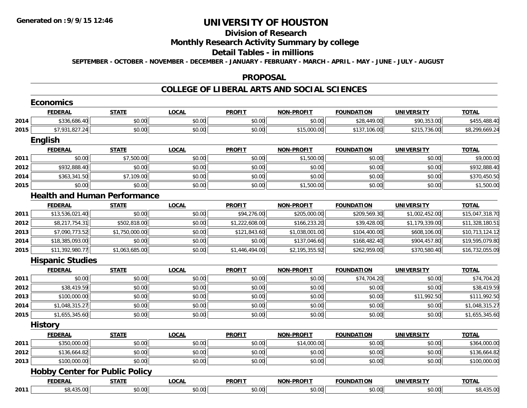### **Division of Research**

## **Monthly Research Activity Summary by college**

### **Detail Tables - in millions**

**SEPTEMBER - OCTOBER - NOVEMBER - DECEMBER - JANUARY - FEBRUARY - MARCH - APRIL - MAY - JUNE - JULY - AUGUST**

### **PROPOSAL**

### **COLLEGE OF LIBERAL ARTS AND SOCIAL SCIENCES**

|      | <b>Economics</b>                      |                |              |                |                   |                   |                   |                 |
|------|---------------------------------------|----------------|--------------|----------------|-------------------|-------------------|-------------------|-----------------|
|      | <b>FEDERAL</b>                        | <b>STATE</b>   | <b>LOCAL</b> | <b>PROFIT</b>  | <b>NON-PROFIT</b> | <b>FOUNDATION</b> | <b>UNIVERSITY</b> | <b>TOTAL</b>    |
| 2014 | \$336,686.40                          | \$0.00         | \$0.00       | \$0.00         | \$0.00            | \$28,449.00       | \$90,353.00       | \$455,488.40    |
| 2015 | \$7,931,827.24                        | \$0.00         | \$0.00       | \$0.00         | \$15,000.00       | \$137,106.00      | \$215,736.00      | \$8,299,669.24  |
|      | <b>English</b>                        |                |              |                |                   |                   |                   |                 |
|      | <b>FEDERAL</b>                        | <b>STATE</b>   | <b>LOCAL</b> | <b>PROFIT</b>  | <b>NON-PROFIT</b> | <b>FOUNDATION</b> | <b>UNIVERSITY</b> | <b>TOTAL</b>    |
| 2011 | \$0.00                                | \$7,500.00     | \$0.00       | \$0.00         | \$1,500.00        | \$0.00            | \$0.00            | \$9,000.00      |
| 2012 | \$932,888.40                          | \$0.00         | \$0.00       | \$0.00         | \$0.00            | \$0.00            | \$0.00            | \$932,888.40    |
| 2014 | \$363,341.50                          | \$7,109.00     | \$0.00       | \$0.00         | \$0.00            | \$0.00            | \$0.00            | \$370,450.50    |
| 2015 | \$0.00                                | \$0.00         | \$0.00       | \$0.00         | \$1,500.00        | \$0.00            | \$0.00            | \$1,500.00      |
|      | <b>Health and Human Performance</b>   |                |              |                |                   |                   |                   |                 |
|      | <b>FEDERAL</b>                        | <b>STATE</b>   | <b>LOCAL</b> | <b>PROFIT</b>  | <b>NON-PROFIT</b> | <b>FOUNDATION</b> | <b>UNIVERSITY</b> | <b>TOTAL</b>    |
| 2011 | \$13,536,021.40                       | \$0.00         | \$0.00       | \$94,276.00    | \$205,000.00      | \$209,569.30      | \$1,002,452.00    | \$15,047,318.70 |
| 2012 | \$8,217,754.31                        | \$502,818.00   | \$0.00       | \$1,222,608.00 | \$166,233.20      | \$39,428.00       | \$1,179,339.00    | \$11,328,180.51 |
| 2013 | \$7,090,773.52                        | \$1,750,000.00 | \$0.00       | \$121,843.60   | \$1,038,001.00    | \$104,400.00      | \$608,106.00      | \$10,713,124.12 |
| 2014 | \$18,385,093.00                       | \$0.00         | \$0.00       | \$0.00         | \$137,046.60      | \$168,482.40      | \$904,457.80      | \$19,595,079.80 |
| 2015 | \$11,392,980.77                       | \$1,063,685.00 | \$0.00       | \$1,446,494.00 | \$2,195,355.92    | \$262,959.00      | \$370,580.40      | \$16,732,055.09 |
|      | <b>Hispanic Studies</b>               |                |              |                |                   |                   |                   |                 |
|      | <b>FEDERAL</b>                        | <b>STATE</b>   | <b>LOCAL</b> | <b>PROFIT</b>  | <b>NON-PROFIT</b> | <b>FOUNDATION</b> | <b>UNIVERSITY</b> | <b>TOTAL</b>    |
| 2011 | \$0.00                                | \$0.00         | \$0.00       | \$0.00         | \$0.00            | \$74,704.20       | \$0.00            | \$74,704.20     |
| 2012 | \$38,419.59                           | \$0.00         | \$0.00       | \$0.00         | \$0.00            | \$0.00            | \$0.00            | \$38,419.59     |
| 2013 | \$100,000.00                          | \$0.00         | \$0.00       | \$0.00         | \$0.00            | \$0.00            | \$11,992.50       | \$111,992.50    |
| 2014 | \$1,048,315.27                        | \$0.00         | \$0.00       | \$0.00         | \$0.00            | \$0.00            | \$0.00            | \$1,048,315.27  |
| 2015 | \$1,655,345.60                        | \$0.00         | \$0.00       | \$0.00         | \$0.00            | \$0.00            | \$0.00            | \$1,655,345.60  |
|      | <b>History</b>                        |                |              |                |                   |                   |                   |                 |
|      | <b>FEDERAL</b>                        | <b>STATE</b>   | <b>LOCAL</b> | <b>PROFIT</b>  | <b>NON-PROFIT</b> | <b>FOUNDATION</b> | <b>UNIVERSITY</b> | <b>TOTAL</b>    |
| 2011 | \$350,000.00                          | \$0.00         | \$0.00       | \$0.00         | \$14,000.00       | \$0.00            | \$0.00            | \$364,000.00    |
| 2012 | \$136,664.82                          | \$0.00         | \$0.00       | \$0.00         | \$0.00            | \$0.00            | \$0.00            | \$136,664.82    |
| 2013 | \$100,000.00                          | \$0.00         | \$0.00       | \$0.00         | \$0.00            | \$0.00            | \$0.00            | \$100,000.00    |
|      | <b>Hobby Center for Public Policy</b> |                |              |                |                   |                   |                   |                 |
|      | <b>FEDERAL</b>                        | <b>STATE</b>   | <b>LOCAL</b> | <b>PROFIT</b>  | <b>NON-PROFIT</b> | <b>FOUNDATION</b> | <b>UNIVERSITY</b> | <b>TOTAL</b>    |
| 2011 | \$8,435.00                            | \$0.00         | \$0.00       | \$0.00         | \$0.00            | \$0.00            | \$0.00            | \$8,435.00      |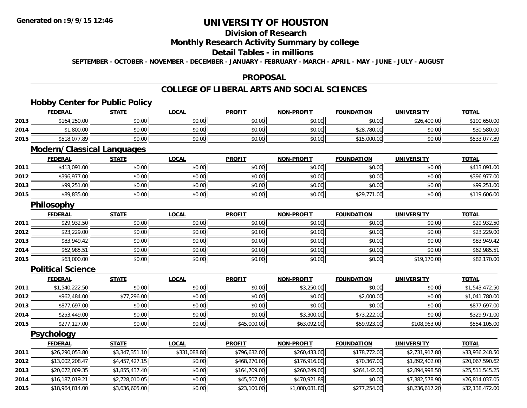## **Division of Research**

## **Monthly Research Activity Summary by college**

### **Detail Tables - in millions**

**SEPTEMBER - OCTOBER - NOVEMBER - DECEMBER - JANUARY - FEBRUARY - MARCH - APRIL - MAY - JUNE - JULY - AUGUST**

### **PROPOSAL**

## **COLLEGE OF LIBERAL ARTS AND SOCIAL SCIENCES**

# **Hobby Center for Public Policy**

|      | <b>FEDERAL</b>                    | <b>STATE</b> | <b>LOCAL</b> | <b>PROFIT</b> | <b>NON-PROFIT</b> | <b>FOUNDATION</b> | <b>UNIVERSITY</b> | <b>TOTAL</b>   |
|------|-----------------------------------|--------------|--------------|---------------|-------------------|-------------------|-------------------|----------------|
| 2013 | \$164,250.00                      | \$0.00       | \$0.00       | \$0.00        | \$0.00            | \$0.00            | \$26,400.00       | \$190,650.00   |
| 2014 | \$1,800.00                        | \$0.00       | \$0.00       | \$0.00        | \$0.00            | \$28,780.00       | \$0.00            | \$30,580.00    |
| 2015 | \$518,077.89                      | \$0.00       | \$0.00       | \$0.00        | \$0.00            | \$15,000.00       | \$0.00            | \$533,077.89   |
|      | <b>Modern/Classical Languages</b> |              |              |               |                   |                   |                   |                |
|      | <b>FEDERAL</b>                    | <b>STATE</b> | <b>LOCAL</b> | <b>PROFIT</b> | <b>NON-PROFIT</b> | <b>FOUNDATION</b> | <b>UNIVERSITY</b> | <b>TOTAL</b>   |
| 2011 | \$413,091.00                      | \$0.00       | \$0.00       | \$0.00        | \$0.00            | \$0.00            | \$0.00            | \$413,091.00   |
| 2012 | \$396,977.00                      | \$0.00       | \$0.00       | \$0.00        | \$0.00            | \$0.00            | \$0.00            | \$396,977.00   |
| 2013 | \$99,251.00                       | \$0.00       | \$0.00       | \$0.00        | \$0.00            | \$0.00            | \$0.00            | \$99,251.00    |
| 2015 | \$89,835.00                       | \$0.00       | \$0.00       | \$0.00        | \$0.00            | \$29,771.00       | \$0.00            | \$119,606.00   |
|      | Philosophy                        |              |              |               |                   |                   |                   |                |
|      | <b>FEDERAL</b>                    | <b>STATE</b> | <b>LOCAL</b> | <b>PROFIT</b> | <b>NON-PROFIT</b> | <b>FOUNDATION</b> | <b>UNIVERSITY</b> | <b>TOTAL</b>   |
| 2011 | \$29,932.50                       | \$0.00       | \$0.00       | \$0.00        | \$0.00            | \$0.00            | \$0.00            | \$29,932.50    |
| 2012 | \$23,229.00                       | \$0.00       | \$0.00       | \$0.00        | \$0.00            | \$0.00            | \$0.00            | \$23,229.00    |
| 2013 | \$83,949.42                       | \$0.00       | \$0.00       | \$0.00        | \$0.00            | \$0.00            | \$0.00            | \$83,949.42    |
| 2014 | \$62,985.51                       | \$0.00       | \$0.00       | \$0.00        | \$0.00            | \$0.00            | \$0.00            | \$62,985.51    |
| 2015 | \$63,000.00                       | \$0.00       | \$0.00       | \$0.00        | \$0.00            | \$0.00            | \$19,170.00       | \$82,170.00    |
|      | <b>Political Science</b>          |              |              |               |                   |                   |                   |                |
|      | <b>FEDERAL</b>                    | <b>STATE</b> | <b>LOCAL</b> | <b>PROFIT</b> | <b>NON-PROFIT</b> | <b>FOUNDATION</b> | <b>UNIVERSITY</b> | <b>TOTAL</b>   |
| 2011 | \$1,540,222.50                    | \$0.00       | \$0.00       | \$0.00        | \$3,250.00        | \$0.00            | \$0.00            | \$1,543,472.50 |
| 2012 | \$962,484.00                      | \$77,296.00  | \$0.00       | \$0.00        | \$0.00            | \$2,000.00        | \$0.00            | \$1,041,780.00 |

| 2012 | \$962,484.00 | ا296.00 ہ | \$0.00 | \$0.00      | \$0.00      | \$2,000.00  | \$0.00       | \$1,041,780.00   |
|------|--------------|-----------|--------|-------------|-------------|-------------|--------------|------------------|
| 2013 | \$877,697.00 | \$0.00    | \$0.00 | \$0.00      | \$0.00      | \$0.00      | \$0.00       | \$877.697.00     |
| 2014 | \$253,449.00 | \$0.00    | \$0.00 | \$0.00      | \$3,300.00  | \$73,222.00 | \$0.00       | \$329,971.00     |
| 2015 | \$277,127.00 | \$0.00    | \$0.00 | \$45,000.00 | \$63,092.00 | \$59,923.00 | \$108,963.00 | ,105.00<br>\$554 |

**Psychology**

|      | <b>FEDERAL</b>  | <b>STATE</b>   | <u>LOCAL</u> | <b>PROFIT</b> | <b>NON-PROFIT</b> | <b>FOUNDATION</b> | UNIVERSITY     | <u>TOTAL</u>    |
|------|-----------------|----------------|--------------|---------------|-------------------|-------------------|----------------|-----------------|
| 2011 | \$26,290,053.80 | \$3,347,351.10 | \$331,088.80 | \$796,632.00  | \$260,433.00      | \$178,772.00      | \$2,731,917.80 | \$33,936,248.50 |
| 2012 | \$13,002,208.47 | \$4,457,427.15 | \$0.00       | \$468,270.00  | \$176,916.00      | \$70,367.00       | \$1,892,402.00 | \$20,067,590.62 |
| 2013 | \$20,072,009.35 | \$1,855,437.40 | \$0.00       | \$164,709.00  | \$260,249.00      | \$264,142.00      | \$2,894,998.50 | \$25,511,545.25 |
| 2014 | \$16,187,019.21 | \$2,728,010.05 | \$0.00       | \$45,507.00   | \$470,921.89      | \$0.00            | \$7,382,578.90 | \$26,814,037.05 |
| 2015 | \$18,964,814.00 | \$3,636,605.00 | \$0.00       | \$23,100.00   | \$1,000,081.80    | \$277,254.00      | \$8,236,617.20 | \$32,138,472.00 |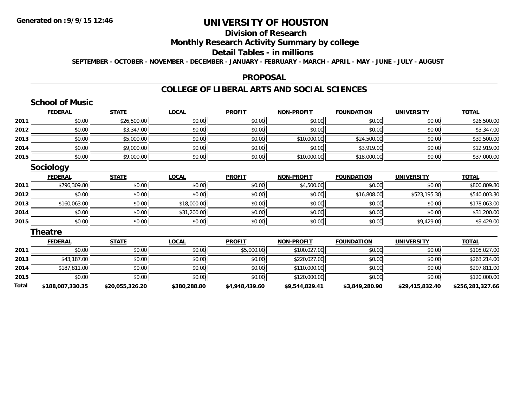## **Division of Research**

## **Monthly Research Activity Summary by college**

### **Detail Tables - in millions**

**SEPTEMBER - OCTOBER - NOVEMBER - DECEMBER - JANUARY - FEBRUARY - MARCH - APRIL - MAY - JUNE - JULY - AUGUST**

### **PROPOSAL**

## **COLLEGE OF LIBERAL ARTS AND SOCIAL SCIENCES**

## **School of Music**

|      | <b>FEDERAL</b> | <b>STATE</b> | <u>LOCAL</u> | <b>PROFIT</b> | <b>NON-PROFIT</b> | <b>FOUNDATION</b> | <b>UNIVERSITY</b> | <b>TOTAL</b> |
|------|----------------|--------------|--------------|---------------|-------------------|-------------------|-------------------|--------------|
| 2011 | \$0.00         | \$26,500.00  | \$0.00       | \$0.00        | \$0.00            | \$0.00            | \$0.00            | \$26,500.00  |
| 2012 | \$0.00         | \$3,347.00   | \$0.00       | \$0.00        | \$0.00            | \$0.00            | \$0.00            | \$3,347.00   |
| 2013 | \$0.00         | \$5,000.00   | \$0.00       | \$0.00        | \$10,000.00       | \$24,500.00       | \$0.00            | \$39,500.00  |
| 2014 | \$0.00         | \$9,000.00   | \$0.00       | \$0.00        | \$0.00            | \$3,919.00        | \$0.00            | \$12,919.00  |
| 2015 | \$0.00         | \$9,000.00   | \$0.00       | \$0.00        | \$10,000.00       | \$18,000.00       | \$0.00            | \$37,000.00  |

## **Sociology**

|      | <u>FEDERAL</u> | <b>STATE</b> | <u>LOCAL</u> | <b>PROFIT</b> | <b>NON-PROFIT</b> | <b>FOUNDATION</b> | <b>UNIVERSITY</b> | <b>TOTAL</b> |
|------|----------------|--------------|--------------|---------------|-------------------|-------------------|-------------------|--------------|
| 2011 | \$796,309.80   | \$0.00       | \$0.00       | \$0.00        | \$4,500.00        | \$0.00            | \$0.00            | \$800,809.80 |
| 2012 | \$0.00         | \$0.00       | \$0.00       | \$0.00        | \$0.00            | \$16,808.00       | \$523,195.30      | \$540,003.30 |
| 2013 | \$160,063.00   | \$0.00       | \$18,000.00  | \$0.00        | \$0.00            | \$0.00            | \$0.00            | \$178,063.00 |
| 2014 | \$0.00         | \$0.00       | \$31,200.00  | \$0.00        | \$0.00            | \$0.00            | \$0.00            | \$31,200.00  |
| 2015 | \$0.00         | \$0.00       | \$0.00       | \$0.00        | \$0.00            | \$0.00            | \$9,429.00        | \$9,429.00   |

### **Theatre**

|       | <b>FEDERAL</b>   | <b>STATE</b>    | <u>LOCAL</u> | <b>PROFIT</b>  | NON-PROFIT     | <b>FOUNDATION</b> | <b>UNIVERSITY</b> | <b>TOTAL</b>     |
|-------|------------------|-----------------|--------------|----------------|----------------|-------------------|-------------------|------------------|
| 2011  | \$0.00           | \$0.00          | \$0.00       | \$5,000.00     | \$100,027.00   | \$0.00            | \$0.00            | \$105,027.00     |
| 2013  | \$43,187.00      | \$0.00          | \$0.00       | \$0.00         | \$220,027.00   | \$0.00            | \$0.00            | \$263,214.00     |
| 2014  | \$187,811.00     | \$0.00          | \$0.00       | \$0.00         | \$110,000.00   | \$0.00            | \$0.00            | \$297,811.00     |
| 2015  | \$0.00           | \$0.00          | \$0.00       | \$0.00         | \$120,000.00   | \$0.00            | \$0.00            | \$120,000.00     |
| Total | \$188,087,330.35 | \$20,055,326.20 | \$380,288.80 | \$4,948,439.60 | \$9,544,829.41 | \$3,849,280.90    | \$29,415,832.40   | \$256,281,327.66 |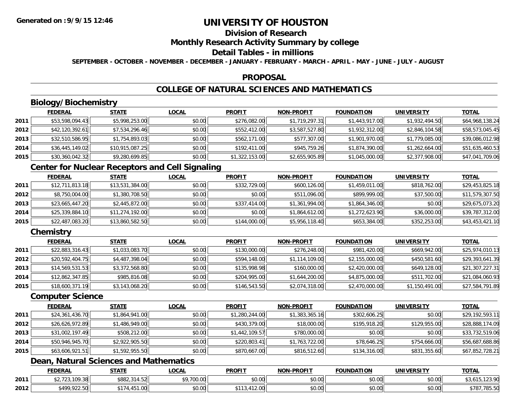## **Division of Research**

## **Monthly Research Activity Summary by college**

## **Detail Tables - in millions**

**SEPTEMBER - OCTOBER - NOVEMBER - DECEMBER - JANUARY - FEBRUARY - MARCH - APRIL - MAY - JUNE - JULY - AUGUST**

### **PROPOSAL**

## **COLLEGE OF NATURAL SCIENCES AND MATHEMATICS**

## **Biology/Biochemistry**

|      | <b>FEDERAL</b>  | <u>STATE</u>    | <u>LOCAL</u> | <b>PROFIT</b>  | NON-PROFIT     | <b>FOUNDATION</b> | UNIVERSITY     | <u>TOTAL</u>    |
|------|-----------------|-----------------|--------------|----------------|----------------|-------------------|----------------|-----------------|
| 2011 | \$53,598,094.43 | \$5,998,253.00  | \$0.00       | \$276,082.00   | \$1,719,297.31 | \$1,443,917.00    | \$1,932,494.50 | \$64,968,138.24 |
| 2012 | \$42,120,392.61 | \$7,534,296.46  | \$0.00       | \$552,412.00   | \$3,587,527.80 | \$1,932,312.00    | \$2,846,104.58 | \$58,573,045.45 |
| 2013 | \$32,510,586.95 | \$1,754,893.03  | \$0.00       | \$562,171.00   | \$577,307.00   | \$1,901,970.00    | \$1,779,085.00 | \$39,086,012.98 |
| 2014 | \$36,445,149.02 | \$10,915,087.25 | \$0.00       | \$192,411.00   | \$945,759.26   | \$1,874,390.00    | \$1,262,664.00 | \$51,635,460.53 |
| 2015 | \$30,360,042.32 | \$9,280,699.85  | \$0.00       | \$1,322,153.00 | \$2,655,905.89 | \$1,045,000.00    | \$2,377,908.00 | \$47,041,709.06 |

## **Center for Nuclear Receptors and Cell Signaling**

|      | <b>FEDERAL</b>  | <b>STATE</b>    | <b>LOCAL</b> | <b>PROFIT</b> | <b>NON-PROFIT</b> | <b>FOUNDATION</b> | <b>UNIVERSITY</b> | <b>TOTAL</b>    |
|------|-----------------|-----------------|--------------|---------------|-------------------|-------------------|-------------------|-----------------|
| 2011 | \$12,711,813.18 | \$13,531,384.00 | \$0.00       | \$332,729.00  | \$600,126.00      | \$1,459,011.00    | \$818,762.00      | \$29,453,825.18 |
| 2012 | \$8,750,004.00  | \$1,380,708.50  | \$0.00       | \$0.00        | \$511,096.00      | \$899,999,00      | \$37,500.00       | \$11,579,307.50 |
| 2013 | \$23,665,447.20 | \$2,445,872.00  | \$0.00       | \$337,414.00  | \$1,361,994.00    | \$1,864,346.00    | \$0.00            | \$29,675,073.20 |
| 2014 | \$25,339,884.10 | \$11,274,192.00 | \$0.00       | \$0.00        | \$1,864,612.00    | \$1,272,623.90    | \$36,000.00       | \$39,787,312.00 |
| 2015 | \$22,487,083.20 | \$13,860,582.50 | \$0.00       | \$144,000.00  | \$5,956,118.40    | \$653,384.00      | \$352,253.00      | \$43,453,421.10 |

## **Chemistry**

|      | <b>FEDERAL</b>  | <u>STATE</u>   | <u>LOCAL</u> | <b>PROFIT</b> | <b>NON-PROFIT</b> | <b>FOUNDATION</b> | <b>UNIVERSITY</b> | <b>TOTAL</b>    |
|------|-----------------|----------------|--------------|---------------|-------------------|-------------------|-------------------|-----------------|
| 2011 | \$22,883,316.43 | \$1,033,083.70 | \$0.00       | \$130,000.00  | \$276,248.00      | \$981,420.00      | \$669,942.00      | \$25,974,010.13 |
| 2012 | \$20,592,404.75 | \$4,487,398.04 | \$0.00       | \$594,148.00  | \$1,114,109.00    | \$2,155,000.00    | \$450,581.60      | \$29,393,641.39 |
| 2013 | \$14,569,531.53 | \$3,372,568.80 | \$0.00       | \$135,998.98  | \$160,000.00      | \$2,420,000.00    | \$649,128.00      | \$21,307,227.31 |
| 2014 | \$12,862,347.85 | \$985,816.08   | \$0.00       | \$204,995.00  | \$1,644,200.00    | \$4,875,000.00    | \$511,702.00      | \$21,084,060.93 |
| 2015 | \$18,600,371.19 | \$3,143,068.20 | \$0.00       | \$146,543.50  | \$2,074,318.00    | \$2,470,000.00    | \$1,150,491.00    | \$27,584,791.89 |

### **Computer Science**

|      | <b>FEDERAL</b>  | <b>STATE</b>   | <b>LOCAL</b> | <b>PROFIT</b>  | <b>NON-PROFIT</b> | <b>FOUNDATION</b> | <b>UNIVERSITY</b> | <b>TOTAL</b>    |
|------|-----------------|----------------|--------------|----------------|-------------------|-------------------|-------------------|-----------------|
| 2011 | \$24,361,436.70 | \$1,864,941.00 | \$0.00       | \$1,280,244.00 | \$1,383,365.16    | \$302,606.25      | \$0.00            | \$29,192,593.11 |
| 2012 | \$26,626,972.89 | \$1,486,949.00 | \$0.00       | \$430,379.00   | \$18,000.00       | \$195,918.20      | \$129,955.00      | \$28,888,174.09 |
| 2013 | \$31,002,197.49 | \$508,212.00   | \$0.00       | \$1,442,109.57 | \$780,000.00      | \$0.00            | \$0.00            | \$33,732,519.06 |
| 2014 | \$50,946,945.70 | \$2,922,905.50 | \$0.00       | \$220,803.41   | \$1,763,722.00    | \$78,646.25       | \$754,666.00      | \$56,687,688.86 |
| 2015 | \$63,606,921.51 | \$1,592,955.50 | \$0.00       | \$870,667.00   | \$816,512.60      | \$134,316.00      | \$831,355.60      | \$67,852,728.21 |

# **Dean, Natural Sciences and Mathematics**

|      | <b>FEDERAL</b>                                           | <b>STATE</b>                        | LOCAL                 | <b>PROFIT</b>                | <b>NON-PROFIT</b> | <b>FOUNDATION</b> | <b>UNIVERSITY</b>      | <b>TOTAL</b>                 |
|------|----------------------------------------------------------|-------------------------------------|-----------------------|------------------------------|-------------------|-------------------|------------------------|------------------------------|
| 2011 | 100 38<br>$\overline{\phantom{a}}$<br>92. / 2J. IU 7.JUI | roon<br>24152<br>1 ن.∠ة ة.<br>14.JZ | <sup>↑</sup> 9,700.ບບ | <b>ተገ</b><br>JU.UU           | 0.00<br>DU.UG     | \$0.00            | <b>AO</b> UP<br>\$U.UU | 123.00<br><b>JUIUILLUITU</b> |
| 2012 | \$499,922.50<br>744.JU                                   | $\sim$ $\sim$<br>יש.ו               | \$0.00                | A<br>$\overline{1}$<br>14.UU | 0.00<br>DU.UG     | \$0.00            | \$0.00                 | \$78.<br>705E<br>,789.90     |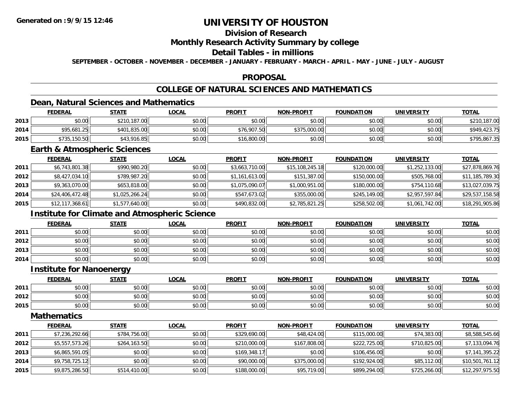## **Division of Research**

### **Monthly Research Activity Summary by college**

## **Detail Tables - in millions**

**SEPTEMBER - OCTOBER - NOVEMBER - DECEMBER - JANUARY - FEBRUARY - MARCH - APRIL - MAY - JUNE - JULY - AUGUST**

### **PROPOSAL**

## **COLLEGE OF NATURAL SCIENCES AND MATHEMATICS**

## **Dean, Natural Sciences and Mathematics**

|      | <b>FEDERAL</b> | <u>STATE</u> | <u>LOCAL</u> | <b>PROFIT</b> | <b>NON-PROFIT</b> | <b>FOUNDATION</b> | UNIVERSITY | <b>TOTAL</b> |
|------|----------------|--------------|--------------|---------------|-------------------|-------------------|------------|--------------|
| 2013 | \$0.00         | \$210,187.00 | \$0.00       | \$0.00        | \$0.00            | \$0.00            | \$0.00     | \$210,187.00 |
| 2014 | \$95,681.25    | \$401,835,00 | \$0.00       | \$76,907.50   | \$375,000.00      | \$0.00            | \$0.00     | \$949,423.75 |
| 2015 | \$735,150.50   | \$43,916.85  | \$0.00       | \$16,800.00   | \$0.00            | \$0.00            | \$0.00     | \$795,867.35 |

### **Earth & Atmospheric Sciences**

|      | <b>FEDERAL</b>  | <b>STATE</b>   | <u>LOCAL</u> | <b>PROFIT</b>  | <b>NON-PROFIT</b> | <b>FOUNDATION</b> | <b>UNIVERSITY</b> | <u>TOTAL</u>    |
|------|-----------------|----------------|--------------|----------------|-------------------|-------------------|-------------------|-----------------|
| 2011 | \$6,743,801.38  | \$990,980.20   | \$0.00       | \$3,663,710.00 | \$15,108,245.18   | \$120,000.00      | \$1,252,133.00    | \$27,878,869.76 |
| 2012 | \$8,427,034.10  | \$789,987.20   | \$0.00       | \$1,161,613.00 | \$151,387.00      | \$150,000.00      | \$505,768.00      | \$11,185,789.30 |
| 2013 | \$9,363,070.00  | \$653,818.00   | \$0.00       | \$1,075,090.07 | \$1,000,951.00    | \$180,000.00      | \$754,110.68      | \$13,027,039.75 |
| 2014 | \$24,406,472.48 | \$1,025,266.24 | \$0.00       | \$547,673.02   | \$355,000.00      | \$245,149.00      | \$2,957,597.84    | \$29,537,158.58 |
| 2015 | \$12,117,368.61 | \$1,577,640.00 | \$0.00       | \$490,832.00   | \$2,785,821.25    | \$258,502.00      | \$1,061,742.00    | \$18,291,905.86 |

## **Institute for Climate and Atmospheric Science**

|      | <b>FEDERAL</b> | <b>STATE</b> | <u>LOCAL</u> | <b>PROFIT</b> | <b>NON-PROFIT</b> | <b>FOUNDATION</b> | <b>UNIVERSITY</b> | <b>TOTAL</b> |
|------|----------------|--------------|--------------|---------------|-------------------|-------------------|-------------------|--------------|
| 2011 | \$0.00         | \$0.00       | \$0.00       | \$0.00        | \$0.00            | \$0.00            | \$0.00            | \$0.00       |
| 2012 | \$0.00         | \$0.00       | \$0.00       | \$0.00        | \$0.00            | \$0.00            | \$0.00            | \$0.00       |
| 2013 | \$0.00         | \$0.00       | \$0.00       | \$0.00        | \$0.00            | \$0.00            | \$0.00            | \$0.00       |
| 2014 | \$0.00         | \$0.00       | \$0.00       | \$0.00        | \$0.00            | \$0.00            | \$0.00            | \$0.00       |

## **Institute for Nanoenergy**

|      | <b>FEDERAL</b> | <b>STATE</b>           | LOCAL         | <b>PROFIT</b> | <b>NON-PROFIT</b> | <b>FOUNDATION</b> | <b>UNIVERSITY</b> | <b>TOTAL</b> |
|------|----------------|------------------------|---------------|---------------|-------------------|-------------------|-------------------|--------------|
| 2011 | \$0.00         | ሖ ∩<br>$\sim$<br>JU.UU | 0000<br>DU.UG | \$0.00        | \$0.00            | \$0.00            | \$0.00            | \$0.00       |
| 2012 | \$0.00         | ¢Λ<br>$\sim$<br>JU.UU  | 0000<br>งบ.บบ | \$0.00        | \$0.00            | \$0.00            | \$0.00            | \$0.00       |
| 2015 | \$0.00         | $\sim$<br>งบ.บบ        | \$0.00        | \$0.00        | \$0.00            | \$0.00            | \$0.00            | \$0.00       |

### **Mathematics**

|      | <b>FEDERAL</b> | <b>STATE</b> | <b>LOCAL</b> | <b>PROFIT</b> | <b>NON-PROFIT</b> | <b>FOUNDATION</b> | <b>UNIVERSITY</b> | <b>TOTAL</b>    |
|------|----------------|--------------|--------------|---------------|-------------------|-------------------|-------------------|-----------------|
| 2011 | \$7,236,292.66 | \$784,756,00 | \$0.00       | \$329,690.00  | \$48,424,00       | \$115,000.00      | \$74,383.00       | \$8,588,545.66  |
| 2012 | \$5,557,573.26 | \$264,163.50 | \$0.00       | \$210,000.00  | \$167,808.00      | \$222,725.00      | \$710,825.00      | \$7,133,094.76  |
| 2013 | \$6,865,591.05 | \$0.00       | \$0.00       | \$169,348.17  | \$0.00            | \$106,456.00      | \$0.00            | \$7,141,395.22  |
| 2014 | \$9,758,725.12 | \$0.00       | \$0.00       | \$90,000.00   | \$375,000.00      | \$192,924.00      | \$85,112.00       | \$10,501,761.12 |
| 2015 | \$9,875,286.50 | \$514,410.00 | \$0.00       | \$188,000.00  | \$95,719.00       | \$899,294.00      | \$725,266.00      | \$12,297,975.50 |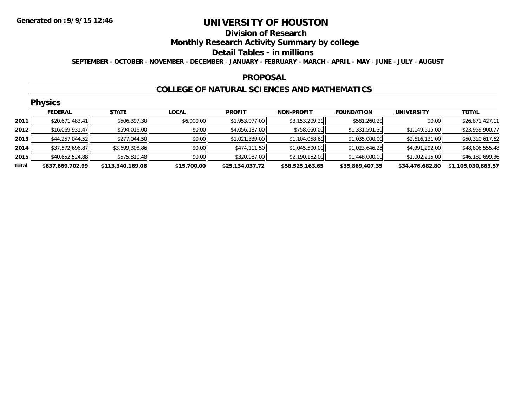#### **Division of Research**

## **Monthly Research Activity Summary by college**

### **Detail Tables - in millions**

**SEPTEMBER - OCTOBER - NOVEMBER - DECEMBER - JANUARY - FEBRUARY - MARCH - APRIL - MAY - JUNE - JULY - AUGUST**

### **PROPOSAL**

### **COLLEGE OF NATURAL SCIENCES AND MATHEMATICS**

|       | <b>Physics</b>   |                  |              |                 |                   |                   |                   |                    |  |  |  |  |
|-------|------------------|------------------|--------------|-----------------|-------------------|-------------------|-------------------|--------------------|--|--|--|--|
|       | <b>FEDERAL</b>   | <b>STATE</b>     | <b>LOCAL</b> | <b>PROFIT</b>   | <b>NON-PROFIT</b> | <b>FOUNDATION</b> | <b>UNIVERSITY</b> | <b>TOTAL</b>       |  |  |  |  |
| 2011  | \$20,671,483.41  | \$506,397.30     | \$6,000.00   | \$1,953,077.00  | \$3,153,209.20    | \$581,260.20      | \$0.00            | \$26,871,427.11    |  |  |  |  |
| 2012  | \$16,069,931.47  | \$594,016.00     | \$0.00       | \$4,056,187.00  | \$758,660.00      | \$1,331,591.30    | \$1,149,515.00    | \$23,959,900.77    |  |  |  |  |
| 2013  | \$44,257,044.52  | \$277,044.50     | \$0.00       | \$1,021,339.00  | \$1,104,058.60    | \$1,035,000.00    | \$2,616,131.00    | \$50,310,617.62    |  |  |  |  |
| 2014  | \$37,572,696.87  | \$3,699,308.86   | \$0.00       | \$474,111.50    | \$1,045,500.00    | \$1,023,646.25    | \$4,991,292.00    | \$48,806,555.48    |  |  |  |  |
| 2015  | \$40,652,524.88  | \$575,810.48     | \$0.00       | \$320,987.00    | \$2,190,162.00    | \$1,448,000.00    | \$1,002,215.00    | \$46,189,699.36    |  |  |  |  |
| Total | \$837,669,702.99 | \$113,340,169.06 | \$15,700.00  | \$25,134,037.72 | \$58,525,163.65   | \$35,869,407.35   | \$34,476,682.80   | \$1,105,030,863.57 |  |  |  |  |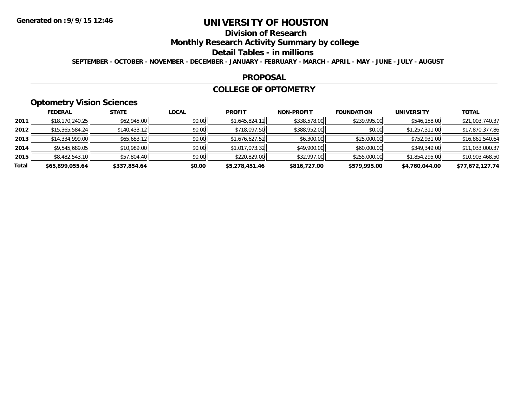# **Division of Research**

**Monthly Research Activity Summary by college**

### **Detail Tables - in millions**

**SEPTEMBER - OCTOBER - NOVEMBER - DECEMBER - JANUARY - FEBRUARY - MARCH - APRIL - MAY - JUNE - JULY - AUGUST**

### **PROPOSAL**

### **COLLEGE OF OPTOMETRY**

## **Optometry Vision Sciences**

|       | <b>FEDERAL</b>  | <b>STATE</b> | <b>LOCAL</b> | <b>PROFIT</b>  | <b>NON-PROFIT</b> | <b>FOUNDATION</b> | <b>UNIVERSITY</b> | <b>TOTAL</b>    |
|-------|-----------------|--------------|--------------|----------------|-------------------|-------------------|-------------------|-----------------|
| 2011  | \$18,170,240.25 | \$62,945.00  | \$0.00       | \$1,645,824.12 | \$338,578.00      | \$239,995.00      | \$546,158.00      | \$21,003,740.37 |
| 2012  | \$15,365,584.24 | \$140,433.12 | \$0.00       | \$718,097.50   | \$388,952.00      | \$0.00            | \$1,257,311.00    | \$17,870,377.86 |
| 2013  | \$14,334,999.00 | \$65,683.12  | \$0.00       | \$1,676,627.52 | \$6,300.00        | \$25,000.00       | \$752,931.00      | \$16,861,540.64 |
| 2014  | \$9,545,689.05  | \$10,989.00  | \$0.00       | \$1,017,073.32 | \$49,900.00       | \$60,000.00       | \$349,349.00      | \$11,033,000.37 |
| 2015  | \$8,482,543.10  | \$57,804.40  | \$0.00       | \$220,829.00   | \$32,997.00       | \$255,000.00      | \$1,854,295.00    | \$10,903,468.50 |
| Total | \$65,899,055.64 | \$337,854.64 | \$0.00       | \$5,278,451.46 | \$816,727.00      | \$579,995.00      | \$4,760,044.00    | \$77,672,127.74 |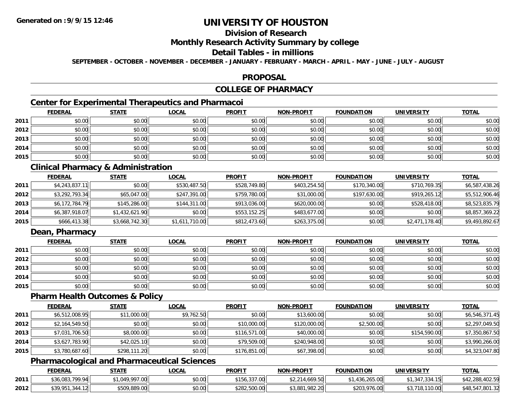## **Division of Research**

## **Monthly Research Activity Summary by college**

## **Detail Tables - in millions**

**SEPTEMBER - OCTOBER - NOVEMBER - DECEMBER - JANUARY - FEBRUARY - MARCH - APRIL - MAY - JUNE - JULY - AUGUST**

### **PROPOSAL**

# **COLLEGE OF PHARMACY**

## **Center for Experimental Therapeutics and Pharmacoi**

|      | <b>FEDERAL</b> | <b>STATE</b> | <b>LOCAL</b> | <b>PROFIT</b> | <b>NON-PROFIT</b> | <b>FOUNDATION</b> | <b>UNIVERSITY</b> | <b>TOTAL</b> |
|------|----------------|--------------|--------------|---------------|-------------------|-------------------|-------------------|--------------|
| 2011 | \$0.00         | \$0.00       | \$0.00       | \$0.00        | \$0.00            | \$0.00            | \$0.00            | \$0.00       |
| 2012 | \$0.00         | \$0.00       | \$0.00       | \$0.00        | \$0.00            | \$0.00            | \$0.00            | \$0.00       |
| 2013 | \$0.00         | \$0.00       | \$0.00       | \$0.00        | \$0.00            | \$0.00            | \$0.00            | \$0.00       |
| 2014 | \$0.00         | \$0.00       | \$0.00       | \$0.00        | \$0.00            | \$0.00            | \$0.00            | \$0.00       |
| 2015 | \$0.00         | \$0.00       | \$0.00       | \$0.00        | \$0.00            | \$0.00            | \$0.00            | \$0.00       |

## **Clinical Pharmacy & Administration**

|      | <b>FEDERAL</b> | <u>STATE</u>   | <u>LOCAL</u>   | <b>PROFIT</b> | <b>NON-PROFIT</b> | <b>FOUNDATION</b> | <b>UNIVERSITY</b> | <b>TOTAL</b>   |
|------|----------------|----------------|----------------|---------------|-------------------|-------------------|-------------------|----------------|
| 2011 | \$4,243,837.11 | \$0.00         | \$530,487.50   | \$528,749.80  | \$403,254.50      | \$170,340.00      | \$710,769.35      | \$6,587,438.26 |
| 2012 | \$3,292,793.34 | \$65,047.00    | \$247,391.00   | \$759,780.00  | \$31,000.00       | \$197,630.00      | \$919,265.12      | \$5,512,906.46 |
| 2013 | \$6,172,784.79 | \$145,286.00   | \$144,311.00   | \$913,036.00  | \$620,000.00      | \$0.00            | \$528,418.00      | \$8,523,835.79 |
| 2014 | \$6,387,918.07 | \$1,432,621.90 | \$0.00         | \$553,152.25  | \$483,677,00      | \$0.00            | \$0.00            | \$8,857,369.22 |
| 2015 | \$666,413.38   | \$3,668,742.30 | \$1,611,710.00 | \$812,473.60  | \$263,375.00      | \$0.00            | \$2,471,178.40    | \$9,493,892.67 |

## **Dean, Pharmacy**

|      | <b>FEDERAL</b> | <b>STATE</b> | <u>LOCAL</u> | <b>PROFIT</b> | <b>NON-PROFIT</b> | <b>FOUNDATION</b> | <b>UNIVERSITY</b> | <b>TOTAL</b> |
|------|----------------|--------------|--------------|---------------|-------------------|-------------------|-------------------|--------------|
| 2011 | \$0.00         | \$0.00       | \$0.00       | \$0.00        | \$0.00            | \$0.00            | \$0.00            | \$0.00       |
| 2012 | \$0.00         | \$0.00       | \$0.00       | \$0.00        | \$0.00            | \$0.00            | \$0.00            | \$0.00       |
| 2013 | \$0.00         | \$0.00       | \$0.00       | \$0.00        | \$0.00            | \$0.00            | \$0.00            | \$0.00       |
| 2014 | \$0.00         | \$0.00       | \$0.00       | \$0.00        | \$0.00            | \$0.00            | \$0.00            | \$0.00       |
| 2015 | \$0.00         | \$0.00       | \$0.00       | \$0.00        | \$0.00            | \$0.00            | \$0.00            | \$0.00       |

### **Pharm Health Outcomes & Policy**

|      | <b>FEDERAL</b> | <b>STATE</b> | <b>LOCAL</b> | <b>PROFIT</b> | <b>NON-PROFIT</b> | <b>FOUNDATION</b> | <b>UNIVERSITY</b> | <b>TOTAL</b>   |
|------|----------------|--------------|--------------|---------------|-------------------|-------------------|-------------------|----------------|
| 2011 | \$6,512,008.95 | \$11,000.00  | \$9,762.50   | \$0.00        | \$13,600.00       | \$0.00            | \$0.00            | \$6,546,371.45 |
| 2012 | \$2,164,549.50 | \$0.00       | \$0.00       | \$10,000.00   | \$120,000.00      | \$2,500.00        | \$0.00            | \$2,297,049.50 |
| 2013 | \$7,031,706.50 | \$8,000.00   | \$0.00       | \$116,571.00  | \$40,000.00       | \$0.00            | \$154,590.00      | \$7,350,867.50 |
| 2014 | \$3,627,783.90 | \$42,025.10  | \$0.00       | \$79,509.00   | \$240,948.00      | \$0.00            | \$0.00            | \$3,990,266.00 |
| 2015 | \$3,780,687.60 | \$298,111.20 | \$0.00       | \$176,851.00  | \$67,398.00       | \$0.00            | \$0.00            | \$4,323,047.80 |

## **Pharmacological and Pharmaceutical Sciences**

|      | <b>FEDERAL</b>              | <b>STATE</b>      | <b>LOCAL</b> | <b>PROFIT</b> | <b>NON-PROFIT</b> | <b>FOUNDATION</b>     | UNIVERSITY                   | <b>TOTAL</b>                  |
|------|-----------------------------|-------------------|--------------|---------------|-------------------|-----------------------|------------------------------|-------------------------------|
| 2011 | <sup>*</sup> 36.083.799.94L | 140 007 NN<br>.uu | \$0.00       | \$156,337.00  | 4.669.50          | .265.00<br>$\sqrt{2}$ | 147,334.15                   | \$42.288.<br>102 FQ<br>40Z.G. |
| 2012 | \$39,951,344.12             | \$509,889.00      | \$0.00       | \$282,500.00  | \$3,881,982.20    | \$203,976.00          | .110.00<br>110<br><b>IO.</b> | \$48,547,801.32               |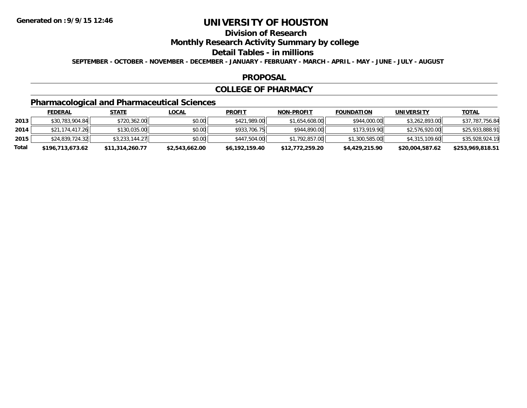# **Division of Research**

## **Monthly Research Activity Summary by college**

### **Detail Tables - in millions**

**SEPTEMBER - OCTOBER - NOVEMBER - DECEMBER - JANUARY - FEBRUARY - MARCH - APRIL - MAY - JUNE - JULY - AUGUST**

### **PROPOSAL**

### **COLLEGE OF PHARMACY**

# **Pharmacological and Pharmaceutical Sciences**

|       | <u>FEDERAL</u>   | <u>STATE</u>    | <u>LOCAL</u>   | <b>PROFIT</b>  | <b>NON-PROFIT</b> | <b>FOUNDATION</b> | UNIVERSITY      | <b>TOTAL</b>     |
|-------|------------------|-----------------|----------------|----------------|-------------------|-------------------|-----------------|------------------|
| 2013  | \$30,783,904.84  | \$720,362.00    | \$0.00         | \$421,989.00   | \$1,654,608.00    | \$944,000.00      | \$3,262,893.00  | \$37,787,756.84  |
| 2014  | \$21,174,417.26  | \$130,035.00    | \$0.00         | \$933,706.75   | \$944,890,00      | \$173,919.90      | \$2,576,920.00  | \$25,933,888.91  |
| 2015  | \$24,839,724.32  | \$3,233,144.27  | \$0.00         | \$447,504.00   | \$1,792,857.00    | \$1,300,585.00    | \$4,315,109.60  | \$35,928,924.19  |
| Total | \$196,713,673.62 | \$11,314,260.77 | \$2,543,662.00 | \$6,192,159.40 | \$12,772,259.20   | \$4,429,215.90    | \$20,004,587.62 | \$253,969,818.51 |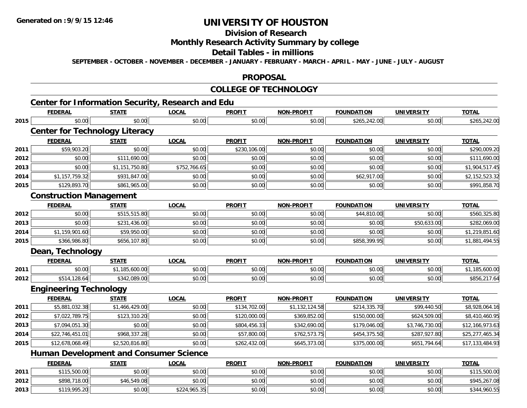## **Division of Research**

## **Monthly Research Activity Summary by college**

### **Detail Tables - in millions**

**SEPTEMBER - OCTOBER - NOVEMBER - DECEMBER - JANUARY - FEBRUARY - MARCH - APRIL - MAY - JUNE - JULY - AUGUST**

### **PROPOSAL**

# **COLLEGE OF TECHNOLOGY**

|      |                                               |                | <b>Center for Information Security, Research and Edu</b> |               |                   |                   |                   |                 |
|------|-----------------------------------------------|----------------|----------------------------------------------------------|---------------|-------------------|-------------------|-------------------|-----------------|
|      | <b>FEDERAL</b>                                | <b>STATE</b>   | <b>LOCAL</b>                                             | <b>PROFIT</b> | <b>NON-PROFIT</b> | <b>FOUNDATION</b> | <b>UNIVERSITY</b> | <b>TOTAL</b>    |
| 2015 | \$0.00                                        | \$0.00         | \$0.00                                                   | \$0.00        | \$0.00            | \$265,242.00      | \$0.00            | \$265,242.00    |
|      | <b>Center for Technology Literacy</b>         |                |                                                          |               |                   |                   |                   |                 |
|      | <b>FEDERAL</b>                                | <b>STATE</b>   | <b>LOCAL</b>                                             | <b>PROFIT</b> | <b>NON-PROFIT</b> | <b>FOUNDATION</b> | <b>UNIVERSITY</b> | <b>TOTAL</b>    |
| 2011 | \$59,903.20                                   | \$0.00         | \$0.00                                                   | \$230,106.00  | \$0.00            | \$0.00            | \$0.00            | \$290,009.20    |
| 2012 | \$0.00                                        | \$111,690.00   | \$0.00                                                   | \$0.00        | \$0.00            | \$0.00            | \$0.00            | \$111,690.00    |
| 2013 | \$0.00                                        | \$1,151,750.80 | \$752,766.65                                             | \$0.00        | \$0.00            | \$0.00            | \$0.00            | \$1,904,517.45  |
| 2014 | \$1,157,759.32                                | \$931,847.00   | \$0.00                                                   | \$0.00        | \$0.00            | \$62,917.00       | \$0.00            | \$2,152,523.32  |
| 2015 | \$129,893.70                                  | \$861,965.00   | \$0.00                                                   | \$0.00        | \$0.00            | \$0.00            | \$0.00            | \$991,858.70    |
|      | <b>Construction Management</b>                |                |                                                          |               |                   |                   |                   |                 |
|      | <b>FEDERAL</b>                                | <b>STATE</b>   | <b>LOCAL</b>                                             | <b>PROFIT</b> | <b>NON-PROFIT</b> | <b>FOUNDATION</b> | <b>UNIVERSITY</b> | <b>TOTAL</b>    |
| 2012 | \$0.00                                        | \$515,515.80   | \$0.00                                                   | \$0.00        | \$0.00            | \$44,810.00       | \$0.00            | \$560,325.80    |
| 2013 | \$0.00                                        | \$231,436.00   | \$0.00                                                   | \$0.00        | \$0.00            | \$0.00            | \$50,633.00       | \$282,069.00    |
| 2014 | \$1,159,901.60                                | \$59,950.00    | \$0.00                                                   | \$0.00        | \$0.00            | \$0.00            | \$0.00            | \$1,219,851.60  |
| 2015 | \$366,986.80                                  | \$656,107.80   | \$0.00                                                   | \$0.00        | \$0.00            | \$858,399.95      | \$0.00            | \$1,881,494.55  |
|      | Dean, Technology                              |                |                                                          |               |                   |                   |                   |                 |
|      | <b>FEDERAL</b>                                | <b>STATE</b>   | <b>LOCAL</b>                                             | <b>PROFIT</b> | <b>NON-PROFIT</b> | <b>FOUNDATION</b> | <b>UNIVERSITY</b> | <b>TOTAL</b>    |
| 2011 | \$0.00                                        | \$1,185,600.00 | \$0.00                                                   | \$0.00        | \$0.00            | \$0.00            | \$0.00            | \$1,185,600.00  |
| 2012 | \$514,128.64                                  | \$342,089.00   | \$0.00                                                   | \$0.00        | \$0.00            | \$0.00            | \$0.00            | \$856,217.64    |
|      | <b>Engineering Technology</b>                 |                |                                                          |               |                   |                   |                   |                 |
|      | <b>FEDERAL</b>                                | <b>STATE</b>   | <b>LOCAL</b>                                             | <b>PROFIT</b> | <b>NON-PROFIT</b> | <b>FOUNDATION</b> | <b>UNIVERSITY</b> | <b>TOTAL</b>    |
| 2011 | \$5,881,032.38                                | \$1,466,429.00 | \$0.00                                                   | \$134,702.00  | \$1,132,124.58    | \$214,335.70      | \$99,440.50       | \$8,928,064.16  |
| 2012 | \$7,022,789.75                                | \$123,310.20   | \$0.00                                                   | \$120,000.00  | \$369,852.00      | \$150,000.00      | \$624,509.00      | \$8,410,460.95  |
| 2013 | \$7,094,051.30                                | \$0.00         | \$0.00                                                   | \$804,456.33  | \$342,690.00      | \$179,046.00      | \$3,746,730.00    | \$12,166,973.63 |
| 2014 | \$22,746,451.01                               | \$968,337.28   | \$0.00                                                   | \$57,800.00   | \$762,573.75      | \$454,375.50      | \$287,927.80      | \$25,277,465.34 |
| 2015 | \$12,678,068.49                               | \$2,520,816.80 | \$0.00                                                   | \$262,432.00  | \$645,373.00      | \$375,000.00      | \$651,794.64      | \$17,133,484.93 |
|      | <b>Human Development and Consumer Science</b> |                |                                                          |               |                   |                   |                   |                 |
|      | <b>FEDERAL</b>                                | <b>STATE</b>   | <b>LOCAL</b>                                             | <b>PROFIT</b> | <b>NON-PROFIT</b> | <b>FOUNDATION</b> | <b>UNIVERSITY</b> | <b>TOTAL</b>    |
| 2011 | \$115,500.00                                  | \$0.00         | \$0.00                                                   | \$0.00        | \$0.00            | \$0.00            | \$0.00            | \$115,500.00    |
| 2012 | \$898,718.00                                  | \$46,549.08    | \$0.00                                                   | \$0.00        | \$0.00            | \$0.00            | \$0.00            | \$945,267.08    |
| 2013 | \$119,995.20                                  | \$0.00         | \$224,965.35                                             | \$0.00        | \$0.00            | \$0.00            | \$0.00            | \$344,960.55    |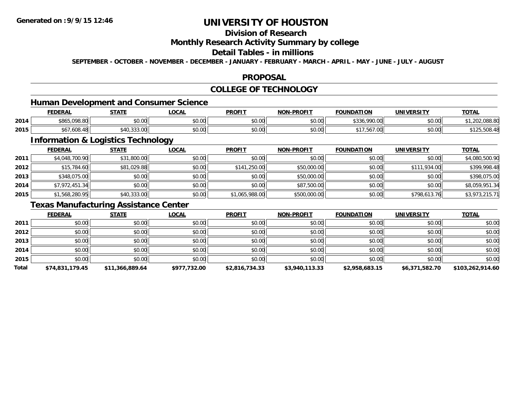## **Division of Research**

### **Monthly Research Activity Summary by college**

## **Detail Tables - in millions**

**SEPTEMBER - OCTOBER - NOVEMBER - DECEMBER - JANUARY - FEBRUARY - MARCH - APRIL - MAY - JUNE - JULY - AUGUST**

### **PROPOSAL**

## **COLLEGE OF TECHNOLOGY**

# **Human Development and Consumer Science**

|      | <b>FEDERAL</b> | <b>STATE</b>        | <b>OCAL</b>   | <b>PROFIT</b> | <b>N-PROFIT</b><br>NON- | <b>FOUNDATION</b>                          | UNIVERSITY    | <b>TOTAL</b> |
|------|----------------|---------------------|---------------|---------------|-------------------------|--------------------------------------------|---------------|--------------|
| 2014 | \$865,098.80   | nn na<br>DU.UU      | 0000<br>JU.UU | \$0.00        | \$0.00                  | oon no<br>$\uparrow$ $\uparrow$<br>,,,,,,, | \$0.00        | ົດ<br>uoo.ot |
| 2015 | .608.48        | $\sim$<br>וטט.טטערי | 0000<br>JU.UU | 400<br>JU.UU  | nn na<br>DU.UU          | $\cdot$ , JU , UG.                         | m up<br>JU.UU | OUO.         |

<u> 1980 - Johann Stoff, deutscher Stoffen und der Stoffen und der Stoffen und der Stoffen und der Stoffen und der</u>

## **Information & Logistics Technology**

|      | <b>FEDERAL</b> | <b>STATE</b> | <b>LOCAL</b> | <b>PROFIT</b>  | <b>NON-PROFIT</b> | <b>FOUNDATION</b> | <b>UNIVERSITY</b> | <b>TOTAL</b>   |
|------|----------------|--------------|--------------|----------------|-------------------|-------------------|-------------------|----------------|
| 2011 | \$4,048,700.90 | \$31,800.00  | \$0.00       | \$0.00         | \$0.00            | \$0.00            | \$0.00            | \$4,080,500.90 |
| 2012 | \$15,784.60    | \$81,029.88  | \$0.00       | \$141,250.00   | \$50,000.00       | \$0.00            | \$111,934.00      | \$399,998.48   |
| 2013 | \$348,075.00   | \$0.00       | \$0.00       | \$0.00         | \$50,000.00       | \$0.00            | \$0.00            | \$398,075.00   |
| 2014 | \$7,972,451.34 | \$0.00       | \$0.00       | \$0.00         | \$87,500.00       | \$0.00            | \$0.00            | \$8,059,951.34 |
| 2015 | \$1,568,280.95 | \$40,333.00  | \$0.00       | \$1,065,988.00 | \$500,000.00      | \$0.00            | \$798,613.76      | \$3,973,215.71 |

## **Texas Manufacturing Assistance Center**

|       | <b>FEDERAL</b>  | <b>STATE</b>    | LOCAL        | <b>PROFIT</b>  | <b>NON-PROFIT</b> | <b>FOUNDATION</b> | <b>UNIVERSITY</b> | <b>TOTAL</b>     |
|-------|-----------------|-----------------|--------------|----------------|-------------------|-------------------|-------------------|------------------|
| 2011  | \$0.00          | \$0.00          | \$0.00       | \$0.00         | \$0.00            | \$0.00            | \$0.00            | \$0.00           |
| 2012  | \$0.00          | \$0.00          | \$0.00       | \$0.00         | \$0.00            | \$0.00            | \$0.00            | \$0.00           |
| 2013  | \$0.00          | \$0.00          | \$0.00       | \$0.00         | \$0.00            | \$0.00            | \$0.00            | \$0.00           |
| 2014  | \$0.00          | \$0.00          | \$0.00       | \$0.00         | \$0.00            | \$0.00            | \$0.00            | \$0.00           |
| 2015  | \$0.00          | \$0.00          | \$0.00       | \$0.00         | \$0.00            | \$0.00            | \$0.00            | \$0.00           |
| Total | \$74,831,179.45 | \$11,366,889.64 | \$977,732.00 | \$2,816,734.33 | \$3,940,113.33    | \$2,958,683.15    | \$6,371,582.70    | \$103,262,914.60 |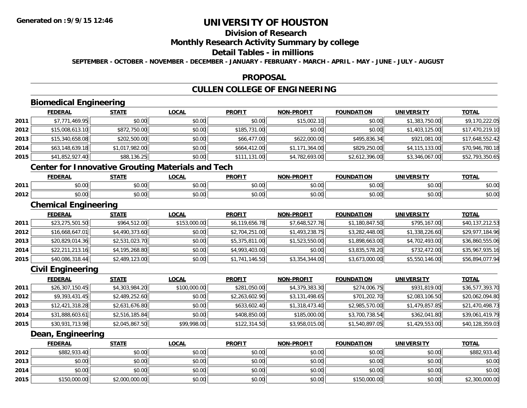# **Division of Research**

## **Monthly Research Activity Summary by college**

## **Detail Tables - in millions**

**SEPTEMBER - OCTOBER - NOVEMBER - DECEMBER - JANUARY - FEBRUARY - MARCH - APRIL - MAY - JUNE - JULY - AUGUST**

### **PROPOSAL**

## **CULLEN COLLEGE OF ENGINEERING**

# **Biomedical Engineering**

|                                                          | <b>FEDERAL</b>  | <b>STATE</b>   | <b>LOCAL</b> | <b>PROFIT</b> | <b>NON-PROFIT</b> | <b>FOUNDATION</b> | <b>UNIVERSITY</b> | <b>TOTAL</b>    |  |
|----------------------------------------------------------|-----------------|----------------|--------------|---------------|-------------------|-------------------|-------------------|-----------------|--|
| 2011                                                     | \$7,771,469.95  | \$0.00         | \$0.00       | \$0.00        | \$15,002.10       | \$0.00            | \$1,383,750.00    | \$9,170,222.05  |  |
| 2012                                                     | \$15,008,613.10 | \$872,750.00   | \$0.00       | \$185,731.00  | \$0.00            | \$0.00            | \$1,403,125.00    | \$17,470,219.10 |  |
| 2013                                                     | \$15,340,658.08 | \$202,500.00   | \$0.00       | \$66,477.00   | \$622,000.00      | \$495,836.34      | \$921,081.00      | \$17,648,552.42 |  |
| 2014                                                     | \$63,148,639.18 | \$1,017,982.00 | \$0.00       | \$664,412.00  | \$1,171,364.00    | \$829,250.00      | \$4,115,133.00    | \$70,946,780.18 |  |
| 2015                                                     | \$41,852,927.40 | \$88,136.25    | \$0.00       | \$111,131.00  | \$4,782,693.00    | \$2,612,396.00    | \$3,346,067.00    | \$52,793,350.65 |  |
| <b>Center for Innovative Grouting Materials and Tech</b> |                 |                |              |               |                   |                   |                   |                 |  |
|                                                          | <b>FEDERAL</b>  | <u>STATE</u>   | <b>LOCAL</b> | <b>PROFIT</b> | <b>NON-PROFIT</b> | <b>FOUNDATION</b> | <b>UNIVERSITY</b> | <b>TOTAL</b>    |  |

|      | FEDERAL            | . . <b>.</b> | .UUAL  | <b>PRUFI</b>  | www.<br>-PRUFI                    | FUUNDA<br>uum | UNIVERSIIY | .      |
|------|--------------------|--------------|--------|---------------|-----------------------------------|---------------|------------|--------|
| 2011 | ሶስ ስስ<br>DU.UU     | \$0.00       | \$0.00 | 0000<br>DU.UU | $\circ$ $\circ$ $\circ$<br>ึงบ.บบ | \$0.00        | \$0.00     | \$0.00 |
| 2012 | $\sim$ 00<br>pu.uu | \$0.00       | \$0.00 | 0000<br>DU.UU | \$0.00                            | \$0.00        | \$0.00     | \$0.00 |

### **Chemical Engineering**

|      | <b>FEDERAL</b>  | <b>STATE</b>   | <b>LOCAL</b> | <b>PROFIT</b>  | <b>NON-PROFIT</b> | <b>FOUNDATION</b> | <b>UNIVERSITY</b> | <b>TOTAL</b>    |
|------|-----------------|----------------|--------------|----------------|-------------------|-------------------|-------------------|-----------------|
| 2011 | \$23,275,501.50 | \$964,512.00   | \$153,000.00 | \$6,119,656.78 | \$7,648,527.76    | \$1,180,847.50    | \$795,167.00      | \$40,137,212.53 |
| 2012 | \$16,668,647.01 | \$4,490,373.60 | \$0.00       | \$2,704,251.00 | \$1,493,238.75    | \$3,282,448.00    | \$1,338,226.60    | \$29,977,184.96 |
| 2013 | \$20,829,014.36 | \$2,531,023.70 | \$0.00       | \$5,375,811.00 | \$1,523,550.00    | \$1,898,663.00    | \$4,702,493.00    | \$36,860,555.06 |
| 2014 | \$22,211,213.16 | \$4,195,268.80 | \$0.00       | \$4,993,403.00 | \$0.00            | \$3,835,578.20    | \$732,472.00      | \$35,967,935.16 |
| 2015 | \$40,086,318.44 | \$2,489,123.00 | \$0.00       | \$1,741,146.50 | \$3,354,344.00    | \$3,673,000.00    | \$5,550,146.00    | \$56,894,077.94 |

## **Civil Engineering**

|      | <b>FEDERAL</b>  | <b>STATE</b>   | <b>LOCAL</b> | <b>PROFIT</b>  | <b>NON-PROFIT</b> | <b>FOUNDATION</b> | <b>UNIVERSITY</b> | <u>TOTAL</u>    |
|------|-----------------|----------------|--------------|----------------|-------------------|-------------------|-------------------|-----------------|
| 2011 | \$26,307,150.45 | \$4,303,984.20 | \$100,000.00 | \$281,050.00   | \$4,379,383.30    | \$274,006.75      | \$931,819.00      | \$36,577,393.70 |
| 2012 | \$9,393,431.45  | \$2,489,252.60 | \$0.00       | \$2,263,602.90 | \$3,131,498.65    | \$701,202.70      | \$2,083,106.50    | \$20,062,094.80 |
| 2013 | \$12,421,318.28 | \$2,631,676.80 | \$0.00       | \$633,602.40   | \$1,318,473.40    | \$2,985,570.00    | \$1,479,857.85    | \$21,470,498.73 |
| 2014 | \$31,888,603.61 | \$2,516,185.84 | \$0.00       | \$408,850.00   | \$185,000.00      | \$3,700,738.54    | \$362,041.80      | \$39,061,419.79 |
| 2015 | \$30,931,713.98 | \$2,045,867.50 | \$99,998.00  | \$122,314.50   | \$3,958,015.00    | \$1,540,897.05    | \$1,429,553.00    | \$40,128,359.03 |

## **Dean, Engineering**

|      | <b>FEDERAL</b> | <b>STATE</b>   | <u>LOCAL</u> | <b>PROFIT</b> | <b>NON-PROFIT</b> | <b>FOUNDATION</b> | <b>UNIVERSITY</b> | <b>TOTAL</b>   |
|------|----------------|----------------|--------------|---------------|-------------------|-------------------|-------------------|----------------|
| 2012 | \$882,933.40   | \$0.00         | \$0.00       | \$0.00        | \$0.00            | \$0.00            | \$0.00            | \$882,933.40   |
| 2013 | \$0.00         | \$0.00         | \$0.00       | \$0.00        | \$0.00            | \$0.00            | \$0.00            | \$0.00         |
| 2014 | \$0.00         | \$0.00         | \$0.00       | \$0.00        | \$0.00            | \$0.00            | \$0.00            | \$0.00         |
| 2015 | \$150,000.00   | \$2,000,000.00 | \$0.00       | \$0.00        | \$0.00            | \$150,000.00      | \$0.00            | \$2,300,000.00 |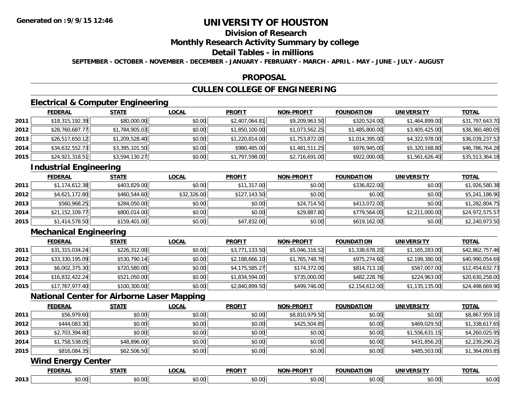## **Division of Research**

### **Monthly Research Activity Summary by college**

## **Detail Tables - in millions**

**SEPTEMBER - OCTOBER - NOVEMBER - DECEMBER - JANUARY - FEBRUARY - MARCH - APRIL - MAY - JUNE - JULY - AUGUST**

### **PROPOSAL**

## **CULLEN COLLEGE OF ENGINEERING**

## **Electrical & Computer Engineering**

|      | <b>FEDERAL</b>  | <b>STATE</b>   | <u>LOCAL</u> | <b>PROFIT</b>  | <b>NON-PROFIT</b> | <b>FOUNDATION</b> | UNIVERSITY     | <u>TOTAL</u>    |
|------|-----------------|----------------|--------------|----------------|-------------------|-------------------|----------------|-----------------|
| 2011 | \$18,315,192.39 | \$80,000.00    | \$0.00       | \$2,407,064.81 | \$9,209,963.50    | \$320,524.00      | \$1,464,899.00 | \$31,797,643.70 |
| 2012 | \$28,760,687.77 | \$1,784,905.03 | \$0.00       | \$1,850,100.00 | \$1,073,562.25    | \$1,485,800.00    | \$3,405,425.00 | \$38,360,480.05 |
| 2013 | \$26,517,650.12 | \$1,209,528.40 | \$0.00       | \$1,220,814.00 | \$1,753,872.00    | \$1,014,395.00    | \$4,322,978.00 | \$36,039,237.52 |
| 2014 | \$34,632,552.73 | \$3,395,101.50 | \$0.00       | \$980,485.00   | \$1,481,511.25    | \$976,945.00      | \$5,320,168.80 | \$46,786,764.28 |
| 2015 | \$24,921,318.51 | \$3,594,130.27 | \$0.00       | \$1,797,598.00 | \$2,716,691.00    | \$922,000.00      | \$1,561,626.40 | \$35,513,364.18 |

## **Industrial Engineering**

|      | <b>FEDERAL</b>  | <u>STATE</u> | <u>LOCAL</u> | <b>PROFIT</b> | <b>NON-PROFIT</b> | <b>FOUNDATION</b> | <b>UNIVERSITY</b> | <b>TOTAL</b>    |
|------|-----------------|--------------|--------------|---------------|-------------------|-------------------|-------------------|-----------------|
| 2011 | \$1,174,612.38  | \$403,829.00 | \$0.00       | \$11,317.00   | \$0.00            | \$336,822.00      | \$0.00            | \$1,926,580.38  |
| 2012 | \$4,621,172.80  | \$460,544.60 | \$32,326.00  | \$127,143.50  | \$0.00            | \$0.00            | \$0.00            | \$5,241,186.90  |
| 2013 | \$560,968.25    | \$284,050.00 | \$0.00       | \$0.00        | \$24,714.50       | \$413.072.00      | \$0.00            | \$1,282,804.75  |
| 2014 | \$21,152,109.77 | \$800,014.00 | \$0.00       | \$0.00        | \$29,887.80       | \$779,564.00      | \$2,211,000.00    | \$24,972,575.57 |
| 2015 | \$1,414,578.50  | \$159,401.00 | \$0.00       | \$47,832.00   | \$0.00            | \$619,162.00      | \$0.00            | \$2,240,973.50  |

## **Mechanical Engineering**

|      | <b>FEDERAL</b>  | <b>STATE</b> | <u>LOCAL</u> | <b>PROFIT</b>  | <b>NON-PROFIT</b> | <b>FOUNDATION</b> | UNIVERSITY     | <b>TOTAL</b>    |
|------|-----------------|--------------|--------------|----------------|-------------------|-------------------|----------------|-----------------|
| 2011 | \$31,315,034.24 | \$226,312.00 | \$0.00       | \$3,771,133.50 | \$5,046,316.52    | \$1,338,678.20    | \$1,165,283.00 | \$42,862,757.46 |
| 2012 | \$33,330,195.09 | \$530,790.14 | \$0.00       | \$2,188,666.10 | \$1,765,748.76    | \$975,274.60      | \$2,199,380.00 | \$40,990,054.69 |
| 2013 | \$6,002,375.30  | \$720,580.00 | \$0.00       | \$4,175,585.27 | \$174,372.00      | \$814,713.16      | \$567,007.00   | \$12,454,632.73 |
| 2014 | \$16,832,422.24 | \$521,050.00 | \$0.00       | \$1,834,594.00 | \$735,000.00      | \$482,228.76      | \$224,963.00   | \$20,630,258.00 |
| 2015 | \$17,767,977.40 | \$100,300.00 | \$0.00       | \$2,840,899.50 | \$499,746.00      | \$2,154,612.00    | \$1,135,135.00 | \$24,498,669.90 |

## **National Center for Airborne Laser Mapping**

|      | <b>FEDERAL</b>            | <b>STATE</b> | <b>LOCAL</b> | <b>PROFIT</b> | <b>NON-PROFIT</b> | <b>FOUNDATION</b> | <b>UNIVERSITY</b> | <b>TOTAL</b>   |  |  |  |  |
|------|---------------------------|--------------|--------------|---------------|-------------------|-------------------|-------------------|----------------|--|--|--|--|
| 2011 | \$56,979.60               | \$0.00       | \$0.00       | \$0.00        | \$8,810,979.50    | \$0.00            | \$0.00            | \$8,867,959.10 |  |  |  |  |
| 2012 | \$444,083.30              | \$0.00       | \$0.00       | \$0.00        | \$425,504.85      | \$0.00            | \$469,029.50      | \$1,338,617.65 |  |  |  |  |
| 2013 | \$2,703,394.80            | \$0.00       | \$0.00       | \$0.00        | \$0.00            | \$0.00            | \$1,556,631.15    | \$4,260,025.95 |  |  |  |  |
| 2014 | \$1,758,538.05            | \$48,896.00  | \$0.00       | \$0.00        | \$0.00            | \$0.00            | \$431,856.20      | \$2,239,290.25 |  |  |  |  |
| 2015 | \$816,084.35              | \$62,506.50  | \$0.00       | \$0.00        | \$0.00            | \$0.00            | \$485,503.00      | \$1,364,093.85 |  |  |  |  |
|      | <b>Wind Energy Center</b> |              |              |               |                   |                   |                   |                |  |  |  |  |
|      | <b>FEDERAL</b>            | <b>STATE</b> | <b>LOCAL</b> | <b>PROFIT</b> | <b>NON-PROFIT</b> | <b>FOUNDATION</b> | <b>UNIVERSITY</b> | <b>TOTAL</b>   |  |  |  |  |

|      | .<br>ERAI     | 1 A L             | <b>OCAL</b> | <b>PROFI</b>   | .<br>'NJ       | FOUNDZ<br>TION | UNIVERSITY            | IOTAL                |
|------|---------------|-------------------|-------------|----------------|----------------|----------------|-----------------------|----------------------|
| 2013 | n nnl<br>v.vu | $\sim$ 00<br>u.uu | $\sim$      | to ool<br>J.UU | $\sim$<br>ט. ט | \$0.00         | ሶስ ስስ<br><b>DU.UU</b> | $$ $\cup$ . $\cup$ . |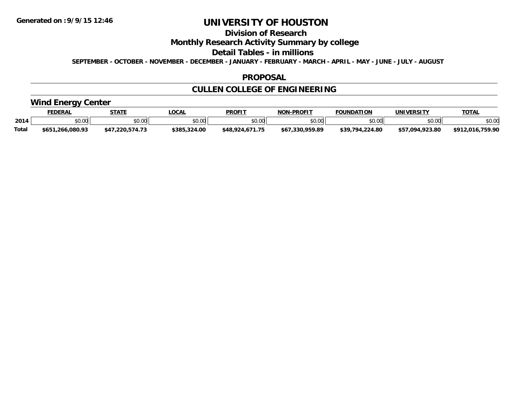## **Division of Research**

## **Monthly Research Activity Summary by college**

### **Detail Tables - in millions**

**SEPTEMBER - OCTOBER - NOVEMBER - DECEMBER - JANUARY - FEBRUARY - MARCH - APRIL - MAY - JUNE - JULY - AUGUST**

### **PROPOSAL**

# **CULLEN COLLEGE OF ENGINEERING**

## **Wind Energy Center**

|       | <b>EDERAL</b>        | <b>STATE</b> | _OCA          | PROFIT                 | <b>J-PROFIT</b><br>NON- | <b>FOUNDATION</b>     | UNIVERSITY      | TOTA.                                   |
|-------|----------------------|--------------|---------------|------------------------|-------------------------|-----------------------|-----------------|-----------------------------------------|
| 2014  | \$0.00               | \$0.00       | 0000<br>₽U.UU | $\epsilon$ n nn<br>.uu | ልስ ባህ<br>∕∪.∪∪ ∶        | \$0.00                | \$0.00          | \$0.00                                  |
| Total | .266.080.93<br>\$651 | \$4`<br>つつの  | \$385.324.00  | \$48.924               | 330.959.89              | .224.80<br>430<br>704 | \$57.094.923.80 | .759.90<br><b>¢012</b><br>$. \n  0.1 7$ |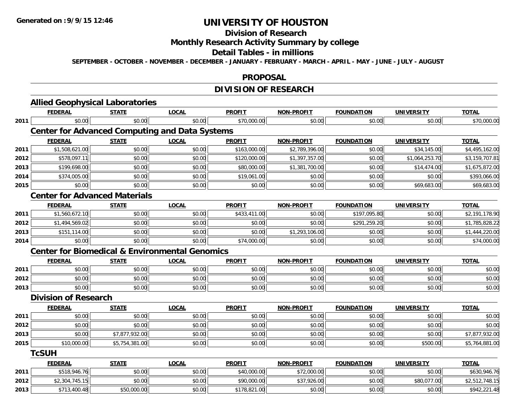# **Division of Research**

## **Monthly Research Activity Summary by college**

### **Detail Tables - in millions**

**SEPTEMBER - OCTOBER - NOVEMBER - DECEMBER - JANUARY - FEBRUARY - MARCH - APRIL - MAY - JUNE - JULY - AUGUST**

### **PROPOSAL**

# **DIVISION OF RESEARCH**

|      | <b>Allied Geophysical Laboratories</b>                    |                |              |               |                   |                   |                   |                |
|------|-----------------------------------------------------------|----------------|--------------|---------------|-------------------|-------------------|-------------------|----------------|
|      | <b>FEDERAL</b>                                            | <b>STATE</b>   | <b>LOCAL</b> | <b>PROFIT</b> | <b>NON-PROFIT</b> | <b>FOUNDATION</b> | <b>UNIVERSITY</b> | <b>TOTAL</b>   |
| 2011 | \$0.00                                                    | \$0.00         | \$0.00       | \$70,000.00   | \$0.00            | \$0.00            | \$0.00            | \$70,000.00    |
|      | <b>Center for Advanced Computing and Data Systems</b>     |                |              |               |                   |                   |                   |                |
|      | <b>FEDERAL</b>                                            | <b>STATE</b>   | <b>LOCAL</b> | <b>PROFIT</b> | <b>NON-PROFIT</b> | <b>FOUNDATION</b> | <b>UNIVERSITY</b> | <b>TOTAL</b>   |
| 2011 | \$1,508,621.00                                            | \$0.00         | \$0.00       | \$163,000.00  | \$2,789,396.00    | \$0.00            | \$34,145.00       | \$4,495,162.00 |
| 2012 | \$578,097.11                                              | \$0.00         | \$0.00       | \$120,000.00  | \$1,397,357.00    | \$0.00            | \$1,064,253.70    | \$3,159,707.81 |
| 2013 | \$199,698.00                                              | \$0.00         | \$0.00       | \$80,000.00   | \$1,381,700.00    | \$0.00            | \$14,474.00       | \$1,675,872.00 |
| 2014 | \$374,005.00                                              | \$0.00         | \$0.00       | \$19,061.00   | \$0.00            | \$0.00            | \$0.00            | \$393,066.00   |
| 2015 | \$0.00                                                    | \$0.00         | \$0.00       | \$0.00        | \$0.00            | \$0.00            | \$69,683.00       | \$69,683.00    |
|      | <b>Center for Advanced Materials</b>                      |                |              |               |                   |                   |                   |                |
|      | <b>FEDERAL</b>                                            | <b>STATE</b>   | <b>LOCAL</b> | <b>PROFIT</b> | <b>NON-PROFIT</b> | <b>FOUNDATION</b> | <b>UNIVERSITY</b> | <b>TOTAL</b>   |
| 2011 | \$1,560,672.10                                            | \$0.00         | \$0.00       | \$433,411.00  | \$0.00            | \$197,095.80      | \$0.00            | \$2,191,178.90 |
| 2012 | \$1,494,569.02                                            | \$0.00         | \$0.00       | \$0.00        | \$0.00            | \$291,259.20      | \$0.00            | \$1,785,828.22 |
| 2013 | \$151,114.00                                              | \$0.00         | \$0.00       | \$0.00        | \$1,293,106.00    | \$0.00            | \$0.00            | \$1,444,220.00 |
| 2014 | \$0.00                                                    | \$0.00         | \$0.00       | \$74,000.00   | \$0.00            | \$0.00            | \$0.00            | \$74,000.00    |
|      | <b>Center for Biomedical &amp; Environmental Genomics</b> |                |              |               |                   |                   |                   |                |
|      | <b>FEDERAL</b>                                            | <b>STATE</b>   | <b>LOCAL</b> | <b>PROFIT</b> | <b>NON-PROFIT</b> | <b>FOUNDATION</b> | <b>UNIVERSITY</b> | <b>TOTAL</b>   |
| 2011 | \$0.00                                                    | \$0.00         | \$0.00       | \$0.00        | \$0.00            | \$0.00            | \$0.00            | \$0.00         |
| 2012 | \$0.00                                                    | \$0.00         | \$0.00       | \$0.00        | \$0.00            | \$0.00            | \$0.00            | \$0.00         |
| 2013 | \$0.00                                                    | \$0.00         | \$0.00       | \$0.00        | \$0.00            | \$0.00            | \$0.00            | \$0.00         |
|      | <b>Division of Research</b>                               |                |              |               |                   |                   |                   |                |
|      | <b>FEDERAL</b>                                            | <b>STATE</b>   | <b>LOCAL</b> | <b>PROFIT</b> | <b>NON-PROFIT</b> | <b>FOUNDATION</b> | <b>UNIVERSITY</b> | <b>TOTAL</b>   |
| 2011 | \$0.00                                                    | \$0.00         | \$0.00       | \$0.00        | \$0.00            | \$0.00            | \$0.00            | \$0.00         |
| 2012 | \$0.00                                                    | \$0.00         | \$0.00       | \$0.00        | \$0.00            | \$0.00            | \$0.00            | \$0.00         |
| 2013 | \$0.00                                                    | \$7,877,932.00 | \$0.00       | \$0.00        | \$0.00            | \$0.00            | \$0.00            | \$7,877,932.00 |
| 2015 | \$10,000.00                                               | \$5,754,381.00 | \$0.00       | \$0.00        | \$0.00            | \$0.00            | \$500.00          | \$5,764,881.00 |
|      | <b>TcSUH</b>                                              |                |              |               |                   |                   |                   |                |
|      | <b>FEDERAL</b>                                            | <b>STATE</b>   | <b>LOCAL</b> | <b>PROFIT</b> | <b>NON-PROFIT</b> | <b>FOUNDATION</b> | <b>UNIVERSITY</b> | <b>TOTAL</b>   |
| 2011 | \$518,946.76                                              | \$0.00         | \$0.00       | \$40,000.00   | \$72,000.00       | \$0.00            | \$0.00            | \$630,946.76   |
| 2012 | \$2,304,745.15                                            | \$0.00         | \$0.00       | \$90,000.00   | \$37,926.00       | \$0.00            | \$80,077.00       | \$2,512,748.15 |
| 2013 | \$713,400.48                                              | \$50,000.00    | \$0.00       | \$178,821.00  | \$0.00            | \$0.00            | \$0.00            | \$942,221.48   |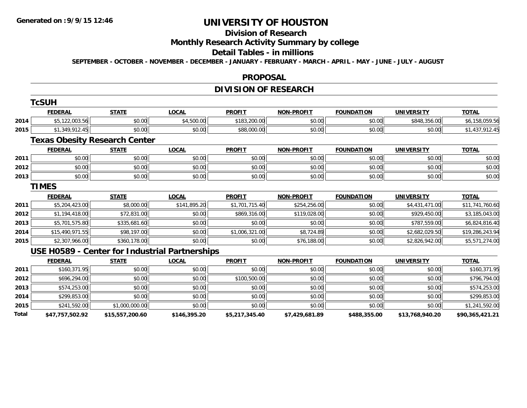**TCSUM** 

# **UNIVERSITY OF HOUSTON**

# **Division of Research**

## **Monthly Research Activity Summary by college**

### **Detail Tables - in millions**

**SEPTEMBER - OCTOBER - NOVEMBER - DECEMBER - JANUARY - FEBRUARY - MARCH - APRIL - MAY - JUNE - JULY - AUGUST**

### **PROPOSAL**

## **DIVISION OF RESEARCH**

|       | <b>⊺cSUH</b>                         |                 |                                                |                |                   |                   |                   |                 |
|-------|--------------------------------------|-----------------|------------------------------------------------|----------------|-------------------|-------------------|-------------------|-----------------|
|       | <b>FEDERAL</b>                       | <b>STATE</b>    | <b>LOCAL</b>                                   | <b>PROFIT</b>  | <b>NON-PROFIT</b> | <b>FOUNDATION</b> | <b>UNIVERSITY</b> | <b>TOTAL</b>    |
| 2014  | \$5,122,003.56                       | \$0.00          | \$4,500.00                                     | \$183,200.00   | \$0.00            | \$0.00            | \$848,356.00      | \$6,158,059.56  |
| 2015  | \$1,349,912.45                       | \$0.00          | \$0.00                                         | \$88,000.00    | \$0.00            | \$0.00            | \$0.00            | \$1,437,912.45  |
|       | <b>Texas Obesity Research Center</b> |                 |                                                |                |                   |                   |                   |                 |
|       | <b>FEDERAL</b>                       | <b>STATE</b>    | <b>LOCAL</b>                                   | <b>PROFIT</b>  | <b>NON-PROFIT</b> | <b>FOUNDATION</b> | <b>UNIVERSITY</b> | <b>TOTAL</b>    |
| 2011  | \$0.00                               | \$0.00          | \$0.00                                         | \$0.00         | \$0.00            | \$0.00            | \$0.00            | \$0.00          |
| 2012  | \$0.00                               | \$0.00          | \$0.00                                         | \$0.00         | \$0.00            | \$0.00            | \$0.00            | \$0.00          |
| 2013  | \$0.00                               | \$0.00          | \$0.00                                         | \$0.00         | \$0.00            | \$0.00            | \$0.00            | \$0.00          |
|       | <b>TIMES</b>                         |                 |                                                |                |                   |                   |                   |                 |
|       | <b>FEDERAL</b>                       | <b>STATE</b>    | <b>LOCAL</b>                                   | <b>PROFIT</b>  | <b>NON-PROFIT</b> | <b>FOUNDATION</b> | <b>UNIVERSITY</b> | <b>TOTAL</b>    |
| 2011  | \$5,204,423.00                       | \$8,000.00      | \$141,895.20                                   | \$1,701,715.40 | \$254,256.00      | \$0.00            | \$4,431,471.00    | \$11,741,760.60 |
| 2012  | \$1,194,418.00                       | \$72,831.00     | \$0.00                                         | \$869,316.00   | \$119,028.00      | \$0.00            | \$929,450.00      | \$3,185,043.00  |
| 2013  | \$5,701,575.80                       | \$335,681.60    | \$0.00                                         | \$0.00         | \$0.00            | \$0.00            | \$787,559.00      | \$6,824,816.40  |
| 2014  | \$15,490,971.55                      | \$98,197.00     | \$0.00                                         | \$1,006,321.00 | \$8,724.89        | \$0.00            | \$2,682,029.50    | \$19,286,243.94 |
| 2015  | \$2,307,966.00                       | \$360,178.00    | \$0.00                                         | \$0.00         | \$76,188.00       | \$0.00            | \$2,826,942.00    | \$5,571,274.00  |
|       |                                      |                 | USE H0589 - Center for Industrial Partnerships |                |                   |                   |                   |                 |
|       | <b>FEDERAL</b>                       | <b>STATE</b>    | <b>LOCAL</b>                                   | <b>PROFIT</b>  | <b>NON-PROFIT</b> | <b>FOUNDATION</b> | <b>UNIVERSITY</b> | <b>TOTAL</b>    |
| 2011  | \$160,371.95                         | \$0.00          | \$0.00                                         | \$0.00         | \$0.00            | \$0.00            | \$0.00            | \$160,371.95    |
| 2012  | \$696,294.00                         | \$0.00          | \$0.00                                         | \$100,500.00   | \$0.00            | \$0.00            | \$0.00            | \$796,794.00    |
| 2013  | \$574,253.00                         | \$0.00          | \$0.00                                         | \$0.00         | \$0.00            | \$0.00            | \$0.00            | \$574,253.00    |
| 2014  | \$299,853.00                         | \$0.00          | \$0.00                                         | \$0.00         | \$0.00            | \$0.00            | \$0.00            | \$299,853.00    |
| 2015  | \$241,592.00                         | \$1,000,000.00  | \$0.00                                         | \$0.00         | \$0.00            | \$0.00            | \$0.00            | \$1,241,592.00  |
| Total | \$47,757,502.92                      | \$15,557,200.60 | \$146,395.20                                   | \$5,217,345.40 | \$7,429,681.89    | \$488,355.00      | \$13,768,940.20   | \$90,365,421.21 |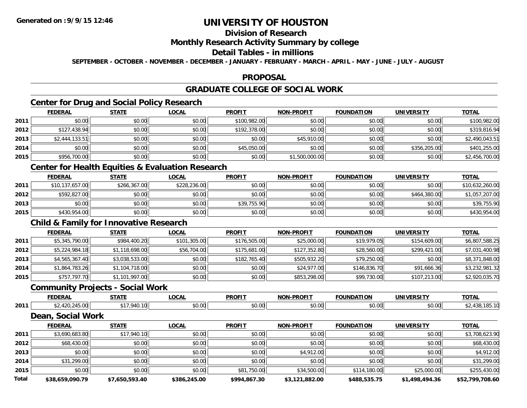## **Division of Research**

## **Monthly Research Activity Summary by college**

## **Detail Tables - in millions**

**SEPTEMBER - OCTOBER - NOVEMBER - DECEMBER - JANUARY - FEBRUARY - MARCH - APRIL - MAY - JUNE - JULY - AUGUST**

### **PROPOSAL**

## **GRADUATE COLLEGE OF SOCIAL WORK**

# **Center for Drug and Social Policy Research**

|      | <b>FEDERAL</b> | <b>STATE</b> | <b>LOCAL</b> | <b>PROFIT</b> | <b>NON-PROFIT</b> | <b>FOUNDATION</b> | <b>UNIVERSITY</b> | <u>TOTAL</u>   |
|------|----------------|--------------|--------------|---------------|-------------------|-------------------|-------------------|----------------|
| 2011 | \$0.00         | \$0.00       | \$0.00       | \$100,982.00  | \$0.00            | \$0.00            | \$0.00            | \$100,982.00   |
| 2012 | \$127,438.94   | \$0.00       | \$0.00       | \$192,378.00  | \$0.00            | \$0.00            | \$0.00            | \$319,816.94   |
| 2013 | \$2,444,133.51 | \$0.00       | \$0.00       | \$0.00        | \$45,910.00       | \$0.00            | \$0.00            | \$2,490,043.51 |
| 2014 | \$0.00         | \$0.00       | \$0.00       | \$45,050.00   | \$0.00            | \$0.00            | \$356,205.00      | \$401,255.00   |
| 2015 | \$956,700.00   | \$0.00       | \$0.00       | \$0.00        | \$1,500,000.00    | \$0.00            | \$0.00            | \$2,456,700.00 |

## **Center for Health Equities & Evaluation Research**

|      | <b>FEDERAL</b>  | <b>STATE</b> | <u>LOCAL</u> | <b>PROFIT</b> | <b>NON-PROFIT</b> | <b>FOUNDATION</b> | UNIVERSITY   | <b>TOTAL</b>    |
|------|-----------------|--------------|--------------|---------------|-------------------|-------------------|--------------|-----------------|
| 2011 | \$10,137,657.00 | \$266,367.00 | \$228,236.00 | \$0.00        | \$0.00            | \$0.00            | \$0.00       | \$10,632,260.00 |
| 2012 | \$592,827.00    | \$0.00       | \$0.00       | \$0.00        | \$0.00            | \$0.00            | \$464,380.00 | \$1,057,207.00  |
| 2013 | \$0.00          | \$0.00       | \$0.00       | \$39,755.90   | \$0.00            | \$0.00            | \$0.00       | \$39,755.90     |
| 2015 | \$430,954.00    | \$0.00       | \$0.00       | \$0.00        | \$0.00            | \$0.00            | \$0.00       | \$430,954.00    |

## **Child & Family for Innovative Research**

|      | <b>FEDERAL</b> | <b>STATE</b>   | <b>LOCAL</b> | <b>PROFIT</b> | <b>NON-PROFIT</b> | <b>FOUNDATION</b> | <b>UNIVERSITY</b> | <b>TOTAL</b>   |
|------|----------------|----------------|--------------|---------------|-------------------|-------------------|-------------------|----------------|
| 2011 | \$5,345,790.00 | \$984,400.20   | \$101,305.00 | \$176,505.00  | \$25,000.00       | \$19,979.05       | \$154,609.00      | \$6,807,588.25 |
| 2012 | \$5,224,984.18 | \$1,118,698.00 | \$56,704.00  | \$175,681.00  | \$127,352.80      | \$28,560.00       | \$299,421.00      | \$7,031,400.98 |
| 2013 | \$4,565,367.40 | \$3,038,533.00 | \$0.00       | \$182,765.40  | \$505,932.20      | \$79,250.00       | \$0.00            | \$8,371,848.00 |
| 2014 | \$1,864,783.26 | \$1,104,718.00 | \$0.00       | \$0.00        | \$24,977.00       | \$146,836.70      | \$91,666.36       | \$3,232,981.32 |
| 2015 | \$757,797.70   | \$1,101,997.00 | \$0.00       | \$0.00        | \$853,298.00      | \$99,730.00       | \$107,213.00      | \$2,920,035.70 |

### **Community Projects - Social Work**

|      | <b>FEDERAL</b>                       | 27.77<br>$\blacksquare$ | LOCAL             | <b>PROFIT</b> | DQCDCIT<br><b>NIONI</b> | INDA <sup>-</sup><br>. <i>.</i><br>110N | <b>UNIVERSI</b><br>$\cdots$ Delta $\cdots$ | <b>TOTAL</b>            |
|------|--------------------------------------|-------------------------|-------------------|---------------|-------------------------|-----------------------------------------|--------------------------------------------|-------------------------|
| 2011 | $\sim$ $\sim$<br>$\sqrt{2}$<br>99.UU | * <i>*</i> *            | --<br>۰^<br>טט.טע | 0000<br>vu.vu | 0000<br>JU.UU           | JU.UU                                   | $\sim$ 00<br><b>DU.UG</b>                  | . .<br>$\sim$<br>່ ເວລ. |

### **Dean, Social Work**

|              | <b>FEDERAL</b>  | <b>STATE</b>   | <u>LOCAL</u> | <b>PROFIT</b> | <b>NON-PROFIT</b> | <b>FOUNDATION</b> | <b>UNIVERSITY</b> | <b>TOTAL</b>    |
|--------------|-----------------|----------------|--------------|---------------|-------------------|-------------------|-------------------|-----------------|
| 2011         | \$3,690,683.80  | \$17,940.10    | \$0.00       | \$0.00        | \$0.00            | \$0.00            | \$0.00            | \$3,708,623.90  |
| 2012         | \$68,430.00     | \$0.00         | \$0.00       | \$0.00        | \$0.00            | \$0.00            | \$0.00            | \$68,430.00     |
| 2013         | \$0.00          | \$0.00         | \$0.00       | \$0.00        | \$4,912.00        | \$0.00            | \$0.00            | \$4,912.00      |
| 2014         | \$31,299.00     | \$0.00         | \$0.00       | \$0.00        | \$0.00            | \$0.00            | \$0.00            | \$31,299.00     |
| 2015         | \$0.00          | \$0.00         | \$0.00       | \$81,750.00   | \$34,500.00       | \$114,180.00      | \$25,000.00       | \$255,430.00    |
| <b>Total</b> | \$38,659,090.79 | \$7.650.593.40 | \$386,245.00 | \$994,867.30  | \$3,121,882.00    | \$488,535.75      | \$1,498,494.36    | \$52,799,708.60 |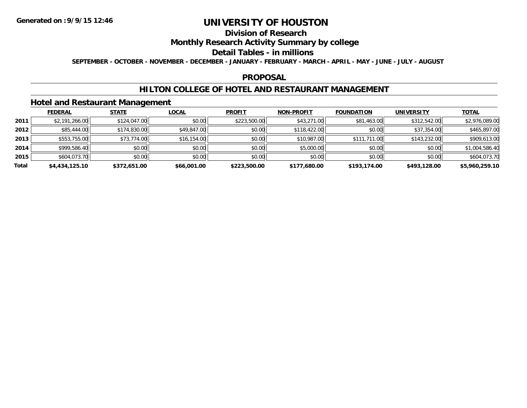# **Division of Research**

## **Monthly Research Activity Summary by college**

### **Detail Tables - in millions**

**SEPTEMBER - OCTOBER - NOVEMBER - DECEMBER - JANUARY - FEBRUARY - MARCH - APRIL - MAY - JUNE - JULY - AUGUST**

### **PROPOSAL**

## **HILTON COLLEGE OF HOTEL AND RESTAURANT MANAGEMENT**

## **Hotel and Restaurant Management**

|       | <b>FEDERAL</b> | <b>STATE</b> | <u>LOCAL</u> | <b>PROFIT</b> | <b>NON-PROFIT</b> | <b>FOUNDATION</b> | <b>UNIVERSITY</b> | <b>TOTAL</b>   |
|-------|----------------|--------------|--------------|---------------|-------------------|-------------------|-------------------|----------------|
| 2011  | \$2,191,266.00 | \$124,047.00 | \$0.00       | \$223,500.00  | \$43,271.00       | \$81,463.00       | \$312,542.00      | \$2,976,089.00 |
| 2012  | \$85,444.00    | \$174,830.00 | \$49,847.00  | \$0.00        | \$118,422.00      | \$0.00            | \$37,354.00       | \$465,897.00   |
| 2013  | \$553,755.00   | \$73,774.00  | \$16,154.00  | \$0.00        | \$10,987.00       | \$111,711.00      | \$143,232.00      | \$909,613.00   |
| 2014  | \$999,586.40   | \$0.00       | \$0.00       | \$0.00        | \$5,000.00        | \$0.00            | \$0.00            | \$1,004,586.40 |
| 2015  | \$604,073.70   | \$0.00       | \$0.00       | \$0.00        | \$0.00            | \$0.00            | \$0.00            | \$604,073.70   |
| Total | \$4,434,125.10 | \$372,651.00 | \$66,001.00  | \$223,500.00  | \$177,680.00      | \$193,174.00      | \$493,128.00      | \$5,960,259.10 |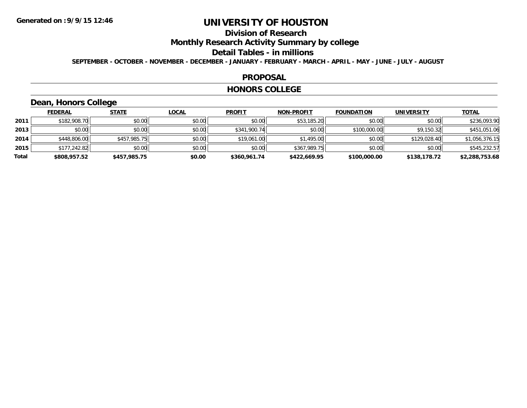## **Division of Research**

**Monthly Research Activity Summary by college**

### **Detail Tables - in millions**

**SEPTEMBER - OCTOBER - NOVEMBER - DECEMBER - JANUARY - FEBRUARY - MARCH - APRIL - MAY - JUNE - JULY - AUGUST**

### **PROPOSAL**

### **HONORS COLLEGE**

## **Dean, Honors College**

|       | <b>FEDERAL</b> | <b>STATE</b> | <b>LOCAL</b> | <b>PROFIT</b> | <b>NON-PROFIT</b> | <b>FOUNDATION</b> | <b>UNIVERSITY</b> | <b>TOTAL</b>   |
|-------|----------------|--------------|--------------|---------------|-------------------|-------------------|-------------------|----------------|
| 2011  | \$182,908.70   | \$0.00       | \$0.00       | \$0.00        | \$53,185.20       | \$0.00            | \$0.00            | \$236,093.90   |
| 2013  | \$0.00         | \$0.00       | \$0.00       | \$341,900.74  | \$0.00            | \$100,000.00      | \$9,150.32        | \$451,051.06   |
| 2014  | \$448,806.00   | \$457,985.75 | \$0.00       | \$19,061.00   | \$1,495.00        | \$0.00            | \$129,028.40      | \$1,056,376.15 |
| 2015  | \$177,242.82   | \$0.00       | \$0.00       | \$0.00        | \$367,989.75      | \$0.00            | \$0.00            | \$545,232.57   |
| Total | \$808,957.52   | \$457,985.75 | \$0.00       | \$360,961.74  | \$422,669.95      | \$100,000.00      | \$138,178.72      | \$2,288,753.68 |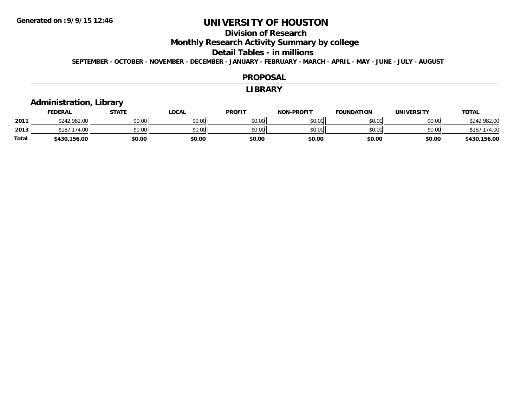## **Division of Research**

**Monthly Research Activity Summary by college**

### **Detail Tables - in millions**

**SEPTEMBER - OCTOBER - NOVEMBER - DECEMBER - JANUARY - FEBRUARY - MARCH - APRIL - MAY - JUNE - JULY - AUGUST**

### **PROPOSAL**

### **LIBRARY**

## **Administration, Library**

|              | <b>FEDERAL</b>   | STATE  | LOCAL  | <b>PROFIT</b> | <b>NON-PROFIT</b> | <b>FOUNDATION</b> | <b>UNIVERSITY</b> | <u>TOTAL</u> |
|--------------|------------------|--------|--------|---------------|-------------------|-------------------|-------------------|--------------|
| 2011         | \$242,982,00     | \$0.00 | \$0.00 | \$0.00        | \$0.00            | \$0.00            | \$0.00            | \$242,982.00 |
| 2013         | .174.00<br>\$187 | \$0.00 | \$0.00 | \$0.00        | \$0.00            | \$0.00            | \$0.00            | \$18         |
| <b>Total</b> | \$430,156.00     | \$0.00 | \$0.00 | \$0.00        | \$0.00            | \$0.00            | \$0.00            | \$430,156.00 |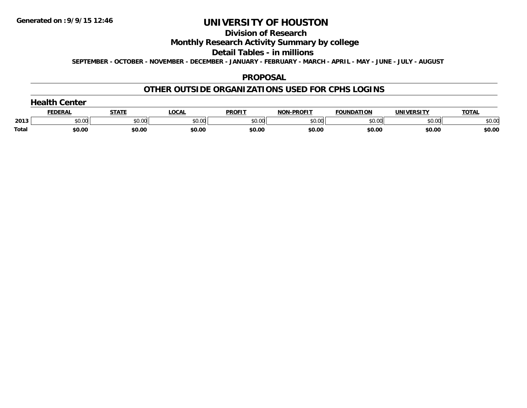#### **Division of Research**

## **Monthly Research Activity Summary by college**

### **Detail Tables - in millions**

**SEPTEMBER - OCTOBER - NOVEMBER - DECEMBER - JANUARY - FEBRUARY - MARCH - APRIL - MAY - JUNE - JULY - AUGUST**

### **PROPOSAL**

## **OTHER OUTSIDE ORGANIZATIONS USED FOR CPHS LOGINS**

|       | ------- |        | $\bigcap_{n=1}^{\infty}$ | <b>PROFIT</b> | <b>DDAEIT</b><br>. | FOUNDATION            | ,,,,,,,,,,    | ΤΩΤΑ   |
|-------|---------|--------|--------------------------|---------------|--------------------|-----------------------|---------------|--------|
| 2013  | 0.00    | 0.00   | \$0.00                   | 50.00         | ስስ ስስ<br>DU.UU     | $\sim$ 0.000<br>,,,,, | to ool<br>,uu | \$0.00 |
| Tota. | \$0.00  | \$0.00 | \$0.00                   | \$0.00        | \$0.00             | \$0.00                | \$0.00        | \$0.00 |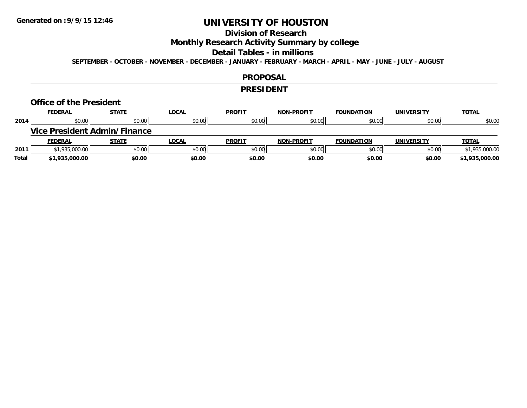## **Division of Research**

## **Monthly Research Activity Summary by college**

### **Detail Tables - in millions**

**SEPTEMBER - OCTOBER - NOVEMBER - DECEMBER - JANUARY - FEBRUARY - MARCH - APRIL - MAY - JUNE - JULY - AUGUST**

### **PROPOSAL**

### **PRESIDENT**

### **Office of the President**

|      | <b>FEDERAL</b>                      | <b>STATE</b> | <u>LOCAL</u> | <b>PROFIT</b> | <b>NON-PROFIT</b> | <b>FOUNDATION</b> | <b>UNIVERSITY</b> | <b>TOTAL</b>   |
|------|-------------------------------------|--------------|--------------|---------------|-------------------|-------------------|-------------------|----------------|
| 2014 | \$0.00                              | \$0.00       | \$0.00       | \$0.00        | \$0.00            | \$0.00            | \$0.00            | \$0.00         |
|      | <b>Vice President Admin/Finance</b> |              |              |               |                   |                   |                   |                |
|      |                                     |              |              |               |                   |                   |                   |                |
|      | <b>FEDERAL</b>                      | <u>STATE</u> | <u>LOCAL</u> | <b>PROFIT</b> | <b>NON-PROFIT</b> | <b>FOUNDATION</b> | <b>UNIVERSITY</b> | <b>TOTAL</b>   |
| 2011 | \$1,935,000.00                      | \$0.00       | \$0.00       | \$0.00        | \$0.00            | \$0.00            | \$0.00            | \$1,935,000.00 |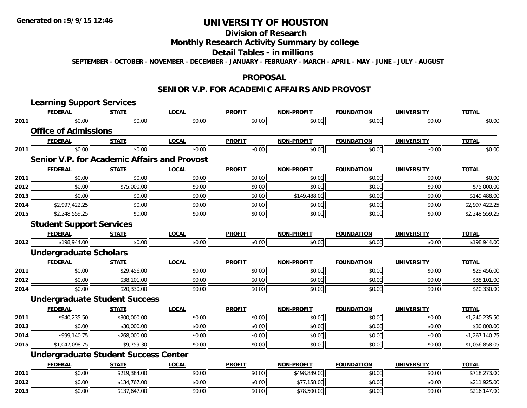# **Division of Research**

# **Monthly Research Activity Summary by college**

### **Detail Tables - in millions**

**SEPTEMBER - OCTOBER - NOVEMBER - DECEMBER - JANUARY - FEBRUARY - MARCH - APRIL - MAY - JUNE - JULY - AUGUST**

### **PROPOSAL**

### **SENIOR V.P. FOR ACADEMIC AFFAIRS AND PROVOST**

|      | <b>Learning Support Services</b>                    |              |              |               |                   |                   |                   |                |
|------|-----------------------------------------------------|--------------|--------------|---------------|-------------------|-------------------|-------------------|----------------|
|      | <b>FEDERAL</b>                                      | <b>STATE</b> | <b>LOCAL</b> | <b>PROFIT</b> | <b>NON-PROFIT</b> | <b>FOUNDATION</b> | <b>UNIVERSITY</b> | <b>TOTAL</b>   |
| 2011 | \$0.00                                              | \$0.00       | \$0.00       | \$0.00        | \$0.00            | \$0.00            | \$0.00            | \$0.00         |
|      | <b>Office of Admissions</b>                         |              |              |               |                   |                   |                   |                |
|      | <b>FEDERAL</b>                                      | <b>STATE</b> | <b>LOCAL</b> | <b>PROFIT</b> | <b>NON-PROFIT</b> | <b>FOUNDATION</b> | <b>UNIVERSITY</b> | <b>TOTAL</b>   |
| 2011 | \$0.00                                              | \$0.00       | \$0.00       | \$0.00        | \$0.00            | \$0.00            | \$0.00            | \$0.00         |
|      | <b>Senior V.P. for Academic Affairs and Provost</b> |              |              |               |                   |                   |                   |                |
|      | <b>FEDERAL</b>                                      | <b>STATE</b> | <b>LOCAL</b> | <b>PROFIT</b> | <b>NON-PROFIT</b> | <b>FOUNDATION</b> | <b>UNIVERSITY</b> | <b>TOTAL</b>   |
| 2011 | \$0.00                                              | \$0.00       | \$0.00       | \$0.00        | \$0.00            | \$0.00            | \$0.00            | \$0.00         |
| 2012 | \$0.00                                              | \$75,000.00  | \$0.00       | \$0.00        | \$0.00            | \$0.00            | \$0.00            | \$75,000.00    |
| 2013 | \$0.00                                              | \$0.00       | \$0.00       | \$0.00        | \$149,488.00      | \$0.00            | \$0.00            | \$149,488.00   |
| 2014 | \$2,997,422.25                                      | \$0.00       | \$0.00       | \$0.00        | \$0.00            | \$0.00            | \$0.00            | \$2,997,422.25 |
| 2015 | \$2,248,559.25                                      | \$0.00       | \$0.00       | \$0.00        | \$0.00            | \$0.00            | \$0.00            | \$2,248,559.25 |
|      | <b>Student Support Services</b>                     |              |              |               |                   |                   |                   |                |
|      | <b>FEDERAL</b>                                      | <b>STATE</b> | <b>LOCAL</b> | <b>PROFIT</b> | <b>NON-PROFIT</b> | <b>FOUNDATION</b> | <b>UNIVERSITY</b> | <b>TOTAL</b>   |
| 2012 | \$198,944.00                                        | \$0.00       | \$0.00       | \$0.00        | \$0.00            | \$0.00            | \$0.00            | \$198,944.00   |
|      | <b>Undergraduate Scholars</b>                       |              |              |               |                   |                   |                   |                |
|      | <b>FEDERAL</b>                                      | <b>STATE</b> | <b>LOCAL</b> | <b>PROFIT</b> | <b>NON-PROFIT</b> | <b>FOUNDATION</b> | <b>UNIVERSITY</b> | <b>TOTAL</b>   |
| 2011 | \$0.00                                              | \$29,456.00  | \$0.00       | \$0.00        | \$0.00            | \$0.00            | \$0.00            | \$29,456.00    |
| 2012 | \$0.00                                              | \$38,101.00  | \$0.00       | \$0.00        | \$0.00            | \$0.00            | \$0.00            | \$38,101.00    |
| 2014 | \$0.00                                              | \$20,330.00  | \$0.00       | \$0.00        | \$0.00            | \$0.00            | \$0.00            | \$20,330.00    |
|      | <b>Undergraduate Student Success</b>                |              |              |               |                   |                   |                   |                |
|      | <b>FEDERAL</b>                                      | <b>STATE</b> | <b>LOCAL</b> | <b>PROFIT</b> | <b>NON-PROFIT</b> | <b>FOUNDATION</b> | <b>UNIVERSITY</b> | TOTAL          |
| 2011 | \$940,235.50                                        | \$300,000.00 | \$0.00       | \$0.00        | \$0.00            | \$0.00            | \$0.00            | \$1,240,235.50 |
| 2013 | \$0.00                                              | \$30,000.00  | \$0.00       | \$0.00        | \$0.00            | \$0.00            | \$0.00            | \$30,000.00    |
| 2014 | \$999,140.75                                        | \$268,000.00 | \$0.00       | \$0.00        | \$0.00            | \$0.00            | \$0.00            | \$1,267,140.75 |
| 2015 | \$1,047,098.75                                      | \$9,759.30   | \$0.00       | \$0.00        | \$0.00            | \$0.00            | \$0.00            | \$1,056,858.05 |
|      | <b>Undergraduate Student Success Center</b>         |              |              |               |                   |                   |                   |                |
|      | <b>FEDERAL</b>                                      | <b>STATE</b> | <b>LOCAL</b> | <b>PROFIT</b> | <b>NON-PROFIT</b> | <b>FOUNDATION</b> | <b>UNIVERSITY</b> | <b>TOTAL</b>   |
| 2011 | \$0.00                                              | \$219,384.00 | \$0.00       | \$0.00        | \$498,889.00      | \$0.00            | \$0.00            | \$718,273.00   |
| 2012 | \$0.00                                              | \$134,767.00 | \$0.00       | \$0.00        | \$77,158.00       | \$0.00            | \$0.00            | \$211,925.00   |
| 2013 | \$0.00                                              | \$137,647.00 | \$0.00       | \$0.00        | \$78,500.00       | \$0.00            | \$0.00            | \$216,147.00   |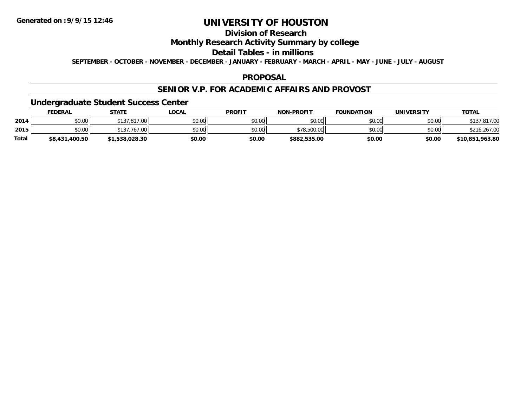## **Division of Research**

## **Monthly Research Activity Summary by college**

### **Detail Tables - in millions**

**SEPTEMBER - OCTOBER - NOVEMBER - DECEMBER - JANUARY - FEBRUARY - MARCH - APRIL - MAY - JUNE - JULY - AUGUST**

### **PROPOSAL**

### **SENIOR V.P. FOR ACADEMIC AFFAIRS AND PROVOST**

### **Undergraduate Student Success Center**

|              | <b>FEDERAL</b> | <b>STATE</b>   | <u>LOCAL</u> | <b>PROFIT</b> | <b>NON-PROFIT</b> | <b>FOUNDATION</b> | UNIVERSITY | <b>TOTAL</b>    |
|--------------|----------------|----------------|--------------|---------------|-------------------|-------------------|------------|-----------------|
| 2014         | \$0.00         | \$137,817,00   | \$0.00       | \$0.00        | \$0.00            | \$0.00            | \$0.00     | .817.00         |
| 2015         | \$0.00         | 767.00         | \$0.00       | \$0.00        | \$78,500.00       | \$0.00            | \$0.00     | \$216,267.00    |
| <b>Total</b> | \$8,431,400.50 | \$1,538,028.30 | \$0.00       | \$0.00        | \$882,535.00      | \$0.00            | \$0.00     | \$10,851,963.80 |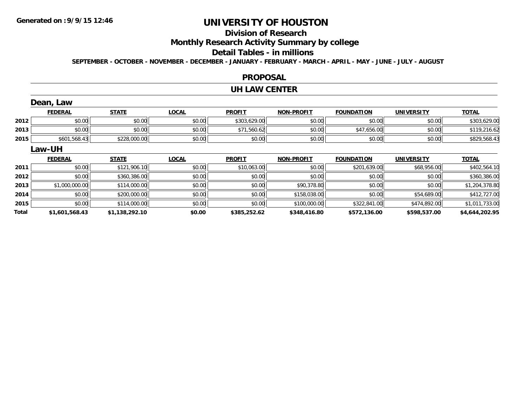# **Division of Research**

**Monthly Research Activity Summary by college**

### **Detail Tables - in millions**

**SEPTEMBER - OCTOBER - NOVEMBER - DECEMBER - JANUARY - FEBRUARY - MARCH - APRIL - MAY - JUNE - JULY - AUGUST**

### **PROPOSAL**

### **UH LAW CENTER**

|       | Dean, Law      |                |              |               |                   |                   |                   |                |
|-------|----------------|----------------|--------------|---------------|-------------------|-------------------|-------------------|----------------|
|       | <b>FEDERAL</b> | <b>STATE</b>   | <b>LOCAL</b> | <b>PROFIT</b> | <b>NON-PROFIT</b> | <b>FOUNDATION</b> | <b>UNIVERSITY</b> | <b>TOTAL</b>   |
| 2012  | \$0.00         | \$0.00         | \$0.00       | \$303,629.00  | \$0.00            | \$0.00            | \$0.00            | \$303,629.00   |
| 2013  | \$0.00         | \$0.00         | \$0.00       | \$71,560.62   | \$0.00            | \$47,656.00       | \$0.00            | \$119,216.62   |
| 2015  | \$601,568.43   | \$228,000.00   | \$0.00       | \$0.00        | \$0.00            | \$0.00            | \$0.00            | \$829,568.43   |
|       | Law-UH         |                |              |               |                   |                   |                   |                |
|       | <b>FEDERAL</b> | <b>STATE</b>   | <b>LOCAL</b> | <b>PROFIT</b> | <b>NON-PROFIT</b> | <b>FOUNDATION</b> | <b>UNIVERSITY</b> | <b>TOTAL</b>   |
| 2011  | \$0.00         | \$121,906.10   | \$0.00       | \$10,063.00   | \$0.00            | \$201,639.00      | \$68,956.00       | \$402,564.10   |
| 2012  | \$0.00         | \$360,386.00   | \$0.00       | \$0.00        | \$0.00            | \$0.00            | \$0.00            | \$360,386.00   |
| 2013  | \$1,000,000.00 | \$114,000.00   | \$0.00       | \$0.00        | \$90,378.80       | \$0.00            | \$0.00            | \$1,204,378.80 |
| 2014  | \$0.00         | \$200,000.00   | \$0.00       | \$0.00        | \$158,038.00      | \$0.00            | \$54,689.00       | \$412,727.00   |
| 2015  | \$0.00         | \$114,000.00   | \$0.00       | \$0.00        | \$100,000.00      | \$322,841.00      | \$474,892.00      | \$1,011,733.00 |
| Total | \$1,601,568.43 | \$1,138,292.10 | \$0.00       | \$385,252.62  | \$348,416.80      | \$572,136.00      | \$598,537.00      | \$4,644,202.95 |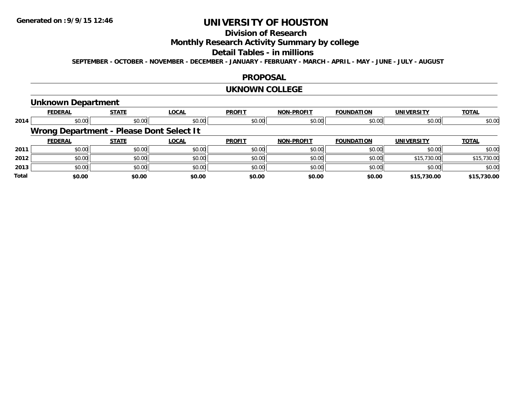## **Division of Research**

## **Monthly Research Activity Summary by college**

### **Detail Tables - in millions**

**SEPTEMBER - OCTOBER - NOVEMBER - DECEMBER - JANUARY - FEBRUARY - MARCH - APRIL - MAY - JUNE - JULY - AUGUST**

### **PROPOSAL**

### **UKNOWN COLLEGE**

### **Unknown Department**

|              | <b>FEDERAL</b>                           | <b>STATE</b> | <b>LOCAL</b> | <b>PROFIT</b> | <b>NON-PROFIT</b> | <b>FOUNDATION</b> | <b>UNIVERSITY</b> | <b>TOTAL</b> |
|--------------|------------------------------------------|--------------|--------------|---------------|-------------------|-------------------|-------------------|--------------|
| 2014         | \$0.00                                   | \$0.00       | \$0.00       | \$0.00        | \$0.00            | \$0.00            | \$0.00            | \$0.00       |
|              | Wrong Department - Please Dont Select It |              |              |               |                   |                   |                   |              |
|              | <b>FEDERAL</b>                           | <b>STATE</b> | <b>LOCAL</b> | <b>PROFIT</b> | <b>NON-PROFIT</b> | <b>FOUNDATION</b> | <b>UNIVERSITY</b> | <b>TOTAL</b> |
| 2011         | \$0.00                                   | \$0.00       | \$0.00       | \$0.00        | \$0.00            | \$0.00            | \$0.00            | \$0.00       |
| 2012         | \$0.00                                   | \$0.00       | \$0.00       | \$0.00        | \$0.00            | \$0.00            | \$15,730.00       | \$15,730.00  |
| 2013         | \$0.00                                   | \$0.00       | \$0.00       | \$0.00        | \$0.00            | \$0.00            | \$0.00            | \$0.00       |
| <b>Total</b> | \$0.00                                   | \$0.00       | \$0.00       | \$0.00        | \$0.00            | \$0.00            | \$15,730.00       | \$15,730.00  |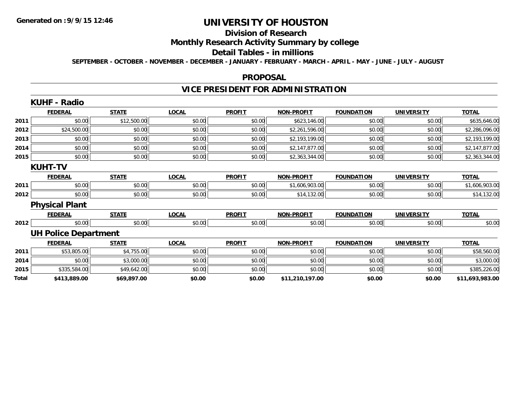# **Division of Research**

# **Monthly Research Activity Summary by college**

### **Detail Tables - in millions**

**SEPTEMBER - OCTOBER - NOVEMBER - DECEMBER - JANUARY - FEBRUARY - MARCH - APRIL - MAY - JUNE - JULY - AUGUST**

### **PROPOSAL**

# **VICE PRESIDENT FOR ADMINISTRATION**

|       | <b>KUHF - Radio</b>         |              |              |               |                   |                   |                   |                 |
|-------|-----------------------------|--------------|--------------|---------------|-------------------|-------------------|-------------------|-----------------|
|       | <b>FEDERAL</b>              | <b>STATE</b> | <b>LOCAL</b> | <b>PROFIT</b> | <b>NON-PROFIT</b> | <b>FOUNDATION</b> | <b>UNIVERSITY</b> | <b>TOTAL</b>    |
| 2011  | \$0.00                      | \$12,500.00  | \$0.00       | \$0.00        | \$623,146.00      | \$0.00            | \$0.00            | \$635,646.00    |
| 2012  | \$24,500.00                 | \$0.00       | \$0.00       | \$0.00        | \$2,261,596.00    | \$0.00            | \$0.00            | \$2,286,096.00  |
| 2013  | \$0.00                      | \$0.00       | \$0.00       | \$0.00        | \$2,193,199.00    | \$0.00            | \$0.00            | \$2,193,199.00  |
| 2014  | \$0.00                      | \$0.00       | \$0.00       | \$0.00        | \$2,147,877.00    | \$0.00            | \$0.00            | \$2,147,877.00  |
| 2015  | \$0.00                      | \$0.00       | \$0.00       | \$0.00        | \$2,363,344.00    | \$0.00            | \$0.00            | \$2,363,344.00  |
|       | <b>KUHT-TV</b>              |              |              |               |                   |                   |                   |                 |
|       | <b>FEDERAL</b>              | <b>STATE</b> | <b>LOCAL</b> | <b>PROFIT</b> | <b>NON-PROFIT</b> | <b>FOUNDATION</b> | <b>UNIVERSITY</b> | <b>TOTAL</b>    |
| 2011  | \$0.00                      | \$0.00       | \$0.00       | \$0.00        | \$1,606,903.00    | \$0.00            | \$0.00            | \$1,606,903.00  |
| 2012  | \$0.00                      | \$0.00       | \$0.00       | \$0.00        | \$14,132.00       | \$0.00            | \$0.00            | \$14,132.00     |
|       | <b>Physical Plant</b>       |              |              |               |                   |                   |                   |                 |
|       | <b>FEDERAL</b>              | <b>STATE</b> | <b>LOCAL</b> | <b>PROFIT</b> | <b>NON-PROFIT</b> | <b>FOUNDATION</b> | <b>UNIVERSITY</b> | <b>TOTAL</b>    |
| 2012  | \$0.00                      | \$0.00       | \$0.00       | \$0.00        | \$0.00            | \$0.00            | \$0.00            | \$0.00          |
|       | <b>UH Police Department</b> |              |              |               |                   |                   |                   |                 |
|       | <b>FEDERAL</b>              | <b>STATE</b> | <b>LOCAL</b> | <b>PROFIT</b> | <b>NON-PROFIT</b> | <b>FOUNDATION</b> | <b>UNIVERSITY</b> | <b>TOTAL</b>    |
| 2011  | \$53,805.00                 | \$4,755.00   | \$0.00       | \$0.00        | \$0.00            | \$0.00            | \$0.00            | \$58,560.00     |
| 2014  | \$0.00                      | \$3,000.00   | \$0.00       | \$0.00        | \$0.00            | \$0.00            | \$0.00            | \$3,000.00      |
| 2015  | \$335,584.00                | \$49,642.00  | \$0.00       | \$0.00        | \$0.00            | \$0.00            | \$0.00            | \$385,226.00    |
| Total | \$413,889.00                | \$69,897.00  | \$0.00       | \$0.00        | \$11,210,197.00   | \$0.00            | \$0.00            | \$11,693,983.00 |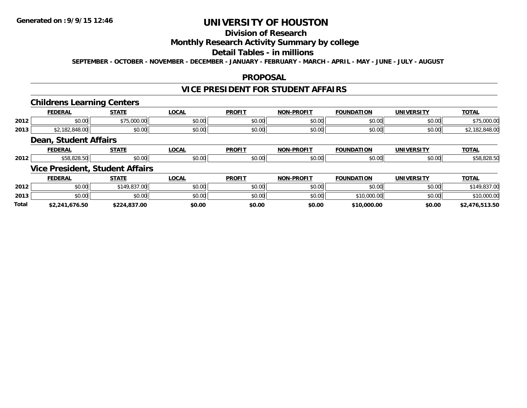## **Division of Research**

### **Monthly Research Activity Summary by college**

## **Detail Tables - in millions**

**SEPTEMBER - OCTOBER - NOVEMBER - DECEMBER - JANUARY - FEBRUARY - MARCH - APRIL - MAY - JUNE - JULY - AUGUST**

### **PROPOSAL**

## **VICE PRESIDENT FOR STUDENT AFFAIRS**

### **Childrens Learning Centers**

|      | <b>FEDERA</b>          | <b>CTATE</b><br>n                   | .OCAI                         | <b>PROFIT</b> | -PROFIT<br>NON-      | <b>FOUNDA</b><br>חחוז | <b>IINIVERSIT\</b> | TOTA.                                                          |
|------|------------------------|-------------------------------------|-------------------------------|---------------|----------------------|-----------------------|--------------------|----------------------------------------------------------------|
| 2012 | $\sim$ $\sim$<br>JU.UU | $ATE$ $000$ $00$<br><u>a.uuu.uu</u> | $n \cap \neg$<br><b>JU.UU</b> | \$0.00        | 0000<br>PO.OO        | \$0.00                | \$0.00             | 00000<br>$\rightarrow$ $\rightarrow$ $\rightarrow$<br>J,UUU.UW |
| 2013 | 40.UU                  | \$0.00                              | \$0.00                        | \$0.00        | 0000<br><b>JU.UU</b> | \$0.00                | \$0.00             | $\sim$<br>140.UU                                               |

## **Dean, Student Affairs**

|      | ------   | -----         | $\sim$<br>$\cdots$        | <b>PROFIT</b> | ------<br>ימות | מרוח<br>ำเภ | HN H      | $-2 -$ |
|------|----------|---------------|---------------------------|---------------|----------------|-------------|-----------|--------|
| 2012 | $\cdots$ | 0.00<br>טט.טי | $\cdot$ v $\cup$ . $\cup$ | 0.00<br>v.vu  | $ -$<br>70.OU  |             | $\sim$ 00 |        |

## **Vice President, Student Affairs**

|              | <b>FEDERAL</b> | <b>STATE</b> | <b>LOCAL</b> | <b>PROFIT</b> | <b>NON-PROFIT</b> | <b>FOUNDATION</b> | UNIVERSITY | <b>TOTAL</b>   |
|--------------|----------------|--------------|--------------|---------------|-------------------|-------------------|------------|----------------|
| 2012         | \$0.00         | \$149,837,00 | \$0.00       | \$0.00        | \$0.00            | \$0.00            | \$0.00     |                |
| 2013         | \$0.00         | \$0.00       | \$0.00       | \$0.00        | \$0.00            | \$10,000.00       | \$0.00     | \$10,000.00    |
| <b>Total</b> | \$2,241,676.50 | \$224,837.00 | \$0.00       | \$0.00        | \$0.00            | \$10,000.00       | \$0.00     | \$2,476,513.50 |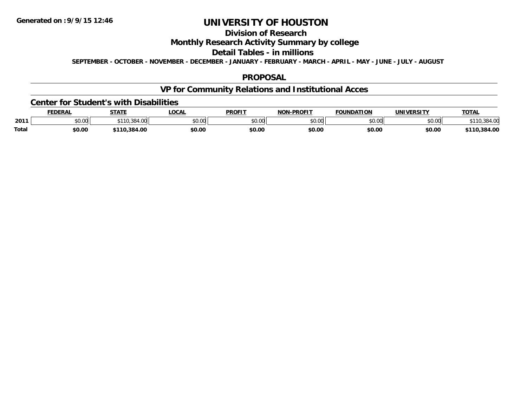# **Division of Research**

## **Monthly Research Activity Summary by college**

### **Detail Tables - in millions**

**SEPTEMBER - OCTOBER - NOVEMBER - DECEMBER - JANUARY - FEBRUARY - MARCH - APRIL - MAY - JUNE - JULY - AUGUST**

### **PROPOSAL**

## **VP for Community Relations and Institutional Acces**

### **Center for Student's with Disabilities**

|              | <b>FEDERAL</b> | <b>STATE</b>         | LOCAI          | <b>PROFIT</b> | -PROFIT<br><b>NON</b> | <b>FOUNDATION</b>  | <b>UNIVERSITY</b> | <b>TOTAL</b> |
|--------------|----------------|----------------------|----------------|---------------|-----------------------|--------------------|-------------------|--------------|
| 2011         | JU.UU          | 384<br>$. \, \cdots$ | ልስ ስስ<br>JU.UU | 0.00<br>ט.טע  | \$0.00                | $\sim$ 00<br>JU.UU | \$0.00            |              |
| <b>Total</b> | \$0.00         | .384.00              | \$0.OC         | \$0.00        | \$0.00                | \$0.00             | \$0.00            | .384.00      |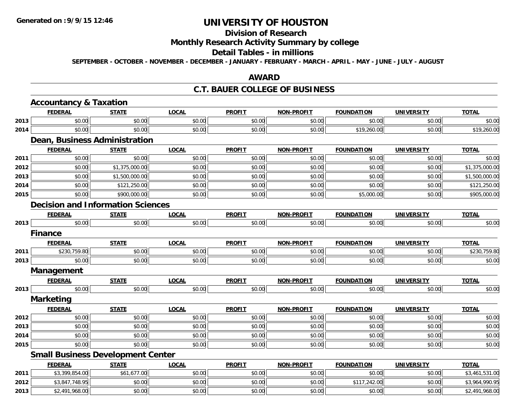# **Division of Research**

### **Monthly Research Activity Summary by college**

#### **Detail Tables - in millions**

**SEPTEMBER - OCTOBER - NOVEMBER - DECEMBER - JANUARY - FEBRUARY - MARCH - APRIL - MAY - JUNE - JULY - AUGUST**

#### **AWARD**

#### **C.T. BAUER COLLEGE OF BUSINESS**

|      | <b>Accountancy &amp; Taxation</b>        |                |              |               |                   |                   |                   |                |  |  |  |
|------|------------------------------------------|----------------|--------------|---------------|-------------------|-------------------|-------------------|----------------|--|--|--|
|      | <b>FEDERAL</b>                           | <b>STATE</b>   | <b>LOCAL</b> | <b>PROFIT</b> | <b>NON-PROFIT</b> | <b>FOUNDATION</b> | <b>UNIVERSITY</b> | <b>TOTAL</b>   |  |  |  |
| 2013 | \$0.00                                   | \$0.00         | \$0.00       | \$0.00        | \$0.00            | \$0.00            | \$0.00            | \$0.00         |  |  |  |
| 2014 | \$0.00                                   | \$0.00         | \$0.00       | \$0.00        | \$0.00            | \$19,260.00       | \$0.00            | \$19,260.00    |  |  |  |
|      | Dean, Business Administration            |                |              |               |                   |                   |                   |                |  |  |  |
|      | <b>FEDERAL</b>                           | <b>STATE</b>   | <b>LOCAL</b> | <b>PROFIT</b> | <b>NON-PROFIT</b> | <b>FOUNDATION</b> | <b>UNIVERSITY</b> | <b>TOTAL</b>   |  |  |  |
| 2011 | \$0.00                                   | \$0.00         | \$0.00       | \$0.00        | \$0.00            | \$0.00            | \$0.00            | \$0.00         |  |  |  |
| 2012 | \$0.00                                   | \$1,375,000.00 | \$0.00       | \$0.00        | \$0.00            | \$0.00            | \$0.00            | \$1,375,000.00 |  |  |  |
| 2013 | \$0.00                                   | \$1,500,000.00 | \$0.00       | \$0.00        | \$0.00            | \$0.00            | \$0.00            | \$1,500,000.00 |  |  |  |
| 2014 | \$0.00                                   | \$121,250.00   | \$0.00       | \$0.00        | \$0.00            | \$0.00            | \$0.00            | \$121,250.00   |  |  |  |
| 2015 | \$0.00                                   | \$900,000.00   | \$0.00       | \$0.00        | \$0.00            | \$5,000.00        | \$0.00            | \$905,000.00   |  |  |  |
|      | <b>Decision and Information Sciences</b> |                |              |               |                   |                   |                   |                |  |  |  |
|      | <b>FEDERAL</b>                           | <b>STATE</b>   | <b>LOCAL</b> | <b>PROFIT</b> | <b>NON-PROFIT</b> | <b>FOUNDATION</b> | <b>UNIVERSITY</b> | <b>TOTAL</b>   |  |  |  |
| 2013 | \$0.00                                   | \$0.00         | \$0.00       | \$0.00        | \$0.00            | \$0.00            | \$0.00            | \$0.00         |  |  |  |
|      | <b>Finance</b>                           |                |              |               |                   |                   |                   |                |  |  |  |
|      | <b>FEDERAL</b>                           | <b>STATE</b>   | <b>LOCAL</b> | <b>PROFIT</b> | <b>NON-PROFIT</b> | <b>FOUNDATION</b> | <b>UNIVERSITY</b> | <b>TOTAL</b>   |  |  |  |
| 2011 | \$230,759.80                             | \$0.00         | \$0.00       | \$0.00        | \$0.00            | \$0.00            | \$0.00            | \$230,759.80   |  |  |  |
| 2013 | \$0.00                                   | \$0.00         | \$0.00       | \$0.00        | \$0.00            | \$0.00            | \$0.00            | \$0.00         |  |  |  |
|      | Management                               |                |              |               |                   |                   |                   |                |  |  |  |
|      | <b>FEDERAL</b>                           | <b>STATE</b>   | <b>LOCAL</b> | <b>PROFIT</b> | <b>NON-PROFIT</b> | <b>FOUNDATION</b> | <b>UNIVERSITY</b> | <b>TOTAL</b>   |  |  |  |
| 2013 | \$0.00                                   | \$0.00         | \$0.00       | \$0.00        | \$0.00            | \$0.00            | \$0.00            | \$0.00         |  |  |  |
|      | <b>Marketing</b>                         |                |              |               |                   |                   |                   |                |  |  |  |
|      | <b>FEDERAL</b>                           | <b>STATE</b>   | <b>LOCAL</b> | <b>PROFIT</b> | <b>NON-PROFIT</b> | <b>FOUNDATION</b> | <b>UNIVERSITY</b> | <b>TOTAL</b>   |  |  |  |
| 2012 | \$0.00                                   | \$0.00         | \$0.00       | \$0.00        | \$0.00            | \$0.00            | \$0.00            | \$0.00         |  |  |  |
| 2013 | \$0.00                                   | \$0.00         | \$0.00       | \$0.00        | \$0.00            | \$0.00            | \$0.00            | \$0.00         |  |  |  |
| 2014 | \$0.00                                   | \$0.00         | \$0.00       | \$0.00        | \$0.00            | \$0.00            | \$0.00            | \$0.00         |  |  |  |
| 2015 | \$0.00                                   | \$0.00         | \$0.00       | \$0.00        | \$0.00            | \$0.00            | \$0.00            | \$0.00         |  |  |  |
|      | <b>Small Business Development Center</b> |                |              |               |                   |                   |                   |                |  |  |  |
|      | <b>FEDERAL</b>                           | <b>STATE</b>   | <b>LOCAL</b> | <b>PROFIT</b> | <b>NON-PROFIT</b> | <b>FOUNDATION</b> | <b>UNIVERSITY</b> | <b>TOTAL</b>   |  |  |  |
| 2011 | \$3,399,854.00                           | \$61,677.00    | \$0.00       | \$0.00        | \$0.00            | \$0.00            | \$0.00            | \$3,461,531.00 |  |  |  |
| 2012 | \$3,847,748.95                           | \$0.00         | \$0.00       | \$0.00        | \$0.00            | \$117,242.00      | \$0.00            | \$3,964,990.95 |  |  |  |
| 2013 | \$2,491,968.00                           | \$0.00         | \$0.00       | \$0.00        | \$0.00            | \$0.00            | \$0.00            | \$2,491,968.00 |  |  |  |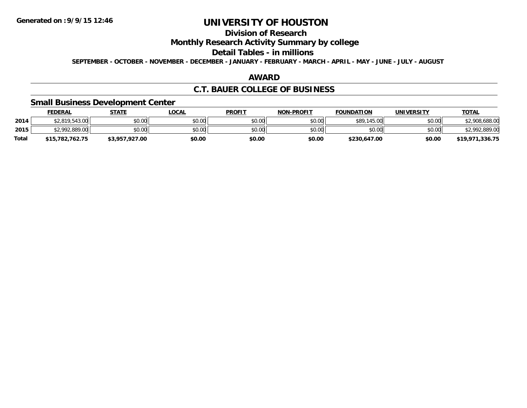# **Division of Research**

### **Monthly Research Activity Summary by college**

#### **Detail Tables - in millions**

**SEPTEMBER - OCTOBER - NOVEMBER - DECEMBER - JANUARY - FEBRUARY - MARCH - APRIL - MAY - JUNE - JULY - AUGUST**

### **AWARD**

### **C.T. BAUER COLLEGE OF BUSINESS**

### **Small Business Development Center**

|              | <b>FEDERAL</b>  | <b>STATE</b>   | LOCAL  | <b>PROFIT</b> | <b>NON-PROFIT</b> | <b>FOUNDATION</b> | <b>UNIVERSITY</b> | <b>TOTAL</b>    |
|--------------|-----------------|----------------|--------|---------------|-------------------|-------------------|-------------------|-----------------|
| 2014         | \$2,819,543.00  | \$0.00         | \$0.00 | \$0.00        | \$0.00            | \$89,145.00       | \$0.00            | \$2,908,688.00  |
| 2015         | \$2,992,889.00  | \$0.00         | \$0.00 | \$0.00        | \$0.00            | \$0.00            | \$0.00            | \$2,992,889.00  |
| <b>Total</b> | \$15,782,762.75 | \$3,957,927.00 | \$0.00 | \$0.00        | \$0.00            | \$230,647.00      | \$0.00            | \$19,971,336.75 |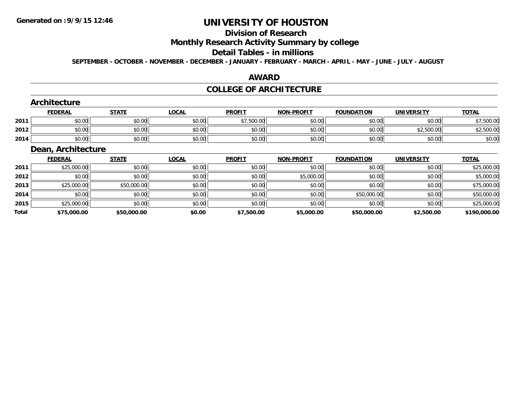# **Division of Research**

# **Monthly Research Activity Summary by college**

## **Detail Tables - in millions**

**SEPTEMBER - OCTOBER - NOVEMBER - DECEMBER - JANUARY - FEBRUARY - MARCH - APRIL - MAY - JUNE - JULY - AUGUST**

### **AWARD**

# **COLLEGE OF ARCHITECTURE**

|      | Architecture       |              |              |               |                   |                   |                   |              |
|------|--------------------|--------------|--------------|---------------|-------------------|-------------------|-------------------|--------------|
|      | <b>FEDERAL</b>     | <b>STATE</b> | <b>LOCAL</b> | <b>PROFIT</b> | <b>NON-PROFIT</b> | <b>FOUNDATION</b> | <b>UNIVERSITY</b> | <b>TOTAL</b> |
| 2011 | \$0.00             | \$0.00       | \$0.00       | \$7,500.00    | \$0.00            | \$0.00            | \$0.00            | \$7,500.00   |
| 2012 | \$0.00             | \$0.00       | \$0.00       | \$0.00        | \$0.00            | \$0.00            | \$2,500.00        | \$2,500.00   |
| 2014 | \$0.00             | \$0.00       | \$0.00       | \$0.00        | \$0.00            | \$0.00            | \$0.00            | \$0.00       |
|      | Dean, Architecture |              |              |               |                   |                   |                   |              |
|      | <b>FEDERAL</b>     | <b>STATE</b> | <b>LOCAL</b> | <b>PROFIT</b> | <b>NON-PROFIT</b> | <b>FOUNDATION</b> | <b>UNIVERSITY</b> | <b>TOTAL</b> |
| 2011 | \$25,000.00        | \$0.00       | \$0.00       | \$0.00        | \$0.00            | \$0.00            | \$0.00            | \$25,000.00  |
| 2012 | \$0.00             | \$0.00       | \$0.00       | \$0.00        | \$5,000.00        | \$0.00            | \$0.00            | \$5,000.00   |
| 2013 | \$25,000.00        | \$50,000.00  | \$0.00       | \$0.00        | \$0.00            | \$0.00            | \$0.00            | \$75,000.00  |

| Total | 75,000.00<br>ᅔᄀᄃ        | \$50.000.00         | \$0.00             | \$7,500.00      | \$5,000.00 | \$50.000.00          | \$2,500.00 | non on<br>100 t<br>.uuu.u      |
|-------|-------------------------|---------------------|--------------------|-----------------|------------|----------------------|------------|--------------------------------|
| 2015  | 00000<br>ሐ ጣ<br>,uuu.uu | \$0.00              | $\sim$ 00<br>JU.UU | 0000<br>JU.UU   | \$0.00     | $\sim$ 00<br>SU.UU   | \$0.00     | $A \cap F$<br>$\sim$<br>uuu.uu |
| 2014  | 0.00اء                  | \$0.00<br>$\hat{v}$ | JU.UU              | $\sim$<br>JU.UU | SO.OO      | 0.00000<br>. .UU.UU. | \$0.00     | $\sim$<br>ຉຉຩ຺຺ຩຩຩ຺຺ຩຩ         |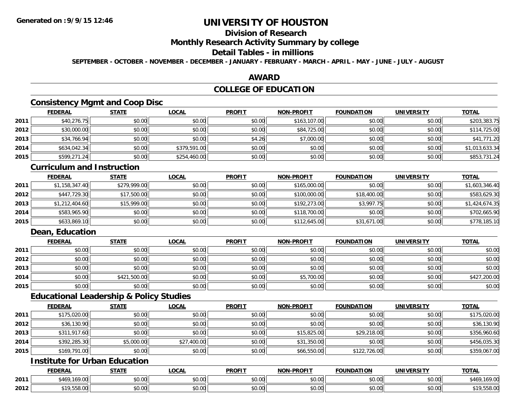# **Division of Research**

#### **Monthly Research Activity Summary by college**

## **Detail Tables - in millions**

**SEPTEMBER - OCTOBER - NOVEMBER - DECEMBER - JANUARY - FEBRUARY - MARCH - APRIL - MAY - JUNE - JULY - AUGUST**

### **AWARD**

## **COLLEGE OF EDUCATION**

## **Consistency Mgmt and Coop Disc**

|      | <b>FEDERAL</b> | <b>STATE</b> | <u>LOCAL</u> | <b>PROFIT</b> | <b>NON-PROFIT</b> | <b>FOUNDATION</b> | <b>UNIVERSITY</b> | <b>TOTAL</b>   |
|------|----------------|--------------|--------------|---------------|-------------------|-------------------|-------------------|----------------|
| 2011 | \$40,276.75    | \$0.00       | \$0.00       | \$0.00        | \$163,107.00      | \$0.00            | \$0.00            | \$203,383.75   |
| 2012 | \$30,000.00    | \$0.00       | \$0.00       | \$0.00        | \$84,725.00       | \$0.00            | \$0.00            | \$114,725.00   |
| 2013 | \$34,766.94    | \$0.00       | \$0.00       | \$4.26        | \$7,000.00        | \$0.00            | \$0.00            | \$41,771.20    |
| 2014 | \$634,042.34   | \$0.00       | \$379,591.00 | \$0.00        | \$0.00            | \$0.00            | \$0.00            | \$1,013,633.34 |
| 2015 | \$599,271.24   | \$0.00       | \$254,460.00 | \$0.00        | \$0.00            | \$0.00            | \$0.00            | \$853,731.24   |

#### **Curriculum and Instruction**

|      | <b>FEDERAL</b> | <b>STATE</b> | <b>LOCAL</b> | <b>PROFIT</b> | <b>NON-PROFIT</b> | <b>FOUNDATION</b> | <b>UNIVERSITY</b> | <b>TOTAL</b>   |
|------|----------------|--------------|--------------|---------------|-------------------|-------------------|-------------------|----------------|
| 2011 | \$1,158,347.40 | \$279,999.00 | \$0.00       | \$0.00        | \$165,000.00      | \$0.00            | \$0.00            | \$1,603,346.40 |
| 2012 | \$447,729.30   | \$17,500.00  | \$0.00       | \$0.00        | \$100,000.00      | \$18,400.00       | \$0.00            | \$583,629.30   |
| 2013 | \$1,212,404.60 | \$15,999.00  | \$0.00       | \$0.00        | \$192,273.00      | \$3,997.75        | \$0.00            | \$1,424,674.35 |
| 2014 | \$583,965.90   | \$0.00       | \$0.00       | \$0.00        | \$118,700.00      | \$0.00            | \$0.00            | \$702,665.90   |
| 2015 | \$633,869.10   | \$0.00       | \$0.00       | \$0.00        | \$112,645.00      | \$31,671.00       | \$0.00            | \$778,185.10   |

## **Dean, Education**

|      | <b>FEDERAL</b> | <b>STATE</b> | <b>LOCAL</b> | <b>PROFIT</b> | <b>NON-PROFIT</b> | <b>FOUNDATION</b> | <b>UNIVERSITY</b> | <b>TOTAL</b> |
|------|----------------|--------------|--------------|---------------|-------------------|-------------------|-------------------|--------------|
| 2011 | \$0.00         | \$0.00       | \$0.00       | \$0.00        | \$0.00            | \$0.00            | \$0.00            | \$0.00       |
| 2012 | \$0.00         | \$0.00       | \$0.00       | \$0.00        | \$0.00            | \$0.00            | \$0.00            | \$0.00       |
| 2013 | \$0.00         | \$0.00       | \$0.00       | \$0.00        | \$0.00            | \$0.00            | \$0.00            | \$0.00       |
| 2014 | \$0.00         | \$421,500.00 | \$0.00       | \$0.00        | \$5,700.00        | \$0.00            | \$0.00            | \$427,200.00 |
| 2015 | \$0.00         | \$0.00       | \$0.00       | \$0.00        | \$0.00            | \$0.00            | \$0.00            | \$0.00       |

### **Educational Leadership & Policy Studies**

|      | <b>FEDERAL</b> | <b>STATE</b> | <u>LOCAL</u> | <b>PROFIT</b> | <b>NON-PROFIT</b> | <b>FOUNDATION</b> | <b>UNIVERSITY</b> | <b>TOTAL</b> |
|------|----------------|--------------|--------------|---------------|-------------------|-------------------|-------------------|--------------|
| 2011 | \$175,020.00   | \$0.00       | \$0.00       | \$0.00        | \$0.00            | \$0.00            | \$0.00            | \$175,020.00 |
| 2012 | \$36,130.90    | \$0.00       | \$0.00       | \$0.00        | \$0.00            | \$0.00            | \$0.00            | \$36,130.90  |
| 2013 | \$311,917.60   | \$0.00       | \$0.00       | \$0.00        | \$15,825.00       | \$29,218.00       | \$0.00            | \$356,960.60 |
| 2014 | \$392,285.30   | \$5,000.00   | \$27,400.00  | \$0.00        | \$31,350.00       | \$0.00            | \$0.00            | \$456,035.30 |
| 2015 | \$169,791.00   | \$0.00       | \$0.00       | \$0.00        | \$66,550.00       | \$122,726.00      | \$0.00            | \$359,067.00 |

## **Institute for Urban Education**

|      | <b>FEDERAL</b>                        | <b>CTATE</b><br>ın<br>. | LOCAL  | <b>PROFIT</b>                       | <b>NON-PROFIT</b> | <b>FOUNDATION</b> | <b>UNIVERSITY</b>    | <b>TOTAL</b>     |
|------|---------------------------------------|-------------------------|--------|-------------------------------------|-------------------|-------------------|----------------------|------------------|
| 2011 | \$469,169.00                          | 0000<br>JU.UU           | \$0.00 | <b>↑∩</b><br>JU.UU                  | 0.00<br>JU.UU     | \$0.00            | \$0.00               | \$469<br>.169.00 |
| 2012 | <b>¢10 550</b><br>$\sim$<br>. .JJ0.UU | 0000<br>JU.UU           | \$0.00 | <b>↑∩</b><br>$\sim$ $\sim$<br>PU.UU | 0000<br>JU.UU     | 0000<br>JU.UU     | 0000<br><b>JU.UU</b> | ,558.00          |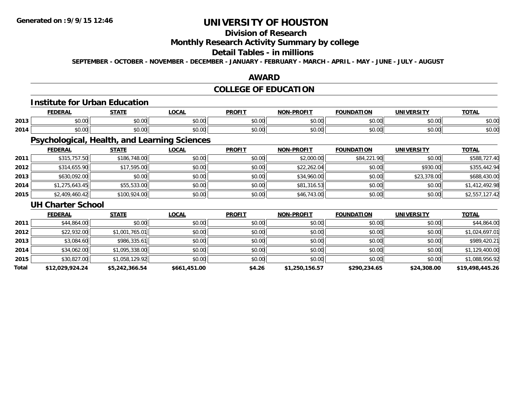## **Division of Research**

**Monthly Research Activity Summary by college**

# **Detail Tables - in millions**

**SEPTEMBER - OCTOBER - NOVEMBER - DECEMBER - JANUARY - FEBRUARY - MARCH - APRIL - MAY - JUNE - JULY - AUGUST**

### **AWARD**

## **COLLEGE OF EDUCATION**

## **Institute for Urban Education**

|      | <b>FEDERAL</b> | <b>STATE</b><br>'''' | <b>LOCAL</b>  | <b>PROFIT</b> | -PROFIT<br>NON | <b>FOUNDATION</b>      | <b>UNIVERSITY</b> | <b>TOTAL</b>           |
|------|----------------|----------------------|---------------|---------------|----------------|------------------------|-------------------|------------------------|
| 2013 | \$0.00         | \$0.00               | 0000<br>JU.UU | \$0.00        | nn na<br>JU.UU | $\sim$ $\sim$<br>JU.UU | ልስ ሀህ<br>JU.UU    | $\sim$ $\sim$<br>ง∪.∪บ |
| 2014 | \$0.00         | \$0.00               | \$0.00        | \$0.00        | mn na<br>JU.UU | $\sim$ 00<br>JU.UU     | en uu<br>JU.UU    | $\sim$ $\sim$<br>ง∪.∪บ |

# **Psychological, Health, and Learning Sciences**

|      | <b>FEDERAL</b> | <u>STATE</u> | <u>LOCAL</u> | <b>PROFIT</b> | <b>NON-PROFIT</b> | <b>FOUNDATION</b> | <b>UNIVERSITY</b> | <b>TOTAL</b>   |
|------|----------------|--------------|--------------|---------------|-------------------|-------------------|-------------------|----------------|
| 2011 | \$315,757.50   | \$186,748.00 | \$0.00       | \$0.00        | \$2,000.00        | \$84,221.90       | \$0.00            | \$588,727.40   |
| 2012 | \$314,655.90   | \$17,595.00  | \$0.00       | \$0.00        | \$22,262.04       | \$0.00            | \$930.00          | \$355,442.94   |
| 2013 | \$630,092.00   | \$0.00       | \$0.00       | \$0.00        | \$34,960.00       | \$0.00            | \$23,378.00       | \$688,430.00   |
| 2014 | \$1,275,643.45 | \$55,533.00  | \$0.00       | \$0.00        | \$81,316.53       | \$0.00            | \$0.00            | \$1,412,492.98 |
| 2015 | \$2,409,460.42 | \$100,924.00 | \$0.00       | \$0.00        | \$46,743.00       | \$0.00            | \$0.00            | \$2,557,127.42 |

#### **UH Charter School**

|       | <b>FEDERAL</b>  | <b>STATE</b>   | <b>LOCAL</b> | <b>PROFIT</b> | <b>NON-PROFIT</b> | <b>FOUNDATION</b> | <b>UNIVERSITY</b> | <b>TOTAL</b>    |
|-------|-----------------|----------------|--------------|---------------|-------------------|-------------------|-------------------|-----------------|
| 2011  | \$44,864.00     | \$0.00         | \$0.00       | \$0.00        | \$0.00            | \$0.00            | \$0.00            | \$44,864.00     |
| 2012  | \$22,932.00     | \$1,001,765.01 | \$0.00       | \$0.00        | \$0.00            | \$0.00            | \$0.00            | \$1,024,697.01  |
| 2013  | \$3,084.60      | \$986,335.61   | \$0.00       | \$0.00        | \$0.00            | \$0.00            | \$0.00            | \$989,420.21    |
| 2014  | \$34,062.00     | \$1,095,338.00 | \$0.00       | \$0.00        | \$0.00            | \$0.00            | \$0.00            | \$1,129,400.00  |
| 2015  | \$30,827.00     | \$1,058,129.92 | \$0.00       | \$0.00        | \$0.00            | \$0.00            | \$0.00            | \$1,088,956.92  |
| Total | \$12,029,924.24 | \$5,242,366.54 | \$661,451.00 | \$4.26        | \$1,250,156.57    | \$290,234.65      | \$24,308.00       | \$19,498,445.26 |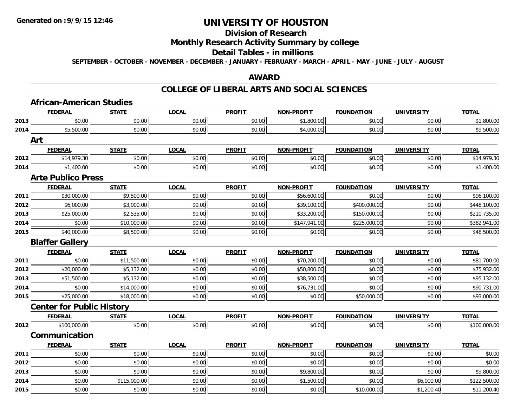# **Division of Research**

### **Monthly Research Activity Summary by college**

#### **Detail Tables - in millions**

**SEPTEMBER - OCTOBER - NOVEMBER - DECEMBER - JANUARY - FEBRUARY - MARCH - APRIL - MAY - JUNE - JULY - AUGUST**

### **AWARD**

|      | <b>FEDERAL</b>                   | <b>STATE</b> | <b>LOCAL</b> | <b>PROFIT</b> | <b>NON-PROFIT</b> | <b>FOUNDATION</b> | <b>UNIVERSITY</b> | <b>TOTAL</b> |
|------|----------------------------------|--------------|--------------|---------------|-------------------|-------------------|-------------------|--------------|
| 2013 | \$0.00                           | \$0.00       | \$0.00       | \$0.00        | \$1,800.00        | \$0.00            | \$0.00            | \$1,800.00   |
| 2014 | \$5,500.00                       | \$0.00       | \$0.00       | \$0.00        | \$4,000.00        | \$0.00            | \$0.00            | \$9,500.00   |
| Art  |                                  |              |              |               |                   |                   |                   |              |
|      | <b>FEDERAL</b>                   | <b>STATE</b> | <b>LOCAL</b> | <b>PROFIT</b> | <b>NON-PROFIT</b> | <b>FOUNDATION</b> | <b>UNIVERSITY</b> | <b>TOTAL</b> |
| 2012 | \$14,979.30                      | \$0.00       | \$0.00       | \$0.00        | \$0.00            | \$0.00            | \$0.00            | \$14,979.30  |
| 2014 | \$1,400.00                       | \$0.00       | \$0.00       | \$0.00        | \$0.00            | \$0.00            | \$0.00            | \$1,400.00   |
|      | <b>Arte Publico Press</b>        |              |              |               |                   |                   |                   |              |
|      | <b>FEDERAL</b>                   | <b>STATE</b> | <b>LOCAL</b> | <b>PROFIT</b> | <b>NON-PROFIT</b> | <b>FOUNDATION</b> | <b>UNIVERSITY</b> | <b>TOTAL</b> |
| 2011 | \$30,000.00                      | \$9,500.00   | \$0.00       | \$0.00        | \$56,600.00       | \$0.00            | \$0.00            | \$96,100.00  |
| 2012 | \$6,000.00                       | \$3,000.00   | \$0.00       | \$0.00        | \$39,100.00       | \$400,000.00      | \$0.00            | \$448,100.00 |
| 2013 | \$25,000.00                      | \$2,535.00   | \$0.00       | \$0.00        | \$33,200.00       | \$150,000.00      | \$0.00            | \$210,735.00 |
| 2014 | \$0.00                           | \$10,000.00  | \$0.00       | \$0.00        | \$147,941.00      | \$225,000.00      | \$0.00            | \$382,941.00 |
| 2015 | \$40,000.00                      | \$8,500.00   | \$0.00       | \$0.00        | \$0.00            | \$0.00            | \$0.00            | \$48,500.00  |
|      | <b>Blaffer Gallery</b>           |              |              |               |                   |                   |                   |              |
|      | <b>FEDERAL</b>                   | <b>STATE</b> | <b>LOCAL</b> | <b>PROFIT</b> | <b>NON-PROFIT</b> | <b>FOUNDATION</b> | <b>UNIVERSITY</b> | <b>TOTAL</b> |
| 2011 | \$0.00                           | \$11,500.00  | \$0.00       | \$0.00        | \$70,200.00       | \$0.00            | \$0.00            | \$81,700.00  |
| 2012 | \$20,000.00                      | \$5,132.00   | \$0.00       | \$0.00        | \$50,800.00       | \$0.00            | \$0.00            | \$75,932.00  |
| 2013 | \$51,500.00                      | \$5,132.00   | \$0.00       | \$0.00        | \$38,500.00       | \$0.00            | \$0.00            | \$95,132.00  |
| 2014 | \$0.00                           | \$14,000.00  | \$0.00       | \$0.00        | \$76,731.00       | \$0.00            | \$0.00            | \$90,731.00  |
| 2015 | \$25,000.00                      | \$18,000.00  | \$0.00       | \$0.00        | \$0.00            | \$50,000.00       | \$0.00            | \$93,000.00  |
|      | <b>Center for Public History</b> |              |              |               |                   |                   |                   |              |
|      | <b>FEDERAL</b>                   | <b>STATE</b> | <b>LOCAL</b> | <b>PROFIT</b> | <b>NON-PROFIT</b> | <b>FOUNDATION</b> | <b>UNIVERSITY</b> | <b>TOTAL</b> |
| 2012 | \$100,000.00                     | \$0.00       | \$0.00       | \$0.00        | \$0.00            | \$0.00            | \$0.00            | \$100,000.00 |
|      | Communication                    |              |              |               |                   |                   |                   |              |
|      | <b>FEDERAL</b>                   | <b>STATE</b> | <b>LOCAL</b> | <b>PROFIT</b> | <b>NON-PROFIT</b> | <b>FOUNDATION</b> | <b>UNIVERSITY</b> | <b>TOTAL</b> |
| 2011 | \$0.00                           | \$0.00       | \$0.00       | \$0.00        | \$0.00            | \$0.00            | \$0.00            | \$0.00       |
|      | \$0.00                           | \$0.00       | \$0.00       | \$0.00        | \$0.00            | \$0.00            | \$0.00            | \$0.00       |
| 2012 |                                  |              |              |               |                   |                   |                   |              |
| 2013 | \$0.00                           | \$0.00       | \$0.00       | \$0.00        | \$9,800.00        | \$0.00            | \$0.00            | \$9,800.00   |
| 2014 | \$0.00                           | \$115,000.00 | \$0.00       | \$0.00        | \$1,500.00        | \$0.00            | \$6,000.00        | \$122,500.00 |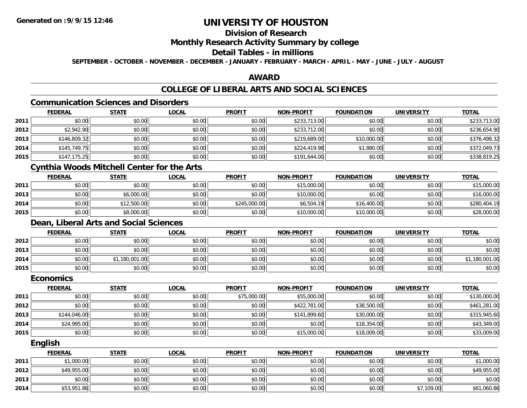## **Division of Research**

# **Monthly Research Activity Summary by college**

### **Detail Tables - in millions**

**SEPTEMBER - OCTOBER - NOVEMBER - DECEMBER - JANUARY - FEBRUARY - MARCH - APRIL - MAY - JUNE - JULY - AUGUST**

### **AWARD**

## **COLLEGE OF LIBERAL ARTS AND SOCIAL SCIENCES**

# **Communication Sciences and Disorders**

|      | <b>FEDERAL</b> | <b>STATE</b> | <b>LOCAL</b> | <b>PROFIT</b> | <b>NON-PROFIT</b> | <b>FOUNDATION</b> | <b>UNIVERSITY</b> | <b>TOTAL</b> |
|------|----------------|--------------|--------------|---------------|-------------------|-------------------|-------------------|--------------|
| 2011 | \$0.00         | \$0.00       | \$0.00       | \$0.00        | \$233,713.00      | \$0.00            | \$0.00            | \$233,713.00 |
| 2012 | \$2,942.90     | \$0.00       | \$0.00       | \$0.00        | \$233,712.00      | \$0.00            | \$0.00            | \$236,654.90 |
| 2013 | \$146,809.32   | \$0.00       | \$0.00       | \$0.00        | \$219,689.00      | \$10,000.00       | \$0.00            | \$376,498.32 |
| 2014 | \$145,749.75   | \$0.00       | \$0.00       | \$0.00        | \$224,419.98      | \$1,880.00        | \$0.00            | \$372,049.73 |
| 2015 | \$147,175.25   | \$0.00       | \$0.00       | \$0.00        | \$191,644.00      | \$0.00            | \$0.00            | \$338,819.25 |

# **Cynthia Woods Mitchell Center for the Arts**

|      | <u>FEDERAL</u> | <u>STATE</u> | <u>LOCAL</u> | <b>PROFIT</b> | <b>NON-PROFIT</b> | <b>FOUNDATION</b> | UNIVERSITY | <b>TOTAL</b> |
|------|----------------|--------------|--------------|---------------|-------------------|-------------------|------------|--------------|
| 2011 | \$0.00         | \$0.00       | \$0.00       | \$0.00        | \$15,000.00       | \$0.00            | \$0.00     | \$15,000.00  |
| 2013 | \$0.00         | \$6,000.00   | \$0.00       | \$0.00        | \$10,000.00       | \$0.00            | \$0.00     | \$16,000.00  |
| 2014 | \$0.00         | \$12,500.00  | \$0.00       | \$245,000.00  | \$6,504.19        | \$16,400.00       | \$0.00     | \$280,404.19 |
| 2015 | \$0.00         | \$8,000.00   | \$0.00       | \$0.00        | \$10,000.00       | \$10,000.00       | \$0.00     | \$28,000.00  |

## **Dean, Liberal Arts and Social Sciences**

|      | <u>FEDERAL</u> | <b>STATE</b> | <u>LOCAL</u> | <b>PROFIT</b> | <b>NON-PROFIT</b> | <b>FOUNDATION</b> | <b>UNIVERSITY</b> | <b>TOTAL</b>   |
|------|----------------|--------------|--------------|---------------|-------------------|-------------------|-------------------|----------------|
| 2012 | \$0.00         | \$0.00       | \$0.00       | \$0.00        | \$0.00            | \$0.00            | \$0.00            | \$0.00         |
| 2013 | \$0.00         | \$0.00       | \$0.00       | \$0.00        | \$0.00            | \$0.00            | \$0.00            | \$0.00         |
| 2014 | \$0.00         | ,180,001.00  | \$0.00       | \$0.00        | \$0.00            | \$0.00            | \$0.00            | \$1,180,001.00 |
| 2015 | \$0.00         | \$0.00       | \$0.00       | \$0.00        | \$0.00            | \$0.00            | \$0.00            | \$0.00         |

#### **Economics**

|      | <b>FEDERAL</b> | <b>STATE</b> | <u>LOCAL</u> | <b>PROFIT</b> | <b>NON-PROFIT</b> | <b>FOUNDATION</b> | <b>UNIVERSITY</b> | <b>TOTAL</b> |
|------|----------------|--------------|--------------|---------------|-------------------|-------------------|-------------------|--------------|
| 2011 | \$0.00         | \$0.00       | \$0.00       | \$75,000.00   | \$55,000.00       | \$0.00            | \$0.00            | \$130,000.00 |
| 2012 | \$0.00         | \$0.00       | \$0.00       | \$0.00        | \$422,781.00      | \$38,500.00       | \$0.00            | \$461,281.00 |
| 2013 | \$144,046.00   | \$0.00       | \$0.00       | \$0.00        | \$141,899.60      | \$30,000.00       | \$0.00            | \$315,945.60 |
| 2014 | \$24,995.00    | \$0.00       | \$0.00       | \$0.00        | \$0.00            | \$18,354.00       | \$0.00            | \$43,349.00  |
| 2015 | \$0.00         | \$0.00       | \$0.00       | \$0.00        | \$15,000.00       | \$18,009.00       | \$0.00            | \$33,009.00  |

#### **English**

|      | <b>FEDERAL</b> | <b>STATE</b> | <u>LOCAL</u> | <b>PROFIT</b> | <b>NON-PROFIT</b> | <b>FOUNDATION</b> | <b>UNIVERSITY</b> | <b>TOTAL</b> |
|------|----------------|--------------|--------------|---------------|-------------------|-------------------|-------------------|--------------|
| 2011 | \$1,000.00     | \$0.00       | \$0.00       | \$0.00        | \$0.00            | \$0.00            | \$0.00            | \$1,000.00   |
| 2012 | \$49,955.00    | \$0.00       | \$0.00       | \$0.00        | \$0.00            | \$0.00            | \$0.00            | \$49,955.00  |
| 2013 | \$0.00         | \$0.00       | \$0.00       | \$0.00        | \$0.00            | \$0.00            | \$0.00            | \$0.00       |
| 2014 | \$53,951.86    | \$0.00       | \$0.00       | \$0.00        | \$0.00            | \$0.00            | \$7,109.00        | \$61,060.86  |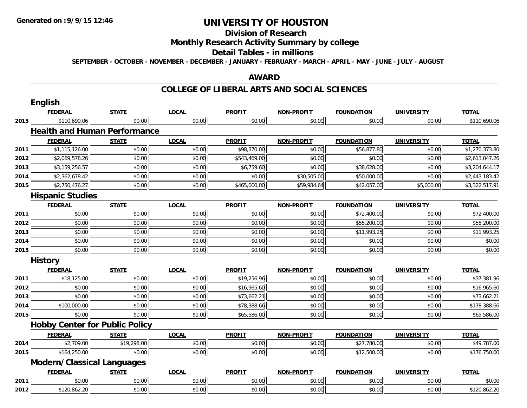#### **Division of Research**

### **Monthly Research Activity Summary by college**

#### **Detail Tables - in millions**

**SEPTEMBER - OCTOBER - NOVEMBER - DECEMBER - JANUARY - FEBRUARY - MARCH - APRIL - MAY - JUNE - JULY - AUGUST**

### **AWARD**

|      | English                               |              |              |               |                   |                   |                   |                |
|------|---------------------------------------|--------------|--------------|---------------|-------------------|-------------------|-------------------|----------------|
|      | <b>FEDERAL</b>                        | <b>STATE</b> | <b>LOCAL</b> | <b>PROFIT</b> | <b>NON-PROFIT</b> | <b>FOUNDATION</b> | <b>UNIVERSITY</b> | <b>TOTAL</b>   |
| 2015 | \$110,690.06                          | \$0.00       | \$0.00       | \$0.00        | \$0.00            | \$0.00            | \$0.00            | \$110,690.06   |
|      | <b>Health and Human Performance</b>   |              |              |               |                   |                   |                   |                |
|      | <b>FEDERAL</b>                        | <b>STATE</b> | <b>LOCAL</b> | <b>PROFIT</b> | <b>NON-PROFIT</b> | <b>FOUNDATION</b> | <b>UNIVERSITY</b> | <b>TOTAL</b>   |
| 2011 | \$1,115,126.00                        | \$0.00       | \$0.00       | \$98,370.00   | \$0.00            | \$56,877.80       | \$0.00            | \$1,270,373.80 |
| 2012 | \$2,069,578.26                        | \$0.00       | \$0.00       | \$543,469.00  | \$0.00            | \$0.00            | \$0.00            | \$2,613,047.26 |
| 2013 | \$3,159,256.57                        | \$0.00       | \$0.00       | \$6,759.60    | \$0.00            | \$38,628.00       | \$0.00            | \$3,204,644.17 |
| 2014 | \$2,362,678.42                        | \$0.00       | \$0.00       | \$0.00        | \$30,505.00       | \$50,000.00       | \$0.00            | \$2,443,183.42 |
| 2015 | \$2,750,476.27                        | \$0.00       | \$0.00       | \$465,000.00  | \$59,984.64       | \$42,057.00       | \$5,000.00        | \$3,322,517.91 |
|      | <b>Hispanic Studies</b>               |              |              |               |                   |                   |                   |                |
|      | <b>FEDERAL</b>                        | <b>STATE</b> | <b>LOCAL</b> | <b>PROFIT</b> | <b>NON-PROFIT</b> | <b>FOUNDATION</b> | <b>UNIVERSITY</b> | <b>TOTAL</b>   |
| 2011 | \$0.00                                | \$0.00       | \$0.00       | \$0.00        | \$0.00            | \$72,400.00       | \$0.00            | \$72,400.00    |
| 2012 | \$0.00                                | \$0.00       | \$0.00       | \$0.00        | \$0.00            | \$55,200.00       | \$0.00            | \$55,200.00    |
| 2013 | \$0.00                                | \$0.00       | \$0.00       | \$0.00        | \$0.00            | \$11,993.25       | \$0.00            | \$11,993.25    |
| 2014 | \$0.00                                | \$0.00       | \$0.00       | \$0.00        | \$0.00            | \$0.00            | \$0.00            | \$0.00         |
| 2015 | \$0.00                                | \$0.00       | \$0.00       | \$0.00        | \$0.00            | \$0.00            | \$0.00            | \$0.00         |
|      | <b>History</b>                        |              |              |               |                   |                   |                   |                |
|      | <b>FEDERAL</b>                        | <b>STATE</b> | <b>LOCAL</b> | <b>PROFIT</b> | <b>NON-PROFIT</b> | <b>FOUNDATION</b> | <b>UNIVERSITY</b> | <b>TOTAL</b>   |
| 2011 | \$18,125.00                           | \$0.00       | \$0.00       | \$19,256.96   | \$0.00            | \$0.00            | \$0.00            | \$37,381.96    |
| 2012 | \$0.00                                | \$0.00       | \$0.00       | \$16,965.60   | \$0.00            | \$0.00            | \$0.00            | \$16,965.60    |
| 2013 | \$0.00                                | \$0.00       | \$0.00       | \$73,662.21   | \$0.00            | \$0.00            | \$0.00            | \$73,662.21    |
| 2014 | \$100,000.00                          | \$0.00       | \$0.00       | \$78,388.66   | \$0.00            | \$0.00            | \$0.00            | \$178,388.66   |
| 2015 | \$0.00                                | \$0.00       | \$0.00       | \$65,586.00   | \$0.00            | \$0.00            | \$0.00            | \$65,586.00    |
|      | <b>Hobby Center for Public Policy</b> |              |              |               |                   |                   |                   |                |
|      | <b>FEDERAL</b>                        | <b>STATE</b> | <b>LOCAL</b> | <b>PROFIT</b> | <b>NON-PROFIT</b> | <b>FOUNDATION</b> | <b>UNIVERSITY</b> | <b>TOTAL</b>   |
| 2014 | \$2,709.00                            | \$19,298.00  | \$0.00       | \$0.00        | \$0.00            | \$27,780.00       | \$0.00            | \$49,787.00    |
| 2015 | \$164,250.00                          | \$0.00       | \$0.00       | \$0.00        | \$0.00            | \$12,500.00       | \$0.00            | \$176,750.00   |
|      | <b>Modern/Classical Languages</b>     |              |              |               |                   |                   |                   |                |
|      | <b>FEDERAL</b>                        | <b>STATE</b> | <b>LOCAL</b> | <b>PROFIT</b> | <b>NON-PROFIT</b> | <b>FOUNDATION</b> | <b>UNIVERSITY</b> | <b>TOTAL</b>   |
| 2011 | \$0.00                                | \$0.00       | \$0.00       | \$0.00        | \$0.00            | \$0.00            | \$0.00            | \$0.00         |
| 2012 | \$120,862.20                          | \$0.00       | \$0.00       | \$0.00        | \$0.00            | \$0.00            | \$0.00            | \$120,862.20   |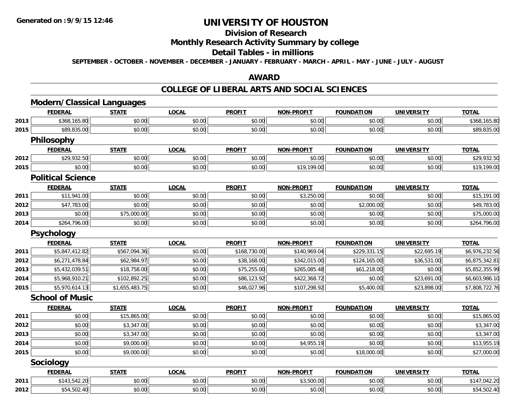#### **Division of Research**

### **Monthly Research Activity Summary by college**

#### **Detail Tables - in millions**

**SEPTEMBER - OCTOBER - NOVEMBER - DECEMBER - JANUARY - FEBRUARY - MARCH - APRIL - MAY - JUNE - JULY - AUGUST**

### **AWARD**

|      | <b>Modern/Classical Languages</b> |                |              |               |                   |                   |                   |                |
|------|-----------------------------------|----------------|--------------|---------------|-------------------|-------------------|-------------------|----------------|
|      | <b>FEDERAL</b>                    | <b>STATE</b>   | <b>LOCAL</b> | <b>PROFIT</b> | <b>NON-PROFIT</b> | <b>FOUNDATION</b> | <b>UNIVERSITY</b> | <b>TOTAL</b>   |
| 2013 | \$368,165.80                      | \$0.00         | \$0.00       | \$0.00        | \$0.00            | \$0.00            | \$0.00            | \$368,165.80   |
| 2015 | \$89,835.00                       | \$0.00         | \$0.00       | \$0.00        | \$0.00            | \$0.00            | \$0.00            | \$89,835.00    |
|      | <b>Philosophy</b>                 |                |              |               |                   |                   |                   |                |
|      | <b>FEDERAL</b>                    | <b>STATE</b>   | <b>LOCAL</b> | <b>PROFIT</b> | <b>NON-PROFIT</b> | <b>FOUNDATION</b> | <b>UNIVERSITY</b> | <b>TOTAL</b>   |
| 2012 | \$29,932.50                       | \$0.00         | \$0.00       | \$0.00        | \$0.00            | \$0.00            | \$0.00            | \$29,932.50    |
| 2015 | \$0.00                            | \$0.00         | \$0.00       | \$0.00        | \$19,199.00       | \$0.00            | \$0.00            | \$19,199.00    |
|      | <b>Political Science</b>          |                |              |               |                   |                   |                   |                |
|      | <b>FEDERAL</b>                    | <b>STATE</b>   | <b>LOCAL</b> | <b>PROFIT</b> | <b>NON-PROFIT</b> | <b>FOUNDATION</b> | <b>UNIVERSITY</b> | <b>TOTAL</b>   |
| 2011 | \$11,941.00                       | \$0.00         | \$0.00       | \$0.00        | \$3,250.00        | \$0.00            | \$0.00            | \$15,191.00    |
| 2012 | \$47,783.00                       | \$0.00         | \$0.00       | \$0.00        | \$0.00            | \$2,000.00        | \$0.00            | \$49,783.00    |
| 2013 | \$0.00                            | \$75,000.00    | \$0.00       | \$0.00        | \$0.00            | \$0.00            | \$0.00            | \$75,000.00    |
| 2014 | \$264,796.00                      | \$0.00         | \$0.00       | \$0.00        | \$0.00            | \$0.00            | \$0.00            | \$264,796.00   |
|      | <b>Psychology</b>                 |                |              |               |                   |                   |                   |                |
|      | <b>FEDERAL</b>                    | <b>STATE</b>   | <b>LOCAL</b> | <b>PROFIT</b> | <b>NON-PROFIT</b> | <b>FOUNDATION</b> | <b>UNIVERSITY</b> | <b>TOTAL</b>   |
| 2011 | \$5,847,412.82                    | \$567,094.36   | \$0.00       | \$168,730.00  | \$140,969.04      | \$229,331.15      | \$22,695.19       | \$6,976,232.56 |
| 2012 | \$6,271,478.84                    | \$62,984.97    | \$0.00       | \$38,168.00   | \$342,015.00      | \$124,165.00      | \$36,531.00       | \$6,875,342.81 |
| 2013 | \$5,432,039.51                    | \$18,758.00    | \$0.00       | \$75,255.00   | \$265,085.48      | \$61,218.00       | \$0.00            | \$5,852,355.99 |
| 2014 | \$5,968,910.21                    | \$102,892.25   | \$0.00       | \$86,123.92   | \$422,368.72      | \$0.00            | \$23,691.00       | \$6,603,986.10 |
| 2015 | \$5,970,614.13                    | \$1,655,483.75 | \$0.00       | \$46,027.96   | \$107,298.92      | \$5,400.00        | \$23,898.00       | \$7,808,722.76 |
|      | <b>School of Music</b>            |                |              |               |                   |                   |                   |                |
|      | <b>FEDERAL</b>                    | <b>STATE</b>   | <b>LOCAL</b> | <b>PROFIT</b> | <b>NON-PROFIT</b> | <b>FOUNDATION</b> | <b>UNIVERSITY</b> | <b>TOTAL</b>   |
| 2011 | \$0.00                            | \$15,865.00    | \$0.00       | \$0.00        | \$0.00            | \$0.00            | \$0.00            | \$15,865.00    |
| 2012 | \$0.00                            | \$3,347.00     | \$0.00       | \$0.00        | \$0.00            | \$0.00            | \$0.00            | \$3,347.00     |
| 2013 | \$0.00                            | \$3,347.00     | \$0.00       | \$0.00        | \$0.00            | \$0.00            | \$0.00            | \$3,347.00     |
| 2014 | \$0.00                            | \$9,000.00     | \$0.00       | \$0.00        | \$4,955.19        | \$0.00            | \$0.00            | \$13,955.19    |
| 2015 | \$0.00                            | \$9,000.00     | \$0.00       | \$0.00        | \$0.00            | \$18,000.00       | \$0.00            | \$27,000.00    |
|      | Sociology                         |                |              |               |                   |                   |                   |                |
|      | <b>FEDERAL</b>                    | <b>STATE</b>   | <b>LOCAL</b> | <b>PROFIT</b> | <b>NON-PROFIT</b> | <b>FOUNDATION</b> | <b>UNIVERSITY</b> | <b>TOTAL</b>   |
| 2011 | \$143,542.20                      | \$0.00         | \$0.00       | \$0.00        | \$3,500.00        | \$0.00            | \$0.00            | \$147,042.20   |
| 2012 | \$54,502.40                       | \$0.00         | \$0.00       | \$0.00        | \$0.00            | \$0.00            | \$0.00            | \$54,502.40    |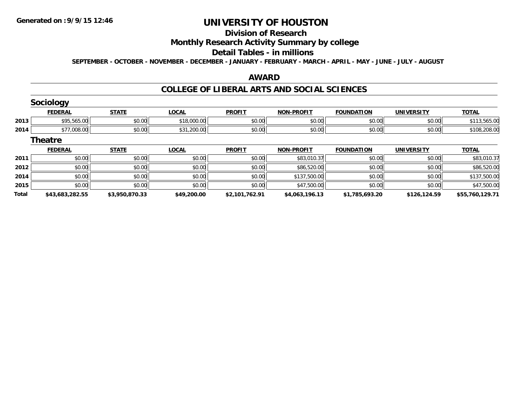# **Division of Research**

### **Monthly Research Activity Summary by college**

#### **Detail Tables - in millions**

**SEPTEMBER - OCTOBER - NOVEMBER - DECEMBER - JANUARY - FEBRUARY - MARCH - APRIL - MAY - JUNE - JULY - AUGUST**

### **AWARD**

|              | <b>Sociology</b> |                |              |                |                   |                   |                   |                 |
|--------------|------------------|----------------|--------------|----------------|-------------------|-------------------|-------------------|-----------------|
|              | <b>FEDERAL</b>   | <b>STATE</b>   | <b>LOCAL</b> | <b>PROFIT</b>  | <b>NON-PROFIT</b> | <b>FOUNDATION</b> | <b>UNIVERSITY</b> | <b>TOTAL</b>    |
| 2013         | \$95,565.00      | \$0.00         | \$18,000.00  | \$0.00         | \$0.00            | \$0.00            | \$0.00            | \$113,565.00    |
| 2014         | \$77,008.00      | \$0.00         | \$31,200.00  | \$0.00         | \$0.00            | \$0.00            | \$0.00            | \$108,208.00    |
|              | <b>Theatre</b>   |                |              |                |                   |                   |                   |                 |
|              | <b>FEDERAL</b>   | <b>STATE</b>   | <b>LOCAL</b> | <b>PROFIT</b>  | <b>NON-PROFIT</b> | <b>FOUNDATION</b> | <b>UNIVERSITY</b> | <b>TOTAL</b>    |
| 2011         | \$0.00           | \$0.00         | \$0.00       | \$0.00         | \$83,010.37       | \$0.00            | \$0.00            | \$83,010.37     |
| 2012         | \$0.00           | \$0.00         | \$0.00       | \$0.00         | \$86,520.00       | \$0.00            | \$0.00            | \$86,520.00     |
| 2014         | \$0.00           | \$0.00         | \$0.00       | \$0.00         | \$137,500.00      | \$0.00            | \$0.00            | \$137,500.00    |
| 2015         | \$0.00           | \$0.00         | \$0.00       | \$0.00         | \$47,500.00       | \$0.00            | \$0.00            | \$47,500.00     |
| <b>Total</b> | \$43,683,282.55  | \$3,950,870.33 | \$49,200.00  | \$2,101,762.91 | \$4,063,196.13    | \$1,785,693.20    | \$126,124.59      | \$55,760,129.71 |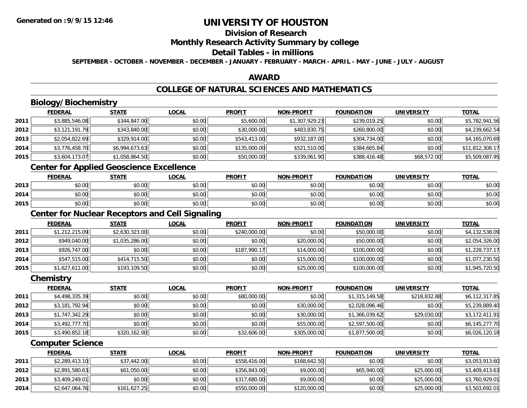## **Division of Research**

#### **Monthly Research Activity Summary by college**

### **Detail Tables - in millions**

**SEPTEMBER - OCTOBER - NOVEMBER - DECEMBER - JANUARY - FEBRUARY - MARCH - APRIL - MAY - JUNE - JULY - AUGUST**

### **AWARD**

# **COLLEGE OF NATURAL SCIENCES AND MATHEMATICS**

# **Biology/Biochemistry**

|      | <b>FEDERAL</b> | <b>STATE</b>   | <b>LOCAL</b> | <b>PROFIT</b> | <b>NON-PROFIT</b> | <b>FOUNDATION</b> | <b>UNIVERSITY</b> | <b>TOTAL</b>    |
|------|----------------|----------------|--------------|---------------|-------------------|-------------------|-------------------|-----------------|
| 2011 | \$3,885,546.08 | \$344,847.00   | \$0.00       | \$5,600.00    | \$1,307,929.23    | \$239,019.25      | \$0.00            | \$5,782,941.56  |
| 2012 | \$3,121,191.79 | \$343,840.00   | \$0.00       | \$30,000.00   | \$483,830.75      | \$260,800.00      | \$0.00            | \$4,239,662.54  |
| 2013 | \$2,054,822.69 | \$329,914.00   | \$0.00       | \$543,413.00  | \$932,187.00      | \$304,734.00      | \$0.00            | \$4,165,070.69  |
| 2014 | \$3,776,458.70 | \$6,994,673.63 | \$0.00       | \$135,000.00  | \$521,510.00      | \$384,665.84      | \$0.00            | \$11,812,308.17 |
| 2015 | \$3,604,173.07 | \$1,058,864.50 | \$0.00       | \$50,000.00   | \$339,061.90      | \$388,416.48      | \$68,572.00       | \$5,509,087.95  |

## **Center for Applied Geoscience Excellence**

|      | <b>FEDERAL</b>        | <b>STATE</b> | <b>LOCAL</b> | <b>PROFIT</b> | <b>NON-PROFIT</b> | <b>FOUNDATION</b> | UNIVERSITY<br>ERJI | <b>TOTAL</b> |
|------|-----------------------|--------------|--------------|---------------|-------------------|-------------------|--------------------|--------------|
| 2013 | <b>ተ ∩</b><br>vu.vu   | \$0.00       | \$0.00       | \$0.00        | \$0.00            | \$0.00            | \$0.00             | \$0.00       |
| 2014 | ¢∩<br>$\sim$<br>PU.UU | \$0.00       | \$0.00       | \$0.00        | \$0.00            | \$0.00            | \$0.00             | \$0.00       |
| 2015 | ¢∩<br>DU.UG           | \$0.00       | \$0.00       | \$0.00        | \$0.00            | \$0.00            | \$0.00             | \$0.00       |

# **Center for Nuclear Receptors and Cell Signaling**

|      | <b>FEDERAL</b> | <b>STATE</b>   | <u>LOCAL</u> | <b>PROFIT</b> | <b>NON-PROFIT</b> | <b>FOUNDATION</b> | <b>UNIVERSITY</b> | <b>TOTAL</b>   |
|------|----------------|----------------|--------------|---------------|-------------------|-------------------|-------------------|----------------|
| 2011 | \$1,212,215.09 | \$2,630,323.00 | \$0.00       | \$240,000.00  | \$0.00            | \$50,000.00       | \$0.00            | \$4,132,538.09 |
| 2012 | \$949,040.00   | \$1,035,286.00 | \$0.00       | \$0.00        | \$20,000.00       | \$50,000.00       | \$0.00            | \$2,054,326.00 |
| 2013 | \$926,747.00   | \$0.00         | \$0.00       | \$187,990.17  | \$14,000.00       | \$100,000.00      | \$0.00            | \$1,228,737.17 |
| 2014 | \$547,515.00   | \$414,715.50   | \$0.00       | \$0.00        | \$15,000.00       | \$100,000.00      | \$0.00            | \$1,077,230.50 |
| 2015 | \$1,627,611.00 | \$193,109.50   | \$0.00       | \$0.00        | \$25,000.00       | \$100,000.00      | \$0.00            | \$1,945,720.50 |

#### **Chemistry**

|      | <b>FEDERAL</b> | <b>STATE</b> | <b>LOCAL</b> | <b>PROFIT</b> | <b>NON-PROFIT</b> | <b>FOUNDATION</b> | <b>UNIVERSITY</b> | <u>TOTAL</u>   |
|------|----------------|--------------|--------------|---------------|-------------------|-------------------|-------------------|----------------|
| 2011 | \$4,498,335.39 | \$0.00       | \$0.00       | \$80,000.00   | \$0.00            | \$1,315,149.58    | \$218,832.88      | \$6,112,317.85 |
| 2012 | \$3,181,792.94 | \$0.00       | \$0.00       | \$0.00        | \$30,000.00       | \$2,028,096.46    | \$0.00            | \$5,239,889.40 |
| 2013 | \$1,747,342.29 | \$0.00       | \$0.00       | \$0.00        | \$30,000.00       | \$1,366,039.62    | \$29,030.00       | \$3,172,411.91 |
| 2014 | \$3,492,777.70 | \$0.00       | \$0.00       | \$0.00        | \$55,000.00       | \$2,597,500.00    | \$0.00            | \$6,145,277.70 |
| 2015 | \$3,490,852.18 | \$320,162.00 | \$0.00       | \$32,606.00   | \$305,000.00      | \$1,877,500.00    | \$0.00            | \$6,026,120.18 |

### **Computer Science**

|      | <u>FEDERAL</u> | <u>STATE</u> | <u>LOCAL</u> | <b>PROFIT</b> | <b>NON-PROFIT</b> | <b>FOUNDATION</b> | UNIVERSITY  | <b>TOTAL</b>   |
|------|----------------|--------------|--------------|---------------|-------------------|-------------------|-------------|----------------|
| 2011 | \$2,289,413.10 | \$37,442.00  | \$0.00       | \$558,416.00  | \$168,642.50      | \$0.00            | \$0.00      | \$3,053,913.60 |
| 2012 | \$2,891,580.63 | \$61,050.00  | \$0.00       | \$356,843,00  | \$9,000.00        | \$65,940.00       | \$25,000.00 | \$3,409,413.63 |
| 2013 | \$3,409,249.01 | \$0.00       | \$0.00       | \$317,680.00  | \$9,000.00        | \$0.00            | \$25,000.00 | \$3,760,929.01 |
| 2014 | \$2,647,064.76 | \$161,627.25 | \$0.00       | \$550,000.00  | \$120,000.00      | \$0.00            | \$25,000.00 | \$3,503,692.01 |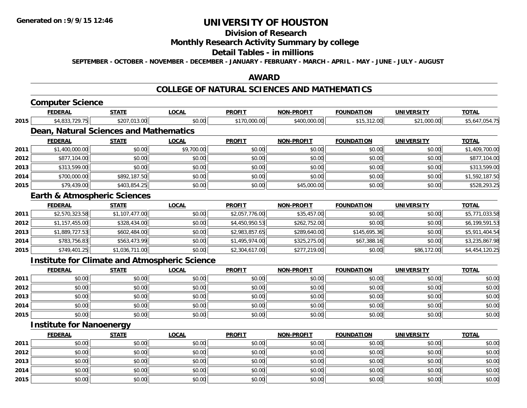# **Division of Research**

### **Monthly Research Activity Summary by college**

#### **Detail Tables - in millions**

**SEPTEMBER - OCTOBER - NOVEMBER - DECEMBER - JANUARY - FEBRUARY - MARCH - APRIL - MAY - JUNE - JULY - AUGUST**

### **AWARD**

#### **COLLEGE OF NATURAL SCIENCES AND MATHEMATICS**

# **Computer Science**

|      | <b>FEDERAL</b>                  | <b>STATE</b>                                         | <u>LOCAL</u> | <b>PROFIT</b>  | <b>NON-PROFIT</b> | <b>FOUNDATION</b> | UNIVERSITY        | <u>TOTAL</u>   |
|------|---------------------------------|------------------------------------------------------|--------------|----------------|-------------------|-------------------|-------------------|----------------|
| 2015 | \$4,833,729.75                  | \$207,013.00                                         | \$0.00       | \$170,000.00   | \$400,000.00      | \$15,312.00       | \$21,000.00       | \$5,647,054.75 |
|      |                                 | Dean, Natural Sciences and Mathematics               |              |                |                   |                   |                   |                |
|      | <b>FEDERAL</b>                  | <b>STATE</b>                                         | <b>LOCAL</b> | <b>PROFIT</b>  | <b>NON-PROFIT</b> | <b>FOUNDATION</b> | <b>UNIVERSITY</b> | <b>TOTAL</b>   |
| 2011 | \$1,400,000.00                  | \$0.00                                               | \$9,700.00   | \$0.00         | \$0.00            | \$0.00            | \$0.00            | \$1,409,700.00 |
| 2012 | \$877,104.00                    | \$0.00                                               | \$0.00       | \$0.00         | \$0.00            | \$0.00            | \$0.00            | \$877,104.00   |
| 2013 | \$313,599.00                    | \$0.00                                               | \$0.00       | \$0.00         | \$0.00            | \$0.00            | \$0.00            | \$313,599.00   |
| 2014 | \$700,000.00                    | \$892,187.50                                         | \$0.00       | \$0.00         | \$0.00            | \$0.00            | \$0.00            | \$1,592,187.50 |
| 2015 | \$79,439.00                     | \$403,854.25                                         | \$0.00       | \$0.00         | \$45,000.00       | \$0.00            | \$0.00            | \$528,293.25   |
|      |                                 | <b>Earth &amp; Atmospheric Sciences</b>              |              |                |                   |                   |                   |                |
|      | <b>FEDERAL</b>                  | <b>STATE</b>                                         | <b>LOCAL</b> | <b>PROFIT</b>  | <b>NON-PROFIT</b> | <b>FOUNDATION</b> | <b>UNIVERSITY</b> | <b>TOTAL</b>   |
| 2011 | \$2,570,323.58                  | \$1,107,477.00                                       | \$0.00       | \$2,057,776.00 | \$35,457.00       | \$0.00            | \$0.00            | \$5,771,033.58 |
| 2012 | \$1,157,455.00                  | \$328,434.00                                         | \$0.00       | \$4,450,950.53 | \$262,752.00      | \$0.00            | \$0.00            | \$6,199,591.53 |
| 2013 | \$1,889,727.53                  | \$602,484.00                                         | \$0.00       | \$2,983,857.65 | \$289,640.00      | \$145,695.36      | \$0.00            | \$5,911,404.54 |
| 2014 | \$783,756.83                    | \$563,473.99                                         | \$0.00       | \$1,495,974.00 | \$325,275.00      | \$67,388.16       | \$0.00            | \$3,235,867.98 |
| 2015 | \$749,401.25                    | \$1,036,711.00                                       | \$0.00       | \$2,304,617.00 | \$277,219.00      | \$0.00            | \$86,172.00       | \$4,454,120.25 |
|      |                                 | <b>Institute for Climate and Atmospheric Science</b> |              |                |                   |                   |                   |                |
|      | <b>FEDERAL</b>                  | <b>STATE</b>                                         | <b>LOCAL</b> | <b>PROFIT</b>  | <b>NON-PROFIT</b> | <b>FOUNDATION</b> | <b>UNIVERSITY</b> | <b>TOTAL</b>   |
| 2011 | \$0.00                          | \$0.00                                               | \$0.00       | \$0.00         | \$0.00            | \$0.00            | \$0.00            | \$0.00         |
| 2012 | \$0.00                          | \$0.00                                               | \$0.00       | \$0.00         | \$0.00            | \$0.00            | \$0.00            | \$0.00         |
| 2013 | \$0.00                          | \$0.00                                               | \$0.00       | \$0.00         | \$0.00            | \$0.00            | \$0.00            | \$0.00         |
| 2014 | \$0.00                          | \$0.00                                               | \$0.00       | \$0.00         | \$0.00            | \$0.00            | \$0.00            | \$0.00         |
| 2015 | \$0.00                          | \$0.00                                               | \$0.00       | \$0.00         | \$0.00            | \$0.00            | \$0.00            | \$0.00         |
|      | <b>Institute for Nanoenergy</b> |                                                      |              |                |                   |                   |                   |                |

|      | <b>FEDERAL</b> | <u>STATE</u> | <u>LOCAL</u> | <b>PROFIT</b> | <b>NON-PROFIT</b> | <b>FOUNDATION</b> | <b>UNIVERSITY</b> | <b>TOTAL</b> |
|------|----------------|--------------|--------------|---------------|-------------------|-------------------|-------------------|--------------|
| 2011 | \$0.00         | \$0.00       | \$0.00       | \$0.00        | \$0.00            | \$0.00            | \$0.00            | \$0.00       |
| 2012 | \$0.00         | \$0.00       | \$0.00       | \$0.00        | \$0.00            | \$0.00            | \$0.00            | \$0.00       |
| 2013 | \$0.00         | \$0.00       | \$0.00       | \$0.00        | \$0.00            | \$0.00            | \$0.00            | \$0.00       |
| 2014 | \$0.00         | \$0.00       | \$0.00       | \$0.00        | \$0.00            | \$0.00            | \$0.00            | \$0.00       |
| 2015 | \$0.00         | \$0.00       | \$0.00       | \$0.00        | \$0.00            | \$0.00            | \$0.00            | \$0.00       |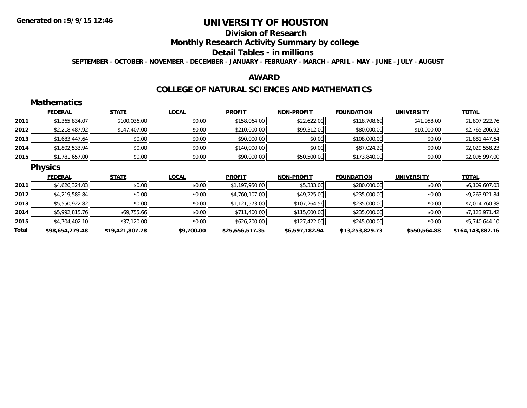#### **Division of Research**

**Monthly Research Activity Summary by college**

#### **Detail Tables - in millions**

**SEPTEMBER - OCTOBER - NOVEMBER - DECEMBER - JANUARY - FEBRUARY - MARCH - APRIL - MAY - JUNE - JULY - AUGUST**

#### **AWARD**

#### **COLLEGE OF NATURAL SCIENCES AND MATHEMATICS**

|       | <b>Mathematics</b> |                 |              |                 |                   |                   |                   |                  |
|-------|--------------------|-----------------|--------------|-----------------|-------------------|-------------------|-------------------|------------------|
|       | <b>FEDERAL</b>     | <b>STATE</b>    | <b>LOCAL</b> | <b>PROFIT</b>   | <b>NON-PROFIT</b> | <b>FOUNDATION</b> | <b>UNIVERSITY</b> | <b>TOTAL</b>     |
| 2011  | \$1,365,834.07     | \$100,036.00    | \$0.00       | \$158,064.00    | \$22,622.00       | \$118,708.69      | \$41,958.00       | \$1,807,222.76   |
| 2012  | \$2,218,487.92     | \$147,407.00    | \$0.00       | \$210,000.00    | \$99,312.00       | \$80,000.00       | \$10,000.00       | \$2,765,206.92   |
| 2013  | \$1,683,447.64     | \$0.00          | \$0.00       | \$90,000.00     | \$0.00            | \$108,000.00      | \$0.00            | \$1,881,447.64   |
| 2014  | \$1,802,533.94     | \$0.00          | \$0.00       | \$140,000.00    | \$0.00            | \$87,024.29       | \$0.00            | \$2,029,558.23   |
| 2015  | \$1,781,657.00     | \$0.00          | \$0.00       | \$90,000.00     | \$50,500.00       | \$173,840.00      | \$0.00            | \$2,095,997.00   |
|       | <b>Physics</b>     |                 |              |                 |                   |                   |                   |                  |
|       | <b>FEDERAL</b>     | <b>STATE</b>    | <b>LOCAL</b> | <b>PROFIT</b>   | <b>NON-PROFIT</b> | <b>FOUNDATION</b> | <b>UNIVERSITY</b> | <b>TOTAL</b>     |
| 2011  | \$4,626,324.03     | \$0.00          | \$0.00       | \$1,197,950.00  | \$5,333.00        | \$280,000.00      | \$0.00            | \$6,109,607.03   |
| 2012  | \$4,219,589.84     | \$0.00          | \$0.00       | \$4,760,107.00  | \$49,225.00       | \$235,000.00      | \$0.00            | \$9,263,921.84   |
| 2013  | \$5,550,922.82     | \$0.00          | \$0.00       | \$1,121,573.00  | \$107,264.56      | \$235,000.00      | \$0.00            | \$7,014,760.38   |
| 2014  | \$5,992,815.76     | \$69,755.66     | \$0.00       | \$711,400.00    | \$115,000.00      | \$235,000.00      | \$0.00            | \$7,123,971.42   |
| 2015  | \$4,704,402.10     | \$37,120.00     | \$0.00       | \$626,700.00    | \$127,422.00      | \$245,000.00      | \$0.00            | \$5,740,644.10   |
| Total | \$98,654,279.48    | \$19,421,807.78 | \$9,700.00   | \$25,656,517.35 | \$6,597,182.94    | \$13,253,829.73   | \$550,564.88      | \$164,143,882.16 |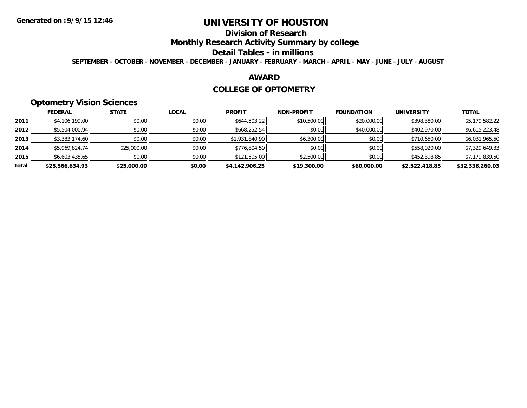# **Division of Research**

**Monthly Research Activity Summary by college**

#### **Detail Tables - in millions**

**SEPTEMBER - OCTOBER - NOVEMBER - DECEMBER - JANUARY - FEBRUARY - MARCH - APRIL - MAY - JUNE - JULY - AUGUST**

### **AWARD**

#### **COLLEGE OF OPTOMETRY**

# **Optometry Vision Sciences**

|       | __              |              |              |                |                   |                   |                   |                 |
|-------|-----------------|--------------|--------------|----------------|-------------------|-------------------|-------------------|-----------------|
|       | <b>FEDERAL</b>  | <b>STATE</b> | <b>LOCAL</b> | <b>PROFIT</b>  | <b>NON-PROFIT</b> | <b>FOUNDATION</b> | <b>UNIVERSITY</b> | <b>TOTAL</b>    |
| 2011  | \$4,106,199.00  | \$0.00       | \$0.00       | \$644,503.22   | \$10,500.00       | \$20,000.00       | \$398,380.00      | \$5,179,582.22  |
| 2012  | \$5,504,000.94  | \$0.00       | \$0.00       | \$668,252.54   | \$0.00            | \$40,000.00       | \$402,970.00      | \$6,615,223.48  |
| 2013  | \$3,383,174.60  | \$0.00       | \$0.00       | \$1,931,840.90 | \$6,300.00        | \$0.00            | \$710,650.00      | \$6,031,965.50  |
| 2014  | \$5,969,824.74  | \$25,000.00  | \$0.00       | \$776,804.59   | \$0.00            | \$0.00            | \$558,020.00      | \$7,329,649.33  |
| 2015  | \$6,603,435.65  | \$0.00       | \$0.00       | \$121,505.00   | \$2,500.00        | \$0.00            | \$452,398.85      | \$7,179,839.50  |
| Total | \$25,566,634.93 | \$25,000.00  | \$0.00       | \$4,142,906.25 | \$19,300.00       | \$60,000.00       | \$2,522,418.85    | \$32,336,260.03 |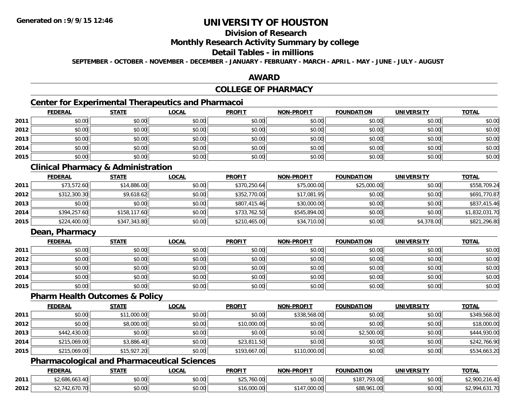# **Division of Research**

### **Monthly Research Activity Summary by college**

#### **Detail Tables - in millions**

**SEPTEMBER - OCTOBER - NOVEMBER - DECEMBER - JANUARY - FEBRUARY - MARCH - APRIL - MAY - JUNE - JULY - AUGUST**

### **AWARD**

## **COLLEGE OF PHARMACY**

## **Center for Experimental Therapeutics and Pharmacoi**

|      | <b>FEDERAL</b> | <b>STATE</b> | <b>LOCAL</b> | <b>PROFIT</b> | <b>NON-PROFIT</b> | <b>FOUNDATION</b> | <b>UNIVERSITY</b> | <b>TOTAL</b> |
|------|----------------|--------------|--------------|---------------|-------------------|-------------------|-------------------|--------------|
| 2011 | \$0.00         | \$0.00       | \$0.00       | \$0.00        | \$0.00            | \$0.00            | \$0.00            | \$0.00       |
| 2012 | \$0.00         | \$0.00       | \$0.00       | \$0.00        | \$0.00            | \$0.00            | \$0.00            | \$0.00       |
| 2013 | \$0.00         | \$0.00       | \$0.00       | \$0.00        | \$0.00            | \$0.00            | \$0.00            | \$0.00       |
| 2014 | \$0.00         | \$0.00       | \$0.00       | \$0.00        | \$0.00            | \$0.00            | \$0.00            | \$0.00       |
| 2015 | \$0.00         | \$0.00       | \$0.00       | \$0.00        | \$0.00            | \$0.00            | \$0.00            | \$0.00       |

## **Clinical Pharmacy & Administration**

|      | <b>FEDERAL</b> | <b>STATE</b> | <u>LOCAL</u> | <b>PROFIT</b> | <b>NON-PROFIT</b> | <b>FOUNDATION</b> | <b>UNIVERSITY</b> | <b>TOTAL</b>   |
|------|----------------|--------------|--------------|---------------|-------------------|-------------------|-------------------|----------------|
| 2011 | \$73,572.60    | \$14,886.00  | \$0.00       | \$370,250.64  | \$75,000.00       | \$25,000.00       | \$0.00            | \$558,709.24   |
| 2012 | \$312,300.30   | \$9,618.62   | \$0.00       | \$352,770.00  | \$17,081.95       | \$0.00            | \$0.00            | \$691,770.87   |
| 2013 | \$0.00         | \$0.00       | \$0.00       | \$807,415.46  | \$30,000.00       | \$0.00            | \$0.00            | \$837,415.46   |
| 2014 | \$394,257.60   | \$158,117.60 | \$0.00       | \$733,762.50  | \$545,894.00      | \$0.00            | \$0.00            | \$1,832,031.70 |
| 2015 | \$224,400.00   | \$347,343.80 | \$0.00       | \$210,465.00  | \$34,710.00       | \$0.00            | \$4,378.00        | \$821,296.80   |

## **Dean, Pharmacy**

|      | <b>FEDERAL</b> | <b>STATE</b> | <u>LOCAL</u> | <b>PROFIT</b> | <b>NON-PROFIT</b> | <b>FOUNDATION</b> | <b>UNIVERSITY</b> | <b>TOTAL</b> |
|------|----------------|--------------|--------------|---------------|-------------------|-------------------|-------------------|--------------|
| 2011 | \$0.00         | \$0.00       | \$0.00       | \$0.00        | \$0.00            | \$0.00            | \$0.00            | \$0.00       |
| 2012 | \$0.00         | \$0.00       | \$0.00       | \$0.00        | \$0.00            | \$0.00            | \$0.00            | \$0.00       |
| 2013 | \$0.00         | \$0.00       | \$0.00       | \$0.00        | \$0.00            | \$0.00            | \$0.00            | \$0.00       |
| 2014 | \$0.00         | \$0.00       | \$0.00       | \$0.00        | \$0.00            | \$0.00            | \$0.00            | \$0.00       |
| 2015 | \$0.00         | \$0.00       | \$0.00       | \$0.00        | \$0.00            | \$0.00            | \$0.00            | \$0.00       |

#### **Pharm Health Outcomes & Policy**

|      | <b>FEDERAL</b> | <b>STATE</b> | <b>LOCAL</b> | <b>PROFIT</b> | <b>NON-PROFIT</b> | <b>FOUNDATION</b> | <b>UNIVERSITY</b> | <b>TOTAL</b> |
|------|----------------|--------------|--------------|---------------|-------------------|-------------------|-------------------|--------------|
| 2011 | \$0.00         | \$11,000.00  | \$0.00       | \$0.00        | \$338,568.00      | \$0.00            | \$0.00            | \$349,568.00 |
| 2012 | \$0.00         | \$8,000.00   | \$0.00       | \$10,000.00   | \$0.00            | \$0.00            | \$0.00            | \$18,000.00  |
| 2013 | \$442,430.00   | \$0.00       | \$0.00       | \$0.00        | \$0.00            | \$2,500.00        | \$0.00            | \$444,930.00 |
| 2014 | \$215,069.00   | \$3,886.40   | \$0.00       | \$23,811.50   | \$0.00            | \$0.00            | \$0.00            | \$242,766.90 |
| 2015 | \$215,069.00   | \$15,927.20  | \$0.00       | \$193,667.00  | \$110,000.00      | \$0.00            | \$0.00            | \$534,663.20 |

### **Pharmacological and Pharmaceutical Sciences**

|      | <b>FEDERAL</b>                      | <b>STATE</b> | LOCAL  | <b>PROFIT</b>     | <b>J-PROFIT</b><br><b>NIONI</b>       | <b>FOUNDATION</b> | UNIVERSITY | <b>TOTAL</b>             |
|------|-------------------------------------|--------------|--------|-------------------|---------------------------------------|-------------------|------------|--------------------------|
| 2011 | 686.663.40                          | \$0.00       | \$0.00 | ሐ ሳ ୮<br>760.00 ( | 0.00<br>JU.UU                         | .793.00<br>\$18]  | \$0.00     | $\sim$<br>$\overline{a}$ |
| 2012 | $\overline{\phantom{a}}$<br>770. ZG | \$0.00       | \$0.00 | .000.00           | $\sim$ $\sim$<br>. <sub>IUU</sub> .UU | \$88,961.00<br>oo | \$0.00     | 531.70                   |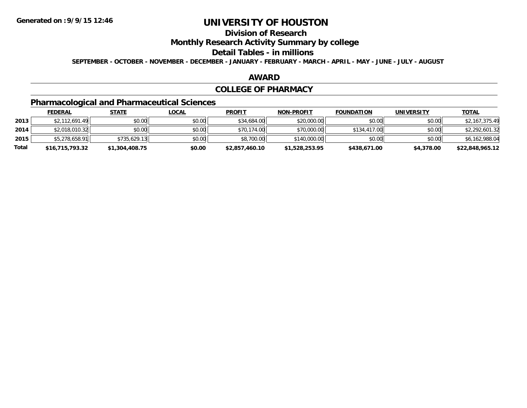# **Division of Research**

**Monthly Research Activity Summary by college**

#### **Detail Tables - in millions**

**SEPTEMBER - OCTOBER - NOVEMBER - DECEMBER - JANUARY - FEBRUARY - MARCH - APRIL - MAY - JUNE - JULY - AUGUST**

#### **AWARD**

#### **COLLEGE OF PHARMACY**

# **Pharmacological and Pharmaceutical Sciences**

|       | <b>FEDERAL</b>  | <u>STATE</u>   | <u>LOCAL</u> | <b>PROFIT</b>  | <b>NON-PROFIT</b> | <b>FOUNDATION</b> | <b>UNIVERSITY</b> | <b>TOTAL</b>    |
|-------|-----------------|----------------|--------------|----------------|-------------------|-------------------|-------------------|-----------------|
| 2013  | \$2,112,691.49  | \$0.00         | \$0.00       | \$34,684.00    | \$20,000.00       | \$0.00            | \$0.00            | \$2,167,375.49  |
| 2014  | \$2,018,010.32  | \$0.00         | \$0.00       | \$70,174.00    | \$70,000.00       | \$134,417,00      | \$0.00            | \$2,292,601.32  |
| 2015  | \$5,278,658.91  | \$735,629.13   | \$0.00       | \$8,700.00     | \$140,000.00      | \$0.00            | \$0.00            | \$6,162,988.04  |
| Total | \$16,715,793.32 | \$1,304,408.75 | \$0.00       | \$2,857,460.10 | \$1,528,253.95    | \$438,671.00      | \$4,378.00        | \$22,848,965.12 |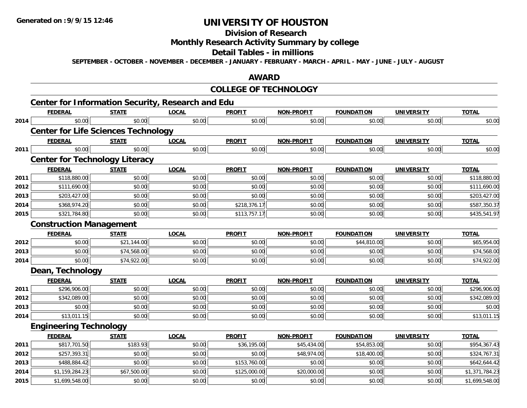#### **Division of Research**

# **Monthly Research Activity Summary by college**

#### **Detail Tables - in millions**

**SEPTEMBER - OCTOBER - NOVEMBER - DECEMBER - JANUARY - FEBRUARY - MARCH - APRIL - MAY - JUNE - JULY - AUGUST**

### **AWARD**

#### **COLLEGE OF TECHNOLOGY**

|      | <b>Center for Information Security, Research and Edu</b> |              |              |               |                   |                   |                   |                |
|------|----------------------------------------------------------|--------------|--------------|---------------|-------------------|-------------------|-------------------|----------------|
|      | <b>FEDERAL</b>                                           | <b>STATE</b> | <b>LOCAL</b> | <b>PROFIT</b> | <b>NON-PROFIT</b> | <b>FOUNDATION</b> | <b>UNIVERSITY</b> | <b>TOTAL</b>   |
| 2014 | \$0.00                                                   | \$0.00       | \$0.00       | \$0.00        | \$0.00            | \$0.00            | \$0.00            | \$0.00         |
|      | <b>Center for Life Sciences Technology</b>               |              |              |               |                   |                   |                   |                |
|      | <b>FEDERAL</b>                                           | <b>STATE</b> | <b>LOCAL</b> | <b>PROFIT</b> | <b>NON-PROFIT</b> | <b>FOUNDATION</b> | <b>UNIVERSITY</b> | <b>TOTAL</b>   |
| 2011 | \$0.00                                                   | \$0.00       | \$0.00       | \$0.00        | \$0.00            | \$0.00            | \$0.00            | \$0.00         |
|      | <b>Center for Technology Literacy</b>                    |              |              |               |                   |                   |                   |                |
|      | <b>FEDERAL</b>                                           | <b>STATE</b> | <b>LOCAL</b> | <b>PROFIT</b> | <b>NON-PROFIT</b> | <b>FOUNDATION</b> | <b>UNIVERSITY</b> | <b>TOTAL</b>   |
| 2011 | \$118,880.00                                             | \$0.00       | \$0.00       | \$0.00        | \$0.00            | \$0.00            | \$0.00            | \$118,880.00   |
| 2012 | \$111,690.00                                             | \$0.00       | \$0.00       | \$0.00        | \$0.00            | \$0.00            | \$0.00            | \$111,690.00   |
| 2013 | \$203,427.00                                             | \$0.00       | \$0.00       | \$0.00        | \$0.00            | \$0.00            | \$0.00            | \$203,427.00   |
| 2014 | \$368,974.20                                             | \$0.00       | \$0.00       | \$218,376.17  | \$0.00            | \$0.00            | \$0.00            | \$587,350.37   |
| 2015 | \$321,784.80                                             | \$0.00       | \$0.00       | \$113,757.17  | \$0.00            | \$0.00            | \$0.00            | \$435,541.97   |
|      | <b>Construction Management</b>                           |              |              |               |                   |                   |                   |                |
|      | <b>FEDERAL</b>                                           | <b>STATE</b> | <b>LOCAL</b> | <b>PROFIT</b> | <b>NON-PROFIT</b> | <b>FOUNDATION</b> | <b>UNIVERSITY</b> | <b>TOTAL</b>   |
| 2012 | \$0.00                                                   | \$21,144.00  | \$0.00       | \$0.00        | \$0.00            | \$44,810.00       | \$0.00            | \$65,954.00    |
| 2013 | \$0.00                                                   | \$74,568.00  | \$0.00       | \$0.00        | \$0.00            | \$0.00            | \$0.00            | \$74,568.00    |
| 2014 | \$0.00                                                   | \$74,922.00  | \$0.00       | \$0.00        | \$0.00            | \$0.00            | \$0.00            | \$74,922.00    |
|      | Dean, Technology                                         |              |              |               |                   |                   |                   |                |
|      | <b>FEDERAL</b>                                           | <b>STATE</b> | <b>LOCAL</b> | <b>PROFIT</b> | <b>NON-PROFIT</b> | <b>FOUNDATION</b> | <b>UNIVERSITY</b> | <b>TOTAL</b>   |
| 2011 | \$296,906.00                                             | \$0.00       | \$0.00       | \$0.00        | \$0.00            | \$0.00            | \$0.00            | \$296,906.00   |
| 2012 | \$342,089.00                                             | \$0.00       | \$0.00       | \$0.00        | \$0.00            | \$0.00            | \$0.00            | \$342,089.00   |
| 2013 | \$0.00                                                   | \$0.00       | \$0.00       | \$0.00        | \$0.00            | \$0.00            | \$0.00            | \$0.00         |
| 2014 | \$13,011.15                                              | \$0.00       | \$0.00       | \$0.00        | \$0.00            | \$0.00            | \$0.00            | \$13,011.15    |
|      | <b>Engineering Technology</b>                            |              |              |               |                   |                   |                   |                |
|      | <b>FEDERAL</b>                                           | <b>STATE</b> | <b>LOCAL</b> | <b>PROFIT</b> | <b>NON-PROFIT</b> | <b>FOUNDATION</b> | <b>UNIVERSITY</b> | <b>TOTAL</b>   |
| 2011 | \$817,701.50                                             | \$183.93     | \$0.00       | \$36,195.00   | \$45,434.00       | \$54,853.00       | \$0.00            | \$954,367.43   |
| 2012 | \$257,393.31                                             | \$0.00       | \$0.00       | \$0.00        | \$48,974.00       | \$18,400.00       | \$0.00            | \$324,767.31   |
| 2013 | \$488,884.42                                             | \$0.00       | \$0.00       | \$153,760.00  | \$0.00            | \$0.00            | \$0.00            | \$642,644.42   |
| 2014 | \$1,159,284.23                                           | \$67,500.00  | \$0.00       | \$125,000.00  | \$20,000.00       | \$0.00            | \$0.00            | \$1,371,784.23 |
| 2015 | \$1,699,548.00                                           | \$0.00       | \$0.00       | \$0.00        | \$0.00            | \$0.00            | \$0.00            | \$1,699,548.00 |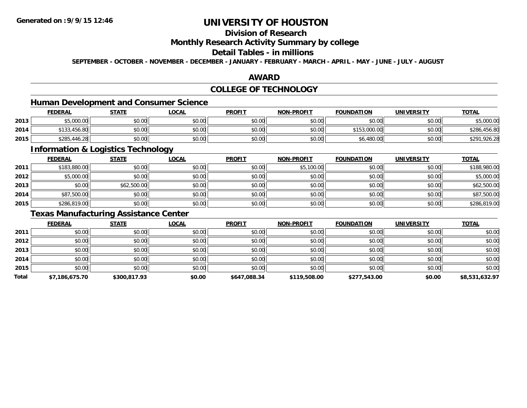## **Division of Research**

#### **Monthly Research Activity Summary by college**

## **Detail Tables - in millions**

**SEPTEMBER - OCTOBER - NOVEMBER - DECEMBER - JANUARY - FEBRUARY - MARCH - APRIL - MAY - JUNE - JULY - AUGUST**

### **AWARD**

## **COLLEGE OF TECHNOLOGY**

### **Human Development and Consumer Science**

|      | <b>FEDERAL</b> | <u>STATE</u> | <u>LOCAL</u> | <b>PROFIT</b> | <b>NON-PROFIT</b> | <b>FOUNDATION</b> | <b>UNIVERSITY</b> | <b>TOTAL</b>     |
|------|----------------|--------------|--------------|---------------|-------------------|-------------------|-------------------|------------------|
| 2013 | \$5,000.00     | \$0.00       | \$0.00       | \$0.00        | \$0.00            | \$0.00            | \$0.00            | \$5,000.00       |
| 2014 | \$133,456.80   | \$0.00       | \$0.00       | \$0.00        | \$0.00            | \$153,000.00      | \$0.00            | .456.80<br>\$286 |
| 2015 | \$285,446.28   | \$0.00       | \$0.00       | \$0.00        | \$0.00            | \$6,480.00        | \$0.00            | \$291,926.28     |

<u> 1989 - Johann Stoff, deutscher Stoffen und der Stoffen und der Stoffen und der Stoffen und der Stoffen und de</u>

### **Information & Logistics Technology**

|      | <b>FEDERAL</b> | <b>STATE</b> | <b>LOCAL</b> | <b>PROFIT</b> | NON-PROFIT | <b>FOUNDATION</b> | <b>UNIVERSITY</b> | <b>TOTAL</b> |
|------|----------------|--------------|--------------|---------------|------------|-------------------|-------------------|--------------|
| 2011 | \$183,880.00   | \$0.00       | \$0.00       | \$0.00        | \$5,100.00 | \$0.00            | \$0.00            | \$188,980.00 |
| 2012 | \$5,000.00     | \$0.00       | \$0.00       | \$0.00        | \$0.00     | \$0.00            | \$0.00            | \$5,000.00   |
| 2013 | \$0.00         | \$62,500.00  | \$0.00       | \$0.00        | \$0.00     | \$0.00            | \$0.00            | \$62,500.00  |
| 2014 | \$87,500.00    | \$0.00       | \$0.00       | \$0.00        | \$0.00     | \$0.00            | \$0.00            | \$87,500.00  |
| 2015 | \$286,819.00   | \$0.00       | \$0.00       | \$0.00        | \$0.00     | \$0.00            | \$0.00            | \$286,819.00 |

## **Texas Manufacturing Assistance Center**

|       | <b>FEDERAL</b> | <b>STATE</b> | <u>LOCAL</u> | <b>PROFIT</b> | <b>NON-PROFIT</b> | <b>FOUNDATION</b> | <b>UNIVERSITY</b> | <b>TOTAL</b>   |
|-------|----------------|--------------|--------------|---------------|-------------------|-------------------|-------------------|----------------|
| 2011  | \$0.00         | \$0.00       | \$0.00       | \$0.00        | \$0.00            | \$0.00            | \$0.00            | \$0.00         |
| 2012  | \$0.00         | \$0.00       | \$0.00       | \$0.00        | \$0.00            | \$0.00            | \$0.00            | \$0.00         |
| 2013  | \$0.00         | \$0.00       | \$0.00       | \$0.00        | \$0.00            | \$0.00            | \$0.00            | \$0.00         |
| 2014  | \$0.00         | \$0.00       | \$0.00       | \$0.00        | \$0.00            | \$0.00            | \$0.00            | \$0.00         |
| 2015  | \$0.00         | \$0.00       | \$0.00       | \$0.00        | \$0.00            | \$0.00            | \$0.00            | \$0.00         |
| Total | \$7,186,675.70 | \$300,817.93 | \$0.00       | \$647,088.34  | \$119,508.00      | \$277,543.00      | \$0.00            | \$8,531,632.97 |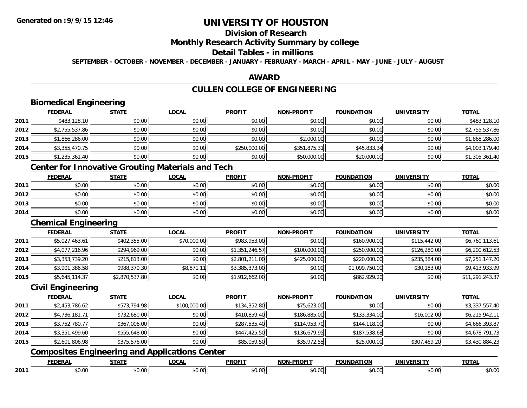## **Division of Research**

### **Monthly Research Activity Summary by college**

## **Detail Tables - in millions**

**SEPTEMBER - OCTOBER - NOVEMBER - DECEMBER - JANUARY - FEBRUARY - MARCH - APRIL - MAY - JUNE - JULY - AUGUST**

### **AWARD**

# **CULLEN COLLEGE OF ENGINEERING**

# **Biomedical Engineering**

|      | <b>FEDERAL</b> | <b>STATE</b> | <u>LOCAL</u> | <b>PROFIT</b> | <b>NON-PROFIT</b> | <b>FOUNDATION</b> | <b>UNIVERSITY</b> | <b>TOTAL</b>   |
|------|----------------|--------------|--------------|---------------|-------------------|-------------------|-------------------|----------------|
| 2011 | \$483,128.10   | \$0.00       | \$0.00       | \$0.00        | \$0.00            | \$0.00            | \$0.00            | \$483,128.10   |
| 2012 | \$2,755,537.86 | \$0.00       | \$0.00       | \$0.00        | \$0.00            | \$0.00            | \$0.00            | \$2,755,537.86 |
| 2013 | \$1,866,286.00 | \$0.00       | \$0.00       | \$0.00        | \$2,000.00        | \$0.00            | \$0.00            | \$1,868,286.00 |
| 2014 | \$3,355,470.75 | \$0.00       | \$0.00       | \$250,000.00  | \$351,875.31      | \$45,833.34       | \$0.00            | \$4,003,179.40 |
| 2015 | \$1,235,361.40 | \$0.00       | \$0.00       | \$0.00        | \$50,000.00       | \$20,000.00       | \$0.00            | \$1,305,361.40 |

### **Center for Innovative Grouting Materials and Tech**

|      | <b>FEDERAL</b> | <b>STATE</b> | <b>LOCAL</b> | <b>PROFIT</b> | <b>NON-PROFIT</b> | <b>FOUNDATION</b> | <b>UNIVERSITY</b> | <b>TOTAL</b> |
|------|----------------|--------------|--------------|---------------|-------------------|-------------------|-------------------|--------------|
| 2011 | \$0.00         | \$0.00       | \$0.00       | \$0.00        | \$0.00            | \$0.00            | \$0.00            | \$0.00       |
| 2012 | \$0.00         | \$0.00       | \$0.00       | \$0.00        | \$0.00            | \$0.00            | \$0.00            | \$0.00       |
| 2013 | \$0.00         | \$0.00       | \$0.00       | \$0.00        | \$0.00            | \$0.00            | \$0.00            | \$0.00       |
| 2014 | \$0.00         | \$0.00       | \$0.00       | \$0.00        | \$0.00            | \$0.00            | \$0.00            | \$0.00       |

### **Chemical Engineering**

|      | <b>FEDERAL</b> | <b>STATE</b>   | <u>LOCAL</u> | <b>PROFIT</b>  | <b>NON-PROFIT</b> | <b>FOUNDATION</b> | <b>UNIVERSITY</b> | <b>TOTAL</b>    |
|------|----------------|----------------|--------------|----------------|-------------------|-------------------|-------------------|-----------------|
| 2011 | \$5,027,463.61 | \$402,355.00   | \$70,000.00  | \$983,953.00   | \$0.00            | \$160,900.00      | \$115,442.00      | \$6,760,113.61  |
| 2012 | \$4,077,216.96 | \$294,969.00   | \$0.00       | \$1,351,246.57 | \$100,000.00      | \$250,900.00      | \$126,280.00      | \$6,200,612.53  |
| 2013 | \$3,353,739.20 | \$215,813.00   | \$0.00       | \$2,801,211.00 | \$425,000.00      | \$220,000.00      | \$235,384.00      | \$7,251,147.20  |
| 2014 | \$3,901,386.58 | \$988,370.30   | \$8,871.11   | \$3,385,373.00 | \$0.00            | \$1,099,750.00    | \$30,183.00       | \$9,413,933.99  |
| 2015 | \$5,645,114.37 | \$2,870,537.80 | \$0.00       | \$1,912,662.00 | \$0.00            | \$862,929.20      | \$0.00            | \$11,291,243.37 |

#### **Civil Engineering**

|      | <b>FEDERAL</b> | <b>STATE</b> | <u>LOCAL</u> | <b>PROFIT</b> | <b>NON-PROFIT</b> | <b>FOUNDATION</b> | <b>UNIVERSITY</b> | <b>TOTAL</b>   |
|------|----------------|--------------|--------------|---------------|-------------------|-------------------|-------------------|----------------|
| 2011 | \$2,453,786.62 | \$573,794.98 | \$100,000.00 | \$134,352.80  | \$75,623.00       | \$0.00            | \$0.00            | \$3,337,557.40 |
| 2012 | \$4,736,181.71 | \$732,680.00 | \$0.00       | \$410,859.40  | \$186,885.00      | \$133,334.00      | \$16,002.00       | \$6,215,942.11 |
| 2013 | \$3,752,780.77 | \$367,006.00 | \$0.00       | \$287,535.40  | \$114,953.70      | \$144,118.00      | \$0.00            | \$4,666,393.87 |
| 2014 | \$3,351,499.60 | \$555,648.00 | \$0.00       | \$447,425.50  | \$136,679.95      | \$187,538.68      | \$0.00            | \$4,678,791.73 |
| 2015 | \$2,601,806.98 | \$375,576.00 | \$0.00       | \$85,059.50   | \$35,972.55       | \$25,000.00       | \$307,469.20      | \$3,430,884.23 |
|      |                |              |              |               |                   |                   |                   |                |

#### **Composites Engineering and Applications Center**

|      | <b>FEDERAI</b>          | <b>CTATE</b>                | <b>_OCAI</b> | <b>DDOEIT</b><br>ושמ | <b>DDOEIT</b><br>וחרות | <b>INDA</b>  | ידו אר<br><b>JNIVF</b> | $-2 - 1$<br>$\mathbf{u}$ |
|------|-------------------------|-----------------------------|--------------|----------------------|------------------------|--------------|------------------------|--------------------------|
| 2011 | 0 <sup>0</sup><br>JU.UU | $\sim$ $\sim$<br>Ωr<br>ט.טע | $\sim$       | ታ ጦ                  | וה י<br>ישט.           | 500<br>וטטוע | $\sim$ 00<br>PO.OO     | ሶስ ሰስ<br>PO.OO           |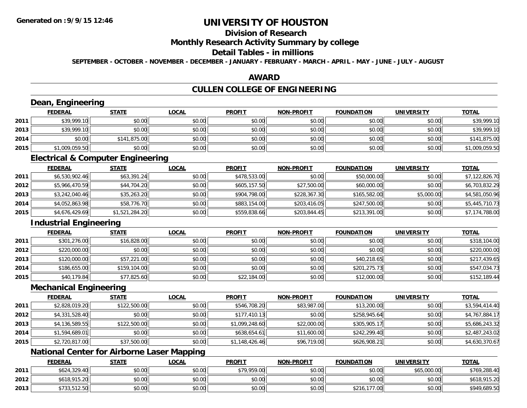**2013**

# **UNIVERSITY OF HOUSTON**

# **Division of Research**

### **Monthly Research Activity Summary by college**

#### **Detail Tables - in millions**

**SEPTEMBER - OCTOBER - NOVEMBER - DECEMBER - JANUARY - FEBRUARY - MARCH - APRIL - MAY - JUNE - JULY - AUGUST**

### **AWARD**

## **CULLEN COLLEGE OF ENGINEERING**

|      | Dean, Engineering                                 |                |              |                |                   |                   |                   |                |
|------|---------------------------------------------------|----------------|--------------|----------------|-------------------|-------------------|-------------------|----------------|
|      | <b>FEDERAL</b>                                    | <b>STATE</b>   | <b>LOCAL</b> | <b>PROFIT</b>  | <b>NON-PROFIT</b> | <b>FOUNDATION</b> | <b>UNIVERSITY</b> | <b>TOTAL</b>   |
| 2011 | \$39,999.10                                       | \$0.00         | \$0.00       | \$0.00         | \$0.00            | \$0.00            | \$0.00            | \$39,999.10    |
| 2013 | \$39,999.10                                       | \$0.00         | \$0.00       | \$0.00         | \$0.00            | \$0.00            | \$0.00            | \$39,999.10    |
| 2014 | \$0.00                                            | \$141,875.00   | \$0.00       | \$0.00         | \$0.00            | \$0.00            | \$0.00            | \$141,875.00   |
| 2015 | \$1,009,059.50                                    | \$0.00         | \$0.00       | \$0.00         | \$0.00            | \$0.00            | \$0.00            | \$1,009,059.50 |
|      | <b>Electrical &amp; Computer Engineering</b>      |                |              |                |                   |                   |                   |                |
|      | <b>FEDERAL</b>                                    | <b>STATE</b>   | <b>LOCAL</b> | <b>PROFIT</b>  | <b>NON-PROFIT</b> | <b>FOUNDATION</b> | <b>UNIVERSITY</b> | <b>TOTAL</b>   |
| 2011 | \$6,530,902.46                                    | \$63,391.24    | \$0.00       | \$478,533.00   | \$0.00            | \$50,000.00       | \$0.00            | \$7,122,826.70 |
| 2012 | \$5,966,470.59                                    | \$44,704.20    | \$0.00       | \$605,157.50   | \$27,500.00       | \$60,000.00       | \$0.00            | \$6,703,832.29 |
| 2013 | \$3,242,040.46                                    | \$35,263.20    | \$0.00       | \$904,798.00   | \$228,367.30      | \$165,582.00      | \$5,000.00        | \$4,581,050.96 |
| 2014 | \$4,052,863.98                                    | \$58,776.70    | \$0.00       | \$883,154.00   | \$203,416.05      | \$247,500.00      | \$0.00            | \$5,445,710.73 |
| 2015 | \$4,676,429.69                                    | \$1,521,284.20 | \$0.00       | \$559,838.66   | \$203,844.45      | \$213,391.00      | \$0.00            | \$7,174,788.00 |
|      | <b>Industrial Engineering</b>                     |                |              |                |                   |                   |                   |                |
|      | <b>FEDERAL</b>                                    | <b>STATE</b>   | <b>LOCAL</b> | <b>PROFIT</b>  | <b>NON-PROFIT</b> | <b>FOUNDATION</b> | <b>UNIVERSITY</b> | <b>TOTAL</b>   |
| 2011 | \$301,276.00                                      | \$16,828.00    | \$0.00       | \$0.00         | \$0.00            | \$0.00            | \$0.00            | \$318,104.00   |
| 2012 | \$220,000.00                                      | \$0.00         | \$0.00       | \$0.00         | \$0.00            | \$0.00            | \$0.00            | \$220,000.00   |
| 2013 | \$120,000.00                                      | \$57,221.00    | \$0.00       | \$0.00         | \$0.00            | \$40,218.65       | \$0.00            | \$217,439.65   |
| 2014 | \$186,655.00                                      | \$159,104.00   | \$0.00       | \$0.00         | \$0.00            | \$201,275.73      | \$0.00            | \$547,034.73   |
| 2015 | \$40,179.84                                       | \$77,825.60    | \$0.00       | \$22,184.00    | \$0.00            | \$12,000.00       | \$0.00            | \$152,189.44   |
|      | <b>Mechanical Engineering</b>                     |                |              |                |                   |                   |                   |                |
|      | <b>FEDERAL</b>                                    | <b>STATE</b>   | <b>LOCAL</b> | <b>PROFIT</b>  | <b>NON-PROFIT</b> | <b>FOUNDATION</b> | <b>UNIVERSITY</b> | <b>TOTAL</b>   |
| 2011 | \$2,828,019.20                                    | \$122,500.00   | \$0.00       | \$546,708.20   | \$83,987.00       | \$13,200.00       | \$0.00            | \$3,594,414.40 |
| 2012 | \$4,331,528.40                                    | \$0.00         | \$0.00       | \$177,410.13   | \$0.00            | \$258,945.64      | \$0.00            | \$4,767,884.17 |
| 2013 | \$4,136,589.55                                    | \$122,500.00   | \$0.00       | \$1,099,248.60 | \$22,000.00       | \$305,905.17      | \$0.00            | \$5,686,243.32 |
| 2014 | \$1,594,689.01                                    | \$0.00         | \$0.00       | \$638,654.61   | \$11,600.00       | \$242,299.40      | \$0.00            | \$2,487,243.02 |
| 2015 | \$2,720,817.00                                    | \$37,500.00    | \$0.00       | \$1,148,426.46 | \$96,719.00       | \$626,908.21      | \$0.00            | \$4,630,370.67 |
|      | <b>National Center for Airborne Laser Mapping</b> |                |              |                |                   |                   |                   |                |
|      | <b>FEDERAL</b>                                    | <b>STATE</b>   | <b>LOCAL</b> | <b>PROFIT</b>  | <b>NON-PROFIT</b> | <b>FOUNDATION</b> | <b>UNIVERSITY</b> | <b>TOTAL</b>   |
| 2011 | \$624,329.40                                      | \$0.00         | \$0.00       | \$79,959.00    | \$0.00            | \$0.00            | \$65,000.00       | \$769,288.40   |
| 2012 | \$618,915.20                                      | \$0.00         | \$0.00       | \$0.00         | \$0.00            | \$0.00            | \$0.00            | \$618,915.20   |

\$733,512.50 \$0.00 \$0.00 \$0.00 \$0.00 \$216,177.00 \$0.00 \$949,689.50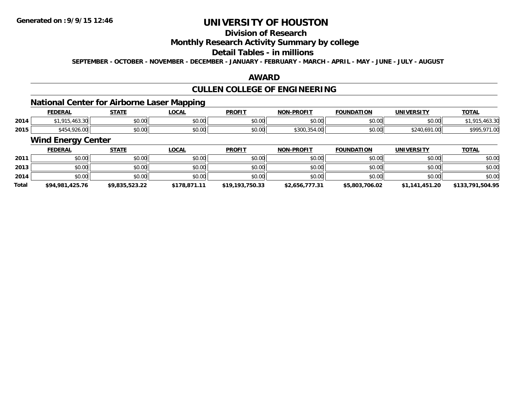## **Division of Research**

### **Monthly Research Activity Summary by college**

## **Detail Tables - in millions**

**SEPTEMBER - OCTOBER - NOVEMBER - DECEMBER - JANUARY - FEBRUARY - MARCH - APRIL - MAY - JUNE - JULY - AUGUST**

### **AWARD**

# **CULLEN COLLEGE OF ENGINEERING**

## **National Center for Airborne Laser Mapping**

|      | <b>FEDERAL</b>                     | <b>STATE</b> | LOCAL  | <b>PROFIT</b> | <b>NON-PROFIT</b>       | <b>FOUNDATION</b>     | <b>UNIVERSITY</b> | <b>TOTAL</b>                   |
|------|------------------------------------|--------------|--------|---------------|-------------------------|-----------------------|-------------------|--------------------------------|
| 2014 | ا 20 من ۱۲ .<br>0.4F<br>00.OU<br>. | \$0.00       | \$0.00 | 0000<br>PO.OO | \$0.00                  | 0.00<br>JU.UU         | \$0.00            | $\sim$ $\sim$<br>01E<br>403.31 |
| 2015 | \$454,926<br>$\sim$<br>920.UU      | \$0.00       | \$0.00 | \$0.00        | 1.25100<br>\$300,354.00 | nn no<br><b>DU.UU</b> | J∠40,691 ∩∩"      | <b>COOF</b><br><i>u 1 J</i> J  |

# **Wind Energy Center**

|              | <b>FEDERAL</b>  | <b>STATE</b>   | <u>LOCAL</u> | <b>PROFIT</b>   | <b>NON-PROFIT</b> | <b>FOUNDATION</b> | <b>UNIVERSITY</b> | <b>TOTAL</b>     |
|--------------|-----------------|----------------|--------------|-----------------|-------------------|-------------------|-------------------|------------------|
| 2011         | \$0.00          | \$0.00         | \$0.00       | \$0.00          | \$0.00            | \$0.00            | \$0.00            | \$0.00           |
| 2013         | \$0.00          | \$0.00         | \$0.00       | \$0.00          | \$0.00            | \$0.00            | \$0.00            | \$0.00           |
| 2014         | \$0.00          | \$0.00         | \$0.00       | \$0.00          | \$0.00            | \$0.00            | \$0.00            | \$0.00           |
| <b>Total</b> | \$94,981,425.76 | \$9,835,523.22 | \$178,871.11 | \$19,193,750.33 | \$2,656,777.31    | \$5,803,706.02    | \$1,141,451.20    | \$133,791,504.95 |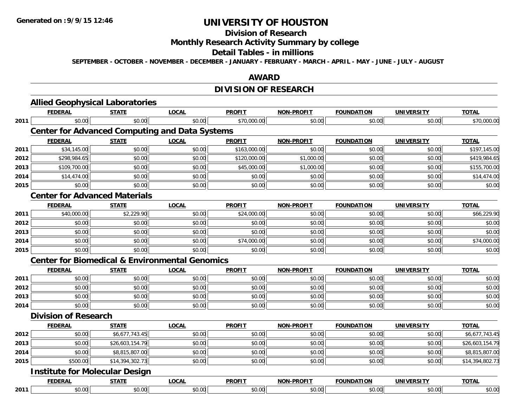#### **Division of Research**

**Monthly Research Activity Summary by college**

#### **Detail Tables - in millions**

**SEPTEMBER - OCTOBER - NOVEMBER - DECEMBER - JANUARY - FEBRUARY - MARCH - APRIL - MAY - JUNE - JULY - AUGUST**

### **AWARD**

# **DIVISION OF RESEARCH**

|      | <b>Allied Geophysical Laboratories</b>                    |                 |              |               |                   |                   |                   |                 |
|------|-----------------------------------------------------------|-----------------|--------------|---------------|-------------------|-------------------|-------------------|-----------------|
|      | <b>FEDERAL</b>                                            | <b>STATE</b>    | <b>LOCAL</b> | <b>PROFIT</b> | <b>NON-PROFIT</b> | <b>FOUNDATION</b> | <b>UNIVERSITY</b> | <b>TOTAL</b>    |
| 2011 | \$0.00                                                    | \$0.00          | \$0.00       | \$70,000.00   | \$0.00            | \$0.00            | \$0.00            | \$70,000.00     |
|      | <b>Center for Advanced Computing and Data Systems</b>     |                 |              |               |                   |                   |                   |                 |
|      | <b>FEDERAL</b>                                            | <b>STATE</b>    | <b>LOCAL</b> | <b>PROFIT</b> | <b>NON-PROFIT</b> | <b>FOUNDATION</b> | <b>UNIVERSITY</b> | <b>TOTAL</b>    |
| 2011 | \$34,145.00                                               | \$0.00          | \$0.00       | \$163,000.00  | \$0.00            | \$0.00            | \$0.00            | \$197,145.00    |
| 2012 | \$298,984.65                                              | \$0.00          | \$0.00       | \$120,000.00  | \$1,000.00        | \$0.00            | \$0.00            | \$419,984.65    |
| 2013 | \$109,700.00                                              | \$0.00          | \$0.00       | \$45,000.00   | \$1,000.00        | \$0.00            | \$0.00            | \$155,700.00    |
| 2014 | \$14,474.00                                               | \$0.00          | \$0.00       | \$0.00        | \$0.00            | \$0.00            | \$0.00            | \$14,474.00     |
| 2015 | \$0.00                                                    | \$0.00          | \$0.00       | \$0.00        | \$0.00            | \$0.00            | \$0.00            | \$0.00          |
|      | <b>Center for Advanced Materials</b>                      |                 |              |               |                   |                   |                   |                 |
|      | <b>FEDERAL</b>                                            | <b>STATE</b>    | <b>LOCAL</b> | <b>PROFIT</b> | <b>NON-PROFIT</b> | <b>FOUNDATION</b> | <b>UNIVERSITY</b> | <b>TOTAL</b>    |
| 2011 | \$40,000.00                                               | \$2,229.90      | \$0.00       | \$24,000.00   | \$0.00            | \$0.00            | \$0.00            | \$66,229.90     |
| 2012 | \$0.00                                                    | \$0.00          | \$0.00       | \$0.00        | \$0.00            | \$0.00            | \$0.00            | \$0.00          |
| 2013 | \$0.00                                                    | \$0.00          | \$0.00       | \$0.00        | \$0.00            | \$0.00            | \$0.00            | \$0.00          |
| 2014 | \$0.00                                                    | \$0.00          | \$0.00       | \$74,000.00   | \$0.00            | \$0.00            | \$0.00            | \$74,000.00     |
| 2015 | \$0.00                                                    | \$0.00          | \$0.00       | \$0.00        | \$0.00            | \$0.00            | \$0.00            | \$0.00          |
|      | <b>Center for Biomedical &amp; Environmental Genomics</b> |                 |              |               |                   |                   |                   |                 |
|      | <b>FEDERAL</b>                                            | <b>STATE</b>    | <b>LOCAL</b> | <b>PROFIT</b> | <b>NON-PROFIT</b> | <b>FOUNDATION</b> | <b>UNIVERSITY</b> | <b>TOTAL</b>    |
| 2011 | \$0.00                                                    | \$0.00          | \$0.00       | \$0.00        | \$0.00            | \$0.00            | \$0.00            | \$0.00          |
| 2012 | \$0.00                                                    | \$0.00          | \$0.00       | \$0.00        | \$0.00            | \$0.00            | \$0.00            | \$0.00          |
| 2013 | \$0.00                                                    | \$0.00          | \$0.00       | \$0.00        | \$0.00            | \$0.00            | \$0.00            | \$0.00          |
| 2014 | \$0.00                                                    | \$0.00          | \$0.00       | \$0.00        | \$0.00            | \$0.00            | \$0.00            | \$0.00          |
|      | <b>Division of Research</b>                               |                 |              |               |                   |                   |                   |                 |
|      | <b>FEDERAL</b>                                            | <b>STATE</b>    | <b>LOCAL</b> | <b>PROFIT</b> | <b>NON-PROFIT</b> | <b>FOUNDATION</b> | <b>UNIVERSITY</b> | <b>TOTAL</b>    |
| 2012 | \$0.00                                                    | \$6,677,743.45  | \$0.00       | \$0.00        | \$0.00            | \$0.00            | \$0.00            | \$6,677,743.45  |
| 2013 | \$0.00                                                    | \$26,603,154.79 | \$0.00       | \$0.00        | \$0.00            | \$0.00            | \$0.00            | \$26,603,154.79 |
| 2014 | \$0.00                                                    | \$8,815,807.00  | \$0.00       | \$0.00        | \$0.00            | \$0.00            | \$0.00            | \$8,815,807.00  |
| 2015 | \$500.00                                                  | \$14,394,302.73 | \$0.00       | \$0.00        | \$0.00            | \$0.00            | \$0.00            | \$14,394,802.73 |
|      | <b>Institute for Molecular Design</b>                     |                 |              |               |                   |                   |                   |                 |
|      | <b>FEDERAL</b>                                            | <b>STATE</b>    | <b>LOCAL</b> | <b>PROFIT</b> | <b>NON-PROFIT</b> | <b>FOUNDATION</b> | <b>UNIVERSITY</b> | <b>TOTAL</b>    |
| 2011 | \$0.00                                                    | \$0.00          | \$0.00       | \$0.00        | \$0.00            | \$0.00            | \$0.00            | \$0.00          |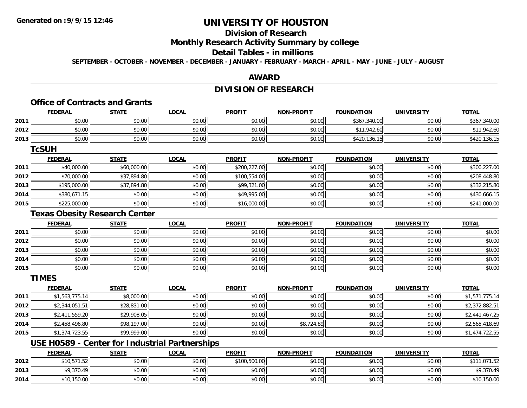## **Division of Research**

**Monthly Research Activity Summary by college**

### **Detail Tables - in millions**

**SEPTEMBER - OCTOBER - NOVEMBER - DECEMBER - JANUARY - FEBRUARY - MARCH - APRIL - MAY - JUNE - JULY - AUGUST**

### **AWARD**

## **DIVISION OF RESEARCH**

#### **Office of Contracts and Grants**

|      | <b>FEDERAL</b> | <b>STATE</b> | <u>LOCAL</u> | <b>PROFIT</b> | <b>NON-PROFIT</b> | <b>FOUNDATION</b> | <b>UNIVERSITY</b> | <b>TOTAL</b> |
|------|----------------|--------------|--------------|---------------|-------------------|-------------------|-------------------|--------------|
| 2011 | \$0.00         | \$0.00       | \$0.00       | \$0.00        | \$0.00            | \$367,340.00      | \$0.00            | \$367,340.00 |
| 2012 | \$0.00         | \$0.00       | \$0.00       | \$0.00        | \$0.00            | \$11,942.60       | \$0.00            | \$11,942.60  |
| 2013 | \$0.00         | \$0.00       | \$0.00       | \$0.00        | \$0.00            | \$420,136.15      | \$0.00            | \$420,136.15 |
|      | <b>TcSUH</b>   |              |              |               |                   |                   |                   |              |

|      | <u>FEDERAL</u> | <b>STATE</b> | <b>LOCAL</b> | <b>PROFIT</b> | <b>NON-PROFIT</b> | <b>FOUNDATION</b> | <b>UNIVERSITY</b> | <b>TOTAL</b> |
|------|----------------|--------------|--------------|---------------|-------------------|-------------------|-------------------|--------------|
| 2011 | \$40,000.00    | \$60,000.00  | \$0.00       | \$200,227.00  | \$0.00            | \$0.00            | \$0.00            | \$300,227.00 |
| 2012 | \$70,000.00    | \$37,894.80  | \$0.00       | \$100,554.00  | \$0.00            | \$0.00            | \$0.00            | \$208,448.80 |
| 2013 | \$195,000.00   | \$37,894.80  | \$0.00       | \$99,321.00   | \$0.00            | \$0.00            | \$0.00            | \$332,215.80 |
| 2014 | \$380.671.15   | \$0.00       | \$0.00       | \$49,995.00   | \$0.00            | \$0.00            | \$0.00            | \$430,666.15 |
| 2015 | \$225,000.00   | \$0.00       | \$0.00       | \$16,000.00   | \$0.00            | \$0.00            | \$0.00            | \$241,000.00 |

### **Texas Obesity Research Center**

|      | <b>FEDERAL</b> | <b>STATE</b> | <u>LOCAL</u> | <b>PROFIT</b> | <b>NON-PROFIT</b> | <b>FOUNDATION</b> | <b>UNIVERSITY</b> | <b>TOTAL</b> |
|------|----------------|--------------|--------------|---------------|-------------------|-------------------|-------------------|--------------|
| 2011 | \$0.00         | \$0.00       | \$0.00       | \$0.00        | \$0.00            | \$0.00            | \$0.00            | \$0.00       |
| 2012 | \$0.00         | \$0.00       | \$0.00       | \$0.00        | \$0.00            | \$0.00            | \$0.00            | \$0.00       |
| 2013 | \$0.00         | \$0.00       | \$0.00       | \$0.00        | \$0.00            | \$0.00            | \$0.00            | \$0.00       |
| 2014 | \$0.00         | \$0.00       | \$0.00       | \$0.00        | \$0.00            | \$0.00            | \$0.00            | \$0.00       |
| 2015 | \$0.00         | \$0.00       | \$0.00       | \$0.00        | \$0.00            | \$0.00            | \$0.00            | \$0.00       |

#### **TIMES**

|      | <b>FEDERAL</b> | <u>STATE</u> | <u>LOCAL</u> | <b>PROFIT</b> | <b>NON-PROFIT</b> | <b>FOUNDATION</b> | <b>UNIVERSITY</b> | <b>TOTAL</b>   |
|------|----------------|--------------|--------------|---------------|-------------------|-------------------|-------------------|----------------|
| 2011 | \$1,563,775.14 | \$8,000.00   | \$0.00       | \$0.00        | \$0.00            | \$0.00            | \$0.00            | \$1,571,775.14 |
| 2012 | \$2,344,051.51 | \$28,831.00  | \$0.00       | \$0.00        | \$0.00            | \$0.00            | \$0.00            | \$2,372,882.51 |
| 2013 | \$2,411,559.20 | \$29,908.05  | \$0.00       | \$0.00        | \$0.00            | \$0.00            | \$0.00            | \$2,441,467.25 |
| 2014 | \$2,458,496.80 | \$98,197.00  | \$0.00       | \$0.00        | \$8,724.89        | \$0.00            | \$0.00            | \$2,565,418.69 |
| 2015 | \$1,374,723.55 | \$99,999.00  | \$0.00       | \$0.00        | \$0.00            | \$0.00            | \$0.00            | \$1,474,722.55 |

## **USE H0589 - Center for Industrial Partnerships**

|      | FEDERAL     | <b>STATE</b> | <u>LOCAL</u> | <b>PROFIT</b> | <b>NON-PROFIT</b> | <b>FOUNDATION</b> | <b>UNIVERSITY</b> | <b>TOTAL</b>           |
|------|-------------|--------------|--------------|---------------|-------------------|-------------------|-------------------|------------------------|
| 2012 | \$10,571.52 | \$0.00       | \$0.00       | \$100,500.00  | \$0.00            | \$0.00            | \$0.00            | 1.071.52<br><b>¢11</b> |
| 2013 | \$9,370.49  | \$0.00       | \$0.00       | \$0.00        | \$0.00            | \$0.00            | \$0.00            | \$9,370.49             |
| 2014 | \$10,150.00 | \$0.00       | \$0.00       | \$0.00        | \$0.00            | \$0.00            | \$0.00            | \$10,150.00            |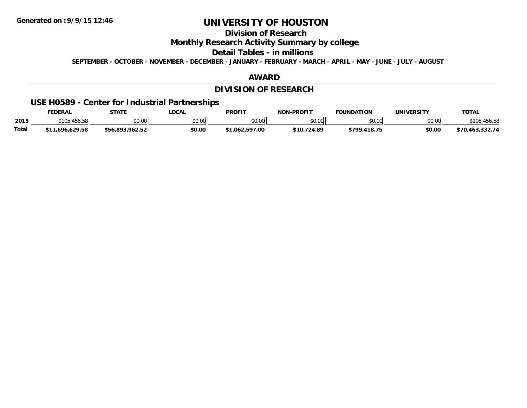# **Division of Research**

**Monthly Research Activity Summary by college**

**Detail Tables - in millions**

**SEPTEMBER - OCTOBER - NOVEMBER - DECEMBER - JANUARY - FEBRUARY - MARCH - APRIL - MAY - JUNE - JULY - AUGUST**

### **AWARD**

## **DIVISION OF RESEARCH**

### **USE H0589 - Center for Industrial Partnerships**

|              | <b>FEDERAL</b>                  | <b>STATE</b>    | <b>OCAL</b>    | <b>PROFIT</b> | <b>NON-PROFIT</b> | <b>FOUNDATION</b> | UNIVERSITY | <b>TOTAL</b>         |
|--------------|---------------------------------|-----------------|----------------|---------------|-------------------|-------------------|------------|----------------------|
| 2015         | A E L E O<br>\$105.<br>,,,,,,,, | \$0.00          | en uu<br>JU.UU | \$0.00        | \$0.00            | \$0.00            | \$0.00     |                      |
| <b>Total</b> | 696.629.58<br>$+44$             | \$56.893.962.52 | \$0.00         | 062.597.00    | \$10.724.89       | \$799,418.75      | \$0.00     | 1,463,332.74<br>∸ ר^ |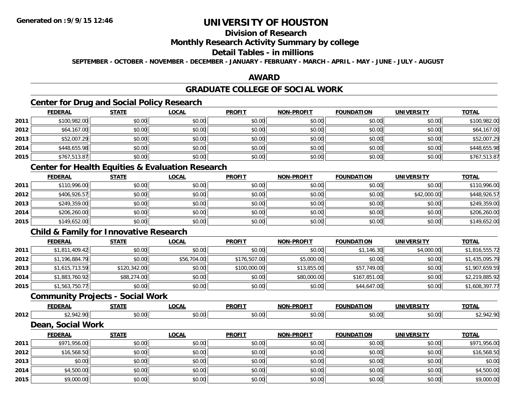## **Division of Research**

#### **Monthly Research Activity Summary by college**

### **Detail Tables - in millions**

**SEPTEMBER - OCTOBER - NOVEMBER - DECEMBER - JANUARY - FEBRUARY - MARCH - APRIL - MAY - JUNE - JULY - AUGUST**

### **AWARD**

# **GRADUATE COLLEGE OF SOCIAL WORK**

# **Center for Drug and Social Policy Research**

|      | <b>FEDERAL</b> | <b>STATE</b> | <b>LOCAL</b> | <b>PROFIT</b> | <b>NON-PROFIT</b> | <b>FOUNDATION</b> | <b>UNIVERSITY</b> | <b>TOTAL</b> |
|------|----------------|--------------|--------------|---------------|-------------------|-------------------|-------------------|--------------|
| 2011 | \$100,982.00   | \$0.00       | \$0.00       | \$0.00        | \$0.00            | \$0.00            | \$0.00            | \$100,982.00 |
| 2012 | \$64,167.00    | \$0.00       | \$0.00       | \$0.00        | \$0.00            | \$0.00            | \$0.00            | \$64,167.00  |
| 2013 | \$52,007.29    | \$0.00       | \$0.00       | \$0.00        | \$0.00            | \$0.00            | \$0.00            | \$52,007.29  |
| 2014 | \$448,655.98   | \$0.00       | \$0.00       | \$0.00        | \$0.00            | \$0.00            | \$0.00            | \$448,655.98 |
| 2015 | \$767,513.87   | \$0.00       | \$0.00       | \$0.00        | \$0.00            | \$0.00            | \$0.00            | \$767,513.87 |

# **Center for Health Equities & Evaluation Research**

|      | <b>FEDERAL</b> | <b>STATE</b> | <b>LOCAL</b> | <b>PROFIT</b> | <b>NON-PROFIT</b> | <b>FOUNDATION</b> | <b>UNIVERSITY</b> | <b>TOTAL</b> |
|------|----------------|--------------|--------------|---------------|-------------------|-------------------|-------------------|--------------|
| 2011 | \$110,996.00   | \$0.00       | \$0.00       | \$0.00        | \$0.00            | \$0.00            | \$0.00            | \$110,996.00 |
| 2012 | \$406,926.57   | \$0.00       | \$0.00       | \$0.00        | \$0.00            | \$0.00            | \$42,000.00       | \$448,926.57 |
| 2013 | \$249,359.00   | \$0.00       | \$0.00       | \$0.00        | \$0.00            | \$0.00            | \$0.00            | \$249,359.00 |
| 2014 | \$206,260.00   | \$0.00       | \$0.00       | \$0.00        | \$0.00            | \$0.00            | \$0.00            | \$206,260.00 |
| 2015 | \$149,652.00   | \$0.00       | \$0.00       | \$0.00        | \$0.00            | \$0.00            | \$0.00            | \$149,652.00 |

## **Child & Family for Innovative Research**

|      | <b>FEDERAL</b> | <u>STATE</u> | <b>LOCAL</b> | <b>PROFIT</b> | <b>NON-PROFIT</b> | <b>FOUNDATION</b> | UNIVERSITY | <b>TOTAL</b>   |
|------|----------------|--------------|--------------|---------------|-------------------|-------------------|------------|----------------|
| 2011 | \$1,811,409.42 | \$0.00       | \$0.00       | \$0.00        | \$0.00            | \$1,146.30        | \$4,000.00 | \$1,816,555.72 |
| 2012 | \$1,196,884.79 | \$0.00       | \$56,704.00  | \$176,507.00  | \$5,000.00        | \$0.00            | \$0.00     | \$1,435,095.79 |
| 2013 | \$1,615,713.59 | \$120,342.00 | \$0.00       | \$100,000.00  | \$13,855.00       | \$57,749.00       | \$0.00     | \$1,907,659.59 |
| 2014 | \$1,883,760.92 | \$88,274.00  | \$0.00       | \$0.00        | \$80,000.00       | \$167,851.00      | \$0.00     | \$2,219,885.92 |
| 2015 | \$1,563,750.77 | \$0.00       | \$0.00       | \$0.00        | \$0.00            | \$44,647.00       | \$0.00     | \$1,608,397.77 |

### **Community Projects - Social Work**

|      | <u>FEDERAL</u>    | STATE          | <u>LOCAL</u> | <b>PROFIT</b> | <b>NON-PROFIT</b> | <b>FOUNDATION</b> | <b>UNIVERSITY</b> | <b>TOTAL</b> |
|------|-------------------|----------------|--------------|---------------|-------------------|-------------------|-------------------|--------------|
| 2012 | \$2,942.90        | \$0.00         | \$0.00       | \$0.00        | \$0.00            | \$0.00            | \$0.00            | \$2,942.90   |
|      | Dean, Social Work |                |              |               |                   |                   |                   |              |
|      | <u>FEDERAL</u>    | <b>STATE</b>   | <u>LOCAL</u> | <b>PROFIT</b> | <b>NON-PROFIT</b> | FOUNDATION        | <b>UNIVERSITY</b> | <b>TOTAL</b> |
| 0011 | 0.7105600         | $\mathbb{R}^n$ | 0000         | 0.00          | 0.00              | 0.00              | 0.001             | 0.7105600    |

| 2011 | \$971,956.00 | \$0.00 | \$0.00 | \$0.00 | \$0.00 | \$0.00 | \$0.00 | \$971,956.00 |
|------|--------------|--------|--------|--------|--------|--------|--------|--------------|
| 2012 | \$16,568.50  | \$0.00 | \$0.00 | \$0.00 | \$0.00 | \$0.00 | \$0.00 | \$16,568.50  |
| 2013 | \$0.00       | \$0.00 | \$0.00 | \$0.00 | \$0.00 | \$0.00 | \$0.00 | \$0.00       |
| 2014 | \$4,500.00   | \$0.00 | \$0.00 | \$0.00 | \$0.00 | \$0.00 | \$0.00 | \$4,500.00   |
| 2015 | \$9,000.00   | \$0.00 | \$0.00 | \$0.00 | \$0.00 | \$0.00 | \$0.00 | \$9,000.00   |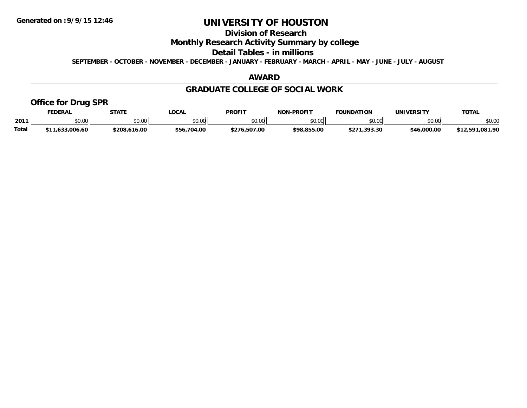# **Division of Research**

### **Monthly Research Activity Summary by college**

#### **Detail Tables - in millions**

**SEPTEMBER - OCTOBER - NOVEMBER - DECEMBER - JANUARY - FEBRUARY - MARCH - APRIL - MAY - JUNE - JULY - AUGUST**

### **AWARD**

#### **GRADUATE COLLEGE OF SOCIAL WORK**

### **Office for Drug SPR**

|              | <b>FEDERAL</b> | <b>STATE</b>  | LOCAL       | <b>PROFIT</b> | <b>J-PROFIT</b><br>— NO™ | <b>FOUNDATION</b>      | UNIVERSITY  | <b>TOTAL</b>        |
|--------------|----------------|---------------|-------------|---------------|--------------------------|------------------------|-------------|---------------------|
| 2011         | \$0.00         | 0000<br>JU.UU | \$0.00      | \$0.00        | <b>¢∩ ∩∩</b><br>JU.UU    | \$0.00                 | \$0.00      | \$0.00              |
| <b>Total</b> | .633.006.60    | \$208,616.00  | \$56,704.00 | \$276,507.00  | \$98,855.00              | .393.30<br><b>¢クフィ</b> | \$46,000.00 | .081.90<br>\$12.501 |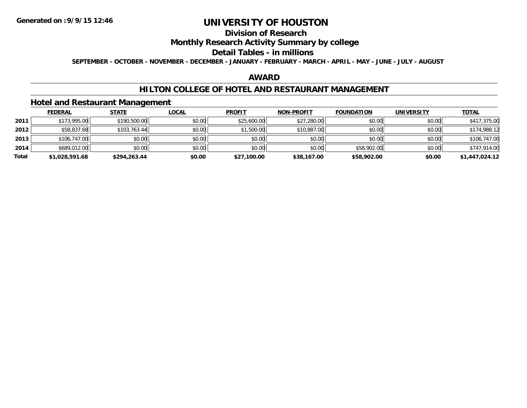# **Division of Research**

### **Monthly Research Activity Summary by college**

#### **Detail Tables - in millions**

**SEPTEMBER - OCTOBER - NOVEMBER - DECEMBER - JANUARY - FEBRUARY - MARCH - APRIL - MAY - JUNE - JULY - AUGUST**

### **AWARD**

#### **HILTON COLLEGE OF HOTEL AND RESTAURANT MANAGEMENT**

#### **Hotel and Restaurant Management**

|       | <b>FEDERAL</b> | <b>STATE</b> | <u>LOCAL</u> | <b>PROFIT</b> | <b>NON-PROFIT</b> | <b>FOUNDATION</b> | <b>UNIVERSITY</b> | <u>TOTAL</u>   |
|-------|----------------|--------------|--------------|---------------|-------------------|-------------------|-------------------|----------------|
| 2011  | \$173,995.00   | \$190,500.00 | \$0.00       | \$25,600.00   | \$27,280.00       | \$0.00            | \$0.00            | \$417,375.00   |
| 2012  | \$58,837.68    | \$103,763.44 | \$0.00       | \$1,500.00    | \$10,887.00       | \$0.00            | \$0.00            | \$174,988.12   |
| 2013  | \$106,747.00   | \$0.00       | \$0.00       | \$0.00        | \$0.00            | \$0.00            | \$0.00            | \$106,747.00   |
| 2014  | \$689,012.00   | \$0.00       | \$0.00       | \$0.00        | \$0.00            | \$58,902.00       | \$0.00            | \$747,914.00   |
| Total | \$1,028,591.68 | \$294,263.44 | \$0.00       | \$27,100.00   | \$38,167.00       | \$58,902.00       | \$0.00            | \$1,447,024.12 |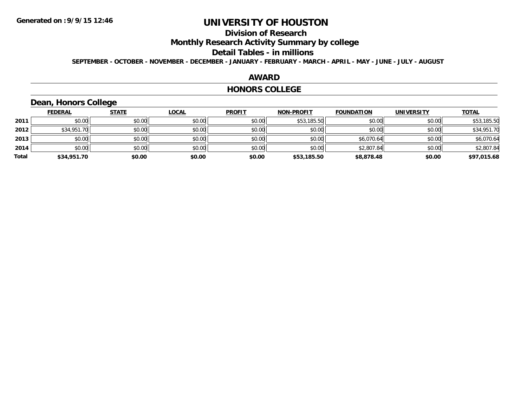# **Division of Research**

**Monthly Research Activity Summary by college**

#### **Detail Tables - in millions**

**SEPTEMBER - OCTOBER - NOVEMBER - DECEMBER - JANUARY - FEBRUARY - MARCH - APRIL - MAY - JUNE - JULY - AUGUST**

#### **AWARD**

#### **HONORS COLLEGE**

### **Dean, Honors College**

|       | <b>FEDERAL</b> | <b>STATE</b> | <b>LOCAL</b> | <b>PROFIT</b> | <b>NON-PROFIT</b> | <b>FOUNDATION</b> | <b>UNIVERSITY</b> | <b>TOTAL</b> |
|-------|----------------|--------------|--------------|---------------|-------------------|-------------------|-------------------|--------------|
| 2011  | \$0.00         | \$0.00       | \$0.00       | \$0.00        | \$53,185.50       | \$0.00            | \$0.00            | \$53,185.50  |
| 2012  | \$34,951.70    | \$0.00       | \$0.00       | \$0.00        | \$0.00            | \$0.00            | \$0.00            | \$34,951.70  |
| 2013  | \$0.00         | \$0.00       | \$0.00       | \$0.00        | \$0.00            | \$6,070.64        | \$0.00            | \$6,070.64   |
| 2014  | \$0.00         | \$0.00       | \$0.00       | \$0.00        | \$0.00            | \$2,807.84        | \$0.00            | \$2,807.84   |
| Total | \$34,951.70    | \$0.00       | \$0.00       | \$0.00        | \$53,185.50       | \$8,878.48        | \$0.00            | \$97,015.68  |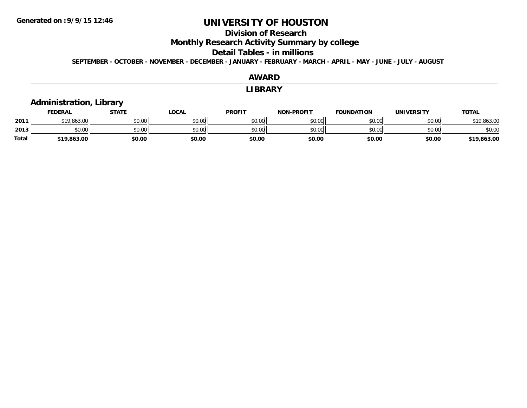#### **Division of Research**

**Monthly Research Activity Summary by college**

#### **Detail Tables - in millions**

**SEPTEMBER - OCTOBER - NOVEMBER - DECEMBER - JANUARY - FEBRUARY - MARCH - APRIL - MAY - JUNE - JULY - AUGUST**

#### **AWARDLIBRARY Administration, Library FEDERAL STATE LOCAL PROFIT NON-PROFIT FOUNDATION UNIVERSITY TOTALTOTAL 2011**1 \$19,863.00 \$0.00 \$0.00 \$0.00 \$0.00 \$0.00 \$0.00 \$0.00 \$0.00 \$0.00 \$0.00 \$0.00 \$0.00 \$19,863.00 **2013** $\textbf{3} \quad \textbf{\textcolor{blue}{\textbf{50.00}}} \quad \textbf{\textcolor{blue}{\textbf{50.00}}} \quad \textbf{\textcolor{blue}{\textbf{50.00}}} \quad \textbf{\textcolor{blue}{\textbf{50.00}}} \quad \textbf{\textcolor{blue}{\textbf{50.00}}} \quad \textbf{\textcolor{blue}{\textbf{50.00}}} \quad \textbf{\textcolor{blue}{\textbf{50.00}}} \quad \textbf{\textcolor{blue}{\textbf{50.00}}} \quad \textbf{\textcolor{blue}{\textbf{50.00}}} \quad \textbf{\textcolor{blue}{\textbf{50.00}}} \quad \text$ **Total\$19,863.00 \$0.00 \$0.00 \$0.00 \$0.00 \$0.00 \$0.00 \$19,863.00**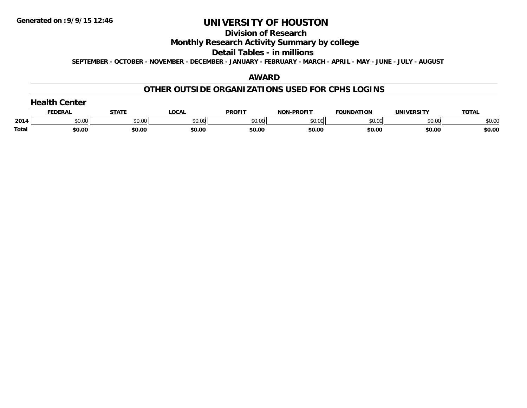#### **Division of Research**

### **Monthly Research Activity Summary by college**

#### **Detail Tables - in millions**

**SEPTEMBER - OCTOBER - NOVEMBER - DECEMBER - JANUARY - FEBRUARY - MARCH - APRIL - MAY - JUNE - JULY - AUGUST**

### **AWARD**

#### **OTHER OUTSIDE ORGANIZATIONS USED FOR CPHS LOGINS**

| <b>Health Center</b> |  |
|----------------------|--|
|----------------------|--|

|              | ------- |        | $\sim$ $\sim$ $\sim$ $\sim$ | <b>PROFIT</b>                      | <b>DDAFIT</b><br>. | FOUNDATION | ,,,,,,,,,, | тотл   |
|--------------|---------|--------|-----------------------------|------------------------------------|--------------------|------------|------------|--------|
| 2014         | SO 00   | חח ו   | $\sim$ 00                   | $\overline{\phantom{a}}$<br>$\sim$ | ስ ሰሰ<br>ハーツ        | $\sim$ 00  | nn nn<br>w | \$0.00 |
| <b>Total</b> | \$0.00  | \$0.00 | \$0.00                      | \$0.00                             | \$0.00             | \$0.00     | \$0.00     | \$0.00 |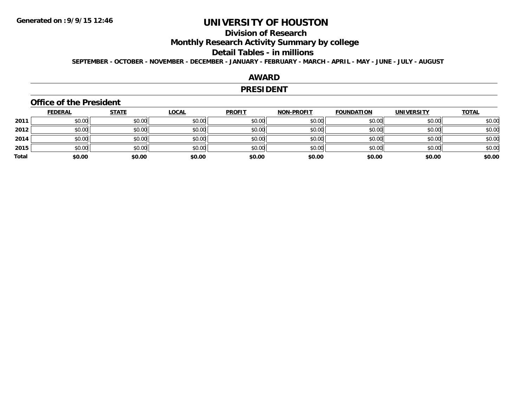## **Division of Research**

**Monthly Research Activity Summary by college**

#### **Detail Tables - in millions**

**SEPTEMBER - OCTOBER - NOVEMBER - DECEMBER - JANUARY - FEBRUARY - MARCH - APRIL - MAY - JUNE - JULY - AUGUST**

### **AWARD**

#### **PRESIDENT**

#### **Office of the President**

|       | <b>FEDERAL</b> | <b>STATE</b> | <b>LOCAL</b> | <b>PROFIT</b> | <b>NON-PROFIT</b> | <b>FOUNDATION</b> | <b>UNIVERSITY</b> | <b>TOTAL</b> |
|-------|----------------|--------------|--------------|---------------|-------------------|-------------------|-------------------|--------------|
| 2011  | \$0.00         | \$0.00       | \$0.00       | \$0.00        | \$0.00            | \$0.00            | \$0.00            | \$0.00       |
| 2012  | \$0.00         | \$0.00       | \$0.00       | \$0.00        | \$0.00            | \$0.00            | \$0.00            | \$0.00       |
| 2014  | \$0.00         | \$0.00       | \$0.00       | \$0.00        | \$0.00            | \$0.00            | \$0.00            | \$0.00       |
| 2015  | \$0.00         | \$0.00       | \$0.00       | \$0.00        | \$0.00            | \$0.00            | \$0.00            | \$0.00       |
| Total | \$0.00         | \$0.00       | \$0.00       | \$0.00        | \$0.00            | \$0.00            | \$0.00            | \$0.00       |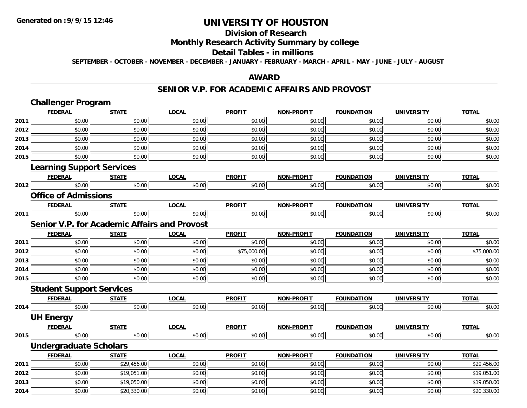# **Division of Research**

# **Monthly Research Activity Summary by college**

#### **Detail Tables - in millions**

**SEPTEMBER - OCTOBER - NOVEMBER - DECEMBER - JANUARY - FEBRUARY - MARCH - APRIL - MAY - JUNE - JULY - AUGUST**

### **AWARD**

#### **SENIOR V.P. FOR ACADEMIC AFFAIRS AND PROVOST**

|      | <b>Challenger Program</b>                           |              |              |               |                   |                   |                   |              |
|------|-----------------------------------------------------|--------------|--------------|---------------|-------------------|-------------------|-------------------|--------------|
|      | <b>FEDERAL</b>                                      | <b>STATE</b> | <b>LOCAL</b> | <b>PROFIT</b> | <b>NON-PROFIT</b> | <b>FOUNDATION</b> | <b>UNIVERSITY</b> | <b>TOTAL</b> |
| 2011 | \$0.00                                              | \$0.00       | \$0.00       | \$0.00        | \$0.00            | \$0.00            | \$0.00            | \$0.00       |
| 2012 | \$0.00                                              | \$0.00       | \$0.00       | \$0.00        | \$0.00            | \$0.00            | \$0.00            | \$0.00       |
| 2013 | \$0.00                                              | \$0.00       | \$0.00       | \$0.00        | \$0.00            | \$0.00            | \$0.00            | \$0.00       |
| 2014 | \$0.00                                              | \$0.00       | \$0.00       | \$0.00        | \$0.00            | \$0.00            | \$0.00            | \$0.00       |
| 2015 | \$0.00                                              | \$0.00       | \$0.00       | \$0.00        | \$0.00            | \$0.00            | \$0.00            | \$0.00       |
|      | <b>Learning Support Services</b>                    |              |              |               |                   |                   |                   |              |
|      | <b>FEDERAL</b>                                      | <b>STATE</b> | <b>LOCAL</b> | <b>PROFIT</b> | <b>NON-PROFIT</b> | <b>FOUNDATION</b> | <b>UNIVERSITY</b> | <b>TOTAL</b> |
| 2012 | \$0.00                                              | \$0.00       | \$0.00       | \$0.00        | \$0.00            | \$0.00            | \$0.00            | \$0.00       |
|      | <b>Office of Admissions</b>                         |              |              |               |                   |                   |                   |              |
|      | <b>FEDERAL</b>                                      | <b>STATE</b> | <b>LOCAL</b> | <b>PROFIT</b> | <b>NON-PROFIT</b> | <b>FOUNDATION</b> | <b>UNIVERSITY</b> | <b>TOTAL</b> |
| 2011 | \$0.00                                              | \$0.00       | \$0.00       | \$0.00        | \$0.00            | \$0.00            | \$0.00            | \$0.00       |
|      | <b>Senior V.P. for Academic Affairs and Provost</b> |              |              |               |                   |                   |                   |              |
|      | <b>FEDERAL</b>                                      | <b>STATE</b> | <b>LOCAL</b> | <b>PROFIT</b> | <b>NON-PROFIT</b> | <b>FOUNDATION</b> | <b>UNIVERSITY</b> | <b>TOTAL</b> |
| 2011 | \$0.00                                              | \$0.00       | \$0.00       | \$0.00        | \$0.00            | \$0.00            | \$0.00            | \$0.00       |
| 2012 | \$0.00                                              | \$0.00       | \$0.00       | \$75,000.00   | \$0.00            | \$0.00            | \$0.00            | \$75,000.00  |
| 2013 | \$0.00                                              | \$0.00       | \$0.00       | \$0.00        | \$0.00            | \$0.00            | \$0.00            | \$0.00       |
| 2014 | \$0.00                                              | \$0.00       | \$0.00       | \$0.00        | \$0.00            | \$0.00            | \$0.00            | \$0.00       |
| 2015 | \$0.00                                              | \$0.00       | \$0.00       | \$0.00        | \$0.00            | \$0.00            | \$0.00            | \$0.00       |
|      | <b>Student Support Services</b>                     |              |              |               |                   |                   |                   |              |
|      | <b>FEDERAL</b>                                      | <b>STATE</b> | <b>LOCAL</b> | <b>PROFIT</b> | <b>NON-PROFIT</b> | <b>FOUNDATION</b> | <b>UNIVERSITY</b> | <b>TOTAL</b> |
| 2014 | \$0.00                                              | \$0.00       | \$0.00       | \$0.00        | \$0.00            | \$0.00            | \$0.00            | \$0.00       |
|      | <b>UH Energy</b>                                    |              |              |               |                   |                   |                   |              |
|      | <b>FEDERAL</b>                                      | <b>STATE</b> | <b>LOCAL</b> | <b>PROFIT</b> | <b>NON-PROFIT</b> | <b>FOUNDATION</b> | <b>UNIVERSITY</b> | <b>TOTAL</b> |
| 2015 | \$0.00                                              | \$0.00       | \$0.00       | \$0.00        | \$0.00            | \$0.00            | \$0.00            | \$0.00       |
|      | <b>Undergraduate Scholars</b>                       |              |              |               |                   |                   |                   |              |
|      | <b>FEDERAL</b>                                      | <b>STATE</b> | <b>LOCAL</b> | <b>PROFIT</b> | <b>NON-PROFIT</b> | <b>FOUNDATION</b> | <b>UNIVERSITY</b> | <b>TOTAL</b> |
| 2011 | \$0.00                                              | \$29,456.00  | \$0.00       | \$0.00        | \$0.00            | \$0.00            | \$0.00            | \$29,456.00  |
| 2012 | \$0.00                                              | \$19,051.00  | \$0.00       | \$0.00        | \$0.00            | \$0.00            | \$0.00            | \$19,051.00  |
| 2013 | \$0.00                                              | \$19,050.00  | \$0.00       | \$0.00        | \$0.00            | \$0.00            | \$0.00            | \$19,050.00  |
| 2014 | \$0.00                                              | \$20,330.00  | \$0.00       | \$0.00        | \$0.00            | \$0.00            | \$0.00            | \$20,330.00  |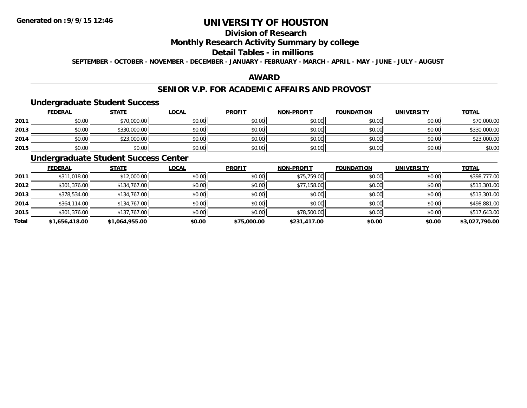## **Division of Research**

### **Monthly Research Activity Summary by college**

#### **Detail Tables - in millions**

**SEPTEMBER - OCTOBER - NOVEMBER - DECEMBER - JANUARY - FEBRUARY - MARCH - APRIL - MAY - JUNE - JULY - AUGUST**

### **AWARD**

### **SENIOR V.P. FOR ACADEMIC AFFAIRS AND PROVOST**

#### **Undergraduate Student Success**

|      | <u>FEDERAL</u> | <b>STATE</b> | <u>LOCAL</u> | <b>PROFIT</b> | <b>NON-PROFIT</b> | <b>FOUNDATION</b> | <b>UNIVERSITY</b> | <b>TOTAL</b> |
|------|----------------|--------------|--------------|---------------|-------------------|-------------------|-------------------|--------------|
| 2011 | \$0.00         | \$70,000.00  | \$0.00       | \$0.00        | \$0.00            | \$0.00            | \$0.00            | \$70,000.00  |
| 2013 | \$0.00         | \$330,000.00 | \$0.00       | \$0.00        | \$0.00            | \$0.00            | \$0.00            | \$330,000.00 |
| 2014 | \$0.00         | \$23,000.00  | \$0.00       | \$0.00        | \$0.00            | \$0.00            | \$0.00            | \$23,000.00  |
| 2015 | \$0.00         | \$0.00       | \$0.00       | \$0.00        | \$0.00            | \$0.00            | \$0.00            | \$0.00       |

# **Undergraduate Student Success Center**

|       | <b>FEDERAL</b> | <b>STATE</b>   | <u>LOCAL</u> | <b>PROFIT</b> | <b>NON-PROFIT</b> | <b>FOUNDATION</b> | <b>UNIVERSITY</b> | <b>TOTAL</b>   |
|-------|----------------|----------------|--------------|---------------|-------------------|-------------------|-------------------|----------------|
| 2011  | \$311,018.00   | \$12,000.00    | \$0.00       | \$0.00        | \$75,759.00       | \$0.00            | \$0.00            | \$398,777.00   |
| 2012  | \$301,376.00   | \$134,767.00   | \$0.00       | \$0.00        | \$77,158.00       | \$0.00            | \$0.00            | \$513,301.00   |
| 2013  | \$378,534.00   | \$134,767.00   | \$0.00       | \$0.00        | \$0.00            | \$0.00            | \$0.00            | \$513,301.00   |
| 2014  | \$364,114.00   | \$134,767.00   | \$0.00       | \$0.00        | \$0.00            | \$0.00            | \$0.00            | \$498,881.00   |
| 2015  | \$301,376.00   | \$137,767.00   | \$0.00       | \$0.00        | \$78,500.00       | \$0.00            | \$0.00            | \$517,643.00   |
| Total | \$1.656.418.00 | \$1,064,955.00 | \$0.00       | \$75,000.00   | \$231,417.00      | \$0.00            | \$0.00            | \$3,027,790.00 |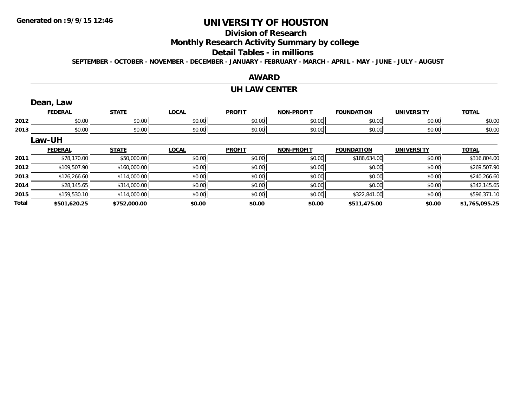# **UNIVERSITY OF HOUSTON**

# **Division of Research**

**Monthly Research Activity Summary by college**

#### **Detail Tables - in millions**

**SEPTEMBER - OCTOBER - NOVEMBER - DECEMBER - JANUARY - FEBRUARY - MARCH - APRIL - MAY - JUNE - JULY - AUGUST**

|              |                |              |              | <b>AWARD</b>         |                   |                   |                   |                |
|--------------|----------------|--------------|--------------|----------------------|-------------------|-------------------|-------------------|----------------|
|              |                |              |              | <b>UH LAW CENTER</b> |                   |                   |                   |                |
|              | Dean, Law      |              |              |                      |                   |                   |                   |                |
|              | <b>FEDERAL</b> | <b>STATE</b> | <b>LOCAL</b> | <b>PROFIT</b>        | <b>NON-PROFIT</b> | <b>FOUNDATION</b> | <b>UNIVERSITY</b> | <b>TOTAL</b>   |
| 2012         | \$0.00         | \$0.00       | \$0.00       | \$0.00               | \$0.00            | \$0.00            | \$0.00            | \$0.00         |
| 2013         | \$0.00         | \$0.00       | \$0.00       | \$0.00               | \$0.00            | \$0.00            | \$0.00            | \$0.00         |
|              | Law-UH         |              |              |                      |                   |                   |                   |                |
|              | <b>FEDERAL</b> | <b>STATE</b> | <b>LOCAL</b> | <b>PROFIT</b>        | <b>NON-PROFIT</b> | <b>FOUNDATION</b> | <b>UNIVERSITY</b> | <b>TOTAL</b>   |
| 2011         | \$78,170.00    | \$50,000.00  | \$0.00       | \$0.00               | \$0.00            | \$188,634.00      | \$0.00            | \$316,804.00   |
| 2012         | \$109,507.90   | \$160,000.00 | \$0.00       | \$0.00               | \$0.00            | \$0.00            | \$0.00            | \$269,507.90   |
| 2013         | \$126,266.60   | \$114,000.00 | \$0.00       | \$0.00               | \$0.00            | \$0.00            | \$0.00            | \$240,266.60   |
| 2014         | \$28,145.65    | \$314,000.00 | \$0.00       | \$0.00               | \$0.00            | \$0.00            | \$0.00            | \$342,145.65   |
| 2015         | \$159,530.10   | \$114,000.00 | \$0.00       | \$0.00               | \$0.00            | \$322,841.00      | \$0.00            | \$596,371.10   |
| <b>Total</b> | \$501,620.25   | \$752,000.00 | \$0.00       | \$0.00               | \$0.00            | \$511,475.00      | \$0.00            | \$1,765,095.25 |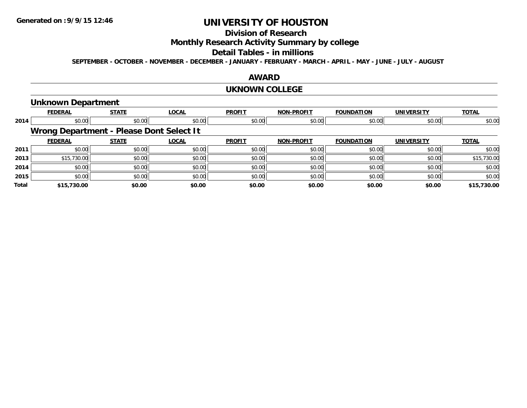# **Division of Research**

**Monthly Research Activity Summary by college**

#### **Detail Tables - in millions**

**SEPTEMBER - OCTOBER - NOVEMBER - DECEMBER - JANUARY - FEBRUARY - MARCH - APRIL - MAY - JUNE - JULY - AUGUST**

### **AWARD**

#### **UKNOWN COLLEGE**

#### **Unknown Department**

|       | <b>FEDERAL</b>                           | <b>STATE</b> | <b>LOCAL</b> | <b>PROFIT</b> | <b>NON-PROFIT</b> | <b>FOUNDATION</b> | <b>UNIVERSITY</b> | <b>TOTAL</b> |
|-------|------------------------------------------|--------------|--------------|---------------|-------------------|-------------------|-------------------|--------------|
| 2014  | \$0.00                                   | \$0.00       | \$0.00       | \$0.00        | \$0.00            | \$0.00            | \$0.00            | \$0.00       |
|       | Wrong Department - Please Dont Select It |              |              |               |                   |                   |                   |              |
|       | <b>FEDERAL</b>                           | <b>STATE</b> | <b>LOCAL</b> | <b>PROFIT</b> | <b>NON-PROFIT</b> | <b>FOUNDATION</b> | <b>UNIVERSITY</b> | <b>TOTAL</b> |
| 2011  | \$0.00                                   | \$0.00       | \$0.00       | \$0.00        | \$0.00            | \$0.00            | \$0.00            | \$0.00       |
| 2013  | \$15,730.00                              | \$0.00       | \$0.00       | \$0.00        | \$0.00            | \$0.00            | \$0.00            | \$15,730.00  |
| 2014  | \$0.00                                   | \$0.00       | \$0.00       | \$0.00        | \$0.00            | \$0.00            | \$0.00            | \$0.00       |
| 2015  | \$0.00                                   | \$0.00       | \$0.00       | \$0.00        | \$0.00            | \$0.00            | \$0.00            | \$0.00       |
| Total | \$15,730.00                              | \$0.00       | \$0.00       | \$0.00        | \$0.00            | \$0.00            | \$0.00            | \$15,730.00  |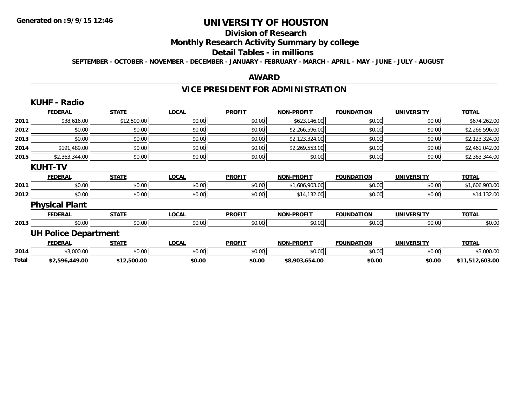# **Division of Research**

# **Monthly Research Activity Summary by college**

#### **Detail Tables - in millions**

**SEPTEMBER - OCTOBER - NOVEMBER - DECEMBER - JANUARY - FEBRUARY - MARCH - APRIL - MAY - JUNE - JULY - AUGUST**

#### **AWARD**

# **VICE PRESIDENT FOR ADMINISTRATION**

|              | <b>KUHF - Radio</b>         |              |              |               |                   |                   |                   |                 |
|--------------|-----------------------------|--------------|--------------|---------------|-------------------|-------------------|-------------------|-----------------|
|              | <b>FEDERAL</b>              | <b>STATE</b> | <b>LOCAL</b> | <b>PROFIT</b> | <b>NON-PROFIT</b> | <b>FOUNDATION</b> | <b>UNIVERSITY</b> | <b>TOTAL</b>    |
| 2011         | \$38,616.00                 | \$12,500.00  | \$0.00       | \$0.00        | \$623,146.00      | \$0.00            | \$0.00            | \$674,262.00    |
| 2012         | \$0.00                      | \$0.00       | \$0.00       | \$0.00        | \$2,266,596.00    | \$0.00            | \$0.00            | \$2,266,596.00  |
| 2013         | \$0.00                      | \$0.00       | \$0.00       | \$0.00        | \$2,123,324.00    | \$0.00            | \$0.00            | \$2,123,324.00  |
| 2014         | \$191,489.00                | \$0.00       | \$0.00       | \$0.00        | \$2,269,553.00    | \$0.00            | \$0.00            | \$2,461,042.00  |
| 2015         | \$2,363,344.00              | \$0.00       | \$0.00       | \$0.00        | \$0.00            | \$0.00            | \$0.00            | \$2,363,344.00  |
|              | <b>KUHT-TV</b>              |              |              |               |                   |                   |                   |                 |
|              | <b>FEDERAL</b>              | <b>STATE</b> | <b>LOCAL</b> | <b>PROFIT</b> | <b>NON-PROFIT</b> | <b>FOUNDATION</b> | <b>UNIVERSITY</b> | <b>TOTAL</b>    |
| 2011         | \$0.00                      | \$0.00       | \$0.00       | \$0.00        | \$1,606,903.00    | \$0.00            | \$0.00            | \$1,606,903.00  |
| 2012         | \$0.00                      | \$0.00       | \$0.00       | \$0.00        | \$14,132.00       | \$0.00            | \$0.00            | \$14,132.00     |
|              | <b>Physical Plant</b>       |              |              |               |                   |                   |                   |                 |
|              | <b>FEDERAL</b>              | <b>STATE</b> | <b>LOCAL</b> | <b>PROFIT</b> | <b>NON-PROFIT</b> | <b>FOUNDATION</b> | <b>UNIVERSITY</b> | <b>TOTAL</b>    |
| 2013         | \$0.00                      | \$0.00       | \$0.00       | \$0.00        | \$0.00            | \$0.00            | \$0.00            | \$0.00          |
|              | <b>UH Police Department</b> |              |              |               |                   |                   |                   |                 |
|              | <b>FEDERAL</b>              | <b>STATE</b> | <b>LOCAL</b> | <b>PROFIT</b> | <b>NON-PROFIT</b> | <b>FOUNDATION</b> | <b>UNIVERSITY</b> | <b>TOTAL</b>    |
| 2014         | \$3,000.00                  | \$0.00       | \$0.00       | \$0.00        | \$0.00            | \$0.00            | \$0.00            | \$3,000.00      |
| <b>Total</b> | \$2,596,449.00              | \$12,500.00  | \$0.00       | \$0.00        | \$8,903,654.00    | \$0.00            | \$0.00            | \$11,512,603.00 |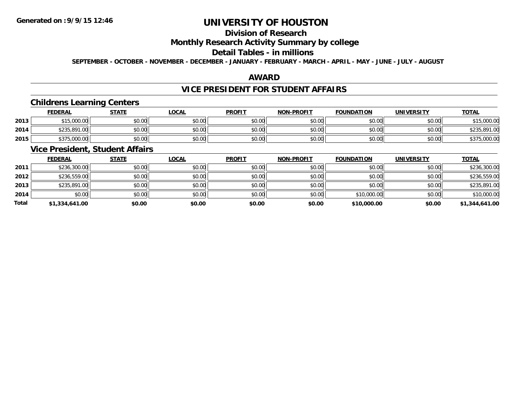# **Division of Research**

### **Monthly Research Activity Summary by college**

#### **Detail Tables - in millions**

**SEPTEMBER - OCTOBER - NOVEMBER - DECEMBER - JANUARY - FEBRUARY - MARCH - APRIL - MAY - JUNE - JULY - AUGUST**

#### **AWARD**

#### **VICE PRESIDENT FOR STUDENT AFFAIRS**

### **Childrens Learning Centers**

|      | <u>FEDERAL</u> | <b>STATE</b> | <u>_OCAL</u> | <b>PROFIT</b> | <b>NON-PROFIT</b> | <b>FOUNDATION</b> | UNIVERSITY | <b>TOTAL</b>                 |
|------|----------------|--------------|--------------|---------------|-------------------|-------------------|------------|------------------------------|
| 2013 | \$15,000.00    | \$0.00       | \$0.00       | \$0.00        | \$0.00            | \$0.00            | \$0.00     | ぐっに<br>\$15,000.00           |
| 2014 | \$235,891.00   | \$0.00       | \$0.00       | \$0.00        | \$0.00            | \$0.00            | \$0.00     | \$235.891.<br>$\cap$<br>1.UU |
| 2015 | \$375,000.00   | \$0.00       | \$0.00       | \$0.00        | \$0.00            | \$0.00            | \$0.00     | \$375,000.00                 |

## **Vice President, Student Affairs**

|              | <b>FEDERAL</b> | <b>STATE</b> | <u>LOCAL</u> | <b>PROFIT</b> | <b>NON-PROFIT</b> | <b>FOUNDATION</b> | <b>UNIVERSITY</b> | <b>TOTAL</b>   |
|--------------|----------------|--------------|--------------|---------------|-------------------|-------------------|-------------------|----------------|
| 2011         | \$236,300.00   | \$0.00       | \$0.00       | \$0.00        | \$0.00            | \$0.00            | \$0.00            | \$236,300.00   |
| 2012         | \$236,559.00   | \$0.00       | \$0.00       | \$0.00        | \$0.00            | \$0.00            | \$0.00            | \$236,559.00   |
| 2013         | \$235,891.00   | \$0.00       | \$0.00       | \$0.00        | \$0.00            | \$0.00            | \$0.00            | \$235,891.00   |
| 2014         | \$0.00         | \$0.00       | \$0.00       | \$0.00        | \$0.00            | \$10,000.00       | \$0.00            | \$10,000.00    |
| <b>Total</b> | \$1,334,641.00 | \$0.00       | \$0.00       | \$0.00        | \$0.00            | \$10,000.00       | \$0.00            | \$1,344,641.00 |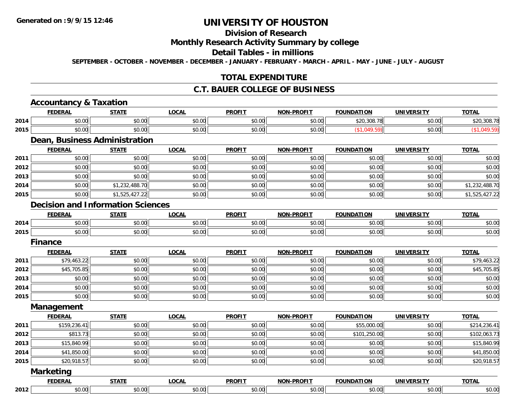#### **Division of Research**

#### **Monthly Research Activity Summary by college**

#### **Detail Tables - in millions**

**SEPTEMBER - OCTOBER - NOVEMBER - DECEMBER - JANUARY - FEBRUARY - MARCH - APRIL - MAY - JUNE - JULY - AUGUST**

#### **TOTAL EXPENDITURE**

#### **C.T. BAUER COLLEGE OF BUSINESS**

#### **Accountancy & Taxation FEDERAL STATE LOCAL PROFIT NON-PROFIT FOUNDATION UNIVERSITY TOTALTOTAL 2014**4 \$0.00 \$0.00 \$0.00 \$0.00 \$0.00 \$0.00 \$0.00 \$0.00 \$0.00 \$0.00 \$0.00 \$20,308.78 \$0.00 \$20,308.78 \$0.00 \$20,308.78 **2015** \$0.00 \$0.00 \$0.00 \$0.00 \$0.00 (\$1,049.59) \$0.00 (\$1,049.59) **Dean, Business Administration FEDERAL STATE LOCAL PROFIT NON-PROFIT FOUNDATION UNIVERSITY TOTAL2011** \$0.00 \$0.00 \$0.00 \$0.00 \$0.00 \$0.00 \$0.00 \$0.00 **2012**2 | \$0.00 \$0.00 \$0.00 \$0.00 \$0.00 \$0.00 \$0.00 \$0.00 \$0.00 \$0.00 \$0.00 \$0.00 \$0.00 \$0.00 \$0.00 \$0.00 \$0.00 \$0.0 **2013** \$0.00 \$0.00 \$0.00 \$0.00 \$0.00 \$0.00 \$0.00 \$0.00 **2014**4 \$0.00 \$0.00 \$0.00 \$1,232,488.70 \$0.00 \$0.00 \$0.00 \$0.00 \$0.00 \$0.00 \$0.00 \$0.00 \$1,232,488.70 **2015** \$0.00 \$1,525,427.22 \$0.00 \$0.00 \$0.00 \$0.00 \$0.00 \$1,525,427.22 **Decision and Information SciencesFEDERAL STATE LOCAL PROFIT NON-PROFIT FOUNDATION UNIVERSITY TOTAL2014**4 \$0.00 \$0.00 \$0.00 \$0.00 \$0.00 \$0.00 \$0.00 \$0.00 \$0.00 \$0.00 \$0.00 \$0.00 \$0.00 \$0.00 \$0.00 \$0.00 \$0.00 **2015** \$0.00 \$0.00 \$0.00 \$0.00 \$0.00 \$0.00 \$0.00 \$0.00 **FinanceFEDERAL STATE LOCAL PROFIT NON-PROFIT FOUNDATION UNIVERSITY TOTAL2011**1 \$79,463.22 \$0.00 \$0.00 \$0.00 \$0.00 \$0.00 \$0.00 \$0.00 \$0.00 \$0.00 \$0.00 \$0.00 \$0.00 \$19,463.22 **2012**2 \$45,705.85 \$0.00 \$0.00 \$0.00 \$0.00 \$0.00 \$0.00 \$0.00 \$0.00 \$0.00 \$0.00 \$0.00 \$0.00 \$15,705.85 \$1. **2013** \$0.00 \$0.00 \$0.00 \$0.00 \$0.00 \$0.00 \$0.00 \$0.00 **2014**4 \$0.00 \$0.00 \$0.00 \$0.00 \$0.00 \$0.00 \$0.00 \$0.00 \$0.00 \$0.00 \$0.00 \$0.00 \$0.00 \$0.00 \$0.00 \$0.00 \$0.00 **2015**5 | \$0.00 \$0.00 \$0.00 \$0.00 \$0.00 \$0.00 \$0.00 \$0.00 \$0.00 \$0.00 \$0.00 \$0.00 \$0.00 \$0.00 \$0.00 \$0.00 \$0.00 \$0.00 **Management FEDERAL STATE LOCAL PROFIT NON-PROFIT FOUNDATION UNIVERSITY TOTALTOTAL 2011** \$159,236.41 \$0.00 \$0.00 \$0.00 \$0.00 \$55,000.00 \$0.00 \$214,236.41 **2012** \$813.73 \$0.00 \$0.00 \$0.00 \$0.00 \$101,250.00 \$0.00 \$102,063.73 **2013**3 \$15,840.99 \$15,840.99 \$0.00 \$0.00 \$0.00 \$0.00 \$0.00 \$0.00 \$0.00 \$0.00 \$0.00 \$0.00 \$15,840.99 **2014**4 \$41,850.00 \$0.00 \$0.00 \$0.00 \$0.00 \$0.00 \$0.00 \$0.00 \$0.00 \$0.00 \$0.00 \$0.00 \$0.00 \$11,850.00 **2015**5 \$20,918.57 \$20,918.57 \$0.00 \$0.00 \$0.00 \$0.00 \$0.00 \$0.00 \$0.00 \$0.00 \$0.00 \$1.00 \$1.00 \$20,918.57 **Marketing FEDERAL STATE LOCAL PROFIT NON-PROFIT FOUNDATION UNIVERSITY TOTAL2012**2 | \$0.00 \$0.00 \$0.00 \$0.00 \$0.00 \$0.00 \$0.00 \$0.00 \$0.00 \$0.00 \$0.00 \$0.00 \$0.00 \$0.00 \$0.00 \$0.00 \$0.00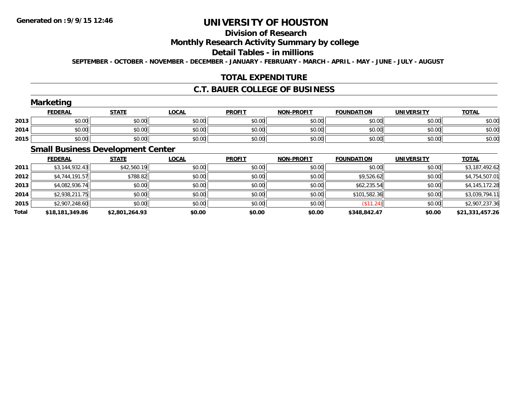# **Division of Research**

#### **Monthly Research Activity Summary by college**

#### **Detail Tables - in millions**

**SEPTEMBER - OCTOBER - NOVEMBER - DECEMBER - JANUARY - FEBRUARY - MARCH - APRIL - MAY - JUNE - JULY - AUGUST**

### **TOTAL EXPENDITURE**

#### **C.T. BAUER COLLEGE OF BUSINESS**

### **Marketing**

|      | <b>Marketing</b> |              |              |               |                   |                   |                   |              |
|------|------------------|--------------|--------------|---------------|-------------------|-------------------|-------------------|--------------|
|      | <b>FEDERAL</b>   | <b>STATE</b> | <u>LOCAL</u> | <b>PROFIT</b> | <b>NON-PROFIT</b> | <b>FOUNDATION</b> | <b>UNIVERSITY</b> | <b>TOTAL</b> |
| 2013 | \$0.00           | \$0.00       | \$0.00       | \$0.00        | \$0.00            | \$0.00            | \$0.00            | \$0.00       |
| 2014 | \$0.00           | \$0.00       | \$0.00       | \$0.00        | \$0.00            | \$0.00            | \$0.00            | \$0.00       |
| 2015 | \$0.00           | \$0.00       | \$0.00       | \$0.00        | \$0.00            | \$0.00            | \$0.00            | \$0.00       |

### **Small Business Development Center**

|       | <b>FEDERAL</b>  | <b>STATE</b>   | <b>LOCAL</b> | <b>PROFIT</b> | <b>NON-PROFIT</b> | <b>FOUNDATION</b> | <b>UNIVERSITY</b> | <b>TOTAL</b>    |
|-------|-----------------|----------------|--------------|---------------|-------------------|-------------------|-------------------|-----------------|
| 2011  | \$3,144,932.43  | \$42,560.19    | \$0.00       | \$0.00        | \$0.00            | \$0.00            | \$0.00            | \$3,187,492.62  |
| 2012  | \$4,744,191.57  | \$788.82       | \$0.00       | \$0.00        | \$0.00            | \$9,526.62        | \$0.00            | \$4,754,507.01  |
| 2013  | \$4,082,936.74  | \$0.00         | \$0.00       | \$0.00        | \$0.00            | \$62,235.54       | \$0.00            | \$4,145,172.28  |
| 2014  | \$2,938,211.75  | \$0.00         | \$0.00       | \$0.00        | \$0.00            | \$101,582.36      | \$0.00            | \$3,039,794.11  |
| 2015  | \$2,907,248.60  | \$0.00         | \$0.00       | \$0.00        | \$0.00            | (\$11.24)         | \$0.00            | \$2,907,237.36  |
| Total | \$18,181,349.86 | \$2,801,264.93 | \$0.00       | \$0.00        | \$0.00            | \$348.842.47      | \$0.00            | \$21,331,457.26 |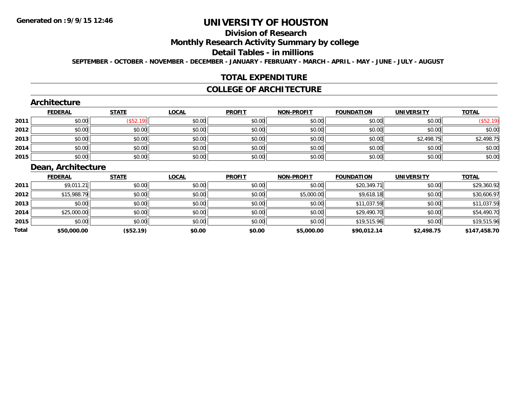# **Division of Research**

### **Monthly Research Activity Summary by college**

#### **Detail Tables - in millions**

**SEPTEMBER - OCTOBER - NOVEMBER - DECEMBER - JANUARY - FEBRUARY - MARCH - APRIL - MAY - JUNE - JULY - AUGUST**

#### **TOTAL EXPENDITURE**

#### **COLLEGE OF ARCHITECTURE**

#### **Architecture**

|      | <b>FEDERAL</b> | <b>STATE</b> | <b>LOCAL</b> | <b>PROFIT</b> | <b>NON-PROFIT</b> | <b>FOUNDATION</b> | <b>UNIVERSITY</b> | <b>TOTAL</b> |
|------|----------------|--------------|--------------|---------------|-------------------|-------------------|-------------------|--------------|
| 2011 | \$0.00         | (\$52.19)    | \$0.00       | \$0.00        | \$0.00            | \$0.00            | \$0.00            | \$52.19      |
| 2012 | \$0.00         | \$0.00       | \$0.00       | \$0.00        | \$0.00            | \$0.00            | \$0.00            | \$0.00       |
| 2013 | \$0.00         | \$0.00       | \$0.00       | \$0.00        | \$0.00            | \$0.00            | \$2,498.75        | \$2,498.75   |
| 2014 | \$0.00         | \$0.00       | \$0.00       | \$0.00        | \$0.00            | \$0.00            | \$0.00            | \$0.00       |
| 2015 | \$0.00         | \$0.00       | \$0.00       | \$0.00        | \$0.00            | \$0.00            | \$0.00            | \$0.00       |

### **Dean, Architecture**

|       | <b>FEDERAL</b> | <b>STATE</b> | <b>LOCAL</b> | <b>PROFIT</b> | <b>NON-PROFIT</b> | <b>FOUNDATION</b> | <b>UNIVERSITY</b> | <b>TOTAL</b> |
|-------|----------------|--------------|--------------|---------------|-------------------|-------------------|-------------------|--------------|
| 2011  | \$9,011.21     | \$0.00       | \$0.00       | \$0.00        | \$0.00            | \$20,349.71       | \$0.00            | \$29,360.92  |
| 2012  | \$15,988.79    | \$0.00       | \$0.00       | \$0.00        | \$5,000.00        | \$9,618.18        | \$0.00            | \$30,606.97  |
| 2013  | \$0.00         | \$0.00       | \$0.00       | \$0.00        | \$0.00            | \$11,037.59       | \$0.00            | \$11,037.59  |
| 2014  | \$25,000.00    | \$0.00       | \$0.00       | \$0.00        | \$0.00            | \$29,490.70       | \$0.00            | \$54,490.70  |
| 2015  | \$0.00         | \$0.00       | \$0.00       | \$0.00        | \$0.00            | \$19,515.96       | \$0.00            | \$19,515.96  |
| Total | \$50,000.00    | (\$52.19)    | \$0.00       | \$0.00        | \$5,000.00        | \$90,012.14       | \$2,498.75        | \$147,458.70 |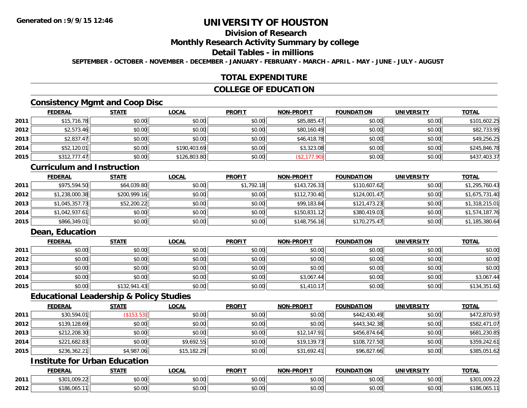## **Division of Research**

#### **Monthly Research Activity Summary by college**

#### **Detail Tables - in millions**

**SEPTEMBER - OCTOBER - NOVEMBER - DECEMBER - JANUARY - FEBRUARY - MARCH - APRIL - MAY - JUNE - JULY - AUGUST**

### **TOTAL EXPENDITURE**

### **COLLEGE OF EDUCATION**

### **Consistency Mgmt and Coop Disc**

|      | <b>FEDERAL</b> | <b>STATE</b> | <u>LOCAL</u> | <b>PROFIT</b> | <b>NON-PROFIT</b> | <b>FOUNDATION</b> | <b>UNIVERSITY</b> | <b>TOTAL</b> |
|------|----------------|--------------|--------------|---------------|-------------------|-------------------|-------------------|--------------|
| 2011 | \$15,716.78    | \$0.00       | \$0.00       | \$0.00        | \$85,885.47       | \$0.00            | \$0.00            | \$101,602.25 |
| 2012 | \$2,573.46     | \$0.00       | \$0.00       | \$0.00        | \$80,160.49       | \$0.00            | \$0.00            | \$82,733.95  |
| 2013 | \$2,837.47     | \$0.00       | \$0.00       | \$0.00        | \$46,418.78       | \$0.00            | \$0.00            | \$49,256.25  |
| 2014 | \$52,120.01    | \$0.00       | \$190,403.69 | \$0.00        | \$3,323.08        | \$0.00            | \$0.00            | \$245,846.78 |
| 2015 | \$312,777.47   | \$0.00       | \$126,803.80 | \$0.00        | \$2,177.90        | \$0.00            | \$0.00            | \$437,403.37 |

#### **Curriculum and Instruction**

|      | <b>FEDERAL</b> | <u>STATE</u> | <b>LOCAL</b> | <b>PROFIT</b> | <b>NON-PROFIT</b> | <b>FOUNDATION</b> | <b>UNIVERSITY</b> | <b>TOTAL</b>   |
|------|----------------|--------------|--------------|---------------|-------------------|-------------------|-------------------|----------------|
| 2011 | \$975,594.50   | \$64,039.80  | \$0.00       | \$1,792.18    | \$143,726.33      | \$110,607.62      | \$0.00            | \$1,295,760.43 |
| 2012 | \$1,238,000.38 | \$200,999.16 | \$0.00       | \$0.00        | \$112,730.40      | \$124,001.47      | \$0.00            | \$1,675,731.40 |
| 2013 | \$1,045,357.73 | \$52,200.22  | \$0.00       | \$0.00        | \$99,183.84       | \$121,473.23      | \$0.00            | \$1,318,215.01 |
| 2014 | \$1,042,937.61 | \$0.00       | \$0.00       | \$0.00        | \$150,831.12      | \$380,419.03      | \$0.00            | \$1,574,187.76 |
| 2015 | \$866,349.01   | \$0.00       | \$0.00       | \$0.00        | \$148,756.16      | \$170,275.47      | \$0.00            | \$1,185,380.64 |

### **Dean, Education**

|      | <b>FEDERAL</b> | <u>STATE</u> | <u>LOCAL</u> | <b>PROFIT</b> | <b>NON-PROFIT</b> | <b>FOUNDATION</b> | <b>UNIVERSITY</b> | <b>TOTAL</b> |
|------|----------------|--------------|--------------|---------------|-------------------|-------------------|-------------------|--------------|
| 2011 | \$0.00         | \$0.00       | \$0.00       | \$0.00        | \$0.00            | \$0.00            | \$0.00            | \$0.00       |
| 2012 | \$0.00         | \$0.00       | \$0.00       | \$0.00        | \$0.00            | \$0.00            | \$0.00            | \$0.00       |
| 2013 | \$0.00         | \$0.00       | \$0.00       | \$0.00        | \$0.00            | \$0.00            | \$0.00            | \$0.00       |
| 2014 | \$0.00         | \$0.00       | \$0.00       | \$0.00        | \$3,067.44        | \$0.00            | \$0.00            | \$3,067.44   |
| 2015 | \$0.00         | \$132,941.43 | \$0.00       | \$0.00        | \$1,410.17        | \$0.00            | \$0.00            | \$134,351.60 |

#### **Educational Leadership & Policy Studies**

|      | <b>FEDERAL</b> | <b>STATE</b> | <b>LOCAL</b> | <b>PROFIT</b> | <b>NON-PROFIT</b> | <b>FOUNDATION</b> | <b>UNIVERSITY</b> | <b>TOTAL</b> |
|------|----------------|--------------|--------------|---------------|-------------------|-------------------|-------------------|--------------|
| 2011 | \$30,594.01    | (\$153.53)   | \$0.00       | \$0.00        | \$0.00            | \$442,430.49      | \$0.00            | \$472,870.97 |
| 2012 | \$139,128.69   | \$0.00       | \$0.00       | \$0.00        | \$0.00            | \$443,342.38      | \$0.00            | \$582,471.07 |
| 2013 | \$212,208.30   | \$0.00       | \$0.00       | \$0.00        | \$12,147.91       | \$456,874.64      | \$0.00            | \$681,230.85 |
| 2014 | \$221,682.83   | \$0.00       | \$9,692.55   | \$0.00        | \$19,139.73       | \$108,727.50      | \$0.00            | \$359,242.61 |
| 2015 | \$236,362.21   | \$4,987.06   | \$15,182.29  | \$0.00        | \$31,692.41       | \$96,827.66       | \$0.00            | \$385,051.62 |

### **Institute for Urban Education**

|      | <b>FEDERAL</b>                        | <b>CTATE</b><br>. | <b>LOCAL</b>              | <b>PROFIT</b>              | <b>J-PROFIT</b><br><b>BIABI</b> | <b>FOUNDATION</b> | <b>UNIVERSITY</b> | <b>TOTAL</b>                             |
|------|---------------------------------------|-------------------|---------------------------|----------------------------|---------------------------------|-------------------|-------------------|------------------------------------------|
| 2011 | റററാ<br>\$301<br>. . UU <i>.</i> . 22 | \$0.00            | $\sim$<br>$\sim$<br>₽∪.∪⊌ | nn nn<br>DU.UU             | 0.00<br>JU.UU                   | \$0.00            | \$0.00            | $\uparrow$ 20<br>$\sim$<br>5U<br>,UUY.ZZ |
| 2012 | \$186.065.                            | 0000<br>,u.uu     | $\sim$ 00<br>vv.vv        | $*$ $\cap$ $\cap$<br>DU.UU | 0.00<br>JU.UU                   | \$0.00            | \$0.00            | \$186.065                                |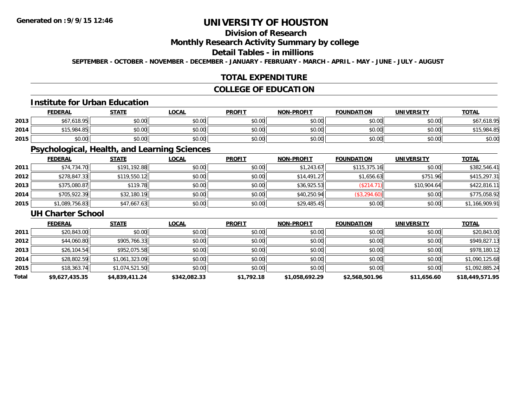### **Division of Research**

#### **Monthly Research Activity Summary by college**

#### **Detail Tables - in millions**

**SEPTEMBER - OCTOBER - NOVEMBER - DECEMBER - JANUARY - FEBRUARY - MARCH - APRIL - MAY - JUNE - JULY - AUGUST**

### **TOTAL EXPENDITURE**

### **COLLEGE OF EDUCATION**

#### **Institute for Urban Education**

|      | <b>FEDERAL</b>   | <u>STATE</u> | <u>LOCAL</u> | <b>PROFIT</b> | <b>NON-PROFIT</b> | <b>FOUNDATION</b> | <b>UNIVERSITY</b> | <b>TOTAL</b> |
|------|------------------|--------------|--------------|---------------|-------------------|-------------------|-------------------|--------------|
| 2013 | 7.618.95<br>$+7$ | \$0.00       | \$0.00       | \$0.00        | \$0.00            | \$0.00            | \$0.00            | \$67,618.95  |
| 2014 | \$15,984.85      | \$0.00       | \$0.00       | \$0.00        | \$0.00            | \$0.00            | \$0.00            | \$15,984.85  |
| 2015 | \$0.00           | \$0.00       | \$0.00       | \$0.00        | \$0.00            | \$0.00            | \$0.00            | \$0.00       |

### **Psychological, Health, and Learning Sciences**

|      | <b>FEDERAL</b> | <b>STATE</b> | <b>LOCAL</b> | <b>PROFIT</b> | <b>NON-PROFIT</b> | <b>FOUNDATION</b> | <b>UNIVERSITY</b> | <b>TOTAL</b>   |
|------|----------------|--------------|--------------|---------------|-------------------|-------------------|-------------------|----------------|
| 2011 | \$74,734.70    | \$191,192.88 | \$0.00       | \$0.00        | \$1.243.67        | \$115,375.16      | \$0.00            | \$382,546.41   |
| 2012 | \$278,847.33   | \$119,550.12 | \$0.00       | \$0.00        | \$14.491.27       | \$1,656.63        | \$751.96          | \$415,297.31   |
| 2013 | \$375,080.87   | \$119.78     | \$0.00       | \$0.00        | \$36,925.53       | (\$214.71)        | \$10,904.64       | \$422,816.11   |
| 2014 | \$705,922.39   | \$32,180.19  | \$0.00       | \$0.00        | \$40,250.94       | \$3,294.60        | \$0.00            | \$775,058.92   |
| 2015 | \$1,089,756.83 | \$47,667.63  | \$0.00       | \$0.00        | \$29,485.45       | \$0.00            | \$0.00            | \$1,166,909.91 |

#### **UH Charter School**

|       | <b>FEDERAL</b> | <b>STATE</b>   | <b>LOCAL</b> | <b>PROFIT</b> | <b>NON-PROFIT</b> | <b>FOUNDATION</b> | <b>UNIVERSITY</b> | <b>TOTAL</b>    |
|-------|----------------|----------------|--------------|---------------|-------------------|-------------------|-------------------|-----------------|
| 2011  | \$20,843.00    | \$0.00         | \$0.00       | \$0.00        | \$0.00            | \$0.00            | \$0.00            | \$20,843.00     |
| 2012  | \$44,060.80    | \$905,766.33   | \$0.00       | \$0.00        | \$0.00            | \$0.00            | \$0.00            | \$949,827.13    |
| 2013  | \$26,104.54    | \$952,075.58   | \$0.00       | \$0.00        | \$0.00            | \$0.00            | \$0.00            | \$978,180.12    |
| 2014  | \$28,802.59    | \$1,061,323.09 | \$0.00       | \$0.00        | \$0.00            | \$0.00            | \$0.00            | \$1,090,125.68  |
| 2015  | \$18,363.74    | \$1,074,521.50 | \$0.00       | \$0.00        | \$0.00            | \$0.00            | \$0.00            | \$1,092,885.24  |
| Total | \$9,627,435.35 | \$4,839,411.24 | \$342,082.33 | \$1,792.18    | \$1,058,692.29    | \$2,568,501.96    | \$11,656.60       | \$18,449,571.95 |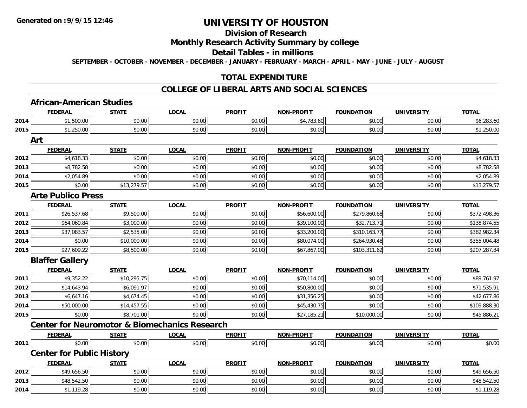#### **Division of Research**

#### **Monthly Research Activity Summary by college**

#### **Detail Tables - in millions**

**SEPTEMBER - OCTOBER - NOVEMBER - DECEMBER - JANUARY - FEBRUARY - MARCH - APRIL - MAY - JUNE - JULY - AUGUST**

#### **TOTAL EXPENDITURE**

#### **COLLEGE OF LIBERAL ARTS AND SOCIAL SCIENCES**

#### **African-American StudiesFEDERAL STATE LOCAL PROFIT NON-PROFIT FOUNDATION UNIVERSITY TOTALTOTAL 2014**4 \$1,500.00 \$0.00 \$0.00 \$0.00 \$0.00 \$0.00 \$0.00 \$0.00 \$0.00 \$4,783.60 \$0.00 \$0.00 \$6,283.60 **2015** \$1,250.00 \$0.00 \$0.00 \$0.00 \$0.00 \$0.00 \$0.00 \$1,250.00 **ArtFEDERAL STATE LOCAL PROFIT NON-PROFIT FOUNDATION UNIVERSITY TOTAL2012**2 | \$4,618.33|| \$0.00| \$0.00|| \$0.00|| \$0.00|| \$0.00|| \$0.00|| \$0.00|| \$0.00|| \$0.00|| \$0.00|| \$4,618.33 **2013** \$8,782.58 \$0.00 \$0.00 \$0.00 \$0.00 \$0.00 \$0.00 \$8,782.58 **2014**4 \$2,054.89 \$0.00 \$0.00 \$0.00 \$0.00 \$0.00 \$0.00 \$0.00 \$0.00 \$0.00 \$0.00 \$0.00 \$2,054.89 **2015**5 \$0.00 \$0.00 \$0.00 \$13,279.57 \$0.00 \$0.00 \$0.00 \$0.00 \$0.00 \$0.00 \$0.00 \$0.00 \$0.00 \$13,279.57 \$ **Arte Publico PressFEDERAL STATE LOCAL PROFIT NON-PROFIT FOUNDATION UNIVERSITY TOTAL2011** \$26,537.68 \$9,500.00 \$0.00 \$0.00 \$56,600.00 \$279,860.68 \$0.00 \$372,498.36 **2012**2 | \$64,060.84|| \$3,000.00|| \$0.00|| \$0.00|| \$0.00|| \$39,100.00|| \$32,713.71|| \$0.00|| \$138,874.55 **2013** $\bf{3} \hspace{15.75mm} 3 \hspace{15.75mm} 37,083.57$   $\mid \hspace{15.75mm} 43.52,535.00$   $\mid \hspace{15.75mm} 43.52,00.00$   $\mid \hspace{15.75mm} 53.200.00$   $\mid \hspace{15.75mm} 53.200.00$   $\mid \hspace{15.75mm} 53.200.00$   $\mid \hspace{15.75mm} 53.200.00$   $\mid \hspace{15.75mm} 53.$ **2014**4 \$0.00 \$0.00 \$0.00 \$10,000.00 \$0.00 \$0.00 \$0.00 \$0.00 \$0.00 \$80,074.00 \$80,074.00 \$264,930.48 \$0.00 \$0.00 \$355,004.48 **2015**5 \$27,609.22|| \$8,500.00|| \$0.00|| \$0.00|| \$67,867.00|| \$103,311.62|| \$0.00|| \$207,287.84 **Blaffer Gallery FEDERAL STATE LOCAL PROFIT NON-PROFIT FOUNDATION UNIVERSITY TOTALTOTAL 2011** \$9,352.22 \$10,295.75 \$0.00 \$0.00 \$70,114.00 \$0.00 \$0.00 \$89,761.97 **2012**2 | \$14,643.94|| \$6,091.97|| \$0.00|| \$0.00|| \$50,800.00|| \$50,800.00|| \$50,800.00|| \$0.00|| \$71,535.91 **2013** $\bf{3} \quad \rm{56,647.16} \quad \rm{58,674.45} \quad \rm{58,677.86}$ **2014**4 \$50,000.00|| \$14,457.55|| \$0.00|| \$0.00|| \$45,430.75|| \$0.00|| \$0.00|| \$109,888.30 \$109,888.30 **2015** \$0.00 \$8,701.00 \$0.00 \$0.00 \$27,185.21 \$10,000.00 \$0.00 \$45,886.21 **Center for Neuromotor & Biomechanics ResearchFEDERAL STATE LOCAL PROFIT NON-PROFIT FOUNDATION UNIVERSITY TOTAL2011** \$0.00 \$0.00 \$0.00 \$0.00 \$0.00 \$0.00 \$0.00 \$0.00 **Center for Public History FEDERAL STATE LOCAL PROFIT NON-PROFIT FOUNDATION UNIVERSITY TOTALTOTAL 2012**2 \$49,656.50 \$0.00 \$0.00 \$0.00 \$0.00 \$0.00 \$0.00 \$0.00 \$0.00 \$0.00 \$0.00 \$0.00 \$0.00 \$19,656.50 **2013** \$48,542.50 \$0.00 \$0.00 \$0.00 \$0.00 \$0.00 \$0.00 \$48,542.50 **2014**4 \$1,119.28 \$0.00 \$0.00 \$0.00 \$0.00 \$0.00 \$0.00 \$0.00 \$0.00 \$0.00 \$0.00 \$1,119.28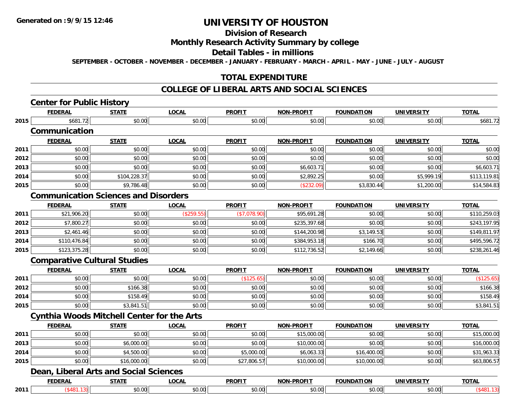### **Division of Research**

### **Monthly Research Activity Summary by college**

#### **Detail Tables - in millions**

**SEPTEMBER - OCTOBER - NOVEMBER - DECEMBER - JANUARY - FEBRUARY - MARCH - APRIL - MAY - JUNE - JULY - AUGUST**

### **TOTAL EXPENDITURE**

### **COLLEGE OF LIBERAL ARTS AND SOCIAL SCIENCES**

## **Center for Public History**

|      | <b>FEDERAL</b>                              | <b>STATE</b> | <b>LOCAL</b> | <b>PROFIT</b> | <b>NON-PROFIT</b> | <b>FOUNDATION</b> | <b>UNIVERSITY</b> | <b>TOTAL</b> |
|------|---------------------------------------------|--------------|--------------|---------------|-------------------|-------------------|-------------------|--------------|
| 2015 | \$681.72                                    | \$0.00       | \$0.00       | \$0.00        | \$0.00            | \$0.00            | \$0.00            | \$681.72     |
|      | Communication                               |              |              |               |                   |                   |                   |              |
|      | <b>FEDERAL</b>                              | <b>STATE</b> | <b>LOCAL</b> | <b>PROFIT</b> | <b>NON-PROFIT</b> | <b>FOUNDATION</b> | <b>UNIVERSITY</b> | <b>TOTAL</b> |
| 2011 | \$0.00                                      | \$0.00       | \$0.00       | \$0.00        | \$0.00            | \$0.00            | \$0.00            | \$0.00       |
| 2012 | \$0.00                                      | \$0.00       | \$0.00       | \$0.00        | \$0.00            | \$0.00            | \$0.00            | \$0.00       |
| 2013 | \$0.00                                      | \$0.00       | \$0.00       | \$0.00        | \$6,603.71        | \$0.00            | \$0.00            | \$6,603.71   |
| 2014 | \$0.00                                      | \$104,228.37 | \$0.00       | \$0.00        | \$2,892.25        | \$0.00            | \$5,999.19        | \$113,119.81 |
| 2015 | \$0.00                                      | \$9,786.48   | \$0.00       | \$0.00        | (\$232.09)        | \$3,830.44        | \$1,200.00        | \$14,584.83  |
|      | <b>Communication Sciences and Disorders</b> |              |              |               |                   |                   |                   |              |
|      | <b>FEDERAL</b>                              | <b>STATE</b> | <b>LOCAL</b> | <b>PROFIT</b> | <b>NON-PROFIT</b> | <b>FOUNDATION</b> | <b>UNIVERSITY</b> | <b>TOTAL</b> |
| 2011 | \$21,906.20                                 | \$0.00       | (\$259.55)   | (\$7,078.90)  | \$95,691.28       | \$0.00            | \$0.00            | \$110,259.03 |
| 2012 | \$7,800.27                                  | \$0.00       | \$0.00       | \$0.00        | \$235,397.68      | \$0.00            | \$0.00            | \$243,197.95 |
| 2013 | \$2,461.46                                  | \$0.00       | \$0.00       | \$0.00        | \$144,200.98      | \$3,149.53        | \$0.00            | \$149,811.97 |
| 2014 | \$110,476.84                                | \$0.00       | \$0.00       | \$0.00        | \$384,953.18      | \$166.70          | \$0.00            | \$495,596.72 |
| 2015 | \$123,375.28                                | \$0.00       | \$0.00       | \$0.00        | \$112,736.52      | \$2,149.66        | \$0.00            | \$238,261.46 |
|      | <b>Comparative Cultural Studies</b>         |              |              |               |                   |                   |                   |              |
|      | <b>FEDERAL</b>                              | <b>STATE</b> | <b>LOCAL</b> | <b>PROFIT</b> | <b>NON-PROFIT</b> | <b>FOUNDATION</b> | <b>UNIVERSITY</b> | <b>TOTAL</b> |
| 2011 | \$0.00                                      | \$0.00       | \$0.00       | (\$125.65)    | \$0.00            | \$0.00            | \$0.00            | (\$125.65)   |

| 2011 | \$0.00 | \$0.00     | \$0.00 |        | \$0.00 | \$0.00 | \$0.00 |            |
|------|--------|------------|--------|--------|--------|--------|--------|------------|
| 2012 | \$0.00 | \$166.38   | \$0.00 | \$0.00 | \$0.00 | \$0.00 | \$0.00 | \$166.38   |
| 2014 | \$0.00 | \$158.49   | \$0.00 | \$0.00 | \$0.00 | \$0.00 | \$0.00 | \$158.49   |
| 2015 | \$0.00 | \$3,841.51 | \$0.00 | \$0.00 | \$0.00 | \$0.00 | \$0.00 | \$3,84 I.J |

### **Cynthia Woods Mitchell Center for the Arts**

|      | <b>FEDERAL</b> | <u>STATE</u> | <u>LOCAL</u> | <b>PROFIT</b> | <b>NON-PROFIT</b> | <b>FOUNDATION</b> | <b>UNIVERSITY</b> | <b>TOTAL</b> |
|------|----------------|--------------|--------------|---------------|-------------------|-------------------|-------------------|--------------|
| 2011 | \$0.00         | \$0.00       | \$0.00       | \$0.00        | \$15,000.00       | \$0.00            | \$0.00            | \$15,000.00  |
| 2013 | \$0.00         | \$6,000.00   | \$0.00       | \$0.00        | \$10,000.00       | \$0.00            | \$0.00            | \$16,000.00  |
| 2014 | \$0.00         | \$4,500.00   | \$0.00       | \$5,000.00    | \$6,063.33        | \$16,400.00       | \$0.00            | \$31,963.33  |
| 2015 | \$0.00         | \$16,000.00  | \$0.00       | \$27,806.57   | \$10,000.00       | \$10,000.00       | \$0.00            | \$63,806.57  |

#### **Dean, Liberal Arts and Social Sciences**

|      | EEDEDA<br>-RA | -----              | .OCAL        | <b>PROFIT</b> | <b>PROFIT</b><br>៱ោស | .<br>ON    | UNIVERSITY                    | <b>TOTA</b> |
|------|---------------|--------------------|--------------|---------------|----------------------|------------|-------------------------------|-------------|
| 2011 |               | $\sim$ 00<br>וט.טי | റപ<br>u.uu ' | JU.UU         | \$0.00               | ົົ<br>ט.טע | $\sim$ $\sim$ $\sim$<br>JU.UU | -10         |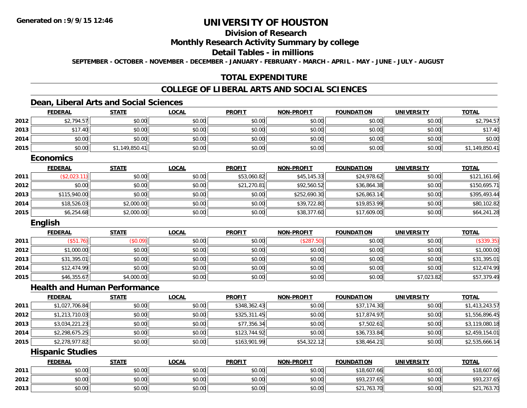# **Division of Research**

### **Monthly Research Activity Summary by college**

#### **Detail Tables - in millions**

**SEPTEMBER - OCTOBER - NOVEMBER - DECEMBER - JANUARY - FEBRUARY - MARCH - APRIL - MAY - JUNE - JULY - AUGUST**

### **TOTAL EXPENDITURE**

#### **COLLEGE OF LIBERAL ARTS AND SOCIAL SCIENCES**

### **Dean, Liberal Arts and Social Sciences**

|      | <b>FEDERAL</b>                      | <b>STATE</b>   | <b>LOCAL</b> | <b>PROFIT</b> | <b>NON-PROFIT</b> | <b>FOUNDATION</b> | <b>UNIVERSITY</b> | <b>TOTAL</b>   |
|------|-------------------------------------|----------------|--------------|---------------|-------------------|-------------------|-------------------|----------------|
| 2012 | \$2,794.57                          | \$0.00         | \$0.00       | \$0.00        | \$0.00            | \$0.00            | \$0.00            | \$2,794.57     |
| 2013 | \$17.40                             | \$0.00         | \$0.00       | \$0.00        | \$0.00            | \$0.00            | \$0.00            | \$17.40        |
| 2014 | \$0.00                              | \$0.00         | \$0.00       | \$0.00        | \$0.00            | \$0.00            | \$0.00            | \$0.00         |
| 2015 | \$0.00                              | \$1,149,850.41 | \$0.00       | \$0.00        | \$0.00            | \$0.00            | \$0.00            | \$1,149,850.41 |
|      | <b>Economics</b>                    |                |              |               |                   |                   |                   |                |
|      | <b>FEDERAL</b>                      | <b>STATE</b>   | <b>LOCAL</b> | <b>PROFIT</b> | <b>NON-PROFIT</b> | <b>FOUNDATION</b> | <b>UNIVERSITY</b> | <b>TOTAL</b>   |
| 2011 | (\$2,023.11)                        | \$0.00         | \$0.00       | \$53,060.82   | \$45,145.33       | \$24,978.62       | \$0.00            | \$121,161.66   |
| 2012 | \$0.00                              | \$0.00         | \$0.00       | \$21,270.81   | \$92,560.52       | \$36,864.38       | \$0.00            | \$150,695.71   |
| 2013 | \$115,940.00                        | \$0.00         | \$0.00       | \$0.00        | \$252,690.30      | \$26,863.14       | \$0.00            | \$395,493.44   |
| 2014 | \$18,526.03                         | \$2,000.00     | \$0.00       | \$0.00        | \$39,722.80       | \$19,853.99       | \$0.00            | \$80,102.82    |
| 2015 | \$6,254.68                          | \$2,000.00     | \$0.00       | \$0.00        | \$38,377.60       | \$17,609.00       | \$0.00            | \$64,241.28    |
|      | English                             |                |              |               |                   |                   |                   |                |
|      | <b>FEDERAL</b>                      | <b>STATE</b>   | <b>LOCAL</b> | <b>PROFIT</b> | <b>NON-PROFIT</b> | <b>FOUNDATION</b> | <b>UNIVERSITY</b> | <b>TOTAL</b>   |
| 2011 | (\$51.76)                           | (\$0.09)       | \$0.00       | \$0.00        | (\$287.50)        | \$0.00            | \$0.00            | (\$339.35)     |
| 2012 | \$1,000.00                          | \$0.00         | \$0.00       | \$0.00        | \$0.00            | \$0.00            | \$0.00            | \$1,000.00     |
| 2013 | \$31,395.01                         | \$0.00         | \$0.00       | \$0.00        | \$0.00            | \$0.00            | \$0.00            | \$31,395.01    |
| 2014 | \$12,474.99                         | \$0.00         | \$0.00       | \$0.00        | \$0.00            | \$0.00            | \$0.00            | \$12,474.99    |
| 2015 | \$46,355.67                         | \$4,000.00     | \$0.00       | \$0.00        | \$0.00            | \$0.00            | \$7,023.82        | \$57,379.49    |
|      | <b>Health and Human Performance</b> |                |              |               |                   |                   |                   |                |
|      | <b>FEDERAL</b>                      | <b>STATE</b>   | <b>LOCAL</b> | <b>PROFIT</b> | <b>NON-PROFIT</b> | <b>FOUNDATION</b> | <b>UNIVERSITY</b> | <b>TOTAL</b>   |
| 2011 | \$1,027,706.84                      | \$0.00         | \$0.00       | \$348,362.43  | \$0.00            | \$37,174.30       | \$0.00            | \$1,413,243.57 |
| 2012 | \$1,213,710.03                      | \$0.00         | \$0.00       | \$325,311.45  | \$0.00            | \$17,874.97       | \$0.00            | \$1,556,896.45 |
| 2013 | \$3,034,221.23                      | \$0.00         | \$0.00       | \$77,356.34   | \$0.00            | \$7,502.61        | \$0.00            | \$3,119,080.18 |
| 2014 | \$2,298,675.25                      | \$0.00         | \$0.00       | \$123,744.92  | \$0.00            | \$36,733.84       | \$0.00            | \$2,459,154.01 |
| 2015 | \$2,278,977.82                      | \$0.00         | \$0.00       | \$163,901.99  | \$54,322.12       | \$38,464.21       | \$0.00            | \$2,535,666.14 |
|      | <b>Hispanic Studies</b>             |                |              |               |                   |                   |                   |                |
|      | <b>FEDERAL</b>                      | <b>STATE</b>   | <b>LOCAL</b> | <b>PROFIT</b> | <b>NON-PROFIT</b> | <b>FOUNDATION</b> | <b>UNIVERSITY</b> | <b>TOTAL</b>   |
| 2011 | \$0.00                              | \$0.00         | \$0.00       | \$0.00        | \$0.00            | \$18,607.66       | \$0.00            | \$18,607.66    |
| 2012 | \$0.00                              | \$0.00         | \$0.00       | \$0.00        | \$0.00            | \$93,237.65       | \$0.00            | \$93,237.65    |
| 2013 | \$0.00                              | \$0.00         | \$0.00       | \$0.00        | \$0.00            | \$21,763.70       | \$0.00            | \$21,763.70    |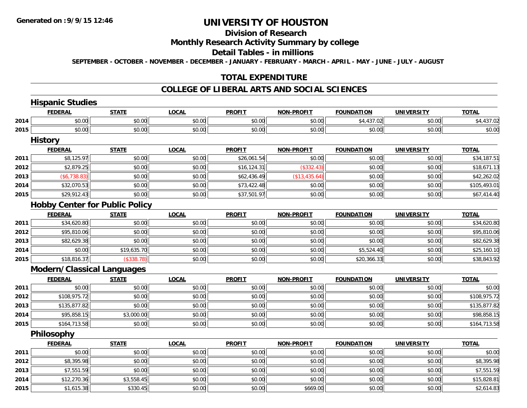**2015**

# **UNIVERSITY OF HOUSTON**

#### **Division of Research**

#### **Monthly Research Activity Summary by college**

#### **Detail Tables - in millions**

**SEPTEMBER - OCTOBER - NOVEMBER - DECEMBER - JANUARY - FEBRUARY - MARCH - APRIL - MAY - JUNE - JULY - AUGUST**

### **TOTAL EXPENDITURE**

#### **COLLEGE OF LIBERAL ARTS AND SOCIAL SCIENCES**

#### **Hispanic Studies FEDERAL STATE LOCAL PROFIT NON-PROFIT FOUNDATION UNIVERSITY TOTALTOTAL 2014**4 \$0.00 \$0.00 \$0.00 \$0.00 \$0.00 \$0.00 \$0.00 \$0.00 \$0.00 \$0.00 \$4,437.02 \$4,437.02 **2015** \$0.00 \$0.00 \$0.00 \$0.00 \$0.00 \$0.00 \$0.00 \$0.00 **History FEDERAL STATE LOCAL PROFIT NON-PROFIT FOUNDATION UNIVERSITY TOTAL2011** \$8,125.97 \$0.00 \$0.00 \$26,061.54 \$0.00 \$0.00 \$0.00 \$34,187.51 **2012**2 | \$2,879.25|| \$0.00| \$0.00| \$0.00|| \$16,124.31|| (\$332.43)|| \$0.00|| \$0.00|| \$18,671.13 **2013** $\textbf{3} \hspace{14mm} |\hspace{14mm} \text{\$6,738.83)} |\hspace{14mm} |\hspace{14mm} \text{\$60.00}| \hspace{14mm} \text{\$60.00} |\hspace{14mm} \text{\$62,436.49}| \hspace{14mm} |\hspace{14mm} \text{\$63,435.64)} |\hspace{14mm} |\hspace{14mm} \text{\$60.00}| \hspace{14mm} \text{\$60.00}| \hspace{14mm} \text{\$60.00}| \hspace{14mm} \text{\$42,262.02)}$ **2014**4 \$32,070.53 \$0.00 \$0.00 \$0.00 \$0.00 \$0.00 \$73,422.48 \$0.00 \$0.00 \$0.00 \$0.00 \$0.00 \$105,493.01 **2015**5 | \$29,912.43|| \$0.00| \$0.00|| \$0.00|| \$37,501.97|| \$0.00|| \$0.00|| \$0.00|| \$0.00|| \$0.00|| \$67,414.40 **Hobby Center for Public Policy FEDERAL STATE LOCAL PROFIT NON-PROFIT FOUNDATION UNIVERSITY TOTAL2011**1 \$34,620.80 \$0.00 \$0.00 \$0.00 \$0.00 \$0.00 \$0.00 \$0.00 \$0.00 \$0.00 \$0.00 \$14,620.80 **2012**2 \$95,810.06 \$95,810.06 \$0.00 \$0.00 \$0.00 \$0.00 \$0.00 \$0.00 \$0.00 \$0.00 \$0.00 \$0.00 \$0.00 \$95,810.06 **2013** $\textbf{3} \quad \textbf{\textcolor{blue}{83.5}} \quad \textbf{\textcolor{blue}{89.5}} \quad \textbf{\textcolor{blue}{89.5}} \quad \textbf{\textcolor{blue}{89.5}} \quad \textbf{\textcolor{blue}{89.5}} \quad \textbf{\textcolor{blue}{89.5}} \quad \textbf{\textcolor{blue}{89.5}} \quad \textbf{\textcolor{blue}{89.5}} \quad \textbf{\textcolor{blue}{89.5}} \quad \textbf{\textcolor{blue}{89.5}} \quad \textbf{\textcolor{blue}{89.5}} \quad \textbf{\textcolor{blue}{89.5}} \quad \textbf{\textcolor{blue}{89.5}} \quad \textbf{\$ **2014**4 \$0.00|| \$19,635.70|| \$0.00|| \$0.00|| \$0.00|| \$5,524.40|| \$0.00|| \$25,160.10 **2015** \$18,816.37 (\$338.78) \$0.00 \$0.00 \$0.00 \$20,366.33 \$0.00 \$38,843.92 **Modern/Classical Languages FEDERAL STATE LOCAL PROFIT NON-PROFIT FOUNDATION UNIVERSITY TOTALTOTAL 2011** \$0.00 \$0.00 \$0.00 \$0.00 \$0.00 \$0.00 \$0.00 \$0.00 **2012**2 | \$108,975.72|| \$0.00|| \$0.00|| \$0.00|| \$0.00|| \$0.00|| \$0.00|| \$108,975.72 **2013** $\textbf{3} \hspace{12mm} \text{\color{red}{\textbf{3}}} \hspace{12mm} \text{\color{red}{\textbf{3}}} \hspace{13mm} \text{\color{red}{\textbf{3}}} \hspace{13mm} \text{\color{red}{\textbf{3}}} \hspace{13mm} \text{\color{red}{\textbf{3}}} \hspace{13mm} \text{\color{red}{\textbf{3}}} \hspace{10mm} \text{\color{red}{\textbf{3}}} \hspace{10mm} \text{\color{red}{\textbf{3}}} \hspace{10mm} \text{\color{red}{\textbf{3}}} \hspace{10mm} \text{\color{red}{\textbf{3}}} \hspace{$ **2014**4 \$95,858.15 \$3,000.00 \$0.00 \$0.00 \$0.00 \$0.00 \$0.00 \$0.00 \$0.00 \$0.00 \$0.00 \$0.00 \$98,858.15 **2015** \$164,713.58 \$0.00 \$0.00 \$0.00 \$0.00 \$0.00 \$0.00 \$164,713.58 **Philosophy FEDERAL STATE LOCAL PROFIT NON-PROFIT FOUNDATION UNIVERSITY TOTAL2011** \$0.00 \$0.00 \$0.00 \$0.00 \$0.00 \$0.00 \$0.00 \$0.00 **2012**2 | \$8,395.98|| \$0.00|| \$0.00|| \$0.00|| \$0.00|| \$0.00|| \$0.00|| \$0.00|| \$8,395.98 **2013** \$7,551.59 \$0.00 \$0.00 \$0.00 \$0.00 \$0.00 \$0.00 \$7,551.59 **2014**4 \$12,270.36 \$3,558.45 \$3,558.45 \$0.00 \$0.00 \$0.00 \$0.00 \$0.00 \$0.00 \$0.00 \$15,828.81

\$1,615.38 \$330.45 \$0.00 \$0.00 \$669.00 \$0.00 \$0.00 \$2,614.83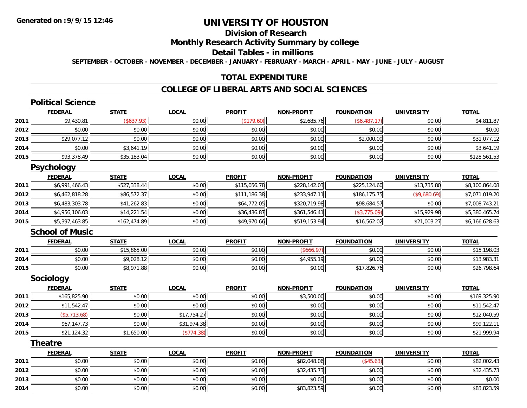### **Division of Research**

#### **Monthly Research Activity Summary by college**

#### **Detail Tables - in millions**

**SEPTEMBER - OCTOBER - NOVEMBER - DECEMBER - JANUARY - FEBRUARY - MARCH - APRIL - MAY - JUNE - JULY - AUGUST**

### **TOTAL EXPENDITURE**

### **COLLEGE OF LIBERAL ARTS AND SOCIAL SCIENCES**

# **Political Science**

|      | <b>FEDERAL</b> | <b>STATE</b>      | <u>LOCAL</u> | <b>PROFIT</b> | <b>NON-PROFIT</b> | <b>FOUNDATION</b> | <b>UNIVERSITY</b> | <b>TOTAL</b> |
|------|----------------|-------------------|--------------|---------------|-------------------|-------------------|-------------------|--------------|
| 2011 | \$9,430.81     | $($ \$637.93) $ $ | \$0.00       | (\$179.60)    | \$2,685.76        | \$6,487.1         | \$0.00            | \$4,811.87   |
| 2012 | \$0.00         | \$0.00            | \$0.00       | \$0.00        | \$0.00            | \$0.00            | \$0.00            | \$0.00       |
| 2013 | \$29,077.12    | \$0.00            | \$0.00       | \$0.00        | \$0.00            | \$2,000.00        | \$0.00            | \$31,077.12  |
| 2014 | \$0.00         | \$3,641.19        | \$0.00       | \$0.00        | \$0.00            | \$0.00            | \$0.00            | \$3,641.19   |
| 2015 | \$93,378.49    | \$35,183.04       | \$0.00       | \$0.00        | \$0.00            | \$0.00            | \$0.00            | \$128,561.53 |

#### **Psychology**

|      | <b>FEDERAL</b> | <b>STATE</b> | <b>LOCAL</b> | <b>PROFIT</b> | <b>NON-PROFIT</b> | <b>FOUNDATION</b> | <b>UNIVERSITY</b> | <b>TOTAL</b>   |
|------|----------------|--------------|--------------|---------------|-------------------|-------------------|-------------------|----------------|
| 2011 | \$6,991,466.43 | \$527,338.44 | \$0.00       | \$115,056.78  | \$228,142.03      | \$225,124.60      | \$13,735.80       | \$8,100,864.08 |
| 2012 | \$6,462,818.28 | \$86,572.37  | \$0.00       | \$111,186.38  | \$233,947.11      | \$186,175.75      | (\$9,680.69)      | \$7,071,019.20 |
| 2013 | \$6,483,303.78 | \$41,262.83  | \$0.00       | \$64,772.05   | \$320,719.98      | \$98,684.57       | \$0.00            | \$7,008,743.21 |
| 2014 | \$4,956,106.03 | \$14.221.54  | \$0.00       | \$36,436.87   | \$361,546.41      | (\$3,775.09)      | \$15,929.98       | \$5,380,465.74 |
| 2015 | \$5,397,463.85 | \$162,474.89 | \$0.00       | \$49,970.66   | \$519,153.94      | \$16,562.02       | \$21,003.27       | \$6,166,628.63 |

#### **School of Music**

|      | <b>FEDERAL</b>  | <b>STATE</b>       | <u>LOCAL</u> | <b>PROFIT</b> | <b>NON-PROFIT</b>    | <b>FOUNDATION</b>       | UNIVERSITY | <u>TOTAL</u>    |
|------|-----------------|--------------------|--------------|---------------|----------------------|-------------------------|------------|-----------------|
| 2011 | ku uy<br>DU. UU | 15,865.00          | \$0.00       | \$0.00        |                      | \$0.00                  | \$0.00     | \$15<br>.198.03 |
| 2014 | nn no<br>DU.UG  | \$9,028.12         | \$0.00       | \$0.00        | $C_A$ OFF<br>54,900. | \$0.00                  | \$0.00     | \$13,983.31     |
| 2015 | \$0.00          | \$8,971.88<br>۶0.7 | \$0.00       | \$0.00        | \$0.00               | <sup></sup> *17,826.76∥ | \$0.00     | \$26,798.64     |

#### **Sociology**

|      | <b>FEDERAL</b> | <b>STATE</b> | <u>LOCAL</u> | <b>PROFIT</b> | <b>NON-PROFIT</b> | <b>FOUNDATION</b> | <b>UNIVERSITY</b> | <b>TOTAL</b> |
|------|----------------|--------------|--------------|---------------|-------------------|-------------------|-------------------|--------------|
| 2011 | \$165,825.90   | \$0.00       | \$0.00       | \$0.00        | \$3,500.00        | \$0.00            | \$0.00            | \$169,325.90 |
| 2012 | \$11,542.47    | \$0.00       | \$0.00       | \$0.00        | \$0.00            | \$0.00            | \$0.00            | \$11,542.47  |
| 2013 | (\$5,713.68)   | \$0.00       | \$17,754.27  | \$0.00        | \$0.00            | \$0.00            | \$0.00            | \$12,040.59  |
| 2014 | \$67,147.73    | \$0.00       | \$31,974.38  | \$0.00        | \$0.00            | \$0.00            | \$0.00            | \$99,122.11  |
| 2015 | \$21,124.32    | \$1,650.00   | (\$774.38)   | \$0.00        | \$0.00            | \$0.00            | \$0.00            | \$21,999.94  |

#### **Theatre**

|      | <b>FEDERAL</b> | <u>STATE</u> | <u>LOCAL</u> | <b>PROFIT</b> | <b>NON-PROFIT</b> | <b>FOUNDATION</b> | <b>UNIVERSITY</b> | <b>TOTAL</b> |
|------|----------------|--------------|--------------|---------------|-------------------|-------------------|-------------------|--------------|
| 2011 | \$0.00         | \$0.00       | \$0.00       | \$0.00        | \$82,048.06       | \$45.63           | \$0.00            | \$82,002.43  |
| 2012 | \$0.00         | \$0.00       | \$0.00       | \$0.00        | \$32,435.73       | \$0.00            | \$0.00            | \$32,435.73  |
| 2013 | \$0.00         | \$0.00       | \$0.00       | \$0.00        | \$0.00            | \$0.00            | \$0.00            | \$0.00       |
| 2014 | \$0.00         | \$0.00       | \$0.00       | \$0.00        | \$83,823.59       | \$0.00            | \$0.00            | \$83,823.59  |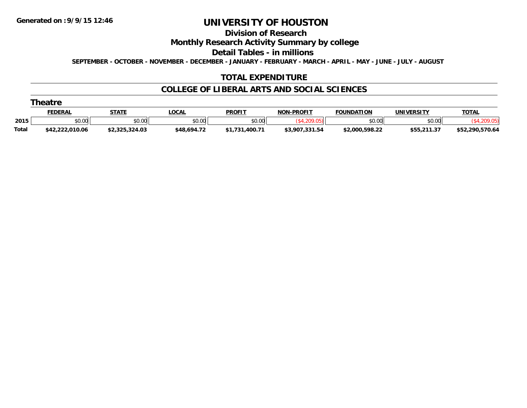**Division of Research**

**Monthly Research Activity Summary by college**

**Detail Tables - in millions**

**SEPTEMBER - OCTOBER - NOVEMBER - DECEMBER - JANUARY - FEBRUARY - MARCH - APRIL - MAY - JUNE - JULY - AUGUST**

### **TOTAL EXPENDITURE**

#### **COLLEGE OF LIBERAL ARTS AND SOCIAL SCIENCES**

|       | <b>FEDERAL</b>  | <b>STATE</b>   | LOCAI       | <b>PROFI</b> | <b>NON-PROFIT</b> | <b>FOUNDATION</b> | UNIVERSITY  | <b>TOTAL</b>    |
|-------|-----------------|----------------|-------------|--------------|-------------------|-------------------|-------------|-----------------|
| 2015  | \$0.00          | \$0.00         | \$0.00      | \$0.00       |                   | \$0.00            | \$0.00      |                 |
| Total | \$42,222,010.06 | \$2,325,324.03 | \$48,694.72 | .400.77<br>. | \$3.907.331.54    | \$2.000.598.22    | \$55,211.37 | \$52,290,570.64 |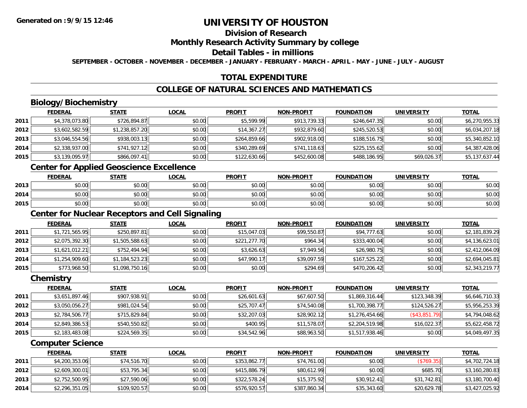## **Division of Research**

#### **Monthly Research Activity Summary by college**

#### **Detail Tables - in millions**

**SEPTEMBER - OCTOBER - NOVEMBER - DECEMBER - JANUARY - FEBRUARY - MARCH - APRIL - MAY - JUNE - JULY - AUGUST**

### **TOTAL EXPENDITURE**

### **COLLEGE OF NATURAL SCIENCES AND MATHEMATICS**

# **Biology/Biochemistry**

|      | <b>FEDERAL</b> | <b>STATE</b>   | <u>LOCAL</u> | <b>PROFIT</b> | <b>NON-PROFIT</b> | <b>FOUNDATION</b> | <b>UNIVERSITY</b> | <b>TOTAL</b>   |
|------|----------------|----------------|--------------|---------------|-------------------|-------------------|-------------------|----------------|
| 2011 | \$4,378,073.80 | \$726,894.87   | \$0.00       | \$5,599.99    | \$913,739.33      | \$246,647.35      | \$0.00            | \$6,270,955.33 |
| 2012 | \$3,602,582.59 | \$1,238,857.20 | \$0.00       | \$14,367.27   | \$932,879.60      | \$245,520.53      | \$0.00            | \$6,034,207.18 |
| 2013 | \$3,046,554.56 | \$938,003.13   | \$0.00       | \$264,859.66  | \$902,918.00      | \$188,516.75      | \$0.00            | \$5,340,852.10 |
| 2014 | \$2,338,937.00 | \$741,927.12   | \$0.00       | \$340,289.69  | \$741,118.63      | \$225,155.62      | \$0.00            | \$4,387,428.06 |
| 2015 | \$3,139,095.97 | \$866,097.41   | \$0.00       | \$122,630.66  | \$452,600.08      | \$488,186.95      | \$69,026.37       | \$5,137,637.44 |

<u> 1980 - Johann Barbara, martxa alemaniar amerikan basar da da a shekara 1980 - Andrew Santan Barbara, a shekar</u>

### **Center for Applied Geoscience Excellence**

|      | <b>FEDERAL</b>               | <b>STATE</b> | <u>LOCAL</u> | <b>PROFIT</b> | <b>NON-PROFIT</b> | <b>FOUNDATION</b> | <b>UNIVERSITY</b> | <b>TOTAL</b> |
|------|------------------------------|--------------|--------------|---------------|-------------------|-------------------|-------------------|--------------|
| 2013 | $\sim$<br>$\sim$<br>JU.UU    | \$0.00       | \$0.00       | \$0.00        | \$0.00            | \$0.00            | \$0.00            | \$0.00       |
| 2014 | ሖጣ<br>$\sim$<br>וטטוע        | \$0.00       | \$0.00       | \$0.00        | \$0.00            | \$0.00            | \$0.00            | \$0.00       |
| 2015 | <b>↑∩</b><br>$\sim$<br>JU.UU | \$0.00       | \$0.00       | \$0.00        | \$0.00            | \$0.00            | \$0.00            | \$0.00       |

### **Center for Nuclear Receptors and Cell Signaling**

|      | <b>FEDERAL</b> | <b>STATE</b>   | <u>LOCAL</u> | <b>PROFIT</b> | <b>NON-PROFIT</b> | <b>FOUNDATION</b> | <b>UNIVERSITY</b> | <b>TOTAL</b>   |
|------|----------------|----------------|--------------|---------------|-------------------|-------------------|-------------------|----------------|
| 2011 | \$1,721,565.95 | \$250,897.81   | \$0.00       | \$15,047.03   | \$99,550.87       | \$94,777.63       | \$0.00            | \$2,181,839.29 |
| 2012 | \$2,075,392.30 | \$1,505,588.63 | \$0.00       | \$221,277.70  | \$964.34          | \$333,400.04      | \$0.00            | \$4,136,623.01 |
| 2013 | \$1,621,012.21 | \$752,494.94   | \$0.00       | \$3,626.63    | \$7,949.56        | \$26,980.75       | \$0.00            | \$2,412,064.09 |
| 2014 | \$1,254,909.60 | \$1,184,523.23 | \$0.00       | \$47,990.17   | \$39,097.59       | \$167,525.22      | \$0.00            | \$2,694,045.81 |
| 2015 | \$773,968.50   | \$1,098,750.16 | \$0.00       | \$0.00        | \$294.69          | \$470,206.42      | \$0.00            | \$2,343,219.77 |

#### **Chemistry**

|      | <b>FEDERAL</b> | <b>STATE</b> | <b>LOCAL</b> | <b>PROFIT</b> | <b>NON-PROFIT</b> | <b>FOUNDATION</b> | <b>UNIVERSITY</b> | <b>TOTAL</b>   |
|------|----------------|--------------|--------------|---------------|-------------------|-------------------|-------------------|----------------|
| 2011 | \$3,651,897.46 | \$907,938.91 | \$0.00       | \$26,601.63   | \$67,607.50       | \$1,869,316.44    | \$123,348.39      | \$6,646,710.33 |
| 2012 | \$3,050,056.27 | \$981,024.54 | \$0.00       | \$25,707.47   | \$74,540.08       | \$1,700,398.77    | \$124,526.27      | \$5,956,253.39 |
| 2013 | \$2,784,506.77 | \$715,829.84 | \$0.00       | \$32,207.03   | \$28,902.12       | \$1,276,454.66    | $($ \$43,851.79)  | \$4,794,048.62 |
| 2014 | \$2,849,386.53 | \$540,550.82 | \$0.00       | \$400.95      | \$11,578.07       | \$2,204,519.98    | \$16,022.37       | \$5,622,458.72 |
| 2015 | \$2,183,483.08 | \$224,569.35 | \$0.00       | \$34,542.96   | \$88,963.50       | \$1,517,938.46    | \$0.00            | \$4,049,497.35 |

#### **Computer Science**

|      | <b>FEDERAL</b> | <u>STATE</u> | <b>LOCAL</b> | <b>PROFIT</b> | <b>NON-PROFIT</b> | <b>FOUNDATION</b> | UNIVERSITY  | <b>TOTAL</b>   |
|------|----------------|--------------|--------------|---------------|-------------------|-------------------|-------------|----------------|
| 2011 | \$4,200,353.06 | \$74,516.70  | \$0.00       | \$353,862.77  | \$74,761.00       | \$0.00            | (\$769.35)  | \$4,702,724.18 |
| 2012 | \$2,609,300.01 | \$53,795.34  | \$0.00       | \$415,886.79  | \$80,612.99       | \$0.00            | \$685.70    | \$3,160,280.83 |
| 2013 | \$2,752,500.95 | \$27,590.06  | \$0.00       | \$322,578.24  | \$15,375.92       | \$30.912.41       | \$31,742.81 | \$3,180,700.40 |
| 2014 | \$2,296,351.05 | \$109,920.57 | \$0.00       | \$576,920.57  | \$387,860.34      | \$35,343.60       | \$20,629.78 | \$3,427,025.92 |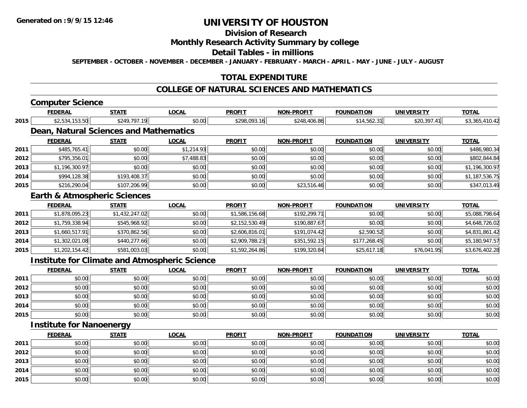# **Division of Research**

### **Monthly Research Activity Summary by college**

#### **Detail Tables - in millions**

**SEPTEMBER - OCTOBER - NOVEMBER - DECEMBER - JANUARY - FEBRUARY - MARCH - APRIL - MAY - JUNE - JULY - AUGUST**

### **TOTAL EXPENDITURE**

#### **COLLEGE OF NATURAL SCIENCES AND MATHEMATICS**

### **Computer Science**

|      | <b>FEDERAL</b>                                       | <b>STATE</b>   | <b>LOCAL</b> | <b>PROFIT</b>  | <b>NON-PROFIT</b> | <b>FOUNDATION</b> | <b>UNIVERSITY</b> | <b>TOTAL</b>   |
|------|------------------------------------------------------|----------------|--------------|----------------|-------------------|-------------------|-------------------|----------------|
| 2015 | \$2,534,153.50                                       | \$249,797.19   | \$0.00       | \$298,093.16   | \$248,406.86      | \$14,562.31       | \$20,397.41       | \$3,365,410.42 |
|      | Dean, Natural Sciences and Mathematics               |                |              |                |                   |                   |                   |                |
|      | <b>FEDERAL</b>                                       | <b>STATE</b>   | <b>LOCAL</b> | <b>PROFIT</b>  | <b>NON-PROFIT</b> | <b>FOUNDATION</b> | <b>UNIVERSITY</b> | <b>TOTAL</b>   |
| 2011 | \$485,765.41                                         | \$0.00         | \$1,214.93   | \$0.00         | \$0.00            | \$0.00            | \$0.00            | \$486,980.34   |
| 2012 | \$795,356.01                                         | \$0.00         | \$7,488.83   | \$0.00         | \$0.00            | \$0.00            | \$0.00            | \$802,844.84   |
| 2013 | \$1,196,300.97                                       | \$0.00         | \$0.00       | \$0.00         | \$0.00            | \$0.00            | \$0.00            | \$1,196,300.97 |
| 2014 | \$994,128.38                                         | \$193,408.37   | \$0.00       | \$0.00         | \$0.00            | \$0.00            | \$0.00            | \$1,187,536.75 |
| 2015 | \$216,290.04                                         | \$107,206.99   | \$0.00       | \$0.00         | \$23,516.46       | \$0.00            | \$0.00            | \$347,013.49   |
|      | <b>Earth &amp; Atmospheric Sciences</b>              |                |              |                |                   |                   |                   |                |
|      | <b>FEDERAL</b>                                       | <b>STATE</b>   | <b>LOCAL</b> | <b>PROFIT</b>  | <b>NON-PROFIT</b> | <b>FOUNDATION</b> | <b>UNIVERSITY</b> | <b>TOTAL</b>   |
| 2011 | \$1,878,095.23                                       | \$1,432,247.02 | \$0.00       | \$1,586,156.68 | \$192,299.71      | \$0.00            | \$0.00            | \$5,088,798.64 |
| 2012 | \$1,759,338.94                                       | \$545,968.92   | \$0.00       | \$2,152,530.49 | \$190,887.67      | \$0.00            | \$0.00            | \$4,648,726.02 |
| 2013 | \$1,660,517.91                                       | \$370,862.56   | \$0.00       | \$2,606,816.01 | \$191,074.42      | \$2,590.52        | \$0.00            | \$4,831,861.42 |
| 2014 | \$1,302,021.08                                       | \$440,277.66   | \$0.00       | \$2,909,788.23 | \$351,592.15      | \$177,268.45      | \$0.00            | \$5,180,947.57 |
| 2015 | \$1,202,154.42                                       | \$581,003.03   | \$0.00       | \$1,592,264.86 | \$199,320.84      | \$25,617.18       | \$76,041.95       | \$3,676,402.28 |
|      | <b>Institute for Climate and Atmospheric Science</b> |                |              |                |                   |                   |                   |                |
|      | <b>FEDERAL</b>                                       | <b>STATE</b>   | <b>LOCAL</b> | <b>PROFIT</b>  | <b>NON-PROFIT</b> | <b>FOUNDATION</b> | <b>UNIVERSITY</b> | <b>TOTAL</b>   |
| 2011 | \$0.00                                               | \$0.00         | \$0.00       | \$0.00         | \$0.00            | \$0.00            | \$0.00            | \$0.00         |
| 2012 | \$0.00                                               | \$0.00         | \$0.00       | \$0.00         | \$0.00            | \$0.00            | \$0.00            | \$0.00         |
| 2013 | \$0.00                                               | \$0.00         | \$0.00       | \$0.00         | \$0.00            | \$0.00            | \$0.00            | \$0.00         |
| 2014 | \$0.00                                               | \$0.00         | \$0.00       | \$0.00         | \$0.00            | \$0.00            | \$0.00            | \$0.00         |
| 2015 | \$0.00                                               | \$0.00         | \$0.00       | \$0.00         | \$0.00            | \$0.00            | \$0.00            | \$0.00         |
|      | <b>Institute for Nanoenergy</b>                      |                |              |                |                   |                   |                   |                |
|      | <b>FEDERAL</b>                                       | <b>STATE</b>   | LOCAL        | <b>PROFIT</b>  | <b>NON-PROFIT</b> | <b>FOUNDATION</b> | <b>UNIVERSITY</b> | <b>TOTAL</b>   |

|      | <u>FEDERAL</u> | <u>STATE</u> | <u>LOCAL</u> | <b>PROFIT</b> | <b>NON-PROFIT</b> | <b>FOUNDATION</b> | UNIVERSITY | <u>TOTAL</u> |
|------|----------------|--------------|--------------|---------------|-------------------|-------------------|------------|--------------|
| 2011 | \$0.00         | \$0.00       | \$0.00       | \$0.00        | \$0.00            | \$0.00            | \$0.00     | \$0.00       |
| 2012 | \$0.00         | \$0.00       | \$0.00       | \$0.00        | \$0.00            | \$0.00            | \$0.00     | \$0.00       |
| 2013 | \$0.00         | \$0.00       | \$0.00       | \$0.00        | \$0.00            | \$0.00            | \$0.00     | \$0.00       |
| 2014 | \$0.00         | \$0.00       | \$0.00       | \$0.00        | \$0.00            | \$0.00            | \$0.00     | \$0.00       |
| 2015 | \$0.00         | \$0.00       | \$0.00       | \$0.00        | \$0.00            | \$0.00            | \$0.00     | \$0.00       |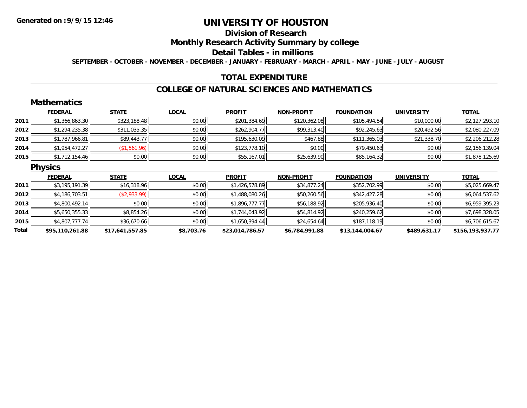# **Division of Research**

**Monthly Research Activity Summary by college**

**Detail Tables - in millions**

**SEPTEMBER - OCTOBER - NOVEMBER - DECEMBER - JANUARY - FEBRUARY - MARCH - APRIL - MAY - JUNE - JULY - AUGUST**

### **TOTAL EXPENDITURE**

#### **COLLEGE OF NATURAL SCIENCES AND MATHEMATICS**

|       | <b>Mathematics</b> |                 |              |                 |                   |                   |                   |                  |
|-------|--------------------|-----------------|--------------|-----------------|-------------------|-------------------|-------------------|------------------|
|       | <b>FEDERAL</b>     | <b>STATE</b>    | <b>LOCAL</b> | <b>PROFIT</b>   | <b>NON-PROFIT</b> | <b>FOUNDATION</b> | <b>UNIVERSITY</b> | <b>TOTAL</b>     |
| 2011  | \$1,366,863.30     | \$323,188.48    | \$0.00       | \$201,384.69    | \$120,362.08      | \$105,494.54      | \$10,000.00       | \$2,127,293.10   |
| 2012  | \$1,294,235.38     | \$311,035.35    | \$0.00       | \$262,904.77    | \$99,313.40       | \$92,245.63       | \$20,492.56       | \$2,080,227.09   |
| 2013  | \$1,787,966.81     | \$89,443.77     | \$0.00       | \$195,630.09    | \$467.88          | \$111,365.03      | \$21,338.70       | \$2,206,212.28   |
| 2014  | \$1,954,472.27     | (\$1,561.96)    | \$0.00       | \$123,778.10    | \$0.00            | \$79,450.63       | \$0.00            | \$2,156,139.04   |
| 2015  | \$1,712,154.46     | \$0.00          | \$0.00       | \$55,167.01     | \$25,639.90       | \$85,164.32       | \$0.00            | \$1,878,125.69   |
|       | <b>Physics</b>     |                 |              |                 |                   |                   |                   |                  |
|       | <b>FEDERAL</b>     | <b>STATE</b>    | <b>LOCAL</b> | <b>PROFIT</b>   | <b>NON-PROFIT</b> | <b>FOUNDATION</b> | <b>UNIVERSITY</b> | <b>TOTAL</b>     |
| 2011  | \$3,195,191.39     | \$16,318.96     | \$0.00       | \$1,426,578.89  | \$34,877.24       | \$352,702.99      | \$0.00            | \$5,025,669.47   |
| 2012  | \$4,186,703.51     | ( \$2,933.99)   | \$0.00       | \$1,488,080.26  | \$50,260.56       | \$342,427.28      | \$0.00            | \$6,064,537.62   |
| 2013  | \$4,800,492.14     | \$0.00          | \$0.00       | \$1,896,777.77  | \$56,188.92       | \$205,936.40      | \$0.00            | \$6,959,395.23   |
| 2014  | \$5,650,355.33     | \$8,854.26      | \$0.00       | \$1,744,043.92  | \$54,814.92       | \$240,259.62      | \$0.00            | \$7,698,328.05   |
| 2015  | \$4,807,777.74     | \$36,670.66     | \$0.00       | \$1,650,394.44  | \$24,654.64       | \$187,118.19      | \$0.00            | \$6,706,615.67   |
| Total | \$95,110,261.88    | \$17,641,557.85 | \$8,703.76   | \$23,014,786.57 | \$6,784,991.88    | \$13,144,004.67   | \$489,631.17      | \$156,193,937.77 |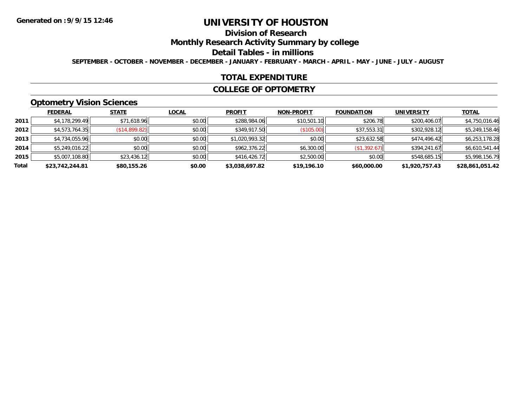# **Division of Research**

**Monthly Research Activity Summary by college**

#### **Detail Tables - in millions**

**SEPTEMBER - OCTOBER - NOVEMBER - DECEMBER - JANUARY - FEBRUARY - MARCH - APRIL - MAY - JUNE - JULY - AUGUST**

#### **TOTAL EXPENDITURE**

#### **COLLEGE OF OPTOMETRY**

### **Optometry Vision Sciences**

|       | <b>FEDERAL</b>  | <b>STATE</b>  | <b>LOCAL</b> | <b>PROFIT</b>  | <b>NON-PROFIT</b> | <b>FOUNDATION</b> | <b>UNIVERSITY</b> | <u>TOTAL</u>    |
|-------|-----------------|---------------|--------------|----------------|-------------------|-------------------|-------------------|-----------------|
| 2011  | \$4,178,299.49  | \$71,618.96   | \$0.00       | \$288,984.06   | \$10,501.10       | \$206.78          | \$200,406.07      | \$4,750,016.46  |
| 2012  | \$4,573,764.35  | (S14, 899.82) | \$0.00       | \$349,917.50   | (S105.00)         | \$37,553.31       | \$302,928.12      | \$5,249,158.46  |
| 2013  | \$4,734,055.96  | \$0.00        | \$0.00       | \$1,020,993.32 | \$0.00            | \$23,632.58       | \$474,496.42      | \$6,253,178.28  |
| 2014  | \$5,249,016.22  | \$0.00        | \$0.00       | \$962,376.22   | \$6,300.00        | (\$1,392.67)      | \$394,241.67      | \$6,610,541.44  |
| 2015  | \$5,007,108.80  | \$23,436.12   | \$0.00       | \$416,426.72   | \$2,500.00        | \$0.00            | \$548,685.15      | \$5,998,156.79  |
| Total | \$23,742,244.81 | \$80,155.26   | \$0.00       | \$3,038,697.82 | \$19,196.10       | \$60,000.00       | \$1,920,757.43    | \$28,861,051.42 |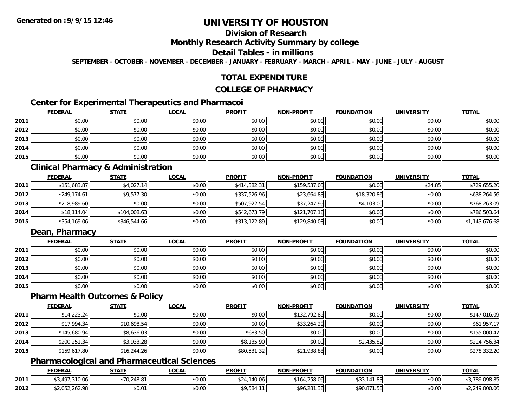# **Division of Research**

#### **Monthly Research Activity Summary by college**

#### **Detail Tables - in millions**

**SEPTEMBER - OCTOBER - NOVEMBER - DECEMBER - JANUARY - FEBRUARY - MARCH - APRIL - MAY - JUNE - JULY - AUGUST**

### **TOTAL EXPENDITURE**

#### **COLLEGE OF PHARMACY**

### **Center for Experimental Therapeutics and Pharmacoi**

|      | <b>FEDERAL</b> | <b>STATE</b> | <b>LOCAL</b> | <b>PROFIT</b> | <b>NON-PROFIT</b> | <b>FOUNDATION</b> | <b>UNIVERSITY</b> | <b>TOTAL</b> |
|------|----------------|--------------|--------------|---------------|-------------------|-------------------|-------------------|--------------|
| 2011 | \$0.00         | \$0.00       | \$0.00       | \$0.00        | \$0.00            | \$0.00            | \$0.00            | \$0.00       |
| 2012 | \$0.00         | \$0.00       | \$0.00       | \$0.00        | \$0.00            | \$0.00            | \$0.00            | \$0.00       |
| 2013 | \$0.00         | \$0.00       | \$0.00       | \$0.00        | \$0.00            | \$0.00            | \$0.00            | \$0.00       |
| 2014 | \$0.00         | \$0.00       | \$0.00       | \$0.00        | \$0.00            | \$0.00            | \$0.00            | \$0.00       |
| 2015 | \$0.00         | \$0.00       | \$0.00       | \$0.00        | \$0.00            | \$0.00            | \$0.00            | \$0.00       |

### **Clinical Pharmacy & Administration**

|      | <b>FEDERAL</b> | <b>STATE</b> | <u>LOCAL</u> | <b>PROFIT</b> | <b>NON-PROFIT</b> | <b>FOUNDATION</b> | <b>UNIVERSITY</b> | <b>TOTAL</b>   |
|------|----------------|--------------|--------------|---------------|-------------------|-------------------|-------------------|----------------|
| 2011 | \$151,683.87   | \$4,027.14   | \$0.00       | \$414,382.31  | \$159,537.03      | \$0.00            | \$24.85           | \$729,655.20   |
| 2012 | \$249,174.61   | \$9,577.30   | \$0.00       | \$337,526.96  | \$23,664.83       | \$18,320.86       | \$0.00            | \$638,264.56   |
| 2013 | \$218,989.60   | \$0.00       | \$0.00       | \$507,922.54  | \$37,247.95       | \$4,103.00        | \$0.00            | \$768,263.09   |
| 2014 | \$18,114.04    | \$104,008.63 | \$0.00       | \$542,673.79  | \$121,707.18      | \$0.00            | \$0.00            | \$786,503.64   |
| 2015 | \$354,169.06   | \$346,544.66 | \$0.00       | \$313,122.89  | \$129,840.08      | \$0.00            | \$0.00            | \$1,143,676.68 |

### **Dean, Pharmacy**

|      | <b>FEDERAL</b> | <b>STATE</b> | <u>LOCAL</u> | <b>PROFIT</b> | <b>NON-PROFIT</b> | <b>FOUNDATION</b> | <b>UNIVERSITY</b> | <b>TOTAL</b> |
|------|----------------|--------------|--------------|---------------|-------------------|-------------------|-------------------|--------------|
| 2011 | \$0.00         | \$0.00       | \$0.00       | \$0.00        | \$0.00            | \$0.00            | \$0.00            | \$0.00       |
| 2012 | \$0.00         | \$0.00       | \$0.00       | \$0.00        | \$0.00            | \$0.00            | \$0.00            | \$0.00       |
| 2013 | \$0.00         | \$0.00       | \$0.00       | \$0.00        | \$0.00            | \$0.00            | \$0.00            | \$0.00       |
| 2014 | \$0.00         | \$0.00       | \$0.00       | \$0.00        | \$0.00            | \$0.00            | \$0.00            | \$0.00       |
| 2015 | \$0.00         | \$0.00       | \$0.00       | \$0.00        | \$0.00            | \$0.00            | \$0.00            | \$0.00       |

#### **Pharm Health Outcomes & Policy**

|      | <b>FEDERAL</b> | <b>STATE</b> | <b>LOCAL</b> | <b>PROFIT</b> | <b>NON-PROFIT</b> | <b>FOUNDATION</b> | <b>UNIVERSITY</b> | <b>TOTAL</b> |
|------|----------------|--------------|--------------|---------------|-------------------|-------------------|-------------------|--------------|
| 2011 | \$14,223.24    | \$0.00       | \$0.00       | \$0.00        | \$132,792.85      | \$0.00            | \$0.00            | \$147,016.09 |
| 2012 | \$17,994.34    | \$10,698.54  | \$0.00       | \$0.00        | \$33,264.29       | \$0.00            | \$0.00            | \$61,957.17  |
| 2013 | \$145,680.94   | \$8,636.03   | \$0.00       | \$683.50      | \$0.00            | \$0.00            | \$0.00            | \$155,000.47 |
| 2014 | \$200,251.34   | \$3,933.28   | \$0.00       | \$8,135.90    | \$0.00            | \$2,435.82        | \$0.00            | \$214,756.34 |
| 2015 | \$159,617.80   | \$16,244.26  | \$0.00       | \$80,531.32   | \$21,938.83       | \$0.00            | \$0.00            | \$278,332.20 |

### **Pharmacological and Pharmaceutical Sciences**

|      | <b>FEDERAL</b> | <b>STATE</b>          | <b>LOCAL</b> | <b>PROFIT</b>         | <b>NON-PROFIT</b> | <b>FOUNDATION</b> | <b>UNIVERSITY</b> | <b>TOTAL</b>   |
|------|----------------|-----------------------|--------------|-----------------------|-------------------|-------------------|-------------------|----------------|
| 2011 | .310.06<br>407 | \$70,248.81           | \$0.00       | .140.06<br><b>COM</b> | .258.09<br>\$164  | .141.83           | \$0.00            | 1,789,098.85   |
| 2012 | \$2,052,262.98 | $n \cap \neg$<br>JU.U | \$0.00       | \$9,584.11            | \$96,281.38       | \$90.871.58       | \$0.00            | \$2,249,000.06 |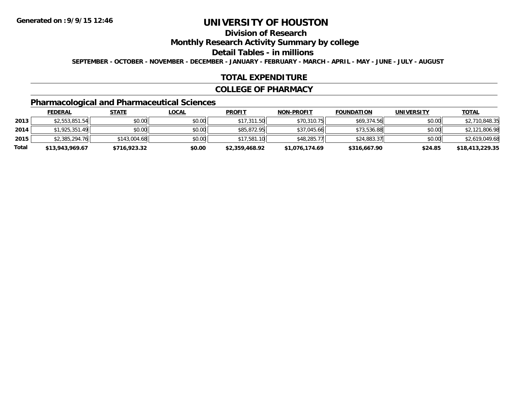# **Division of Research**

**Monthly Research Activity Summary by college**

**Detail Tables - in millions**

**SEPTEMBER - OCTOBER - NOVEMBER - DECEMBER - JANUARY - FEBRUARY - MARCH - APRIL - MAY - JUNE - JULY - AUGUST**

#### **TOTAL EXPENDITURE**

#### **COLLEGE OF PHARMACY**

## **Pharmacological and Pharmaceutical Sciences**

|       | <b>FEDERAL</b>  | <u>STATE</u> | <u>LOCAL</u> | <b>PROFIT</b>  | <b>NON-PROFIT</b> | <b>FOUNDATION</b> | <b>UNIVERSITY</b> | <b>TOTAL</b>    |
|-------|-----------------|--------------|--------------|----------------|-------------------|-------------------|-------------------|-----------------|
| 2013  | \$2,553,851.54  | \$0.00       | \$0.00       | \$17,311.50    | \$70,310.75       | \$69,374.56       | \$0.00            | \$2,710,848.35  |
| 2014  | \$1,925,351.49  | \$0.00       | \$0.00       | \$85,872.95    | \$37,045.66       | \$73,536.88       | \$0.00            | \$2,121,806.98  |
| 2015  | \$2,385,294.76  | \$143,004.68 | \$0.00       | \$17,581.10    | \$48,285.77       | \$24,883.37       | \$0.00            | \$2,619,049.68  |
| Total | \$13,943,969.67 | \$716,923.32 | \$0.00       | \$2,359,468.92 | \$1,076,174.69    | \$316,667.90      | \$24.85           | \$18,413,229.35 |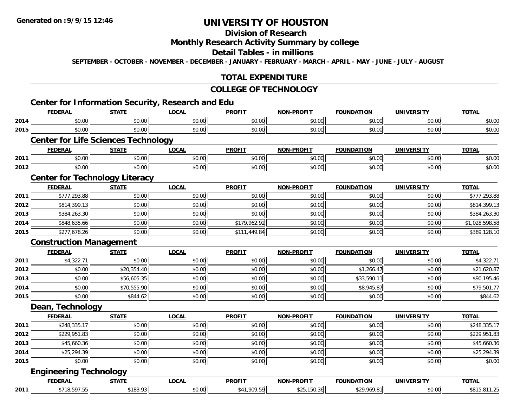### **Division of Research**

### **Monthly Research Activity Summary by college**

#### **Detail Tables - in millions**

**SEPTEMBER - OCTOBER - NOVEMBER - DECEMBER - JANUARY - FEBRUARY - MARCH - APRIL - MAY - JUNE - JULY - AUGUST**

#### **TOTAL EXPENDITURE**

#### **COLLEGE OF TECHNOLOGY**

# **Center for Information Security, Research and Edu**

|      | <b>FEDERAL</b>                             | <b>STATE</b> | 1.1.10.1.1.10.1.10.1.00001.1.1, 1.00001.0.1.0.1.10<br><b>LOCAL</b> | <b>PROFIT</b> | NON-PROFIT        | <b>FOUNDATION</b> | <b>UNIVERSITY</b> | <b>TOTAL</b>   |
|------|--------------------------------------------|--------------|--------------------------------------------------------------------|---------------|-------------------|-------------------|-------------------|----------------|
| 2014 | \$0.00                                     | \$0.00       | \$0.00                                                             | \$0.00        | \$0.00            | \$0.00            | \$0.00            | \$0.00         |
| 2015 | \$0.00                                     | \$0.00       | \$0.00                                                             | \$0.00        | \$0.00            | \$0.00            | \$0.00            | \$0.00         |
|      | <b>Center for Life Sciences Technology</b> |              |                                                                    |               |                   |                   |                   |                |
|      | <b>FEDERAL</b>                             | <b>STATE</b> | <b>LOCAL</b>                                                       | <b>PROFIT</b> | <b>NON-PROFIT</b> | <b>FOUNDATION</b> | <b>UNIVERSITY</b> | <b>TOTAL</b>   |
| 2011 | \$0.00                                     | \$0.00       | \$0.00                                                             | \$0.00        | \$0.00            | \$0.00            | \$0.00            | \$0.00         |
| 2012 | \$0.00                                     | \$0.00       | \$0.00                                                             | \$0.00        | \$0.00            | \$0.00            | \$0.00            | \$0.00         |
|      | <b>Center for Technology Literacy</b>      |              |                                                                    |               |                   |                   |                   |                |
|      | <b>FEDERAL</b>                             | <b>STATE</b> | <b>LOCAL</b>                                                       | <b>PROFIT</b> | <b>NON-PROFIT</b> | <b>FOUNDATION</b> | <b>UNIVERSITY</b> | <b>TOTAL</b>   |
| 2011 | \$777,293.88                               | \$0.00       | \$0.00                                                             | \$0.00        | \$0.00            | \$0.00            | \$0.00            | \$777,293.88   |
| 2012 | \$814,399.13                               | \$0.00       | \$0.00                                                             | \$0.00        | \$0.00            | \$0.00            | \$0.00            | \$814,399.13   |
| 2013 | \$384,263.30                               | \$0.00       | \$0.00                                                             | \$0.00        | \$0.00            | \$0.00            | \$0.00            | \$384,263.30   |
| 2014 | \$848,635.66                               | \$0.00       | \$0.00                                                             | \$179,962.92  | \$0.00            | \$0.00            | \$0.00            | \$1,028,598.58 |
| 2015 | \$277,678.26                               | \$0.00       | \$0.00                                                             | \$111,449.84  | \$0.00            | \$0.00            | \$0.00            | \$389,128.10   |
|      | <b>Construction Management</b>             |              |                                                                    |               |                   |                   |                   |                |
|      | <b>FEDERAL</b>                             | <b>STATE</b> | <b>LOCAL</b>                                                       | <b>PROFIT</b> | NON-PROFIT        | <b>FOUNDATION</b> | <b>UNIVERSITY</b> | <b>TOTAL</b>   |
| 2011 | \$4,322.71                                 | \$0.00       | \$0.00                                                             | \$0.00        | \$0.00            | \$0.00            | \$0.00            | \$4,322.71     |
| 2012 | \$0.00                                     | \$20,354.40  | \$0.00                                                             | \$0.00        | \$0.00            | \$1,266.47        | \$0.00            | \$21,620.87    |
| 2013 | \$0.00                                     | \$56,605.35  | \$0.00                                                             | \$0.00        | \$0.00            | \$33,590.11       | \$0.00            | \$90,195.46    |
| 2014 | \$0.00                                     | \$70,555.90  | \$0.00                                                             | \$0.00        | \$0.00            | \$8,945.87        | \$0.00            | \$79,501.77    |
| 2015 | \$0.00                                     | \$844.62     | \$0.00                                                             | \$0.00        | \$0.00            | \$0.00            | \$0.00            | \$844.62       |
|      | Dean, Technology                           |              |                                                                    |               |                   |                   |                   |                |
|      | <b>FEDERAL</b>                             | <b>STATE</b> | <b>LOCAL</b>                                                       | <b>PROFIT</b> | <b>NON-PROFIT</b> | <b>FOUNDATION</b> | <b>UNIVERSITY</b> | <b>TOTAL</b>   |
| 2011 | \$248,335.17                               | \$0.00       | \$0.00                                                             | \$0.00        | \$0.00            | \$0.00            | \$0.00            | \$248,335.17   |
| 2012 | \$229,951.83                               | \$0.00       | \$0.00                                                             | \$0.00        | \$0.00            | \$0.00            | \$0.00            | \$229,951.83   |
| 2013 | \$45,660.36                                | \$0.00       | \$0.00                                                             | \$0.00        | \$0.00            | \$0.00            | \$0.00            | \$45,660.36    |
| 2014 | \$25,294.39                                | \$0.00       | \$0.00                                                             | \$0.00        | \$0.00            | \$0.00            | \$0.00            | \$25,294.39    |
| 2015 | \$0.00                                     | \$0.00       | \$0.00                                                             | \$0.00        | \$0.00            | \$0.00            | \$0.00            | \$0.00         |
|      | <b>Engineering Technology</b>              |              |                                                                    |               |                   |                   |                   |                |
|      | <b>FEDERAL</b>                             | <b>STATE</b> | <b>LOCAL</b>                                                       | <b>PROFIT</b> | <b>NON-PROFIT</b> | <b>FOUNDATION</b> | <b>UNIVERSITY</b> | <b>TOTAL</b>   |

**2011**.1 | \$718,597.55|| \$183.93|| \$0.00|| \$41,909.59|| \$25,150.36|| \$29,969.81|| \$0.00|| \$815,811.25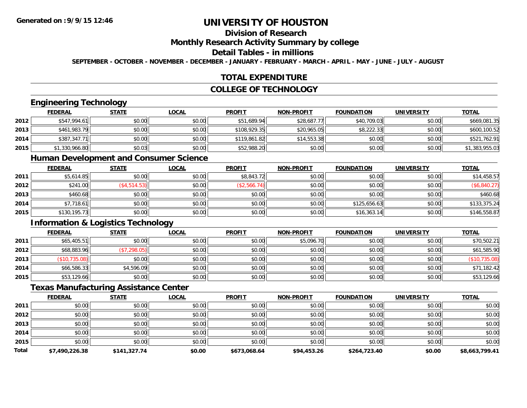# **Division of Research**

#### **Monthly Research Activity Summary by college**

#### **Detail Tables - in millions**

**SEPTEMBER - OCTOBER - NOVEMBER - DECEMBER - JANUARY - FEBRUARY - MARCH - APRIL - MAY - JUNE - JULY - AUGUST**

### **TOTAL EXPENDITURE**

### **COLLEGE OF TECHNOLOGY**

#### **Engineering Technology**

|      | <b>FEDERAL</b> | <u>STATE</u> | <b>LOCAL</b> | <b>PROFIT</b> | <b>NON-PROFIT</b> | <b>FOUNDATION</b> | <b>UNIVERSITY</b> | <b>TOTAL</b>   |
|------|----------------|--------------|--------------|---------------|-------------------|-------------------|-------------------|----------------|
| 2012 | \$547,994.61   | \$0.00       | \$0.00       | \$51,689.94   | \$28,687.77       | \$40,709.03       | \$0.00            | \$669,081.35   |
| 2013 | \$461,983.79   | \$0.00       | \$0.00       | \$108,929.35  | \$20,965.05       | \$8,222.33        | \$0.00            | \$600.100.52   |
| 2014 | \$387,347.71   | \$0.00       | \$0.00       | \$119,861.82  | \$14,553.38       | \$0.00            | \$0.00            | \$521,762.91   |
| 2015 | \$1,330,966.80 | \$0.03       | \$0.00       | \$52,988.20   | \$0.00            | \$0.00            | \$0.00            | \$1,383,955.03 |

#### **Human Development and Consumer Science**

|      | <b>FEDERAL</b> | <b>STATE</b> | <u>LOCAL</u> | <b>PROFIT</b> | <b>NON-PROFIT</b> | <b>FOUNDATION</b> | <b>UNIVERSITY</b> | <b>TOTAL</b> |
|------|----------------|--------------|--------------|---------------|-------------------|-------------------|-------------------|--------------|
| 2011 | \$5,614.85     | \$0.00       | \$0.00       | \$8,843.72    | \$0.00            | \$0.00            | \$0.00            | \$14,458.57  |
| 2012 | \$241.00       | \$4,514.53   | \$0.00       | \$2,566.74)   | \$0.00            | \$0.00            | \$0.00            | (\$6,840.27) |
| 2013 | \$460.68       | \$0.00       | \$0.00       | \$0.00        | \$0.00            | \$0.00            | \$0.00            | \$460.68     |
| 2014 | \$7,718.61     | \$0.00       | \$0.00       | \$0.00        | \$0.00            | \$125,656.63      | \$0.00            | \$133,375.24 |
| 2015 | \$130,195.73   | \$0.00       | \$0.00       | \$0.00        | \$0.00            | \$16,363.14       | \$0.00            | \$146,558.87 |

# **Information & Logistics Technology**

|      | <u>FEDERAL</u> | <u>STATE</u> | <u>LOCAL</u> | <b>PROFIT</b> | <b>NON-PROFIT</b> | <b>FOUNDATION</b> | <b>UNIVERSITY</b> | <b>TOTAL</b>  |
|------|----------------|--------------|--------------|---------------|-------------------|-------------------|-------------------|---------------|
| 2011 | \$65,405.51    | \$0.00       | \$0.00       | \$0.00        | \$5,096.70        | \$0.00            | \$0.00            | \$70,502.21   |
| 2012 | \$68,883.96    | (\$7,298.05) | \$0.00       | \$0.00        | \$0.00            | \$0.00            | \$0.00            | \$61,585.90   |
| 2013 | (\$10,735.08)  | \$0.00       | \$0.00       | \$0.00        | \$0.00            | \$0.00            | \$0.00            | (\$10,735.08) |
| 2014 | \$66,586.33    | \$4,596.09   | \$0.00       | \$0.00        | \$0.00            | \$0.00            | \$0.00            | \$71,182.42   |
| 2015 | \$53,129.66    | \$0.00       | \$0.00       | \$0.00        | \$0.00            | \$0.00            | \$0.00            | \$53,129.66   |

#### **Texas Manufacturing Assistance Center**

|              | <b>FEDERAL</b> | <b>STATE</b> | <b>LOCAL</b> | <b>PROFIT</b> | <b>NON-PROFIT</b> | <b>FOUNDATION</b> | <b>UNIVERSITY</b> | <b>TOTAL</b>   |
|--------------|----------------|--------------|--------------|---------------|-------------------|-------------------|-------------------|----------------|
| 2011         | \$0.00         | \$0.00       | \$0.00       | \$0.00        | \$0.00            | \$0.00            | \$0.00            | \$0.00         |
| 2012         | \$0.00         | \$0.00       | \$0.00       | \$0.00        | \$0.00            | \$0.00            | \$0.00            | \$0.00         |
| 2013         | \$0.00         | \$0.00       | \$0.00       | \$0.00        | \$0.00            | \$0.00            | \$0.00            | \$0.00         |
| 2014         | \$0.00         | \$0.00       | \$0.00       | \$0.00        | \$0.00            | \$0.00            | \$0.00            | \$0.00         |
| 2015         | \$0.00         | \$0.00       | \$0.00       | \$0.00        | \$0.00            | \$0.00            | \$0.00            | \$0.00         |
| <b>Total</b> | \$7,490,226.38 | \$141,327.74 | \$0.00       | \$673.068.64  | \$94,453.26       | \$264,723.40      | \$0.00            | \$8,663,799.41 |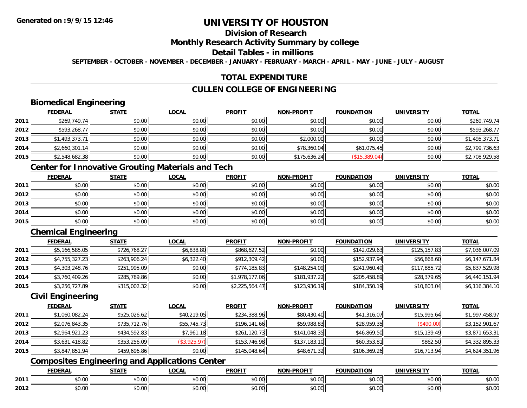# **Division of Research**

### **Monthly Research Activity Summary by college**

#### **Detail Tables - in millions**

**SEPTEMBER - OCTOBER - NOVEMBER - DECEMBER - JANUARY - FEBRUARY - MARCH - APRIL - MAY - JUNE - JULY - AUGUST**

### **TOTAL EXPENDITURE**

### **CULLEN COLLEGE OF ENGINEERING**

### **Biomedical Engineering**

|      | <b>FEDERAL</b> | <b>STATE</b> | <b>LOCAL</b> | <b>PROFIT</b> | <b>NON-PROFIT</b> | <b>FOUNDATION</b> | <b>UNIVERSITY</b> | <b>TOTAL</b>   |
|------|----------------|--------------|--------------|---------------|-------------------|-------------------|-------------------|----------------|
| 2011 | \$269,749.74   | \$0.00       | \$0.00       | \$0.00        | \$0.00            | \$0.00            | \$0.00            | \$269,749.74   |
| 2012 | \$593,268.77   | \$0.00       | \$0.00       | \$0.00        | \$0.00            | \$0.00            | \$0.00            | \$593,268.77   |
| 2013 | \$1,493,373.71 | \$0.00       | \$0.00       | \$0.00        | \$2,000.00        | \$0.00            | \$0.00            | \$1,495,373.71 |
| 2014 | \$2,660,301.14 | \$0.00       | \$0.00       | \$0.00        | \$78,360.04       | \$61,075.45       | \$0.00            | \$2,799,736.63 |
| 2015 | \$2,548,682.38 | \$0.00       | \$0.00       | \$0.00        | \$175,636.24      | (\$15,389.04)     | \$0.00            | \$2,708,929.58 |

### **Center for Innovative Grouting Materials and Tech**

|      | <u>FEDERAL</u> | <u>STATE</u> | <u>LOCAL</u> | <b>PROFIT</b> | <b>NON-PROFIT</b> | <b>FOUNDATION</b> | <b>UNIVERSITY</b> | <b>TOTAL</b> |
|------|----------------|--------------|--------------|---------------|-------------------|-------------------|-------------------|--------------|
| 2011 | \$0.00         | \$0.00       | \$0.00       | \$0.00        | \$0.00            | \$0.00            | \$0.00            | \$0.00       |
| 2012 | \$0.00         | \$0.00       | \$0.00       | \$0.00        | \$0.00            | \$0.00            | \$0.00            | \$0.00       |
| 2013 | \$0.00         | \$0.00       | \$0.00       | \$0.00        | \$0.00            | \$0.00            | \$0.00            | \$0.00       |
| 2014 | \$0.00         | \$0.00       | \$0.00       | \$0.00        | \$0.00            | \$0.00            | \$0.00            | \$0.00       |
| 2015 | \$0.00         | \$0.00       | \$0.00       | \$0.00        | \$0.00            | \$0.00            | \$0.00            | \$0.00       |

# **Chemical Engineering**

|      | <b>FEDERAL</b> | <b>STATE</b> | <b>LOCAL</b> | <b>PROFIT</b>  | <b>NON-PROFIT</b> | <b>FOUNDATION</b> | <b>UNIVERSITY</b> | <b>TOTAL</b>   |
|------|----------------|--------------|--------------|----------------|-------------------|-------------------|-------------------|----------------|
| 2011 | \$5,166,585.05 | \$726,768.27 | \$6,838.80   | \$868,627.52   | \$0.00            | \$142,029.63      | \$125,157.83      | \$7,036,007.09 |
| 2012 | \$4,755,327.23 | \$263,906.24 | \$6,322.40   | \$912,309.42   | \$0.00            | \$152,937.94      | \$56,868.60       | \$6,147,671.84 |
| 2013 | \$4,303,248.76 | \$251,995.09 | \$0.00       | \$774,185.83   | \$148,254.09      | \$241,960.49      | \$117,885.72      | \$5,837,529.98 |
| 2014 | \$3.760.409.26 | \$285,789.86 | \$0.00       | \$1,978,177.06 | \$181,937.22      | \$205,458.89      | \$28,379.65       | \$6,440,151.94 |
| 2015 | \$3,256,727.89 | \$315,002.32 | \$0.00       | \$2,225,564.47 | \$123,936.19      | \$184,350.19      | \$10,803.04       | \$6,116,384.10 |

### **Civil Engineering**

|      | <b>FEDERAL</b> | <b>STATE</b> | <b>LOCAL</b> | <b>PROFIT</b> | <b>NON-PROFIT</b> | <b>FOUNDATION</b> | <b>UNIVERSITY</b> | <b>TOTAL</b>   |
|------|----------------|--------------|--------------|---------------|-------------------|-------------------|-------------------|----------------|
| 2011 | \$1,060,082.24 | \$525,026.62 | \$40,219.05  | \$234,388.96  | \$80,430.40       | \$41,316.07       | \$15,995.64       | \$1,997,458.97 |
| 2012 | \$2,076,843.35 | \$735,712.76 | \$55,745.73  | \$196,141.66  | \$59,988.83       | \$28,959.35       | (\$490.00)        | \$3,152,901.67 |
| 2013 | \$2,964,921.23 | \$434,592.83 | \$7,961.18   | \$261,120.73  | \$141,048.35      | \$46,869.50       | \$15,139.49       | \$3,871,653.31 |
| 2014 | \$3,631,418.82 | \$353,256.09 | (\$3,925.97) | \$153,746.98  | \$137,183.10      | \$60,353.81       | \$862.50          | \$4,332,895.33 |
| 2015 | \$3,847,851.94 | \$459,696.86 | \$0.00       | \$145,048.64  | \$48,671.32       | \$106,369.26      | \$16,713.94       | \$4,624,351.96 |

### **Composites Engineering and Applications Center**

|      | DERAI  | CTATI     | .OCAL     | <b>PROFIT</b> | <b>DDOCIT</b><br><b>ארות</b> | ΓΙΩΝ    | UNIVERSITY                                   | <b>TOTAL</b> |
|------|--------|-----------|-----------|---------------|------------------------------|---------|----------------------------------------------|--------------|
| 2011 | $\sim$ | $\sim$    | $\sim$    | $\cdots$      | 0000                         | 0.00    | $\mathsf{A} \cap \mathsf{A} \cap \mathsf{A}$ | 0000         |
|      | ∕∪.∪∪  | JU.UU     | vv.vv     | vu.vu         | vu.vu                        | - JU.UU | PO.OO                                        | <b>JU.UU</b> |
|      | 0.00   | $\sim$ 00 | $\sim$ 00 | $\cdots$      | 0.00                         | 0.00    | $\sim$ $\sim$                                | $\cdots$     |
| 2012 | וט.טי  | JU.L      | JU.UU     | vv.vv         | JU.UU                        | ww.uu   | PO.OO                                        | <b>JU.UU</b> |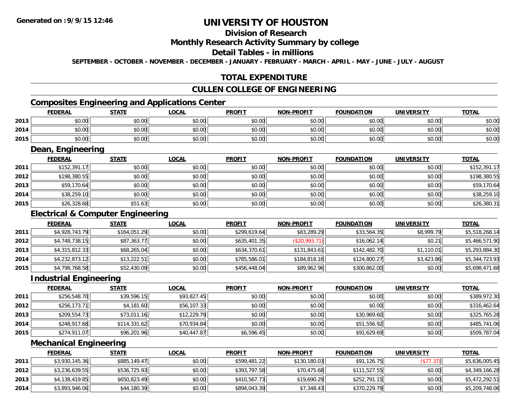# **Division of Research**

#### **Monthly Research Activity Summary by college**

#### **Detail Tables - in millions**

**SEPTEMBER - OCTOBER - NOVEMBER - DECEMBER - JANUARY - FEBRUARY - MARCH - APRIL - MAY - JUNE - JULY - AUGUST**

### **TOTAL EXPENDITURE**

#### **CULLEN COLLEGE OF ENGINEERING**

### **Composites Engineering and Applications Center**

|      | Composites Engineering and Applications Center |        |              |               |                   |                   |                   |              |  |  |  |  |
|------|------------------------------------------------|--------|--------------|---------------|-------------------|-------------------|-------------------|--------------|--|--|--|--|
|      | <b>FEDERAL</b>                                 | STATE  | <u>_OCAL</u> | <b>PROFIT</b> | <b>NON-PROFIT</b> | <b>FOUNDATION</b> | <b>UNIVERSITY</b> | <b>TOTAL</b> |  |  |  |  |
| 2013 | \$0.00                                         | \$0.00 | \$0.00       | \$0.00        | \$0.00            | \$0.00            | \$0.00 l          | \$0.00       |  |  |  |  |
| 2014 | \$0.00                                         | \$0.00 | \$0.00       | \$0.00        | \$0.00            | \$0.00            | \$0.00            | \$0.00       |  |  |  |  |
| 2015 | \$0.00                                         | \$0.00 | \$0.00       | \$0.00        | \$0.00            | \$0.00            | \$0.00            | \$0.00       |  |  |  |  |

<u> 1989 - Johann Stoff, deutscher Stoffen und der Stoffen und der Stoffen und der Stoffen und der Stoffen und der</u>

#### **Dean, Engineering**

|      | <b>FEDERAL</b> | <b>STATE</b> | <b>LOCAL</b> | <b>PROFIT</b> | <b>NON-PROFIT</b> | <b>FOUNDATION</b> | UNIVERSITY | <b>TOTAL</b> |
|------|----------------|--------------|--------------|---------------|-------------------|-------------------|------------|--------------|
| 2011 | \$152,391.17   | \$0.00       | \$0.00       | \$0.00        | \$0.00            | \$0.00            | \$0.00     | \$152,391.17 |
| 2012 | \$198,380.55   | \$0.00       | \$0.00       | \$0.00        | \$0.00            | \$0.00            | \$0.00     | \$198,380.55 |
| 2013 | \$59,170.64    | \$0.00       | \$0.00       | \$0.00        | \$0.00            | \$0.00            | \$0.00     | \$59,170.64  |
| 2014 | \$38,259.10    | \$0.00       | \$0.00       | \$0.00        | \$0.00            | \$0.00            | \$0.00     | \$38,259.10  |
| 2015 | \$26,328.68    | \$51.63      | \$0.00       | \$0.00        | \$0.00            | \$0.00            | \$0.00     | \$26,380.31  |

### **Electrical & Computer Engineering**

|      | <b>FEDERAL</b> | <b>STATE</b> | <b>LOCAL</b> | <b>PROFIT</b> | <b>NON-PROFIT</b> | <b>FOUNDATION</b> | <b>UNIVERSITY</b> | <b>TOTAL</b>   |
|------|----------------|--------------|--------------|---------------|-------------------|-------------------|-------------------|----------------|
| 2011 | \$4,928,743.79 | \$164,051.29 | \$0.00       | \$299,619.64  | \$83,289.29       | \$33,564.35       | \$8,999.79        | \$5,518,268.14 |
| 2012 | \$4,748,738.15 | \$87,363.77  | \$0.00       | \$635,401.35  | (S20, 993.71)     | \$16,062.14       | \$0.21            | \$5,466,571.90 |
| 2013 | \$4,315,812.33 | \$68,265.04  | \$0.00       | \$634,370.61  | \$131,843.61      | \$142,482.70      | \$1,110.01        | \$5,293,884.30 |
| 2014 | \$4,232,873.12 | \$13,222.51  | \$0.00       | \$785,586.01  | \$184,818.16      | \$124,800.27      | \$3,423.86        | \$5,344,723.93 |
| 2015 | \$4,798,768.58 | \$52,430.09  | \$0.00       | \$456,448.04  | \$89,962.96       | \$300,862.00      | \$0.00            | \$5,698,471.68 |

#### **Industrial Engineering**

|      | <b>FEDERAL</b> | <b>STATE</b> | <b>LOCAL</b> | <b>PROFIT</b> | <b>NON-PROFIT</b> | <b>FOUNDATION</b> | <b>UNIVERSITY</b> | <b>TOTAL</b> |
|------|----------------|--------------|--------------|---------------|-------------------|-------------------|-------------------|--------------|
| 2011 | \$256,548.70   | \$39,596.15  | \$93,827.45  | \$0.00        | \$0.00            | \$0.00            | \$0.00            | \$389,972.30 |
| 2012 | \$256,173.71   | \$4,181.60   | \$56,107.33  | \$0.00        | \$0.00            | \$0.00            | \$0.00            | \$316,462.64 |
| 2013 | \$209,554.73   | \$73,011.16  | \$12,229.79  | \$0.00        | \$0.00            | \$30,969.60       | \$0.00            | \$325,765.28 |
| 2014 | \$248,917.68   | \$114,331.62 | \$70,934.84  | \$0.00        | \$0.00            | \$51,556.92       | \$0.00            | \$485,741.06 |
| 2015 | \$274,911.07   | \$96,201.96  | \$40,447.87  | \$6,596.45    | \$0.00            | \$91,629.69       | \$0.00            | \$509,787.04 |

<u> 1989 - Johann Stein, marwolaethau a bhann an t-Amhain Aonaichte ann an t-Amhain Aonaichte ann an t-Amhain Aon</u>

#### **Mechanical Engineering**

|      | <b>FEDERAL</b> | <b>STATE</b> | <u>LOCAL</u> | <b>PROFIT</b> | <b>NON-PROFIT</b> | <b>FOUNDATION</b> | <b>UNIVERSITY</b> | <b>TOTAL</b>   |
|------|----------------|--------------|--------------|---------------|-------------------|-------------------|-------------------|----------------|
| 2011 | \$3,930,145.36 | \$885,149.47 | \$0.00       | \$599,481.22  | \$130,180.03      | \$91.126.75       | (\$77.37)         | \$5,636,005.45 |
| 2012 | \$3,236,639.55 | \$536,725.93 | \$0.00       | \$393.797.58  | \$70,475.68       | \$111.527.55      | \$0.00            | \$4,349,166.28 |
| 2013 | \$4,138,419.85 | \$650,823.49 | \$0.00       | \$410,567.73  | \$19,690.29       | \$252,791.15      | \$0.00            | \$5,472,292.51 |
| 2014 | \$3,893,946.06 | \$44,180.39  | \$0.00       | \$894,043.39  | \$7,348.43        | \$370,229.79      | \$0.00            | \$5,209,748.06 |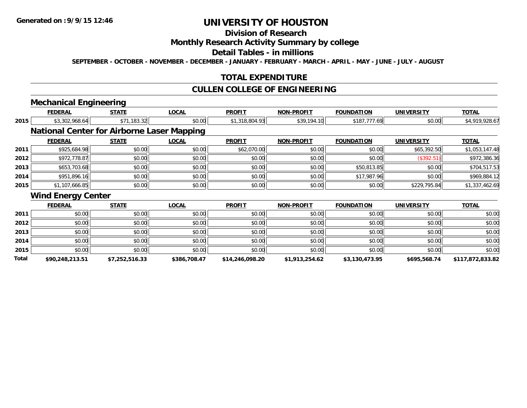### **Division of Research**

### **Monthly Research Activity Summary by college**

#### **Detail Tables - in millions**

**SEPTEMBER - OCTOBER - NOVEMBER - DECEMBER - JANUARY - FEBRUARY - MARCH - APRIL - MAY - JUNE - JULY - AUGUST**

#### **TOTAL EXPENDITURE**

### **CULLEN COLLEGE OF ENGINEERING**

## **Mechanical Engineering**

|       | <b>FEDERAL</b>                                    | <b>STATE</b>   | <b>LOCAL</b> | <b>PROFIT</b>   | <b>NON-PROFIT</b> | <b>FOUNDATION</b> | <b>UNIVERSITY</b> | <b>TOTAL</b>     |
|-------|---------------------------------------------------|----------------|--------------|-----------------|-------------------|-------------------|-------------------|------------------|
| 2015  | \$3,302,968.64                                    | \$71,183.32    | \$0.00       | \$1,318,804.93  | \$39,194.10       | \$187,777.69      | \$0.00            | \$4,919,928.67   |
|       | <b>National Center for Airborne Laser Mapping</b> |                |              |                 |                   |                   |                   |                  |
|       | <b>FEDERAL</b>                                    | <b>STATE</b>   | <b>LOCAL</b> | <b>PROFIT</b>   | <b>NON-PROFIT</b> | <b>FOUNDATION</b> | <b>UNIVERSITY</b> | <b>TOTAL</b>     |
| 2011  | \$925,684.98                                      | \$0.00         | \$0.00       | \$62,070.00     | \$0.00            | \$0.00            | \$65,392.50       | \$1,053,147.48   |
| 2012  | \$972,778.87                                      | \$0.00         | \$0.00       | \$0.00          | \$0.00            | \$0.00            | (\$392.51)        | \$972,386.36     |
| 2013  | \$653,703.68                                      | \$0.00         | \$0.00       | \$0.00          | \$0.00            | \$50,813.85       | \$0.00            | \$704,517.53     |
| 2014  | \$951,896.16                                      | \$0.00         | \$0.00       | \$0.00          | \$0.00            | \$17,987.96       | \$0.00            | \$969,884.12     |
| 2015  | \$1,107,666.85                                    | \$0.00         | \$0.00       | \$0.00          | \$0.00            | \$0.00            | \$229,795.84      | \$1,337,462.69   |
|       | <b>Wind Energy Center</b>                         |                |              |                 |                   |                   |                   |                  |
|       | <b>FEDERAL</b>                                    | <b>STATE</b>   | <b>LOCAL</b> | <b>PROFIT</b>   | <b>NON-PROFIT</b> | <b>FOUNDATION</b> | <b>UNIVERSITY</b> | <b>TOTAL</b>     |
| 2011  | \$0.00                                            | \$0.00         | \$0.00       | \$0.00          | \$0.00            | \$0.00            | \$0.00            | \$0.00           |
| 2012  | \$0.00                                            | \$0.00         | \$0.00       | \$0.00          | \$0.00            | \$0.00            | \$0.00            | \$0.00           |
| 2013  | \$0.00                                            | \$0.00         | \$0.00       | \$0.00          | \$0.00            | \$0.00            | \$0.00            | \$0.00           |
| 2014  | \$0.00                                            | \$0.00         | \$0.00       | \$0.00          | \$0.00            | \$0.00            | \$0.00            | \$0.00           |
| 2015  | \$0.00                                            | \$0.00         | \$0.00       | \$0.00          | \$0.00            | \$0.00            | \$0.00            | \$0.00           |
| Total | \$90,248,213.51                                   | \$7,252,516.33 | \$386,708.47 | \$14,246,098.20 | \$1,913,254.62    | \$3,130,473.95    | \$695,568.74      | \$117,872,833.82 |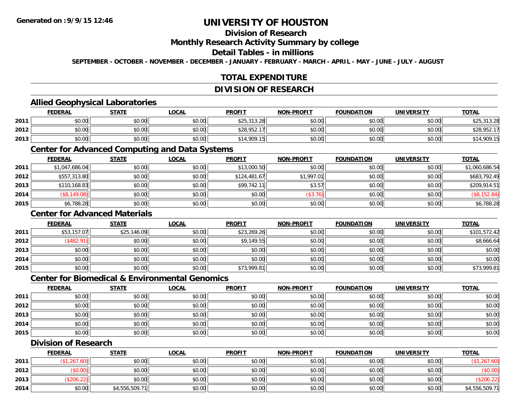### **Division of Research**

#### **Monthly Research Activity Summary by college**

#### **Detail Tables - in millions**

**SEPTEMBER - OCTOBER - NOVEMBER - DECEMBER - JANUARY - FEBRUARY - MARCH - APRIL - MAY - JUNE - JULY - AUGUST**

### **TOTAL EXPENDITURE**

#### **DIVISION OF RESEARCH**

### **Allied Geophysical Laboratories**

|      | <b>FEDERAL</b> | <b>STATE</b>   | <b>_OCAL</b> | <b>PROFIT</b>         | <b>NON-PROFIT</b> | <b>FOUNDATION</b> | <b>UNIVERSITY</b> | <b>TOTAL</b>      |
|------|----------------|----------------|--------------|-----------------------|-------------------|-------------------|-------------------|-------------------|
| 2011 | \$0.00         | 40.00<br>งบ.บบ | \$0.00       | \$25.313.28<br>ن, ن∠ر | \$0.00            | \$0.00            | \$0.00            | 42521220<br>92J,, |
| 2012 | \$0.00         | 4000<br>DU.UG  | \$0.00       | \$28,952.             | \$0.00            | \$0.00            | \$0.00            | \$28,952.         |
| 2013 | \$0.00         | \$0.00         | \$0.00       | \$14,909.15           | \$0.00            | \$0.00            | \$0.00            | !909.1!           |

#### **Center for Advanced Computing and Data Systems**

|      | <b>FEDERAL</b> | <b>STATE</b> | <u>LOCAL</u> | <b>PROFIT</b> | <b>NON-PROFIT</b> | <b>FOUNDATION</b> | <b>UNIVERSITY</b> | <b>TOTAL</b>   |
|------|----------------|--------------|--------------|---------------|-------------------|-------------------|-------------------|----------------|
| 2011 | \$1,047,686.04 | \$0.00       | \$0.00       | \$13,000.50   | \$0.00            | \$0.00            | \$0.00            | \$1,060,686.54 |
| 2012 | \$557,313.80   | \$0.00       | \$0.00       | \$124,481.67  | \$1,997.01        | \$0.00            | \$0.00            | \$683,792.49   |
| 2013 | \$110,168.83   | \$0.00       | \$0.00       | \$99.742.11   | \$3.57            | \$0.00            | \$0.00            | \$209,914.51   |
| 2014 | (\$8,149.08)   | \$0.00       | \$0.00       | \$0.00        | (\$3.76)          | \$0.00            | \$0.00            | (\$8,152.84)   |
| 2015 | \$6,788.28     | \$0.00       | \$0.00       | \$0.00        | \$0.00            | \$0.00            | \$0.00            | \$6,788.28     |

### **Center for Advanced Materials**

|      | <b>FEDERAL</b> | <b>STATE</b> | <u>LOCAL</u> | <b>PROFIT</b> | <b>NON-PROFIT</b> | <b>FOUNDATION</b> | <b>UNIVERSITY</b> | <b>TOTAL</b> |
|------|----------------|--------------|--------------|---------------|-------------------|-------------------|-------------------|--------------|
| 2011 | \$53,157.07    | \$25,146.09  | \$0.00       | \$23,269.26   | \$0.00            | \$0.00            | \$0.00            | \$101,572.42 |
| 2012 | \$482.91       | \$0.00       | \$0.00       | \$9,149.55    | \$0.00            | \$0.00            | \$0.00            | \$8,666.64   |
| 2013 | \$0.00         | \$0.00       | \$0.00       | \$0.00        | \$0.00            | \$0.00            | \$0.00            | \$0.00       |
| 2014 | \$0.00         | \$0.00       | \$0.00       | \$0.00        | \$0.00            | \$0.00            | \$0.00            | \$0.00       |
| 2015 | \$0.00         | \$0.00       | \$0.00       | \$73,999.81   | \$0.00            | \$0.00            | \$0.00            | \$73,999.81  |

#### **Center for Biomedical & Environmental Genomics**

|      | <b>FEDERAL</b> | <b>STATE</b> | <b>LOCAL</b> | <b>PROFIT</b> | <b>NON-PROFIT</b> | <b>FOUNDATION</b> | <b>UNIVERSITY</b> | <b>TOTAL</b> |
|------|----------------|--------------|--------------|---------------|-------------------|-------------------|-------------------|--------------|
| 2011 | \$0.00         | \$0.00       | \$0.00       | \$0.00        | \$0.00            | \$0.00            | \$0.00            | \$0.00       |
| 2012 | \$0.00         | \$0.00       | \$0.00       | \$0.00        | \$0.00            | \$0.00            | \$0.00            | \$0.00       |
| 2013 | \$0.00         | \$0.00       | \$0.00       | \$0.00        | \$0.00            | \$0.00            | \$0.00            | \$0.00       |
| 2014 | \$0.00         | \$0.00       | \$0.00       | \$0.00        | \$0.00            | \$0.00            | \$0.00            | \$0.00       |
| 2015 | \$0.00         | \$0.00       | \$0.00       | \$0.00        | \$0.00            | \$0.00            | \$0.00            | \$0.00       |

#### **Division of Research**

|      | <b>FEDERAL</b> | STATE          | <u>LOCAL</u> | <b>PROFIT</b> | <b>NON-PROFIT</b> | <b>FOUNDATION</b> | <b>UNIVERSITY</b> | <b>TOTAL</b>   |
|------|----------------|----------------|--------------|---------------|-------------------|-------------------|-------------------|----------------|
| 2011 | , 267.60)      | \$0.00         | \$0.00       | \$0.00        | \$0.00            | \$0.00            | \$0.00            |                |
| 2012 | \$0.00         | \$0.00         | \$0.00       | \$0.00        | \$0.00            | \$0.00            | \$0.00            | (\$0.00)       |
| 2013 | \$206.22]      | \$0.00         | \$0.00       | \$0.00        | \$0.00            | \$0.00            | \$0.00            | \$206.2        |
| 2014 | \$0.00         | \$4,556,509.71 | \$0.00       | \$0.00        | \$0.00            | \$0.00            | \$0.00            | \$4,556,509.71 |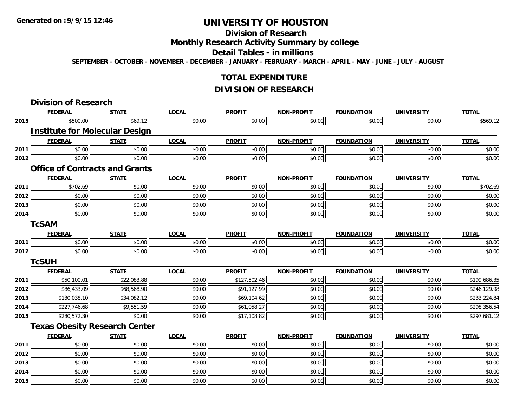### **Division of Research**

### **Monthly Research Activity Summary by college**

#### **Detail Tables - in millions**

**SEPTEMBER - OCTOBER - NOVEMBER - DECEMBER - JANUARY - FEBRUARY - MARCH - APRIL - MAY - JUNE - JULY - AUGUST**

### **TOTAL EXPENDITURE**

### **DIVISION OF RESEARCH**

|      | <b>Division of Research</b>           |              |              |               |                   |                   |                   |              |
|------|---------------------------------------|--------------|--------------|---------------|-------------------|-------------------|-------------------|--------------|
|      | <b>FEDERAL</b>                        | <b>STATE</b> | <b>LOCAL</b> | <b>PROFIT</b> | <b>NON-PROFIT</b> | <b>FOUNDATION</b> | <b>UNIVERSITY</b> | <b>TOTAL</b> |
| 2015 | \$500.00                              | \$69.12      | \$0.00       | \$0.00        | \$0.00            | \$0.00            | \$0.00            | \$569.12     |
|      | <b>Institute for Molecular Design</b> |              |              |               |                   |                   |                   |              |
|      | <b>FEDERAL</b>                        | <b>STATE</b> | <b>LOCAL</b> | <b>PROFIT</b> | <b>NON-PROFIT</b> | <b>FOUNDATION</b> | <b>UNIVERSITY</b> | <b>TOTAL</b> |
| 2011 | \$0.00                                | \$0.00       | \$0.00       | \$0.00        | \$0.00            | \$0.00            | \$0.00            | \$0.00       |
| 2012 | \$0.00                                | \$0.00       | \$0.00       | \$0.00        | \$0.00            | \$0.00            | \$0.00            | \$0.00       |
|      | <b>Office of Contracts and Grants</b> |              |              |               |                   |                   |                   |              |
|      | <b>FEDERAL</b>                        | <b>STATE</b> | <b>LOCAL</b> | <b>PROFIT</b> | <b>NON-PROFIT</b> | <b>FOUNDATION</b> | <b>UNIVERSITY</b> | <b>TOTAL</b> |
| 2011 | \$702.69                              | \$0.00       | \$0.00       | \$0.00        | \$0.00            | \$0.00            | \$0.00            | \$702.69     |
| 2012 | \$0.00                                | \$0.00       | \$0.00       | \$0.00        | \$0.00            | \$0.00            | \$0.00            | \$0.00       |
| 2013 | \$0.00                                | \$0.00       | \$0.00       | \$0.00        | \$0.00            | \$0.00            | \$0.00            | \$0.00       |
| 2014 | \$0.00                                | \$0.00       | \$0.00       | \$0.00        | \$0.00            | \$0.00            | \$0.00            | \$0.00       |
|      | <b>TcSAM</b>                          |              |              |               |                   |                   |                   |              |
|      | <b>FEDERAL</b>                        | <b>STATE</b> | <b>LOCAL</b> | <b>PROFIT</b> | <b>NON-PROFIT</b> | <b>FOUNDATION</b> | <b>UNIVERSITY</b> | <b>TOTAL</b> |
| 2011 | \$0.00                                | \$0.00       | \$0.00       | \$0.00        | \$0.00            | \$0.00            | \$0.00            | \$0.00       |
| 2012 | \$0.00                                | \$0.00       | \$0.00       | \$0.00        | \$0.00            | \$0.00            | \$0.00            | \$0.00       |
|      | <b>TcSUH</b>                          |              |              |               |                   |                   |                   |              |
|      | <b>FEDERAL</b>                        | <b>STATE</b> | <b>LOCAL</b> | <b>PROFIT</b> | <b>NON-PROFIT</b> | <b>FOUNDATION</b> | <b>UNIVERSITY</b> | <b>TOTAL</b> |
| 2011 | \$50,100.01                           | \$22,083.88  | \$0.00       | \$127,502.46  | \$0.00            | \$0.00            | \$0.00            | \$199,686.35 |
| 2012 | \$86,433.09                           | \$68,568.90  | \$0.00       | \$91,127.99   | \$0.00            | \$0.00            | \$0.00            | \$246,129.98 |
| 2013 | \$130,038.10                          | \$34,082.12  | \$0.00       | \$69,104.62   | \$0.00            | \$0.00            | \$0.00            | \$233,224.84 |
| 2014 | \$227,746.68                          | \$9,551.59   | \$0.00       | \$61,058.27   | \$0.00            | \$0.00            | \$0.00            | \$298,356.54 |
| 2015 | \$280,572.30                          | \$0.00       | \$0.00       | \$17,108.82   | \$0.00            | \$0.00            | \$0.00            | \$297,681.12 |
|      | <b>Texas Obesity Research Center</b>  |              |              |               |                   |                   |                   |              |
|      | <b>FEDERAL</b>                        | <b>STATE</b> | <b>LOCAL</b> | <b>PROFIT</b> | <b>NON-PROFIT</b> | <b>FOUNDATION</b> | <b>UNIVERSITY</b> | <b>TOTAL</b> |
| 2011 | \$0.00                                | \$0.00       | \$0.00       | \$0.00        | \$0.00            | \$0.00            | \$0.00            | \$0.00       |
| 2012 | \$0.00                                | \$0.00       | \$0.00       | \$0.00        | \$0.00            | \$0.00            | \$0.00            | \$0.00       |
| 2013 | \$0.00                                | \$0.00       | \$0.00       | \$0.00        | \$0.00            | \$0.00            | \$0.00            | \$0.00       |
| 2014 | \$0.00                                | \$0.00       | \$0.00       | \$0.00        | \$0.00            | \$0.00            | \$0.00            | \$0.00       |
| 2015 | \$0.00                                | \$0.00       | \$0.00       | \$0.00        | \$0.00            | \$0.00            | \$0.00            | \$0.00       |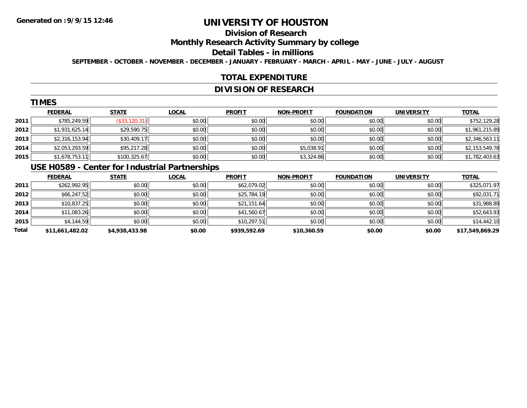# **Division of Research**

**Monthly Research Activity Summary by college**

#### **Detail Tables - in millions**

**SEPTEMBER - OCTOBER - NOVEMBER - DECEMBER - JANUARY - FEBRUARY - MARCH - APRIL - MAY - JUNE - JULY - AUGUST**

### **TOTAL EXPENDITURE**

### **DIVISION OF RESEARCH**

|      | <b>TIMES</b>   |                |              |               |                   |                   |                   |                |
|------|----------------|----------------|--------------|---------------|-------------------|-------------------|-------------------|----------------|
|      | <b>FEDERAL</b> | <b>STATE</b>   | <b>LOCAL</b> | <b>PROFIT</b> | <b>NON-PROFIT</b> | <b>FOUNDATION</b> | <b>UNIVERSITY</b> | <b>TOTAL</b>   |
| 2011 | \$785,249.59   | $(*33,120.31)$ | \$0.00       | \$0.00        | \$0.00            | \$0.00            | \$0.00            | \$752,129.28   |
| 2012 | \$1,931,625.14 | \$29,590.75    | \$0.00       | \$0.00        | \$0.00            | \$0.00            | \$0.00            | \$1,961,215.89 |
| 2013 | \$2,316,153.94 | \$30,409.17    | \$0.00       | \$0.00        | \$0.00            | \$0.00            | \$0.00            | \$2,346,563.11 |
| 2014 | \$2,053,293.59 | \$95,217.28    | \$0.00       | \$0.00        | \$5,038.91        | \$0.00            | \$0.00            | \$2,153,549.78 |
| 2015 | \$1,678,753.11 | \$100,325.67   | \$0.00       | \$0.00        | \$3,324.86        | \$0.00            | \$0.00            | \$1,782,403.63 |
|      | -----------    |                |              |               |                   |                   |                   |                |

#### **USE H0589 - Center for Industrial Partnerships**

|       | <b>FEDERAL</b>  | <b>STATE</b>   | <b>LOCAL</b> | <b>PROFIT</b> | <b>NON-PROFIT</b> | <b>FOUNDATION</b> | <b>UNIVERSITY</b> | <b>TOTAL</b>    |
|-------|-----------------|----------------|--------------|---------------|-------------------|-------------------|-------------------|-----------------|
| 2011  | \$262,992.95    | \$0.00         | \$0.00       | \$62,079.02   | \$0.00            | \$0.00            | \$0.00            | \$325,071.97    |
| 2012  | \$66,247.52     | \$0.00         | \$0.00       | \$25,784.19   | \$0.00            | \$0.00            | \$0.00            | \$92,031.71     |
| 2013  | \$10,837.25     | \$0.00         | \$0.00       | \$21,151.64   | \$0.00            | \$0.00            | \$0.00            | \$31,988.89     |
| 2014  | \$11,083.26     | \$0.00         | \$0.00       | \$41,560.67   | \$0.00            | \$0.00            | \$0.00            | \$52,643.93     |
| 2015  | \$4,144.59      | \$0.00         | \$0.00       | \$10,297.51   | \$0.00            | \$0.00            | \$0.00            | \$14,442.10     |
| Total | \$11,661,482.02 | \$4,938,433.98 | \$0.00       | \$939,592.69  | \$10,360.59       | \$0.00            | \$0.00            | \$17,549,869.29 |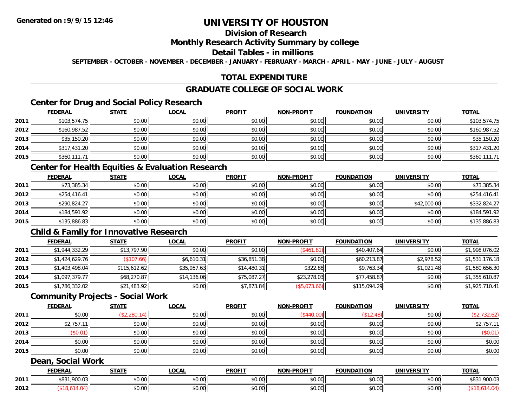# **Division of Research**

#### **Monthly Research Activity Summary by college**

#### **Detail Tables - in millions**

**SEPTEMBER - OCTOBER - NOVEMBER - DECEMBER - JANUARY - FEBRUARY - MARCH - APRIL - MAY - JUNE - JULY - AUGUST**

### **TOTAL EXPENDITURE**

#### **GRADUATE COLLEGE OF SOCIAL WORK**

### **Center for Drug and Social Policy Research**

|      | <b>FEDERAL</b> | <b>STATE</b> | <u>LOCAL</u> | <b>PROFIT</b> | <b>NON-PROFIT</b> | <b>FOUNDATION</b> | <b>UNIVERSITY</b> | <b>TOTAL</b> |
|------|----------------|--------------|--------------|---------------|-------------------|-------------------|-------------------|--------------|
| 2011 | \$103,574.75   | \$0.00       | \$0.00       | \$0.00        | \$0.00            | \$0.00            | \$0.00            | \$103,574.75 |
| 2012 | \$160,987.52   | \$0.00       | \$0.00       | \$0.00        | \$0.00            | \$0.00            | \$0.00            | \$160,987.52 |
| 2013 | \$35,150.20    | \$0.00       | \$0.00       | \$0.00        | \$0.00            | \$0.00            | \$0.00            | \$35,150.20  |
| 2014 | \$317,431.20   | \$0.00       | \$0.00       | \$0.00        | \$0.00            | \$0.00            | \$0.00            | \$317,431.20 |
| 2015 | \$360,111.71   | \$0.00       | \$0.00       | \$0.00        | \$0.00            | \$0.00            | \$0.00            | \$360,111.71 |

#### **Center for Health Equities & Evaluation Research**

|      | <u>FEDERAL</u> | <b>STATE</b> | <u>LOCAL</u> | <b>PROFIT</b> | <b>NON-PROFIT</b> | <b>FOUNDATION</b> | <b>UNIVERSITY</b> | <b>TOTAL</b> |
|------|----------------|--------------|--------------|---------------|-------------------|-------------------|-------------------|--------------|
| 2011 | \$73,385.34    | \$0.00       | \$0.00       | \$0.00        | \$0.00            | \$0.00            | \$0.00            | \$73,385.34  |
| 2012 | \$254.416.41   | \$0.00       | \$0.00       | \$0.00        | \$0.00            | \$0.00            | \$0.00            | \$254,416.41 |
| 2013 | \$290,824.27   | \$0.00       | \$0.00       | \$0.00        | \$0.00            | \$0.00            | \$42,000.00       | \$332.824.27 |
| 2014 | \$184,591.92   | \$0.00       | \$0.00       | \$0.00        | \$0.00            | \$0.00            | \$0.00            | \$184,591.92 |
| 2015 | \$135,886.83   | \$0.00       | \$0.00       | \$0.00        | \$0.00            | \$0.00            | \$0.00            | \$135,886.83 |

### **Child & Family for Innovative Research**

|      | <b>FEDERAL</b> | <u>STATE</u> | <b>LOCAL</b> | <b>PROFIT</b> | <b>NON-PROFIT</b> | <b>FOUNDATION</b> | <b>UNIVERSITY</b> | <b>TOTAL</b>   |
|------|----------------|--------------|--------------|---------------|-------------------|-------------------|-------------------|----------------|
| 2011 | \$1,944,332.29 | \$13,797.90  | \$0.00       | \$0.00        | (S461.81)         | \$40,407.64       | \$0.00            | \$1,998,076.02 |
| 2012 | \$1,424,629.76 | (\$107.66)   | \$6,610.31   | \$36,851.38   | \$0.00            | \$60,213.87       | \$2,978.52        | \$1,531,176.18 |
| 2013 | \$1,403,498.04 | \$115,612.62 | \$35,957.63  | \$14,480.31   | \$322.88          | \$9,763.34        | \$1,021.48        | \$1,580,656.30 |
| 2014 | \$1,097,379.77 | \$68,270.87  | \$14,136.06  | \$75,087.27   | \$23,278.03       | \$77,458.87       | \$0.00            | \$1,355,610.87 |
| 2015 | \$1,786,332.02 | \$21,483.92  | \$0.00       | \$7,873.84    | (\$5,073.66)      | \$115,094.29      | \$0.00            | \$1,925,710.41 |

#### **Community Projects - Social Work**

|      | <b>FEDERAL</b> | <b>STATE</b> | <u>LOCAL</u> | <b>PROFIT</b> | <b>NON-PROFIT</b> | <b>FOUNDATION</b> | UNIVERSITY | <b>TOTAL</b> |
|------|----------------|--------------|--------------|---------------|-------------------|-------------------|------------|--------------|
| 2011 | \$0.00         | (\$2,280.14) | \$0.00       | \$0.00        | (\$440.00)        | \$12.48           | \$0.00     | (\$2,732.62) |
| 2012 | \$2,757.       | \$0.00       | \$0.00       | \$0.00        | \$0.00            | \$0.00            | \$0.00     | \$2,757.11   |
| 2013 | \$0.01         | \$0.00       | \$0.00       | \$0.00        | \$0.00            | \$0.00            | \$0.00     | (\$0.01)     |
| 2014 | \$0.00         | \$0.00       | \$0.00       | \$0.00        | \$0.00            | \$0.00            | \$0.00     | \$0.00       |
| 2015 | \$0.00         | \$0.00       | \$0.00       | \$0.00        | \$0.00            | \$0.00            | \$0.00     | \$0.00       |
|      |                |              |              |               |                   |                   |            |              |

#### **Dean, Social Work**

|      | FEDERAI                | <b>STATI</b>           | .OCAI              | <b>PROFIT</b>                       | <b>J-PROFIT</b><br><b>NON</b> | $\sim$<br>™ົ <sup>ດ</sup> UNDA⊥. | IINIVE<br>ne 1.                            | <b>TOTAL</b>          |
|------|------------------------|------------------------|--------------------|-------------------------------------|-------------------------------|----------------------------------|--------------------------------------------|-----------------------|
| 2011 | 0011<br>.900.03<br>ມດລ | ÷0.<br>$\sim$<br>₽∪.∪∪ | $\sim$ 00<br>DU.UU | 0000<br>DU.UG                       | \$0.00                        | 0000<br>vv.vv                    | $\sim$ 00<br>vu.vu                         | co d<br>900.03<br>აბა |
| 2012 |                        | $\sim$<br>DU.UU        | ሶስ ሰሰ<br>DU.UG     | $\theta$ $\theta$ $\theta$<br>DU.UG | \$0.00                        | 0000<br>vv.vv                    | $\uparrow$ $\land$ $\land$<br><b>DU.UU</b> |                       |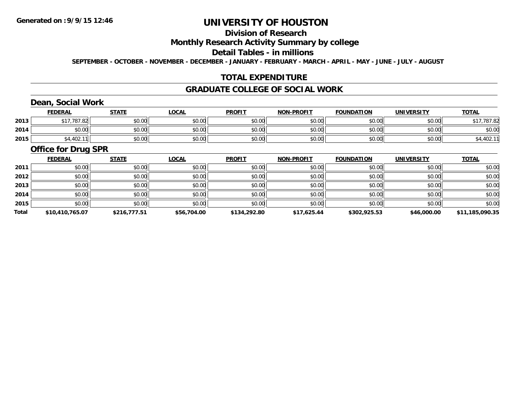# **Division of Research**

### **Monthly Research Activity Summary by college**

#### **Detail Tables - in millions**

**SEPTEMBER - OCTOBER - NOVEMBER - DECEMBER - JANUARY - FEBRUARY - MARCH - APRIL - MAY - JUNE - JULY - AUGUST**

### **TOTAL EXPENDITURE**

#### **GRADUATE COLLEGE OF SOCIAL WORK**

# **Dean, Social Work**

|      | <b>FEDERAL</b>            | <b>STATE</b> | <u>LOCAL</u> | <b>PROFIT</b> | <b>NON-PROFIT</b> | <b>FOUNDATION</b> | <b>UNIVERSITY</b> | <b>TOTAL</b>    |
|------|---------------------------|--------------|--------------|---------------|-------------------|-------------------|-------------------|-----------------|
| 2013 | $AA = 70702$<br>81.82 / 1 | \$0.00       | \$0.00       | \$0.00        | \$0.00            | \$0.00            | \$0.00            | 01770700<br>.ŏ∠ |
| 2014 | \$0.00                    | \$0.00       | \$0.00       | \$0.00        | \$0.00            | \$0.00            | \$0.00            | \$0.00          |
| 2015 | \$4,402.                  | \$0.00       | \$0.00       | \$0.00        | \$0.00            | \$0.00            | \$0.00            | ,402.11         |

#### **Office for Drug SPR**

|       | <b>FEDERAL</b>  | <b>STATE</b> | <b>LOCAL</b> | <b>PROFIT</b> | <b>NON-PROFIT</b> | <b>FOUNDATION</b> | <b>UNIVERSITY</b> | <b>TOTAL</b>    |
|-------|-----------------|--------------|--------------|---------------|-------------------|-------------------|-------------------|-----------------|
| 2011  | \$0.00          | \$0.00       | \$0.00       | \$0.00        | \$0.00            | \$0.00            | \$0.00            | \$0.00          |
| 2012  | \$0.00          | \$0.00       | \$0.00       | \$0.00        | \$0.00            | \$0.00            | \$0.00            | \$0.00          |
| 2013  | \$0.00          | \$0.00       | \$0.00       | \$0.00        | \$0.00            | \$0.00            | \$0.00            | \$0.00          |
| 2014  | \$0.00          | \$0.00       | \$0.00       | \$0.00        | \$0.00            | \$0.00            | \$0.00            | \$0.00          |
| 2015  | \$0.00          | \$0.00       | \$0.00       | \$0.00        | \$0.00            | \$0.00            | \$0.00            | \$0.00          |
| Total | \$10,410,765.07 | \$216,777.51 | \$56,704.00  | \$134,292.80  | \$17,625.44       | \$302,925.53      | \$46,000.00       | \$11,185,090.35 |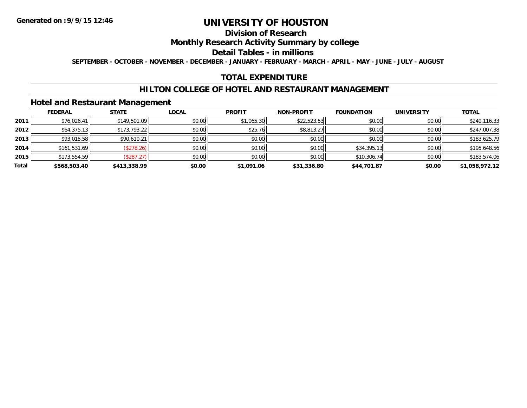### **Division of Research**

### **Monthly Research Activity Summary by college**

#### **Detail Tables - in millions**

**SEPTEMBER - OCTOBER - NOVEMBER - DECEMBER - JANUARY - FEBRUARY - MARCH - APRIL - MAY - JUNE - JULY - AUGUST**

### **TOTAL EXPENDITURE**

#### **HILTON COLLEGE OF HOTEL AND RESTAURANT MANAGEMENT**

#### **Hotel and Restaurant Management**

|       | <b>FEDERAL</b> | <b>STATE</b>  | <u>LOCAL</u> | <b>PROFIT</b> | <b>NON-PROFIT</b> | <b>FOUNDATION</b> | <b>UNIVERSITY</b> | <b>TOTAL</b>   |
|-------|----------------|---------------|--------------|---------------|-------------------|-------------------|-------------------|----------------|
| 2011  | \$76,026.41    | \$149,501.09  | \$0.00       | \$1,065.30    | \$22,523.53       | \$0.00            | \$0.00            | \$249,116.33   |
| 2012  | \$64,375.13    | \$173,793.22  | \$0.00       | \$25.76       | \$8,813.27        | \$0.00            | \$0.00            | \$247,007.38   |
| 2013  | \$93,015.58    | \$90,610.21   | \$0.00       | \$0.00        | \$0.00            | \$0.00            | \$0.00            | \$183,625.79   |
| 2014  | \$161,531.69   | (\$278.26)    | \$0.00       | \$0.00        | \$0.00            | \$34,395.13       | \$0.00            | \$195,648.56   |
| 2015  | \$173,554.59   | $($ \$287.27) | \$0.00       | \$0.00        | \$0.00            | \$10,306.74       | \$0.00            | \$183,574.06   |
| Total | \$568,503.40   | \$413,338.99  | \$0.00       | \$1,091.06    | \$31,336.80       | \$44,701.87       | \$0.00            | \$1,058,972.12 |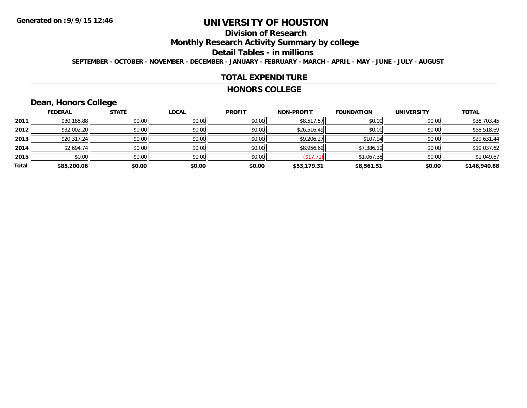# **Division of Research**

**Monthly Research Activity Summary by college**

#### **Detail Tables - in millions**

**SEPTEMBER - OCTOBER - NOVEMBER - DECEMBER - JANUARY - FEBRUARY - MARCH - APRIL - MAY - JUNE - JULY - AUGUST**

#### **TOTAL EXPENDITURE**

#### **HONORS COLLEGE**

# **Dean, Honors College**

|       | <b>FEDERAL</b> | <b>STATE</b> | <b>LOCAL</b> | <b>PROFIT</b> | <b>NON-PROFIT</b> | <b>FOUNDATION</b> | <b>UNIVERSITY</b> | <b>TOTAL</b> |
|-------|----------------|--------------|--------------|---------------|-------------------|-------------------|-------------------|--------------|
| 2011  | \$30,185.88    | \$0.00       | \$0.00       | \$0.00        | \$8,517.57        | \$0.00            | \$0.00            | \$38,703.45  |
| 2012  | \$32,002.20    | \$0.00       | \$0.00       | \$0.00        | \$26,516.49       | \$0.00            | \$0.00            | \$58,518.69  |
| 2013  | \$20,317.24    | \$0.00       | \$0.00       | \$0.00        | \$9,206.27        | \$107.94          | \$0.00            | \$29,631.44  |
| 2014  | \$2,694.74     | \$0.00       | \$0.00       | \$0.00        | \$8,956.69        | \$7,386.19        | \$0.00            | \$19,037.62  |
| 2015  | \$0.00         | \$0.00       | \$0.00       | \$0.00        | (\$17.71)         | \$1,067.38        | \$0.00            | \$1,049.67   |
| Total | \$85,200.06    | \$0.00       | \$0.00       | \$0.00        | \$53,179.31       | \$8,561.51        | \$0.00            | \$146,940.88 |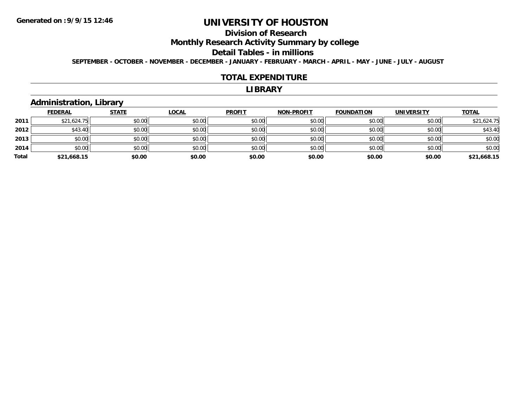## **Division of Research**

**Monthly Research Activity Summary by college**

#### **Detail Tables - in millions**

**SEPTEMBER - OCTOBER - NOVEMBER - DECEMBER - JANUARY - FEBRUARY - MARCH - APRIL - MAY - JUNE - JULY - AUGUST**

#### **TOTAL EXPENDITURE**

#### **LIBRARY**

### **Administration, Library**

|       | <b>FEDERAL</b> | <b>STATE</b> | <b>LOCAL</b> | <b>PROFIT</b> | <b>NON-PROFIT</b> | <b>FOUNDATION</b> | <b>UNIVERSITY</b> | <b>TOTAL</b> |
|-------|----------------|--------------|--------------|---------------|-------------------|-------------------|-------------------|--------------|
| 2011  | \$21,624.75    | \$0.00       | \$0.00       | \$0.00        | \$0.00            | \$0.00            | \$0.00            | \$21,624.75  |
| 2012  | \$43.40        | \$0.00       | \$0.00       | \$0.00        | \$0.00            | \$0.00            | \$0.00            | \$43.40      |
| 2013  | \$0.00         | \$0.00       | \$0.00       | \$0.00        | \$0.00            | \$0.00            | \$0.00            | \$0.00       |
| 2014  | \$0.00         | \$0.00       | \$0.00       | \$0.00        | \$0.00            | \$0.00            | \$0.00            | \$0.00       |
| Total | \$21,668.15    | \$0.00       | \$0.00       | \$0.00        | \$0.00            | \$0.00            | \$0.00            | \$21,668.15  |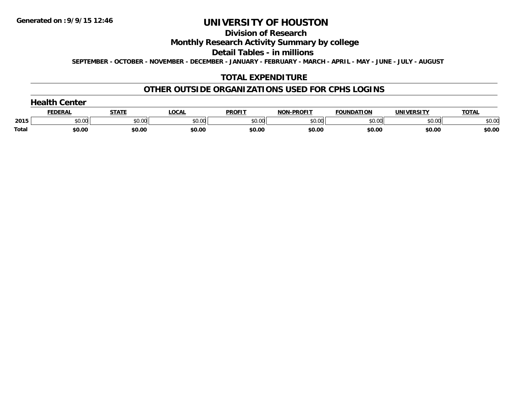#### **Division of Research**

### **Monthly Research Activity Summary by college**

#### **Detail Tables - in millions**

**SEPTEMBER - OCTOBER - NOVEMBER - DECEMBER - JANUARY - FEBRUARY - MARCH - APRIL - MAY - JUNE - JULY - AUGUST**

### **TOTAL EXPENDITURE**

#### **OTHER OUTSIDE ORGANIZATIONS USED FOR CPHS LOGINS**

|       | <b>FEDERAI</b> | <b>CTATE</b>  | _OCA           | <b>PROFIT</b>   | $.$ DDAEIT<br>חחו | <b>FOUNDATION</b> | VEDCITY<br><b>JNIVI</b><br>- 1 | <b>TOTAL</b> |
|-------|----------------|---------------|----------------|-----------------|-------------------|-------------------|--------------------------------|--------------|
| 2015  | 0000<br>งบ.บบ  | 0000<br>JU.UU | ልስ ሰሰ<br>DU.UU | ቀስ ሰስ<br>וטט.טי | \$0.00            | 0000<br>,u.uu     | ልስ ሰሰ<br>DU.UU                 | \$0.00       |
| Total | \$0.00         | \$0.00        | \$0.00         | \$0.00          | \$0.00            | \$0.00            | \$0.00                         | \$0.00       |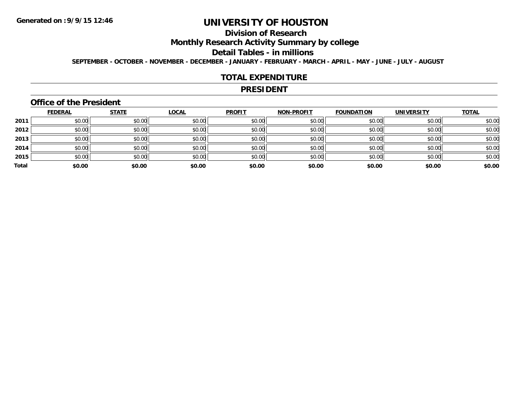# **Division of Research**

**Monthly Research Activity Summary by college**

#### **Detail Tables - in millions**

**SEPTEMBER - OCTOBER - NOVEMBER - DECEMBER - JANUARY - FEBRUARY - MARCH - APRIL - MAY - JUNE - JULY - AUGUST**

#### **TOTAL EXPENDITURE**

#### **PRESIDENT**

#### **Office of the President**

|       | <b>FEDERAL</b> | <b>STATE</b> | <b>LOCAL</b> | <b>PROFIT</b> | <b>NON-PROFIT</b> | <b>FOUNDATION</b> | <b>UNIVERSITY</b> | <b>TOTAL</b> |
|-------|----------------|--------------|--------------|---------------|-------------------|-------------------|-------------------|--------------|
| 2011  | \$0.00         | \$0.00       | \$0.00       | \$0.00        | \$0.00            | \$0.00            | \$0.00            | \$0.00       |
| 2012  | \$0.00         | \$0.00       | \$0.00       | \$0.00        | \$0.00            | \$0.00            | \$0.00            | \$0.00       |
| 2013  | \$0.00         | \$0.00       | \$0.00       | \$0.00        | \$0.00            | \$0.00            | \$0.00            | \$0.00       |
| 2014  | \$0.00         | \$0.00       | \$0.00       | \$0.00        | \$0.00            | \$0.00            | \$0.00            | \$0.00       |
| 2015  | \$0.00         | \$0.00       | \$0.00       | \$0.00        | \$0.00            | \$0.00            | \$0.00            | \$0.00       |
| Total | \$0.00         | \$0.00       | \$0.00       | \$0.00        | \$0.00            | \$0.00            | \$0.00            | \$0.00       |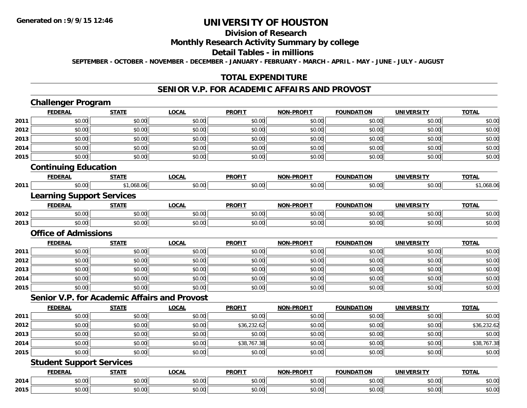# **Division of Research**

### **Monthly Research Activity Summary by college**

#### **Detail Tables - in millions**

**SEPTEMBER - OCTOBER - NOVEMBER - DECEMBER - JANUARY - FEBRUARY - MARCH - APRIL - MAY - JUNE - JULY - AUGUST**

### **TOTAL EXPENDITURE**

#### **SENIOR V.P. FOR ACADEMIC AFFAIRS AND PROVOST**

|                             | <b>Challenger Program</b>        |                                                     |              |               |                   |                   |                   |              |
|-----------------------------|----------------------------------|-----------------------------------------------------|--------------|---------------|-------------------|-------------------|-------------------|--------------|
|                             | <b>FEDERAL</b>                   | <b>STATE</b>                                        | <b>LOCAL</b> | <b>PROFIT</b> | <b>NON-PROFIT</b> | <b>FOUNDATION</b> | <b>UNIVERSITY</b> | <b>TOTAL</b> |
| 2011                        | \$0.00                           | \$0.00                                              | \$0.00       | \$0.00        | \$0.00            | \$0.00            | \$0.00            | \$0.00       |
| 2012                        | \$0.00                           | \$0.00                                              | \$0.00       | \$0.00        | \$0.00            | \$0.00            | \$0.00            | \$0.00       |
| 2013                        | \$0.00                           | \$0.00                                              | \$0.00       | \$0.00        | \$0.00            | \$0.00            | \$0.00            | \$0.00       |
| 2014                        | \$0.00                           | \$0.00                                              | \$0.00       | \$0.00        | \$0.00            | \$0.00            | \$0.00            | \$0.00       |
| 2015                        | \$0.00                           | \$0.00                                              | \$0.00       | \$0.00        | \$0.00            | \$0.00            | \$0.00            | \$0.00       |
|                             | <b>Continuing Education</b>      |                                                     |              |               |                   |                   |                   |              |
|                             | <b>FEDERAL</b>                   | <b>STATE</b>                                        | <b>LOCAL</b> | <b>PROFIT</b> | <b>NON-PROFIT</b> | <b>FOUNDATION</b> | <b>UNIVERSITY</b> | <b>TOTAL</b> |
| 2011                        | \$0.00                           | \$1,068.06                                          | \$0.00       | \$0.00        | \$0.00            | \$0.00            | \$0.00            | \$1,068.06   |
|                             | <b>Learning Support Services</b> |                                                     |              |               |                   |                   |                   |              |
|                             | <b>FEDERAL</b>                   | <b>STATE</b>                                        | <b>LOCAL</b> | <b>PROFIT</b> | <b>NON-PROFIT</b> | <b>FOUNDATION</b> | <b>UNIVERSITY</b> | <b>TOTAL</b> |
| 2012                        | \$0.00                           | \$0.00                                              | \$0.00       | \$0.00        | \$0.00            | \$0.00            | \$0.00            | \$0.00       |
| 2013                        | \$0.00                           | \$0.00                                              | \$0.00       | \$0.00        | \$0.00            | \$0.00            | \$0.00            | \$0.00       |
| <b>Office of Admissions</b> |                                  |                                                     |              |               |                   |                   |                   |              |
|                             | <b>FEDERAL</b>                   | <b>STATE</b>                                        | <b>LOCAL</b> | <b>PROFIT</b> | <b>NON-PROFIT</b> | <b>FOUNDATION</b> | <b>UNIVERSITY</b> | <b>TOTAL</b> |
| 2011                        | \$0.00                           | \$0.00                                              | \$0.00       | \$0.00        | \$0.00            | \$0.00            | \$0.00            | \$0.00       |
| 2012                        | \$0.00                           | \$0.00                                              | \$0.00       | \$0.00        | \$0.00            | \$0.00            | \$0.00            | \$0.00       |
| 2013                        | \$0.00                           | \$0.00                                              | \$0.00       | \$0.00        | \$0.00            | \$0.00            | \$0.00            | \$0.00       |
| 2014                        | \$0.00                           | \$0.00                                              | \$0.00       | \$0.00        | \$0.00            | \$0.00            | \$0.00            | \$0.00       |
| 2015                        | \$0.00                           | \$0.00                                              | \$0.00       | \$0.00        | \$0.00            | \$0.00            | \$0.00            | \$0.00       |
|                             |                                  | <b>Senior V.P. for Academic Affairs and Provost</b> |              |               |                   |                   |                   |              |
|                             | <b>FEDERAL</b>                   | <b>STATE</b>                                        | <b>LOCAL</b> | <b>PROFIT</b> | <b>NON-PROFIT</b> | <b>FOUNDATION</b> | <b>UNIVERSITY</b> | <b>TOTAL</b> |
| 2011                        | \$0.00                           | \$0.00                                              | \$0.00       | \$0.00        | \$0.00            | \$0.00            | \$0.00            | \$0.00       |
| 2012                        | \$0.00                           | \$0.00                                              | \$0.00       | \$36,232.62   | \$0.00            | \$0.00            | \$0.00            | \$36,232.62  |
| 2013                        | \$0.00                           | \$0.00                                              | \$0.00       | \$0.00        | \$0.00            | \$0.00            | \$0.00            | \$0.00       |
| 2014                        | \$0.00                           | \$0.00                                              | \$0.00       | \$38,767.38   | \$0.00            | \$0.00            | \$0.00            | \$38,767.38  |
| 2015                        | \$0.00                           | \$0.00                                              | \$0.00       | \$0.00        | \$0.00            | \$0.00            | \$0.00            | \$0.00       |
|                             | <b>Student Support Services</b>  |                                                     |              |               |                   |                   |                   |              |
|                             | <b>FEDERAL</b>                   | <b>STATE</b>                                        | <b>LOCAL</b> | <b>PROFIT</b> | <b>NON-PROFIT</b> | <b>FOUNDATION</b> | <b>UNIVERSITY</b> | <b>TOTAL</b> |
| 2014                        | \$0.00                           | \$0.00                                              | \$0.00       | \$0.00        | \$0.00            | \$0.00            | \$0.00            | \$0.00       |
| 2015                        | \$0.00                           | \$0.00                                              | \$0.00       | \$0.00        | \$0.00            | \$0.00            | \$0.00            | \$0.00       |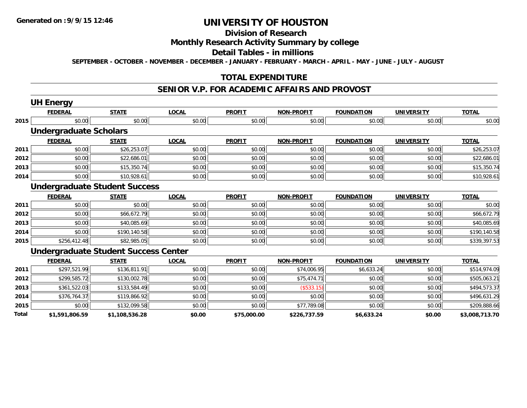# **Division of Research**

### **Monthly Research Activity Summary by college**

#### **Detail Tables - in millions**

**SEPTEMBER - OCTOBER - NOVEMBER - DECEMBER - JANUARY - FEBRUARY - MARCH - APRIL - MAY - JUNE - JULY - AUGUST**

#### **TOTAL EXPENDITURE**

#### **SENIOR V.P. FOR ACADEMIC AFFAIRS AND PROVOST**

|       | <b>UH Energy</b>              |                                             |              |               |                   |                   |                   |                |
|-------|-------------------------------|---------------------------------------------|--------------|---------------|-------------------|-------------------|-------------------|----------------|
|       | <b>FEDERAL</b>                | <b>STATE</b>                                | <b>LOCAL</b> | <b>PROFIT</b> | <b>NON-PROFIT</b> | <b>FOUNDATION</b> | <b>UNIVERSITY</b> | <b>TOTAL</b>   |
| 2015  | \$0.00                        | \$0.00                                      | \$0.00       | \$0.00        | \$0.00            | \$0.00            | \$0.00            | \$0.00         |
|       | <b>Undergraduate Scholars</b> |                                             |              |               |                   |                   |                   |                |
|       | <b>FEDERAL</b>                | <b>STATE</b>                                | <b>LOCAL</b> | <b>PROFIT</b> | <b>NON-PROFIT</b> | <b>FOUNDATION</b> | <b>UNIVERSITY</b> | <b>TOTAL</b>   |
| 2011  | \$0.00                        | \$26,253.07                                 | \$0.00       | \$0.00        | \$0.00            | \$0.00            | \$0.00            | \$26,253.07    |
| 2012  | \$0.00                        | \$22,686.01                                 | \$0.00       | \$0.00        | \$0.00            | \$0.00            | \$0.00            | \$22,686.01    |
| 2013  | \$0.00                        | \$15,350.74                                 | \$0.00       | \$0.00        | \$0.00            | \$0.00            | \$0.00            | \$15,350.74    |
| 2014  | \$0.00                        | \$10,928.61                                 | \$0.00       | \$0.00        | \$0.00            | \$0.00            | \$0.00            | \$10,928.61    |
|       |                               | <b>Undergraduate Student Success</b>        |              |               |                   |                   |                   |                |
|       | <b>FEDERAL</b>                | <b>STATE</b>                                | <b>LOCAL</b> | <b>PROFIT</b> | <b>NON-PROFIT</b> | <b>FOUNDATION</b> | <b>UNIVERSITY</b> | <b>TOTAL</b>   |
| 2011  | \$0.00                        | \$0.00                                      | \$0.00       | \$0.00        | \$0.00            | \$0.00            | \$0.00            | \$0.00         |
| 2012  | \$0.00                        | \$66,672.79                                 | \$0.00       | \$0.00        | \$0.00            | \$0.00            | \$0.00            | \$66,672.79    |
| 2013  | \$0.00                        | \$40,085.69                                 | \$0.00       | \$0.00        | \$0.00            | \$0.00            | \$0.00            | \$40,085.69    |
| 2014  | \$0.00                        | \$190,140.58                                | \$0.00       | \$0.00        | \$0.00            | \$0.00            | \$0.00            | \$190,140.58   |
| 2015  | \$256,412.48                  | \$82,985.05                                 | \$0.00       | \$0.00        | \$0.00            | \$0.00            | \$0.00            | \$339,397.53   |
|       |                               | <b>Undergraduate Student Success Center</b> |              |               |                   |                   |                   |                |
|       | <b>FEDERAL</b>                | <b>STATE</b>                                | <b>LOCAL</b> | <b>PROFIT</b> | <b>NON-PROFIT</b> | <b>FOUNDATION</b> | <b>UNIVERSITY</b> | <b>TOTAL</b>   |
| 2011  | \$297,521.99                  | \$136,811.91                                | \$0.00       | \$0.00        | \$74,006.95       | \$6,633.24        | \$0.00            | \$514,974.09   |
| 2012  | \$299,585.72                  | \$130,002.78                                | \$0.00       | \$0.00        | \$75,474.71       | \$0.00            | \$0.00            | \$505,063.21   |
| 2013  | \$361,522.03                  | \$133,584.49                                | \$0.00       | \$0.00        | (\$533.15)        | \$0.00            | \$0.00            | \$494,573.37   |
| 2014  | \$376,764.37                  | \$119,866.92                                | \$0.00       | \$0.00        | \$0.00            | \$0.00            | \$0.00            | \$496,631.29   |
| 2015  | \$0.00                        | \$132,099.58                                | \$0.00       | \$0.00        | \$77.789.08       | \$0.00            | \$0.00            | \$209,888.66   |
| Total | \$1,591,806.59                | \$1,108,536.28                              | \$0.00       | \$75,000.00   | \$226,737.59      | \$6,633.24        | \$0.00            | \$3,008,713.70 |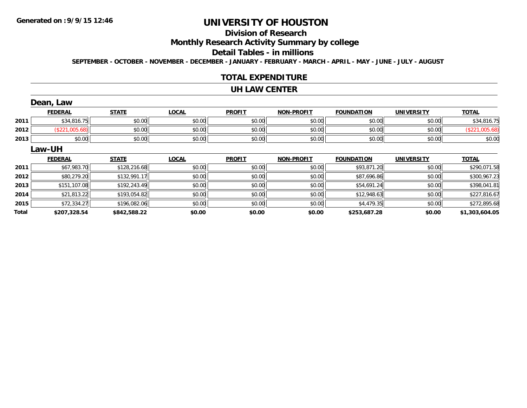# **Division of Research**

**Monthly Research Activity Summary by college**

#### **Detail Tables - in millions**

**SEPTEMBER - OCTOBER - NOVEMBER - DECEMBER - JANUARY - FEBRUARY - MARCH - APRIL - MAY - JUNE - JULY - AUGUST**

#### **TOTAL EXPENDITURE**

#### **UH LAW CENTER**

|       | Dean, Law      |              |              |               |                   |                   |                   |                |
|-------|----------------|--------------|--------------|---------------|-------------------|-------------------|-------------------|----------------|
|       | <b>FEDERAL</b> | <b>STATE</b> | <b>LOCAL</b> | <b>PROFIT</b> | <b>NON-PROFIT</b> | <b>FOUNDATION</b> | <b>UNIVERSITY</b> | <b>TOTAL</b>   |
| 2011  | \$34,816.75    | \$0.00       | \$0.00       | \$0.00        | \$0.00            | \$0.00            | \$0.00            | \$34,816.75    |
| 2012  | (\$221,005.68) | \$0.00       | \$0.00       | \$0.00        | \$0.00            | \$0.00            | \$0.00            | (\$221,005.68) |
| 2013  | \$0.00         | \$0.00       | \$0.00       | \$0.00        | \$0.00            | \$0.00            | \$0.00            | \$0.00         |
|       | Law-UH         |              |              |               |                   |                   |                   |                |
|       | <b>FEDERAL</b> | <b>STATE</b> | <b>LOCAL</b> | <b>PROFIT</b> | <b>NON-PROFIT</b> | <b>FOUNDATION</b> | <b>UNIVERSITY</b> | <b>TOTAL</b>   |
| 2011  | \$67,983.70    | \$128,216.68 | \$0.00       | \$0.00        | \$0.00            | \$93,871.20       | \$0.00            | \$290,071.58   |
| 2012  | \$80,279.20    | \$132,991.17 | \$0.00       | \$0.00        | \$0.00            | \$87,696.86       | \$0.00            | \$300,967.23   |
| 2013  | \$151,107.08   | \$192,243.49 | \$0.00       | \$0.00        | \$0.00            | \$54,691.24       | \$0.00            | \$398,041.81   |
| 2014  | \$21,813.22    | \$193,054.82 | \$0.00       | \$0.00        | \$0.00            | \$12,948.63       | \$0.00            | \$227,816.67   |
| 2015  | \$72,334.27    | \$196,082.06 | \$0.00       | \$0.00        | \$0.00            | \$4,479.35        | \$0.00            | \$272,895.68   |
| Total | \$207,328.54   | \$842,588.22 | \$0.00       | \$0.00        | \$0.00            | \$253,687.28      | \$0.00            | \$1,303,604.05 |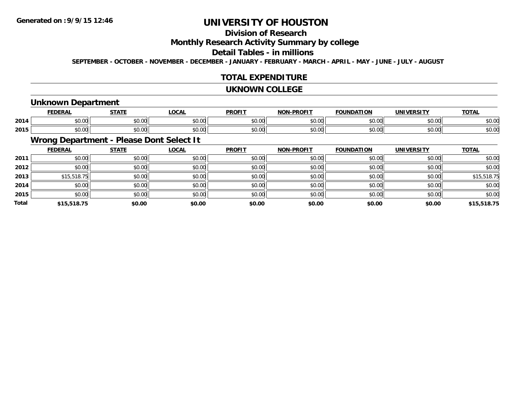# **Division of Research**

## **Monthly Research Activity Summary by college**

#### **Detail Tables - in millions**

**SEPTEMBER - OCTOBER - NOVEMBER - DECEMBER - JANUARY - FEBRUARY - MARCH - APRIL - MAY - JUNE - JULY - AUGUST**

### **TOTAL EXPENDITURE**

#### **UKNOWN COLLEGE**

### **Unknown Department**

|      | ------<br>cr.      | $- - - - -$ | $\sim$<br>UUNI         | <b>PROFIT</b>           | <b>DDAEIT</b><br>81 A B | "ION<br>IDA          | IINIVERSITV                                    | <b>TOTAL</b> |
|------|--------------------|-------------|------------------------|-------------------------|-------------------------|----------------------|------------------------------------------------|--------------|
| 2014 | $\cdots$<br>JU.UU  | \$0.00      | $\sim$ $\sim$<br>JU.UU | 0 <sub>n</sub><br>JU.UU | 0000<br>J∪.∪u           | $\sim$ $\sim$<br>טט. | 0.001<br>JU.UU                                 | \$0.00       |
| 2015 | $\sim$ 00<br>JU.UU | \$0.00      | ሶስ ሰሰ<br>JU.UU         | 0 <sub>n</sub><br>JU.UU | ስ ለሰ<br>JU.UU           | $\sim$ 00<br>JU.UU   | $\mathfrak{c} \cap \mathfrak{c} \cap$<br>JU.UU | \$0.00       |

# **Wrong Department - Please Dont Select It**

|              | <b>FEDERAL</b> | <b>STATE</b> | <u>LOCAL</u> | <b>PROFIT</b> | <b>NON-PROFIT</b> | <b>FOUNDATION</b> | <b>UNIVERSITY</b> | <b>TOTAL</b> |
|--------------|----------------|--------------|--------------|---------------|-------------------|-------------------|-------------------|--------------|
| 2011         | \$0.00         | \$0.00       | \$0.00       | \$0.00        | \$0.00            | \$0.00            | \$0.00            | \$0.00       |
| 2012         | \$0.00         | \$0.00       | \$0.00       | \$0.00        | \$0.00            | \$0.00            | \$0.00            | \$0.00       |
| 2013         | \$15,518.75    | \$0.00       | \$0.00       | \$0.00        | \$0.00            | \$0.00            | \$0.00            | \$15,518.75  |
| 2014         | \$0.00         | \$0.00       | \$0.00       | \$0.00        | \$0.00            | \$0.00            | \$0.00            | \$0.00       |
| 2015         | \$0.00         | \$0.00       | \$0.00       | \$0.00        | \$0.00            | \$0.00            | \$0.00            | \$0.00       |
| <b>Total</b> | \$15,518.75    | \$0.00       | \$0.00       | \$0.00        | \$0.00            | \$0.00            | \$0.00            | \$15,518.75  |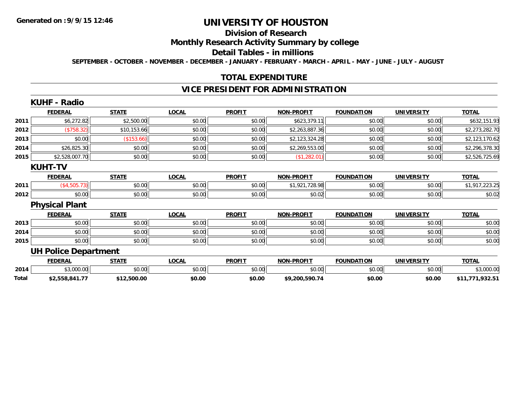# **Division of Research**

## **Monthly Research Activity Summary by college**

#### **Detail Tables - in millions**

**SEPTEMBER - OCTOBER - NOVEMBER - DECEMBER - JANUARY - FEBRUARY - MARCH - APRIL - MAY - JUNE - JULY - AUGUST**

### **TOTAL EXPENDITURE**

## **VICE PRESIDENT FOR ADMINISTRATION**

|       | <b>KUHF - Radio</b>         |              |              |               |                   |                   |                   |                 |
|-------|-----------------------------|--------------|--------------|---------------|-------------------|-------------------|-------------------|-----------------|
|       | <b>FEDERAL</b>              | <b>STATE</b> | <b>LOCAL</b> | <b>PROFIT</b> | <b>NON-PROFIT</b> | <b>FOUNDATION</b> | <b>UNIVERSITY</b> | <b>TOTAL</b>    |
| 2011  | \$6,272.82                  | \$2,500.00   | \$0.00       | \$0.00        | \$623,379.11      | \$0.00            | \$0.00            | \$632,151.93    |
| 2012  | (\$758.32)                  | \$10,153.66  | \$0.00       | \$0.00        | \$2,263,887.36    | \$0.00            | \$0.00            | \$2,273,282.70  |
| 2013  | \$0.00                      | (\$153.66)   | \$0.00       | \$0.00        | \$2,123,324.28    | \$0.00            | \$0.00            | \$2,123,170.62  |
| 2014  | \$26,825.30                 | \$0.00       | \$0.00       | \$0.00        | \$2,269,553.00    | \$0.00            | \$0.00            | \$2,296,378.30  |
| 2015  | \$2,528,007.70              | \$0.00       | \$0.00       | \$0.00        | (\$1,282.01)      | \$0.00            | \$0.00            | \$2,526,725.69  |
|       | <b>KUHT-TV</b>              |              |              |               |                   |                   |                   |                 |
|       | <b>FEDERAL</b>              | <b>STATE</b> | <b>LOCAL</b> | <b>PROFIT</b> | <b>NON-PROFIT</b> | <b>FOUNDATION</b> | <b>UNIVERSITY</b> | <b>TOTAL</b>    |
| 2011  | (\$4,505.73)                | \$0.00       | \$0.00       | \$0.00        | \$1,921,728.98    | \$0.00            | \$0.00            | \$1,917,223.25  |
| 2012  | \$0.00                      | \$0.00       | \$0.00       | \$0.00        | \$0.02            | \$0.00            | \$0.00            | \$0.02          |
|       | <b>Physical Plant</b>       |              |              |               |                   |                   |                   |                 |
|       | <b>FEDERAL</b>              | <b>STATE</b> | <b>LOCAL</b> | <b>PROFIT</b> | <b>NON-PROFIT</b> | <b>FOUNDATION</b> | <b>UNIVERSITY</b> | <b>TOTAL</b>    |
| 2013  | \$0.00                      | \$0.00       | \$0.00       | \$0.00        | \$0.00            | \$0.00            | \$0.00            | \$0.00          |
| 2014  | \$0.00                      | \$0.00       | \$0.00       | \$0.00        | \$0.00            | \$0.00            | \$0.00            | \$0.00          |
| 2015  | \$0.00                      | \$0.00       | \$0.00       | \$0.00        | \$0.00            | \$0.00            | \$0.00            | \$0.00          |
|       | <b>UH Police Department</b> |              |              |               |                   |                   |                   |                 |
|       | <b>FEDERAL</b>              | <b>STATE</b> | <b>LOCAL</b> | <b>PROFIT</b> | <b>NON-PROFIT</b> | <b>FOUNDATION</b> | <b>UNIVERSITY</b> | <b>TOTAL</b>    |
| 2014  | \$3,000.00                  | \$0.00       | \$0.00       | \$0.00        | \$0.00            | \$0.00            | \$0.00            | \$3,000.00      |
| Total | \$2,558,841.77              | \$12,500.00  | \$0.00       | \$0.00        | \$9,200,590.74    | \$0.00            | \$0.00            | \$11,771,932.51 |
|       |                             |              |              |               |                   |                   |                   |                 |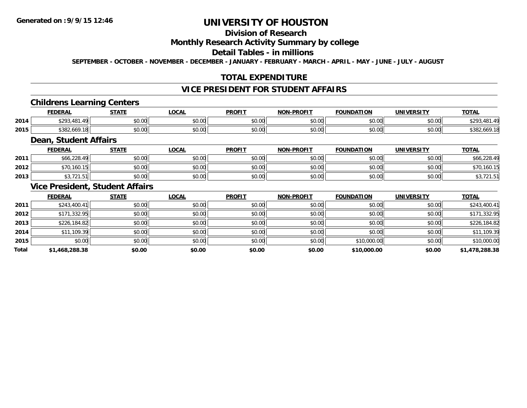# **Division of Research**

## **Monthly Research Activity Summary by college**

## **Detail Tables - in millions**

**SEPTEMBER - OCTOBER - NOVEMBER - DECEMBER - JANUARY - FEBRUARY - MARCH - APRIL - MAY - JUNE - JULY - AUGUST**

## **TOTAL EXPENDITURE**

## **VICE PRESIDENT FOR STUDENT AFFAIRS**

## **Childrens Learning Centers**

|      | <b>FEDERAL</b>      | <b>CTATE</b>   | .OCAL         | <b>PROFIT</b>          | <b>PROFIT</b><br>NON- | חחו<br><b>OLINDA</b>           | UNIVERSITY<br>. | TOTA.                      |
|------|---------------------|----------------|---------------|------------------------|-----------------------|--------------------------------|-----------------|----------------------------|
| 2014 | ⊄ገበጋ<br>401<br>10 N | ሶስ ሰስ<br>JU.UU | 0.00<br>pu.uu | $\sim$ $\sim$<br>JU.UU | 0000<br>JU.UU         | $\circ$ $\circ$ $\circ$<br>,uu | \$0.00          | ሖ へへ<br>$\Lambda$ $\Omega$ |
| 2015 | \$382,669.18        | ሶስ ሰሰ<br>JU.UU | 0.00<br>JU.UU | JU.UU                  | 0000<br>JU.UU         | 0000<br>DU.UU                  | \$0.00          | .00. 200 - J<br>. . 0      |

### **Dean, Student Affairs**

|      | <b>FEDERAL</b>   | <b>STATE</b> | LOCAL  | <b>PROFIT</b> | <b>NON-PROFIT</b> | <b>FOUNDATION</b> | <b>UNIVERSITY</b> | <u>TOTAL</u> |
|------|------------------|--------------|--------|---------------|-------------------|-------------------|-------------------|--------------|
| 2011 | \$66,228.49      | \$0.00       | \$0.00 | \$0.00        | \$0.00            | \$0.00            | \$0.00            | \$66,228.49  |
| 2012 | 0,160.15         | \$0.00       | \$0.00 | \$0.00        | \$0.00            | \$0.00            | \$0.00            | \$70,160.1   |
| 2013 | $- - - -$<br>ں ک | \$0.00       | \$0.00 | \$0.00        | \$0.00            | \$0.00            | \$0.00            | 701.51<br>◡  |

### **Vice President, Student Affairs**

|       | <b>FEDERAL</b> | <b>STATE</b> | <b>LOCAL</b> | <b>PROFIT</b> | <b>NON-PROFIT</b> | <b>FOUNDATION</b> | <b>UNIVERSITY</b> | <b>TOTAL</b>   |
|-------|----------------|--------------|--------------|---------------|-------------------|-------------------|-------------------|----------------|
| 2011  | \$243,400.41   | \$0.00       | \$0.00       | \$0.00        | \$0.00            | \$0.00            | \$0.00            | \$243,400.41   |
| 2012  | \$171,332.95   | \$0.00       | \$0.00       | \$0.00        | \$0.00            | \$0.00            | \$0.00            | \$171,332.95   |
| 2013  | \$226,184.82   | \$0.00       | \$0.00       | \$0.00        | \$0.00            | \$0.00            | \$0.00            | \$226,184.82   |
| 2014  | \$11,109.39    | \$0.00       | \$0.00       | \$0.00        | \$0.00            | \$0.00            | \$0.00            | \$11,109.39    |
| 2015  | \$0.00         | \$0.00       | \$0.00       | \$0.00        | \$0.00            | \$10,000.00       | \$0.00            | \$10,000.00    |
| Total | \$1,468,288.38 | \$0.00       | \$0.00       | \$0.00        | \$0.00            | \$10,000.00       | \$0.00            | \$1,478,288.38 |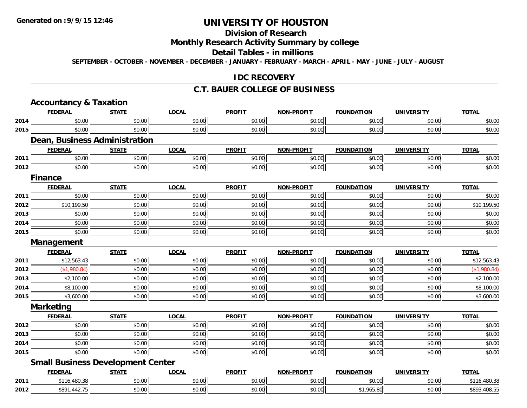# **Division of Research**

# **Monthly Research Activity Summary by college**

#### **Detail Tables - in millions**

**SEPTEMBER - OCTOBER - NOVEMBER - DECEMBER - JANUARY - FEBRUARY - MARCH - APRIL - MAY - JUNE - JULY - AUGUST**

#### **IDC RECOVERY**

#### **C.T. BAUER COLLEGE OF BUSINESS**

|      | <b>Accountancy &amp; Taxation</b>    |                                          |              |               |                   |                   |                   |              |
|------|--------------------------------------|------------------------------------------|--------------|---------------|-------------------|-------------------|-------------------|--------------|
|      | <b>FEDERAL</b>                       | <b>STATE</b>                             | <b>LOCAL</b> | <b>PROFIT</b> | <b>NON-PROFIT</b> | <b>FOUNDATION</b> | <b>UNIVERSITY</b> | <b>TOTAL</b> |
| 2014 | \$0.00                               | \$0.00                                   | \$0.00       | \$0.00        | \$0.00            | \$0.00            | \$0.00            | \$0.00       |
| 2015 | \$0.00                               | \$0.00                                   | \$0.00       | \$0.00        | \$0.00            | \$0.00            | \$0.00            | \$0.00       |
|      | <b>Dean, Business Administration</b> |                                          |              |               |                   |                   |                   |              |
|      | <b>FEDERAL</b>                       | <b>STATE</b>                             | <b>LOCAL</b> | <b>PROFIT</b> | <b>NON-PROFIT</b> | <b>FOUNDATION</b> | <b>UNIVERSITY</b> | <b>TOTAL</b> |
| 2011 | \$0.00                               | \$0.00                                   | \$0.00       | \$0.00        | \$0.00            | \$0.00            | \$0.00            | \$0.00       |
| 2012 | \$0.00                               | \$0.00                                   | \$0.00       | \$0.00        | \$0.00            | \$0.00            | \$0.00            | \$0.00       |
|      | <b>Finance</b>                       |                                          |              |               |                   |                   |                   |              |
|      | <b>FEDERAL</b>                       | <b>STATE</b>                             | <b>LOCAL</b> | <b>PROFIT</b> | <b>NON-PROFIT</b> | <b>FOUNDATION</b> | <b>UNIVERSITY</b> | <b>TOTAL</b> |
| 2011 | \$0.00                               | \$0.00                                   | \$0.00       | \$0.00        | \$0.00            | \$0.00            | \$0.00            | \$0.00       |
| 2012 | \$10,199.50                          | \$0.00                                   | \$0.00       | \$0.00        | \$0.00            | \$0.00            | \$0.00            | \$10,199.50  |
| 2013 | \$0.00                               | \$0.00                                   | \$0.00       | \$0.00        | \$0.00            | \$0.00            | \$0.00            | \$0.00       |
| 2014 | \$0.00                               | \$0.00                                   | \$0.00       | \$0.00        | \$0.00            | \$0.00            | \$0.00            | \$0.00       |
| 2015 | \$0.00                               | \$0.00                                   | \$0.00       | \$0.00        | \$0.00            | \$0.00            | \$0.00            | \$0.00       |
|      | Management                           |                                          |              |               |                   |                   |                   |              |
|      | <b>FEDERAL</b>                       | <b>STATE</b>                             | <b>LOCAL</b> | <b>PROFIT</b> | <b>NON-PROFIT</b> | <b>FOUNDATION</b> | <b>UNIVERSITY</b> | <b>TOTAL</b> |
| 2011 | \$12,563.43                          | \$0.00                                   | \$0.00       | \$0.00        | \$0.00            | \$0.00            | \$0.00            | \$12,563.43  |
| 2012 | (\$1,980.84)                         | \$0.00                                   | \$0.00       | \$0.00        | \$0.00            | \$0.00            | \$0.00            | (\$1,980.84) |
| 2013 | \$2,100.00                           | \$0.00                                   | \$0.00       | \$0.00        | \$0.00            | \$0.00            | \$0.00            | \$2,100.00   |
| 2014 | \$8,100.00                           | \$0.00                                   | \$0.00       | \$0.00        | \$0.00            | \$0.00            | \$0.00            | \$8,100.00   |
| 2015 | \$3,600.00                           | \$0.00                                   | \$0.00       | \$0.00        | \$0.00            | \$0.00            | \$0.00            | \$3,600.00   |
|      | <b>Marketing</b>                     |                                          |              |               |                   |                   |                   |              |
|      | <b>FEDERAL</b>                       | <b>STATE</b>                             | <b>LOCAL</b> | <b>PROFIT</b> | <b>NON-PROFIT</b> | <b>FOUNDATION</b> | <b>UNIVERSITY</b> | <b>TOTAL</b> |
| 2012 | \$0.00                               | \$0.00                                   | \$0.00       | \$0.00        | \$0.00            | \$0.00            | \$0.00            | \$0.00       |
| 2013 | \$0.00                               | \$0.00                                   | \$0.00       | \$0.00        | \$0.00            | \$0.00            | \$0.00            | \$0.00       |
| 2014 | \$0.00                               | \$0.00                                   | \$0.00       | \$0.00        | \$0.00            | \$0.00            | \$0.00            | \$0.00       |
| 2015 | \$0.00                               | \$0.00                                   | \$0.00       | \$0.00        | \$0.00            | \$0.00            | \$0.00            | \$0.00       |
|      |                                      |                                          |              |               |                   |                   |                   |              |
|      |                                      | <b>Small Business Development Center</b> |              |               |                   |                   |                   |              |
|      | <b>FEDERAL</b>                       | <b>STATE</b>                             | <b>LOCAL</b> | <b>PROFIT</b> | <b>NON-PROFIT</b> | <b>FOUNDATION</b> | <b>UNIVERSITY</b> | <b>TOTAL</b> |
| 2011 | \$116,480.38                         | \$0.00                                   | \$0.00       | \$0.00        | \$0.00            | \$0.00            | \$0.00            | \$116,480.38 |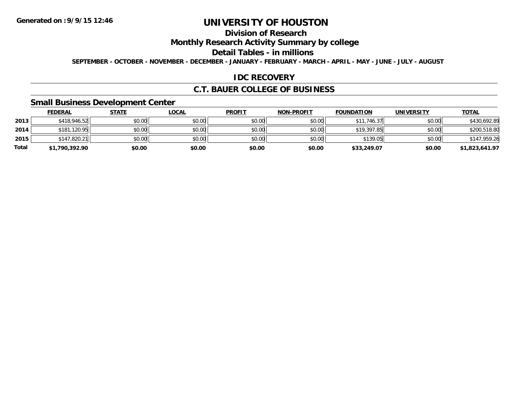# **Division of Research**

## **Monthly Research Activity Summary by college**

#### **Detail Tables - in millions**

**SEPTEMBER - OCTOBER - NOVEMBER - DECEMBER - JANUARY - FEBRUARY - MARCH - APRIL - MAY - JUNE - JULY - AUGUST**

### **IDC RECOVERY**

### **C.T. BAUER COLLEGE OF BUSINESS**

## **Small Business Development Center**

|       | <b>FEDERAL</b> | <u>STATE</u> | <b>LOCAL</b> | <b>PROFIT</b> | <b>NON-PROFIT</b> | <b>FOUNDATION</b> | <b>UNIVERSITY</b> | <b>TOTAL</b>   |
|-------|----------------|--------------|--------------|---------------|-------------------|-------------------|-------------------|----------------|
| 2013  | \$418,946.52   | \$0.00       | \$0.00       | \$0.00        | \$0.00            | \$11,746.37       | \$0.00            | \$430,692.89   |
| 2014  | \$181,120.95   | \$0.00       | \$0.00       | \$0.00        | \$0.00            | \$19,397.85       | \$0.00            | \$200,518.80   |
| 2015  | \$147,820.21   | \$0.00       | \$0.00       | \$0.00        | \$0.00            | \$139.05          | \$0.00            | \$147,959.26   |
| Total | \$1,790,392.90 | \$0.00       | \$0.00       | \$0.00        | \$0.00            | \$33,249.07       | \$0.00            | \$1,823,641.97 |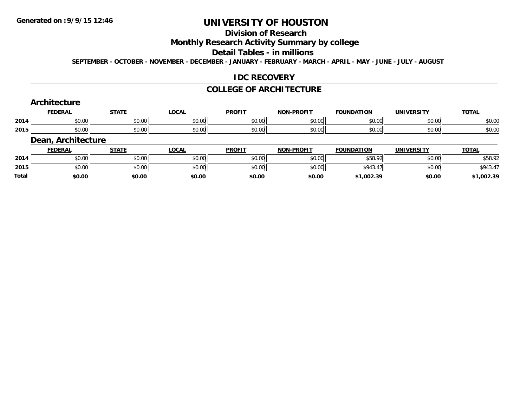# **Division of Research**

## **Monthly Research Activity Summary by college**

#### **Detail Tables - in millions**

**SEPTEMBER - OCTOBER - NOVEMBER - DECEMBER - JANUARY - FEBRUARY - MARCH - APRIL - MAY - JUNE - JULY - AUGUST**

#### **IDC RECOVERY**

#### **COLLEGE OF ARCHITECTURE**

#### **Architecture**

|      | EEDEDA<br>LIM | <b>CTATE</b>    | $\sim$<br>$\mathbf{u}$ | <b>PROFIT</b> | <b>DDOFIT</b><br><b>NON</b>                          | .<br><b>CAUNIDA</b>   | IINIVEDSITV        | <b>TOTI</b>            |
|------|---------------|-----------------|------------------------|---------------|------------------------------------------------------|-----------------------|--------------------|------------------------|
| 2014 | ₽∪.∪∪         | ሐሴ ሰሰ<br>PU.UU  | 0000<br>J∪.∪∪          | 40.00         | $\mathsf{A} \cap \mathsf{A} \cap \mathsf{A}$<br>vu.u | $\sim$ 00<br>.vv<br>՝ | $\sim$ 00<br>pu.uu | $\sim$ $\sim$<br>pv.uu |
| 2015 | ₽∪.∪∪         | $\sim$<br>JU.UU | 0000<br>JU.UU          | $-40.00$      | $\mathsf{A} \cap \mathsf{A} \cap \mathsf{A}$<br>vu.u | $\sim$ 00<br>,uu      | $\sim$ 00<br>pu.uu | $\sim$ $\sim$<br>pv.uu |

#### **Dean, Architecture**

|              | <b>FEDERAL</b> | <u>STATE</u> | <b>LOCAL</b> | <b>PROFIT</b> | <b>NON-PROFIT</b> | <b>FOUNDATION</b> | <b>UNIVERSITY</b> | <u>TOTAL</u> |
|--------------|----------------|--------------|--------------|---------------|-------------------|-------------------|-------------------|--------------|
| 2014         | \$0.00         | \$0.00       | \$0.00       | \$0.00        | \$0.00            | \$58.92<br>⊸ລອ∴   | \$0.00            | \$58.92      |
| 2015         | \$0.00         | \$0.00       | \$0.00       | \$0.00        | \$0.00            | \$943.4           | \$0.00            | \$943.47     |
| <b>Total</b> | \$0.00         | \$0.00       | \$0.00       | \$0.00        | \$0.00            | \$1,002.39        | \$0.00            | \$1,002.39   |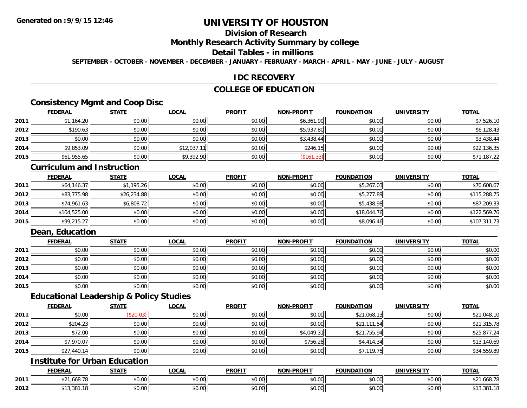# **Division of Research**

#### **Monthly Research Activity Summary by college**

#### **Detail Tables - in millions**

**SEPTEMBER - OCTOBER - NOVEMBER - DECEMBER - JANUARY - FEBRUARY - MARCH - APRIL - MAY - JUNE - JULY - AUGUST**

#### **IDC RECOVERY**

## **COLLEGE OF EDUCATION**

# **Consistency Mgmt and Coop Disc**

|      | <b>FEDERAL</b> | <b>STATE</b> | <u>LOCAL</u> | <b>PROFIT</b> | <b>NON-PROFIT</b> | <b>FOUNDATION</b> | <b>UNIVERSITY</b> | <b>TOTAL</b> |
|------|----------------|--------------|--------------|---------------|-------------------|-------------------|-------------------|--------------|
| 2011 | \$1,164.20     | \$0.00       | \$0.00       | \$0.00        | \$6,361.90        | \$0.00            | \$0.00            | \$7,526.10   |
| 2012 | \$190.63       | \$0.00       | \$0.00       | \$0.00        | \$5,937.80        | \$0.00            | \$0.00            | \$6,128.43   |
| 2013 | \$0.00         | \$0.00       | \$0.00       | \$0.00        | \$3,438.44        | \$0.00            | \$0.00            | \$3,438.44   |
| 2014 | \$9,853.09     | \$0.00       | \$12,037.11  | \$0.00        | \$246.15          | \$0.00            | \$0.00            | \$22,136.35  |
| 2015 | \$61,955.65    | \$0.00       | \$9,392.90   | \$0.00        | (\$161.33)        | \$0.00            | \$0.00            | \$71,187.22  |

#### **Curriculum and Instruction**

|      | <b>FEDERAL</b> | <b>STATE</b> | <b>LOCAL</b> | <b>PROFIT</b> | <b>NON-PROFIT</b> | <b>FOUNDATION</b> | <b>UNIVERSITY</b> | <b>TOTAL</b> |
|------|----------------|--------------|--------------|---------------|-------------------|-------------------|-------------------|--------------|
| 2011 | \$64,146.37    | \$1,195.26   | \$0.00       | \$0.00        | \$0.00            | \$5,267.03        | \$0.00            | \$70,608.67  |
| 2012 | \$83,775.98    | \$26,234.88  | \$0.00       | \$0.00        | \$0.00            | \$5,277.89        | \$0.00            | \$115,288.75 |
| 2013 | \$74,961.63    | \$6,808.72   | \$0.00       | \$0.00        | \$0.00            | \$5,438.98        | \$0.00            | \$87,209.33  |
| 2014 | \$104,525.00   | \$0.00       | \$0.00       | \$0.00        | \$0.00            | \$18,044.76       | \$0.00            | \$122,569.76 |
| 2015 | \$99,215.27    | \$0.00       | \$0.00       | \$0.00        | \$0.00            | \$8,096.46        | \$0.00            | \$107,311.73 |

## **Dean, Education**

|      | <b>FEDERAL</b> | <b>STATE</b> | <b>LOCAL</b> | <b>PROFIT</b> | <b>NON-PROFIT</b> | <b>FOUNDATION</b> | <b>UNIVERSITY</b> | <b>TOTAL</b> |
|------|----------------|--------------|--------------|---------------|-------------------|-------------------|-------------------|--------------|
| 2011 | \$0.00         | \$0.00       | \$0.00       | \$0.00        | \$0.00            | \$0.00            | \$0.00            | \$0.00       |
| 2012 | \$0.00         | \$0.00       | \$0.00       | \$0.00        | \$0.00            | \$0.00            | \$0.00            | \$0.00       |
| 2013 | \$0.00         | \$0.00       | \$0.00       | \$0.00        | \$0.00            | \$0.00            | \$0.00            | \$0.00       |
| 2014 | \$0.00         | \$0.00       | \$0.00       | \$0.00        | \$0.00            | \$0.00            | \$0.00            | \$0.00       |
| 2015 | \$0.00         | \$0.00       | \$0.00       | \$0.00        | \$0.00            | \$0.00            | \$0.00            | \$0.00       |

#### **Educational Leadership & Policy Studies**

|      | <b>FEDERAL</b> | <b>STATE</b> | <u>LOCAL</u> | <b>PROFIT</b> | <b>NON-PROFIT</b> | <b>FOUNDATION</b> | <b>UNIVERSITY</b> | <b>TOTAL</b> |
|------|----------------|--------------|--------------|---------------|-------------------|-------------------|-------------------|--------------|
| 2011 | \$0.00         | (\$20.03)    | \$0.00       | \$0.00        | \$0.00            | \$21,068.13       | \$0.00            | \$21,048.10  |
| 2012 | \$204.23       | \$0.00       | \$0.00       | \$0.00        | \$0.00            | \$21,111.54       | \$0.00            | \$21,315.78  |
| 2013 | \$72.00        | \$0.00       | \$0.00       | \$0.00        | \$4,049.31        | \$21,755.94       | \$0.00            | \$25,877.24  |
| 2014 | \$7,970.07     | \$0.00       | \$0.00       | \$0.00        | \$756.28          | \$4,414.34        | \$0.00            | \$13,140.69  |
| 2015 | \$27,440.14    | \$0.00       | \$0.00       | \$0.00        | \$0.00            | \$7,119.75        | \$0.00            | \$34,559.89  |

# **Institute for Urban Education**

|      | <b>FEDERAL</b>                        | <b>CTATE</b>  | <b>LOCAL</b>             | <b>PROFIT</b>              | <b>J-PROFIT</b><br><b>MANI</b> | <b>FOUNDATION</b> | <b>UNIVERSITY</b>    | <b>TOTAL</b>                           |
|------|---------------------------------------|---------------|--------------------------|----------------------------|--------------------------------|-------------------|----------------------|----------------------------------------|
| 2011 | (6070<br>$\sim$<br>,,000.70<br>ັ້     | 0000<br>DU.UU | $\sim$<br>$\sim$<br>שט.⊽ | nn nn<br>DU.UU             | 0.00<br>JU.UU                  | \$0.00            | 0000<br><b>JU.UU</b> | (10.7 <sup>o</sup> )<br>™، 1,000 ⊾ ∠ ب |
| 2012 | $\sim$ $\sim$ $\sim$<br>$\cdots$<br>. | 0000<br>,u.uu | $\sim$ 00<br>vv.vv       | $*$ $\cap$ $\cap$<br>DU.UU | 0.00<br>JU.UU                  | \$0.00            | 0000<br><b>JU.UU</b> | . . 0<br>19,901                        |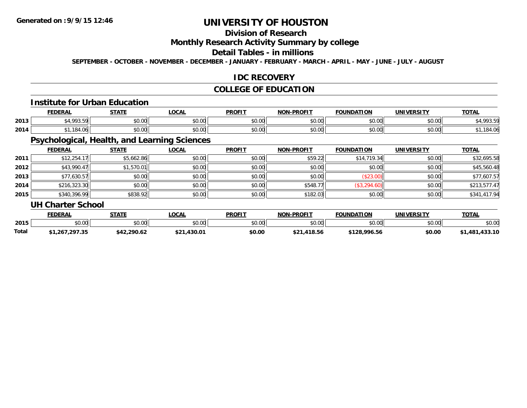# **Division of Research**

## **Monthly Research Activity Summary by college**

#### **Detail Tables - in millions**

**SEPTEMBER - OCTOBER - NOVEMBER - DECEMBER - JANUARY - FEBRUARY - MARCH - APRIL - MAY - JUNE - JULY - AUGUST**

### **IDC RECOVERY**

## **COLLEGE OF EDUCATION**

#### **Institute for Urban Education**

|      | <b>EENEDA</b><br>-VERAI                 | <b>CTATE</b>   | <b>OCAL</b>                   | <b>PROFIT</b>           | <b>-PROFIT</b><br>NON | <b>FOUNDATION</b> | <b>UNIVERSITY</b> | $T^{\prime}$<br>101h |
|------|-----------------------------------------|----------------|-------------------------------|-------------------------|-----------------------|-------------------|-------------------|----------------------|
| 2013 | $^{\star}$ 4.002.5011<br>.              | ሶስ ሰስ<br>JU.UU | 0000<br><b>JU.UU</b>          | 0 <sub>n</sub><br>JU.UL | 0000<br>vv.vv         | 0000<br>ື ⊅U.Uພ   | 0.00<br>JU.UU     | 002.50               |
| 2014 | 10 <sub>0</sub><br>.<br>10 <sup>4</sup> | ሶስ ሰሰ<br>JU.UU | $n \cap \neg$<br><b>JU.UU</b> | 0 <sub>n</sub><br>JU.UU | 0000<br>JU.UU         | \$0.00            | 0000<br>JU.UU     | . . 04               |

# **Psychological, Health, and Learning Sciences**

|      | <b>FEDERAL</b>           | <b>STATE</b> | <b>LOCAL</b> | <b>PROFIT</b> | <b>NON-PROFIT</b> | <b>FOUNDATION</b> | <b>UNIVERSITY</b> | <b>TOTAL</b> |
|------|--------------------------|--------------|--------------|---------------|-------------------|-------------------|-------------------|--------------|
| 2011 | \$12,254.17              | \$5,662.86   | \$0.00       | \$0.00        | \$59.22           | \$14,719.34       | \$0.00            | \$32,695.58  |
| 2012 | \$43,990.47              | \$1,570.01   | \$0.00       | \$0.00        | \$0.00            | \$0.00            | \$0.00            | \$45,560.48  |
| 2013 | \$77,630.57              | \$0.00       | \$0.00       | \$0.00        | \$0.00            | (\$23.00)         | \$0.00            | \$77,607.57  |
| 2014 | \$216,323.30             | \$0.00       | \$0.00       | \$0.00        | \$548.77          | (\$3,294.60)      | \$0.00            | \$213,577.47 |
| 2015 | \$340,396.99             | \$838.92     | \$0.00       | \$0.00        | \$182.03          | \$0.00            | \$0.00            | \$341,417.94 |
|      | <b>UH Charter School</b> |              |              |               |                   |                   |                   |              |

|              | <b>FEDERAL</b> | <b>СТАТЕ</b><br>JIMI. | <b>OCAL</b>     | <b>PROFIT</b> | J-PROFI <sup>T</sup><br><b>NON</b> | <b>FOUNDATION</b> | UNIVERSITY | <b>TOTAL</b>        |
|--------------|----------------|-----------------------|-----------------|---------------|------------------------------------|-------------------|------------|---------------------|
| 2015         | 0000<br>DU.UU  | \$0.00                | ≮∩ ∩∩<br>JU.UU  | \$0.00        | \$0.00                             | \$0.00            | \$0.00     | \$0.00              |
| <b>Total</b> | 1,267,297.35   | \$42.2.<br>290.62     | .430.01<br>\$21 | \$0.00        | .418.56<br>৫ ዓ.ብ                   | \$128,996.56      | \$0.00     | ,433.10<br>– 481, ر |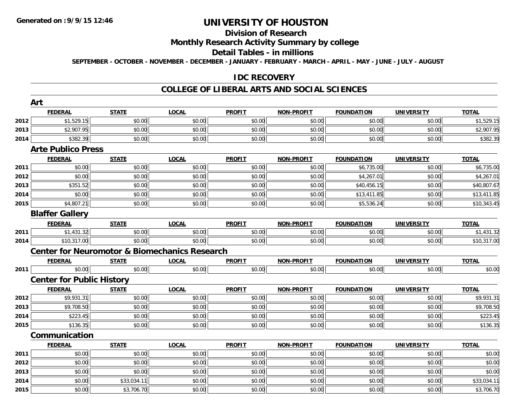**Art**

# **UNIVERSITY OF HOUSTON**

# **Division of Research**

## **Monthly Research Activity Summary by college**

#### **Detail Tables - in millions**

**SEPTEMBER - OCTOBER - NOVEMBER - DECEMBER - JANUARY - FEBRUARY - MARCH - APRIL - MAY - JUNE - JULY - AUGUST**

### **IDC RECOVERY**

#### **COLLEGE OF LIBERAL ARTS AND SOCIAL SCIENCES**

|      | Art                                                      |              |              |               |                   |                   |                   |              |
|------|----------------------------------------------------------|--------------|--------------|---------------|-------------------|-------------------|-------------------|--------------|
|      | <b>FEDERAL</b>                                           | <b>STATE</b> | <b>LOCAL</b> | <b>PROFIT</b> | NON-PROFIT        | <b>FOUNDATION</b> | <b>UNIVERSITY</b> | <b>TOTAL</b> |
| 2012 | \$1,529.15                                               | \$0.00       | \$0.00       | \$0.00        | \$0.00            | \$0.00            | \$0.00            | \$1,529.15   |
| 2013 | \$2,907.95                                               | \$0.00       | \$0.00       | \$0.00        | \$0.00            | \$0.00            | \$0.00            | \$2,907.95   |
| 2014 | \$382.39                                                 | \$0.00       | \$0.00       | \$0.00        | \$0.00            | \$0.00            | \$0.00            | \$382.39     |
|      | <b>Arte Publico Press</b>                                |              |              |               |                   |                   |                   |              |
|      | <b>FEDERAL</b>                                           | <b>STATE</b> | <b>LOCAL</b> | <b>PROFIT</b> | <b>NON-PROFIT</b> | <b>FOUNDATION</b> | <b>UNIVERSITY</b> | <b>TOTAL</b> |
| 2011 | \$0.00                                                   | \$0.00       | \$0.00       | \$0.00        | \$0.00            | \$6,735.00        | \$0.00            | \$6,735.00   |
| 2012 | \$0.00                                                   | \$0.00       | \$0.00       | \$0.00        | \$0.00            | \$4,267.01        | \$0.00            | \$4,267.01   |
| 2013 | \$351.52                                                 | \$0.00       | \$0.00       | \$0.00        | \$0.00            | \$40,456.15       | \$0.00            | \$40,807.67  |
| 2014 | \$0.00                                                   | \$0.00       | \$0.00       | \$0.00        | \$0.00            | \$13,411.85       | \$0.00            | \$13,411.85  |
| 2015 | \$4,807.21                                               | \$0.00       | \$0.00       | \$0.00        | \$0.00            | \$5,536.24        | \$0.00            | \$10,343.45  |
|      | <b>Blaffer Gallery</b>                                   |              |              |               |                   |                   |                   |              |
|      | <b>FEDERAL</b>                                           | <b>STATE</b> | <b>LOCAL</b> | <b>PROFIT</b> | NON-PROFIT        | <b>FOUNDATION</b> | <b>UNIVERSITY</b> | <b>TOTAL</b> |
| 2011 | \$1,431.32                                               | \$0.00       | \$0.00       | \$0.00        | \$0.00            | \$0.00            | \$0.00            | \$1,431.32   |
| 2014 | \$10,317.00                                              | \$0.00       | \$0.00       | \$0.00        | \$0.00            | \$0.00            | \$0.00            | \$10,317.00  |
|      | <b>Center for Neuromotor &amp; Biomechanics Research</b> |              |              |               |                   |                   |                   |              |
|      | <b>FEDERAL</b>                                           | <b>STATE</b> | <b>LOCAL</b> | <b>PROFIT</b> | <b>NON-PROFIT</b> | <b>FOUNDATION</b> | <b>UNIVERSITY</b> | <b>TOTAL</b> |
| 2011 | \$0.00                                                   | \$0.00       | \$0.00       | \$0.00        | \$0.00            | \$0.00            | \$0.00            | \$0.00       |
|      | <b>Center for Public History</b>                         |              |              |               |                   |                   |                   |              |
|      | <b>FEDERAL</b>                                           | <b>STATE</b> | <b>LOCAL</b> | <b>PROFIT</b> | NON-PROFIT        | <b>FOUNDATION</b> | <b>UNIVERSITY</b> | <b>TOTAL</b> |
| 2012 | \$9,931.31                                               | \$0.00       | \$0.00       | \$0.00        | \$0.00            | \$0.00            | \$0.00            | \$9,931.31   |
| 2013 | \$9,708.50                                               | \$0.00       | \$0.00       | \$0.00        | \$0.00            | \$0.00            | \$0.00            | \$9,708.50   |
| 2014 | \$223.45                                                 | \$0.00       | \$0.00       | \$0.00        | \$0.00            | \$0.00            | \$0.00            | \$223.45     |
| 2015 | \$136.35                                                 | \$0.00       | \$0.00       | \$0.00        | \$0.00            | \$0.00            | \$0.00            | \$136.35     |
|      | Communication                                            |              |              |               |                   |                   |                   |              |
|      | <b>FEDERAL</b>                                           | <b>STATE</b> | <b>LOCAL</b> | <b>PROFIT</b> | <b>NON-PROFIT</b> | <b>FOUNDATION</b> | <b>UNIVERSITY</b> | <b>TOTAL</b> |
| 2011 | \$0.00                                                   | \$0.00       | \$0.00       | \$0.00        | \$0.00            | \$0.00            | \$0.00            | \$0.00       |
| 2012 | \$0.00                                                   | \$0.00       | \$0.00       | \$0.00        | \$0.00            | \$0.00            | \$0.00            | \$0.00       |
| 2013 | \$0.00                                                   | \$0.00       | \$0.00       | \$0.00        | \$0.00            | \$0.00            | \$0.00            | \$0.00       |
| 2014 | \$0.00                                                   | \$33,034.11  | \$0.00       | \$0.00        | \$0.00            | \$0.00            | \$0.00            | \$33,034.11  |
| 2015 | \$0.00                                                   | \$3,706.70   | \$0.00       | \$0.00        | \$0.00            | \$0.00            | \$0.00            | \$3,706.70   |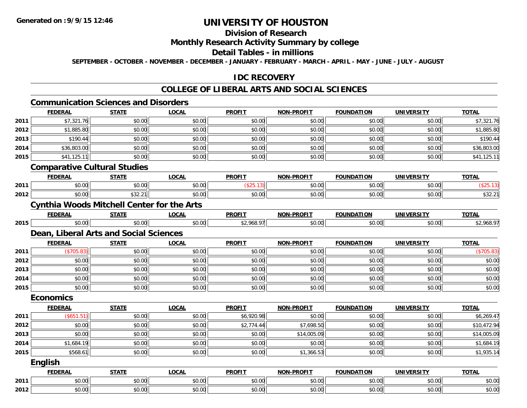# **Division of Research**

## **Monthly Research Activity Summary by college**

#### **Detail Tables - in millions**

**SEPTEMBER - OCTOBER - NOVEMBER - DECEMBER - JANUARY - FEBRUARY - MARCH - APRIL - MAY - JUNE - JULY - AUGUST**

### **IDC RECOVERY**

#### **COLLEGE OF LIBERAL ARTS AND SOCIAL SCIENCES**

#### **Communication Sciences and Disorders**

|      | <b>FEDERAL</b>                         | <b>STATE</b>                                      | <b>LOCAL</b> | <b>PROFIT</b> | <b>NON-PROFIT</b> | <b>FOUNDATION</b> | <b>UNIVERSITY</b> | <b>TOTAL</b> |  |  |  |  |
|------|----------------------------------------|---------------------------------------------------|--------------|---------------|-------------------|-------------------|-------------------|--------------|--|--|--|--|
| 2011 | \$7,321.76                             | \$0.00                                            | \$0.00       | \$0.00        | \$0.00            | \$0.00            | \$0.00            | \$7,321.76   |  |  |  |  |
| 2012 | \$1,885.80                             | \$0.00                                            | \$0.00       | \$0.00        | \$0.00            | \$0.00            | \$0.00            | \$1,885.80   |  |  |  |  |
| 2013 | \$190.44                               | \$0.00                                            | \$0.00       | \$0.00        | \$0.00            | \$0.00            | \$0.00            | \$190.44     |  |  |  |  |
| 2014 | \$36,803.00                            | \$0.00                                            | \$0.00       | \$0.00        | \$0.00            | \$0.00            | \$0.00            | \$36,803.00  |  |  |  |  |
| 2015 | \$41,125.11                            | \$0.00                                            | \$0.00       | \$0.00        | \$0.00            | \$0.00            | \$0.00            | \$41,125.11  |  |  |  |  |
|      |                                        | <b>Comparative Cultural Studies</b>               |              |               |                   |                   |                   |              |  |  |  |  |
|      | <b>FEDERAL</b>                         | <b>STATE</b>                                      | <b>LOCAL</b> | <b>PROFIT</b> | <b>NON-PROFIT</b> | <b>FOUNDATION</b> | <b>UNIVERSITY</b> | <b>TOTAL</b> |  |  |  |  |
| 2011 | \$0.00                                 | \$0.00                                            | \$0.00       | (\$25.13)     | \$0.00            | \$0.00            | \$0.00            | (\$25.13)    |  |  |  |  |
| 2012 | \$0.00                                 | \$32.21                                           | \$0.00       | \$0.00        | \$0.00            | \$0.00            | \$0.00            | \$32.21      |  |  |  |  |
|      |                                        | <b>Cynthia Woods Mitchell Center for the Arts</b> |              |               |                   |                   |                   |              |  |  |  |  |
|      | <b>FEDERAL</b>                         | <b>STATE</b>                                      | <b>LOCAL</b> | <b>PROFIT</b> | <b>NON-PROFIT</b> | <b>FOUNDATION</b> | <b>UNIVERSITY</b> | <b>TOTAL</b> |  |  |  |  |
| 2015 | \$0.00                                 | \$0.00                                            | \$0.00       | \$2,968.97    | \$0.00            | \$0.00            | \$0.00            | \$2,968.97   |  |  |  |  |
|      | Dean, Liberal Arts and Social Sciences |                                                   |              |               |                   |                   |                   |              |  |  |  |  |
|      | <b>FEDERAL</b>                         | <b>STATE</b>                                      | <b>LOCAL</b> | <b>PROFIT</b> | <b>NON-PROFIT</b> | <b>FOUNDATION</b> | <b>UNIVERSITY</b> | <b>TOTAL</b> |  |  |  |  |
| 2011 | (\$705.83)                             | \$0.00                                            | \$0.00       | \$0.00        | \$0.00            | \$0.00            | \$0.00            | (\$705.83)   |  |  |  |  |
| 2012 | \$0.00                                 | \$0.00                                            | \$0.00       | \$0.00        | \$0.00            | \$0.00            | \$0.00            | \$0.00       |  |  |  |  |
| 2013 | \$0.00                                 | \$0.00                                            | \$0.00       | \$0.00        | \$0.00            | \$0.00            | \$0.00            | \$0.00       |  |  |  |  |
| 2014 | \$0.00                                 | \$0.00                                            | \$0.00       | \$0.00        | \$0.00            | \$0.00            | \$0.00            | \$0.00       |  |  |  |  |
| 2015 | \$0.00                                 | \$0.00                                            | \$0.00       | \$0.00        | \$0.00            | \$0.00            | \$0.00            | \$0.00       |  |  |  |  |
|      | <b>Economics</b>                       |                                                   |              |               |                   |                   |                   |              |  |  |  |  |
|      | <b>FEDERAL</b>                         | <b>STATE</b>                                      | <b>LOCAL</b> | <b>PROFIT</b> | <b>NON-PROFIT</b> | <b>FOUNDATION</b> | <b>UNIVERSITY</b> | <b>TOTAL</b> |  |  |  |  |
| 2011 | (\$651.51)                             | \$0.00                                            | \$0.00       | \$6,920.98    | \$0.00            | \$0.00            | \$0.00            | \$6,269.47   |  |  |  |  |
| 2012 | \$0.00                                 | \$0.00                                            | \$0.00       | \$2,774.44    | \$7,698.50        | \$0.00            | \$0.00            | \$10,472.94  |  |  |  |  |
| 2013 | \$0.00                                 | \$0.00                                            | \$0.00       | \$0.00        | \$14,005.09       | \$0.00            | \$0.00            | \$14,005.09  |  |  |  |  |
| 2014 | \$1,684.19                             | \$0.00                                            | \$0.00       | \$0.00        | \$0.00            | \$0.00            | \$0.00            | \$1,684.19   |  |  |  |  |
| 2015 | \$568.61                               | \$0.00                                            | \$0.00       | \$0.00        | \$1,366.53        | \$0.00            | \$0.00            | \$1,935.14   |  |  |  |  |
|      | <b>English</b>                         |                                                   |              |               |                   |                   |                   |              |  |  |  |  |
|      | <b>FEDERAL</b>                         | <b>STATE</b>                                      | <b>LOCAL</b> | <b>PROFIT</b> | <b>NON-PROFIT</b> | <b>FOUNDATION</b> | <b>UNIVERSITY</b> | <b>TOTAL</b> |  |  |  |  |
| 2011 | \$0.00                                 | \$0.00                                            | \$0.00       | \$0.00        | \$0.00            | \$0.00            | \$0.00            | \$0.00       |  |  |  |  |
| 2012 | \$0.00                                 | \$0.00                                            | \$0.00       | \$0.00        | \$0.00            | \$0.00            | \$0.00            | \$0.00       |  |  |  |  |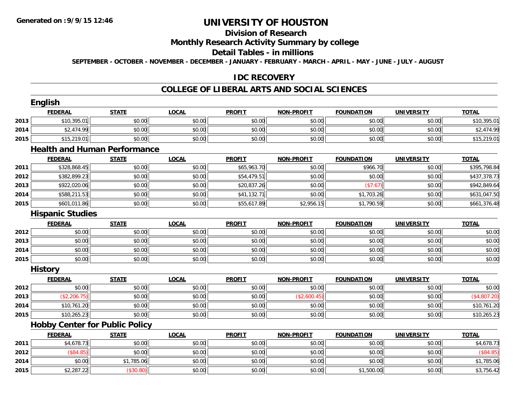# **Division of Research**

## **Monthly Research Activity Summary by college**

#### **Detail Tables - in millions**

**SEPTEMBER - OCTOBER - NOVEMBER - DECEMBER - JANUARY - FEBRUARY - MARCH - APRIL - MAY - JUNE - JULY - AUGUST**

## **IDC RECOVERY**

#### **COLLEGE OF LIBERAL ARTS AND SOCIAL SCIENCES**

|      | <b>English</b>                        |              |              |               |                   |                   |                   |              |
|------|---------------------------------------|--------------|--------------|---------------|-------------------|-------------------|-------------------|--------------|
|      | <b>FEDERAL</b>                        | <b>STATE</b> | <b>LOCAL</b> | <b>PROFIT</b> | <b>NON-PROFIT</b> | <b>FOUNDATION</b> | <b>UNIVERSITY</b> | <b>TOTAL</b> |
| 2013 | \$10,395.01                           | \$0.00       | \$0.00       | \$0.00        | \$0.00            | \$0.00            | \$0.00            | \$10,395.01  |
| 2014 | \$2,474.99                            | \$0.00       | \$0.00       | \$0.00        | \$0.00            | \$0.00            | \$0.00            | \$2,474.99   |
| 2015 | \$15,219.01                           | \$0.00       | \$0.00       | \$0.00        | \$0.00            | \$0.00            | \$0.00            | \$15,219.01  |
|      | <b>Health and Human Performance</b>   |              |              |               |                   |                   |                   |              |
|      | <b>FEDERAL</b>                        | <b>STATE</b> | <b>LOCAL</b> | <b>PROFIT</b> | <b>NON-PROFIT</b> | <b>FOUNDATION</b> | <b>UNIVERSITY</b> | <b>TOTAL</b> |
| 2011 | \$328,868.45                          | \$0.00       | \$0.00       | \$65,963.70   | \$0.00            | \$966.70          | \$0.00            | \$395,798.84 |
| 2012 | \$382,899.23                          | \$0.00       | \$0.00       | \$54,479.51   | \$0.00            | \$0.00            | \$0.00            | \$437,378.73 |
| 2013 | \$922,020.06                          | \$0.00       | \$0.00       | \$20,837.26   | \$0.00            | (\$7.67)          | \$0.00            | \$942,849.64 |
| 2014 | \$588,211.53                          | \$0.00       | \$0.00       | \$41,132.71   | \$0.00            | \$1,703.26        | \$0.00            | \$631,047.50 |
| 2015 | \$601,011.86                          | \$0.00       | \$0.00       | \$55,617.89   | \$2,956.15        | \$1,790.59        | \$0.00            | \$661,376.48 |
|      | <b>Hispanic Studies</b>               |              |              |               |                   |                   |                   |              |
|      | <b>FEDERAL</b>                        | <b>STATE</b> | <b>LOCAL</b> | <b>PROFIT</b> | <b>NON-PROFIT</b> | <b>FOUNDATION</b> | <b>UNIVERSITY</b> | <b>TOTAL</b> |
| 2012 | \$0.00                                | \$0.00       | \$0.00       | \$0.00        | \$0.00            | \$0.00            | \$0.00            | \$0.00       |
| 2013 | \$0.00                                | \$0.00       | \$0.00       | \$0.00        | \$0.00            | \$0.00            | \$0.00            | \$0.00       |
| 2014 | \$0.00                                | \$0.00       | \$0.00       | \$0.00        | \$0.00            | \$0.00            | \$0.00            | \$0.00       |
| 2015 | \$0.00                                | \$0.00       | \$0.00       | \$0.00        | \$0.00            | \$0.00            | \$0.00            | \$0.00       |
|      | <b>History</b>                        |              |              |               |                   |                   |                   |              |
|      | <b>FEDERAL</b>                        | <b>STATE</b> | <b>LOCAL</b> | <b>PROFIT</b> | <b>NON-PROFIT</b> | <b>FOUNDATION</b> | <b>UNIVERSITY</b> | <b>TOTAL</b> |
| 2012 | \$0.00                                | \$0.00       | \$0.00       | \$0.00        | \$0.00            | \$0.00            | \$0.00            | \$0.00       |
| 2013 | (\$2,206.75)                          | \$0.00       | \$0.00       | \$0.00        | (\$2,600.45)      | \$0.00            | \$0.00            | (\$4,807.20) |
| 2014 | \$10,761.20                           | \$0.00       | \$0.00       | \$0.00        | \$0.00            | \$0.00            | \$0.00            | \$10,761.20  |
| 2015 | \$10,265.23                           | \$0.00       | \$0.00       | \$0.00        | \$0.00            | \$0.00            | \$0.00            | \$10,265.23  |
|      | <b>Hobby Center for Public Policy</b> |              |              |               |                   |                   |                   |              |
|      | <b>FEDERAL</b>                        | <b>STATE</b> | <b>LOCAL</b> | <b>PROFIT</b> | <b>NON-PROFIT</b> | <b>FOUNDATION</b> | <b>UNIVERSITY</b> | <b>TOTAL</b> |
| 2011 | \$4,678.73                            | \$0.00       | \$0.00       | \$0.00        | \$0.00            | \$0.00            | \$0.00            | \$4,678.73   |
| 2012 | (\$84.85)                             | \$0.00       | \$0.00       | \$0.00        | \$0.00            | \$0.00            | \$0.00            | (\$84.85)    |
| 2014 | \$0.00                                | \$1,785.06   | \$0.00       | \$0.00        | \$0.00            | \$0.00            | \$0.00            | \$1,785.06   |
| 2015 | \$2,287.22                            | (\$30.80)    | \$0.00       | \$0.00        | \$0.00            | \$1,500.00        | \$0.00            | \$3,756.42   |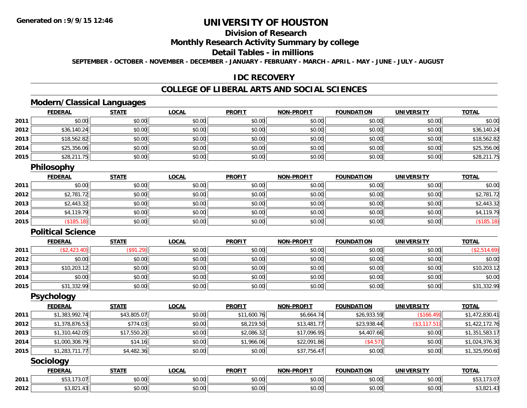## **Division of Research**

#### **Monthly Research Activity Summary by college**

#### **Detail Tables - in millions**

**SEPTEMBER - OCTOBER - NOVEMBER - DECEMBER - JANUARY - FEBRUARY - MARCH - APRIL - MAY - JUNE - JULY - AUGUST**

### **IDC RECOVERY**

## **COLLEGE OF LIBERAL ARTS AND SOCIAL SCIENCES**

## **Modern/Classical Languages**

|      | <u>FEDERAL</u> | <b>STATE</b> | <b>LOCAL</b> | <b>PROFIT</b> | <b>NON-PROFIT</b> | <b>FOUNDATION</b> | <b>UNIVERSITY</b> | <b>TOTAL</b> |
|------|----------------|--------------|--------------|---------------|-------------------|-------------------|-------------------|--------------|
| 2011 | \$0.00         | \$0.00       | \$0.00       | \$0.00        | \$0.00            | \$0.00            | \$0.00            | \$0.00       |
| 2012 | \$36,140.24    | \$0.00       | \$0.00       | \$0.00        | \$0.00            | \$0.00            | \$0.00            | \$36,140.24  |
| 2013 | \$18,562.82    | \$0.00       | \$0.00       | \$0.00        | \$0.00            | \$0.00            | \$0.00            | \$18,562.82  |
| 2014 | \$25,356.06    | \$0.00       | \$0.00       | \$0.00        | \$0.00            | \$0.00            | \$0.00            | \$25,356.06  |
| 2015 | \$28,211.75    | \$0.00       | \$0.00       | \$0.00        | \$0.00            | \$0.00            | \$0.00            | \$28,211.75  |

### **Philosophy**

|      | <b>FEDERAL</b> | <b>STATE</b> | <u>LOCAL</u> | <b>PROFIT</b> | <b>NON-PROFIT</b> | <b>FOUNDATION</b> | <b>UNIVERSITY</b> | <b>TOTAL</b> |
|------|----------------|--------------|--------------|---------------|-------------------|-------------------|-------------------|--------------|
| 2011 | \$0.00         | \$0.00       | \$0.00       | \$0.00        | \$0.00            | \$0.00            | \$0.00            | \$0.00       |
| 2012 | \$2,781.72     | \$0.00       | \$0.00       | \$0.00        | \$0.00            | \$0.00            | \$0.00            | \$2,781.72   |
| 2013 | \$2,443.32     | \$0.00       | \$0.00       | \$0.00        | \$0.00            | \$0.00            | \$0.00            | \$2,443.32   |
| 2014 | \$4,119.79     | \$0.00       | \$0.00       | \$0.00        | \$0.00            | \$0.00            | \$0.00            | \$4,119.79   |
| 2015 | (\$185.18)     | \$0.00       | \$0.00       | \$0.00        | \$0.00            | \$0.00            | \$0.00            | (\$185.18)   |

#### **Political Science**

|      | <b>FEDERAL</b> | <b>STATE</b> | <b>LOCAL</b> | <b>PROFIT</b> | <b>NON-PROFIT</b> | <b>FOUNDATION</b> | <b>UNIVERSITY</b> | <b>TOTAL</b> |
|------|----------------|--------------|--------------|---------------|-------------------|-------------------|-------------------|--------------|
| 2011 | \$2,423.40     | (\$91.29)    | \$0.00       | \$0.00        | \$0.00            | \$0.00            | \$0.00            | \$2,514.69)  |
| 2012 | \$0.00         | \$0.00       | \$0.00       | \$0.00        | \$0.00            | \$0.00            | \$0.00            | \$0.00       |
| 2013 | \$10,203.12    | \$0.00       | \$0.00       | \$0.00        | \$0.00            | \$0.00            | \$0.00            | \$10,203.12  |
| 2014 | \$0.00         | \$0.00       | \$0.00       | \$0.00        | \$0.00            | \$0.00            | \$0.00            | \$0.00       |
| 2015 | \$31,332.99    | \$0.00       | \$0.00       | \$0.00        | \$0.00            | \$0.00            | \$0.00            | \$31,332.99  |

#### **Psychology**

|      | <b>FEDERAL</b> | <b>STATE</b> | <b>LOCAL</b> | <b>PROFIT</b> | <b>NON-PROFIT</b> | <b>FOUNDATION</b> | UNIVERSITY    | <b>TOTAL</b>   |
|------|----------------|--------------|--------------|---------------|-------------------|-------------------|---------------|----------------|
| 2011 | \$1,383,992.74 | \$43,805.07  | \$0.00       | \$11,600.76   | \$6,664.74        | \$26,933.59       | (\$166.49)    | \$1,472,830.41 |
| 2012 | \$1,378,876.53 | \$774.03     | \$0.00       | \$8,219.50    | \$13,481.77       | \$23,938.44       | (\$3, 117.51) | \$1,422,172.76 |
| 2013 | \$1,310,442.05 | \$17,550.20  | \$0.00       | \$2,086.32    | \$17,096.95       | \$4,407.66        | \$0.00        | \$1,351,583.17 |
| 2014 | \$1,000,308.79 | \$14.16      | \$0.00       | \$1,966.06    | \$22,091.86       | (S4.57)           | \$0.00        | \$1,024,376.30 |
| 2015 | \$1,283,711.77 | \$4,482.36   | \$0.00       | \$0.00        | \$37,756.47       | \$0.00            | \$0.00        | \$1,325,950.60 |

## **Sociology**

|      | <b>FEDERAL</b>                                             | <b>STATE</b>            | <b>_OCAL</b>              | <b>PROFIT</b>        | L <b>DDOFIT</b><br>NON. | <b>FOUNDATION</b> | $\frac{1}{2}$<br>JNIV∗<br>ERSI          | <b>TOTAL</b>            |
|------|------------------------------------------------------------|-------------------------|---------------------------|----------------------|-------------------------|-------------------|-----------------------------------------|-------------------------|
| 2011 | $+ -$<br>$\sim$ $\sim$ $\sim$<br>13.011<br>ູບບ,            | \$0.00                  | ÷0.<br>$\sim$<br>₽∪.∪∪    | ልስ ስስ<br>DU.UU       | 0.00<br>pu.uu           | \$0.00            | $\circ$ $\circ$ $\circ$<br><b>JU.UU</b> | 13.0'<br>ມບບ            |
| 2012 | $\triangle$ $\triangle$ $\triangle$ $\triangle$<br>აა.o∠ i | $\overline{a}$<br>50.00 | $\sim$<br>$\sim$<br>PU.UU | 0000<br><b>DU.UU</b> | 0000<br>JU.UU           | 0000<br>JU.UU     | $\uparrow$ $\land$ $\land$<br>JU.UU     | $\sim$ 001<br>. ا ۲ ب ب |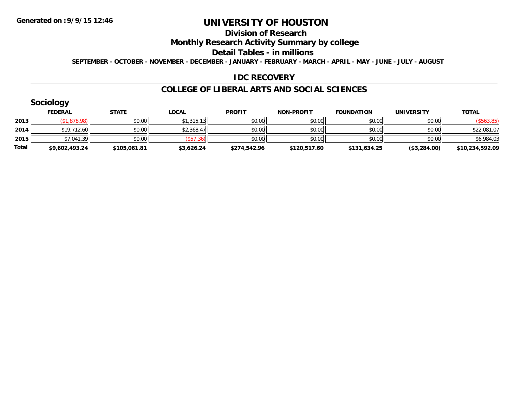#### **Division of Research**

## **Monthly Research Activity Summary by college**

#### **Detail Tables - in millions**

**SEPTEMBER - OCTOBER - NOVEMBER - DECEMBER - JANUARY - FEBRUARY - MARCH - APRIL - MAY - JUNE - JULY - AUGUST**

### **IDC RECOVERY**

#### **COLLEGE OF LIBERAL ARTS AND SOCIAL SCIENCES**

|       | Sociology      |              |              |               |                   |                   |                   |                 |
|-------|----------------|--------------|--------------|---------------|-------------------|-------------------|-------------------|-----------------|
|       | <b>FEDERAL</b> | <b>STATE</b> | <b>LOCAL</b> | <b>PROFIT</b> | <b>NON-PROFIT</b> | <b>FOUNDATION</b> | <b>UNIVERSITY</b> | <b>TOTAL</b>    |
| 2013  | (S1, 878.98)   | \$0.00       | \$1,315.13   | \$0.00        | \$0.00            | \$0.00            | \$0.00            | (\$563.85)      |
| 2014  | \$19,712.60    | \$0.00       | \$2,368.47   | \$0.00        | \$0.00            | \$0.00            | \$0.00            | \$22,081.07     |
| 2015  | \$7,041.39     | \$0.00       | (S57.36)     | \$0.00        | \$0.00            | \$0.00            | \$0.00            | \$6,984.03      |
| Total | \$9,602,493.24 | \$105,061.81 | \$3,626.24   | \$274,542.96  | \$120,517.60      | \$131,634.25      | (\$3,284.00)      | \$10,234,592.09 |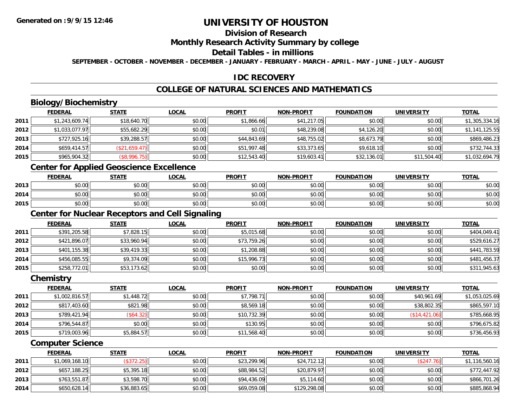# **Division of Research**

#### **Monthly Research Activity Summary by college**

#### **Detail Tables - in millions**

**SEPTEMBER - OCTOBER - NOVEMBER - DECEMBER - JANUARY - FEBRUARY - MARCH - APRIL - MAY - JUNE - JULY - AUGUST**

## **IDC RECOVERY**

# **COLLEGE OF NATURAL SCIENCES AND MATHEMATICS**

# **Biology/Biochemistry**

|      | <b>FEDERAL</b> | <b>STATE</b>  | <b>LOCAL</b> | <b>PROFIT</b> | <b>NON-PROFIT</b> | <b>FOUNDATION</b> | <b>UNIVERSITY</b> | <u>TOTAL</u>   |
|------|----------------|---------------|--------------|---------------|-------------------|-------------------|-------------------|----------------|
| 2011 | \$1,243,609.74 | \$18,640.70   | \$0.00       | \$1,866.66    | \$41,217.05       | \$0.00            | \$0.00            | \$1,305,334.16 |
| 2012 | \$1,033,077.97 | \$55,682.29   | \$0.00       | \$0.01        | \$48,239.08       | \$4,126.20        | \$0.00            | \$1,141,125.55 |
| 2013 | \$727,925.16   | \$39,288.57   | \$0.00       | \$44,843.69   | \$48,755.02       | \$8,673.79        | \$0.00            | \$869,486.23   |
| 2014 | \$659,414.57   | (\$21,659.47) | \$0.00       | \$51,997.48   | \$33,373.65       | \$9,618.10        | \$0.00            | \$732,744.33   |
| 2015 | \$965,904.32   | (\$8,996.75)  | \$0.00       | \$12,543.40   | \$19,603.41       | \$32,136.01       | \$11,504.40       | \$1,032,694.79 |

## **Center for Applied Geoscience Excellence**

|      | <b>FEDERAL</b>         | <b>STATE</b> | LOCAL  | <b>PROFIT</b> | <b>NON-PROFIT</b> | <b>FOUNDATION</b> | <b>UNIVERSITY</b> | <b>TOTAL</b> |
|------|------------------------|--------------|--------|---------------|-------------------|-------------------|-------------------|--------------|
| 2013 | ሖ へ<br>$\sim$<br>DU.UU | \$0.00       | \$0.00 | \$0.00        | \$0.00            | \$0.00            | \$0.00            | \$0.00       |
| 2014 | ტი იი<br>pu.uu         | \$0.00       | \$0.00 | \$0.00        | 0000<br>JU.UU     | \$0.00            | \$0.00            | \$0.00       |
| 2015 | ტი იი<br>DU.UU         | \$0.00       | \$0.00 | \$0.00        | \$0.00            | \$0.00            | \$0.00            | \$0.00       |

# **Center for Nuclear Receptors and Cell Signaling**

|      | <b>FEDERAL</b> | <u>STATE</u> | <u>LOCAL</u> | <b>PROFIT</b> | <b>NON-PROFIT</b> | <b>FOUNDATION</b> | <b>UNIVERSITY</b> | <b>TOTAL</b> |
|------|----------------|--------------|--------------|---------------|-------------------|-------------------|-------------------|--------------|
| 2011 | \$391,205.58   | \$7,828.15   | \$0.00       | \$5,015.68    | \$0.00            | \$0.00            | \$0.00            | \$404,049.41 |
| 2012 | \$421,896.07   | \$33,960.94  | \$0.00       | \$73,759.26   | \$0.00            | \$0.00            | \$0.00            | \$529,616.27 |
| 2013 | \$401,155.38   | \$39,419.33  | \$0.00       | \$1,208.88    | \$0.00            | \$0.00            | \$0.00            | \$441,783.59 |
| 2014 | \$456,085.55   | \$9,374.09   | \$0.00       | \$15,996.73   | \$0.00            | \$0.00            | \$0.00            | \$481,456.37 |
| 2015 | \$258,772.01   | \$53,173.62  | \$0.00       | \$0.00        | \$0.00            | \$0.00            | \$0.00            | \$311,945.63 |

#### **Chemistry**

|      | <b>FEDERAL</b> | <b>STATE</b> | <u>LOCAL</u> | <b>PROFIT</b> | <b>NON-PROFIT</b> | <b>FOUNDATION</b> | <b>UNIVERSITY</b> | <b>TOTAL</b>   |
|------|----------------|--------------|--------------|---------------|-------------------|-------------------|-------------------|----------------|
| 2011 | \$1,002,816.57 | \$1,448.72   | \$0.00       | \$7,798.71    | \$0.00            | \$0.00            | \$40,961.69       | \$1,053,025.69 |
| 2012 | \$817,403.60   | \$821.98     | \$0.00       | \$8,569.18    | \$0.00            | \$0.00            | \$38,802.35       | \$865,597.10   |
| 2013 | \$789,421.94   | (\$64.32)    | \$0.00       | \$10,732.39   | \$0.00            | \$0.00            | (\$14,421.06)     | \$785,668.95   |
| 2014 | \$796,544.87   | \$0.00       | \$0.00       | \$130.95      | \$0.00            | \$0.00            | \$0.00            | \$796,675.82   |
| 2015 | \$719,003.96   | \$5,884.57   | \$0.00       | \$11,568.40   | \$0.00            | \$0.00            | \$0.00            | \$736,456.93   |

#### **Computer Science**

|      | <b>FEDERAL</b> | <u>STATE</u> | <u>LOCAL</u> | <b>PROFIT</b> | <b>NON-PROFIT</b> | <b>FOUNDATION</b> | <b>UNIVERSITY</b> | <b>TOTAL</b>   |
|------|----------------|--------------|--------------|---------------|-------------------|-------------------|-------------------|----------------|
| 2011 | \$1,069,168.10 | (\$372.25)   | \$0.00       | \$23,299.96   | \$24,712.12       | \$0.00            | (S247.76)         | \$1,116,560.16 |
| 2012 | \$657,188.25   | \$5,395.18   | \$0.00       | \$88,984.52   | \$20,879.97       | \$0.00            | \$0.00            | \$772,447.92   |
| 2013 | \$763,551.87   | \$3,598.70   | \$0.00       | \$94,436.09   | \$5,114.60        | \$0.00            | \$0.00            | \$866,701.26   |
| 2014 | \$650,628.14   | \$36,883.65  | \$0.00       | \$69,059.08   | \$129,298.08      | \$0.00            | \$0.00            | \$885,868.94   |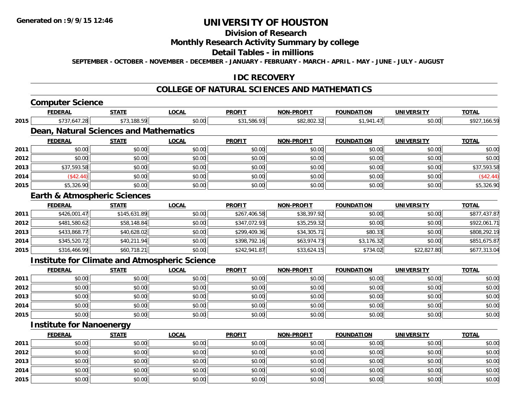## **Division of Research**

## **Monthly Research Activity Summary by college**

#### **Detail Tables - in millions**

**SEPTEMBER - OCTOBER - NOVEMBER - DECEMBER - JANUARY - FEBRUARY - MARCH - APRIL - MAY - JUNE - JULY - AUGUST**

## **IDC RECOVERY**

## **COLLEGE OF NATURAL SCIENCES AND MATHEMATICS**

# **Computer Science**

**2014**

**2015**

|      | <b>FEDERAL</b>                                       | <b>STATE</b> | <b>LOCAL</b> | <b>PROFIT</b> | NON-PROFIT        | <b>FOUNDATION</b> | <b>UNIVERSITY</b> | <b>TOTAL</b> |
|------|------------------------------------------------------|--------------|--------------|---------------|-------------------|-------------------|-------------------|--------------|
| 2015 | \$737,647.28                                         | \$73,188.59  | \$0.00       | \$31,586.93   | \$82,802.32       | \$1,941.47        | \$0.00            | \$927,166.59 |
|      | Dean, Natural Sciences and Mathematics               |              |              |               |                   |                   |                   |              |
|      | <b>FEDERAL</b>                                       | <b>STATE</b> | <b>LOCAL</b> | <b>PROFIT</b> | <b>NON-PROFIT</b> | <b>FOUNDATION</b> | <b>UNIVERSITY</b> | <b>TOTAL</b> |
| 2011 | \$0.00                                               | \$0.00       | \$0.00       | \$0.00        | \$0.00            | \$0.00            | \$0.00            | \$0.00       |
| 2012 | \$0.00                                               | \$0.00       | \$0.00       | \$0.00        | \$0.00            | \$0.00            | \$0.00            | \$0.00       |
| 2013 | \$37,593.58                                          | \$0.00       | \$0.00       | \$0.00        | \$0.00            | \$0.00            | \$0.00            | \$37,593.58  |
| 2014 | (\$42.44)                                            | \$0.00       | \$0.00       | \$0.00        | \$0.00            | \$0.00            | \$0.00            | (\$42.44)    |
| 2015 | \$5,326.90                                           | \$0.00       | \$0.00       | \$0.00        | \$0.00            | \$0.00            | \$0.00            | \$5,326.90   |
|      | <b>Earth &amp; Atmospheric Sciences</b>              |              |              |               |                   |                   |                   |              |
|      | <b>FEDERAL</b>                                       | <b>STATE</b> | <b>LOCAL</b> | <b>PROFIT</b> | <b>NON-PROFIT</b> | <b>FOUNDATION</b> | <b>UNIVERSITY</b> | <b>TOTAL</b> |
| 2011 | \$426,001.47                                         | \$145,631.89 | \$0.00       | \$267,406.58  | \$38,397.92       | \$0.00            | \$0.00            | \$877,437.87 |
| 2012 | \$481,580.62                                         | \$58,148.84  | \$0.00       | \$347,072.93  | \$35,259.32       | \$0.00            | \$0.00            | \$922,061.71 |
| 2013 | \$433,868.77                                         | \$40,628.02  | \$0.00       | \$299,409.36  | \$34,305.71       | \$80.33           | \$0.00            | \$808,292.19 |
| 2014 | \$345,520.72                                         | \$40,211.94  | \$0.00       | \$398,792.16  | \$63,974.73       | \$3,176.32        | \$0.00            | \$851,675.87 |
| 2015 | \$316,466.99                                         | \$60,718.21  | \$0.00       | \$242,941.87  | \$33,624.15       | \$734.02          | \$22,827.80       | \$677,313.04 |
|      | <b>Institute for Climate and Atmospheric Science</b> |              |              |               |                   |                   |                   |              |
|      | <b>FEDERAL</b>                                       | <b>STATE</b> | <b>LOCAL</b> | <b>PROFIT</b> | <b>NON-PROFIT</b> | <b>FOUNDATION</b> | <b>UNIVERSITY</b> | <b>TOTAL</b> |
| 2011 | \$0.00                                               | \$0.00       | \$0.00       | \$0.00        | \$0.00            | \$0.00            | \$0.00            | \$0.00       |
| 2012 | \$0.00                                               | \$0.00       | \$0.00       | \$0.00        | \$0.00            | \$0.00            | \$0.00            | \$0.00       |
| 2013 | \$0.00                                               | \$0.00       | \$0.00       | \$0.00        | \$0.00            | \$0.00            | \$0.00            | \$0.00       |
| 2014 | \$0.00                                               | \$0.00       | \$0.00       | \$0.00        | \$0.00            | \$0.00            | \$0.00            | \$0.00       |
| 2015 | \$0.00                                               | \$0.00       | \$0.00       | \$0.00        | \$0.00            | \$0.00            | \$0.00            | \$0.00       |
|      | <b>Institute for Nanoenergy</b>                      |              |              |               |                   |                   |                   |              |
|      | <b>FEDERAL</b>                                       | <b>STATE</b> | <b>LOCAL</b> | <b>PROFIT</b> | <b>NON-PROFIT</b> | <b>FOUNDATION</b> | <b>UNIVERSITY</b> | <b>TOTAL</b> |
| 2011 | \$0.00                                               | \$0.00       | \$0.00       | \$0.00        | \$0.00            | \$0.00            | \$0.00            | \$0.00       |
| 2012 | \$0.00                                               | \$0.00       | \$0.00       | \$0.00        | \$0.00            | \$0.00            | \$0.00            | \$0.00       |
| 2013 | \$0.00                                               | \$0.00       | \$0.00       | \$0.00        | \$0.00            | \$0.00            | \$0.00            | \$0.00       |

\$0.00 \$0.00 \$0.00 \$0.00 \$0.00 \$0.00 \$0.00 \$0.00

4 \$0.00 | \$0.00 | \$0.00 | \$0.00 | \$0.00 | \$0.00 | \$0.00 | \$0

5 | \$0.00 \$0.00 \$0.00 \$0.00 \$0.00 \$0.00 \$0.00 \$0.00 \$0.00 \$0.00 \$0.00 \$0.00 \$0.00 \$0.00 \$0.00 \$0.00 \$0.00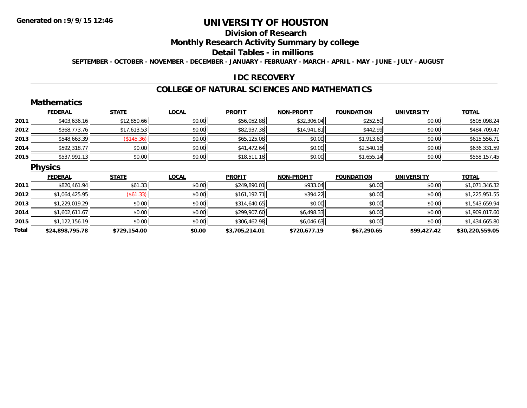# **Division of Research**

## **Monthly Research Activity Summary by college**

#### **Detail Tables - in millions**

**SEPTEMBER - OCTOBER - NOVEMBER - DECEMBER - JANUARY - FEBRUARY - MARCH - APRIL - MAY - JUNE - JULY - AUGUST**

### **IDC RECOVERY**

#### **COLLEGE OF NATURAL SCIENCES AND MATHEMATICS**

|      | <b>Mathematics</b> |              |              |               |                   |                   |                   |                |
|------|--------------------|--------------|--------------|---------------|-------------------|-------------------|-------------------|----------------|
|      | <b>FEDERAL</b>     | <b>STATE</b> | <b>LOCAL</b> | <b>PROFIT</b> | <b>NON-PROFIT</b> | <b>FOUNDATION</b> | <b>UNIVERSITY</b> | <b>TOTAL</b>   |
| 2011 | \$403,636.16       | \$12,850.66  | \$0.00       | \$56,052.88   | \$32,306.04       | \$252.50          | \$0.00            | \$505,098.24   |
| 2012 | \$368,773.76       | \$17,613.53  | \$0.00       | \$82,937.38   | \$14,941.81       | \$442.99          | \$0.00            | \$484,709.47   |
| 2013 | \$548,663.39       | (\$145.36)   | \$0.00       | \$65,125.08   | \$0.00            | \$1,913.60        | \$0.00            | \$615,556.71   |
| 2014 | \$592,318.77       | \$0.00       | \$0.00       | \$41,472.64   | \$0.00            | \$2,540.18        | \$0.00            | \$636,331.59   |
| 2015 | \$537,991.13       | \$0.00       | \$0.00       | \$18,511.18   | \$0.00            | \$1,655.14        | \$0.00            | \$558,157.45   |
|      | <b>Physics</b>     |              |              |               |                   |                   |                   |                |
|      | <b>FEDERAL</b>     | <b>STATE</b> | <b>LOCAL</b> | <b>PROFIT</b> | <b>NON-PROFIT</b> | <b>FOUNDATION</b> | <b>UNIVERSITY</b> | <b>TOTAL</b>   |
| 2011 | \$820,461.94       | \$61.33      | \$0.00       | \$249,890.01  | \$933.04          | \$0.00            | \$0.00            | \$1,071,346.32 |
| 2012 | \$1,064,425.95     | (\$61.33)    | \$0.00       | \$161,192.71  | \$394.22          | \$0.00            | \$0.00            | \$1,225,951.55 |
| 2013 | \$1,229,019.29     | \$0.00       | \$0.00       | \$314,640.65  | \$0.00            | \$0.00            | \$0.00            | \$1,543,659.94 |
|      |                    |              |              |               |                   |                   | \$0.00            | \$1,909,017.60 |
| 2014 | \$1,602,611.67     | \$0.00       | \$0.00       | \$299,907.60  | \$6,498.33        | \$0.00            |                   |                |
| 2015 | \$1,122,156.19     | \$0.00       | \$0.00       | \$306,462.98  | \$6,046.63        | \$0.00            | \$0.00            | \$1,434,665.80 |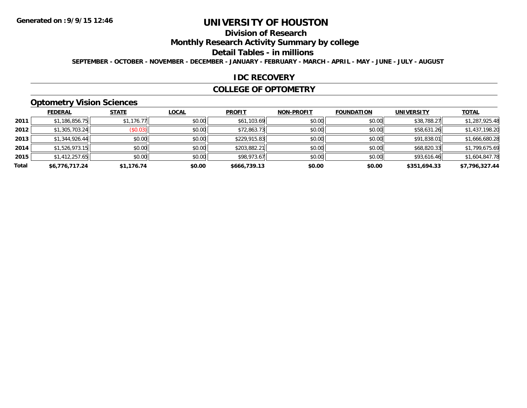# **Division of Research**

**Monthly Research Activity Summary by college**

#### **Detail Tables - in millions**

**SEPTEMBER - OCTOBER - NOVEMBER - DECEMBER - JANUARY - FEBRUARY - MARCH - APRIL - MAY - JUNE - JULY - AUGUST**

#### **IDC RECOVERY**

#### **COLLEGE OF OPTOMETRY**

# **Optometry Vision Sciences**

|       | <b>FEDERAL</b> | <b>STATE</b> | <b>LOCAL</b> | <b>PROFIT</b> | <b>NON-PROFIT</b> | <b>FOUNDATION</b> | <b>UNIVERSITY</b> | <u>TOTAL</u>   |
|-------|----------------|--------------|--------------|---------------|-------------------|-------------------|-------------------|----------------|
| 2011  | \$1,186,856.75 | \$1,176.77   | \$0.00       | \$61,103.69   | \$0.00            | \$0.00            | \$38,788.27       | \$1,287,925.48 |
| 2012  | \$1,305,703.24 | (\$0.03)     | \$0.00       | \$72,863.73   | \$0.00            | \$0.00            | \$58,631.26       | \$1,437,198.20 |
| 2013  | \$1,344,926.44 | \$0.00       | \$0.00       | \$229,915.83  | \$0.00            | \$0.00            | \$91,838.01       | \$1,666,680.28 |
| 2014  | \$1,526,973.15 | \$0.00       | \$0.00       | \$203,882.21  | \$0.00            | \$0.00            | \$68,820.33       | \$1,799,675.69 |
| 2015  | \$1,412,257.65 | \$0.00       | \$0.00       | \$98,973.67   | \$0.00            | \$0.00            | \$93,616.46       | \$1,604,847.78 |
| Total | \$6,776,717.24 | \$1,176.74   | \$0.00       | \$666,739.13  | \$0.00            | \$0.00            | \$351,694.33      | \$7,796,327.44 |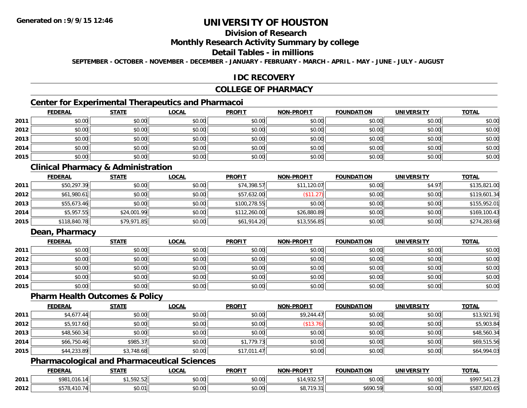# **Division of Research**

#### **Monthly Research Activity Summary by college**

#### **Detail Tables - in millions**

**SEPTEMBER - OCTOBER - NOVEMBER - DECEMBER - JANUARY - FEBRUARY - MARCH - APRIL - MAY - JUNE - JULY - AUGUST**

## **IDC RECOVERY**

## **COLLEGE OF PHARMACY**

# **Center for Experimental Therapeutics and Pharmacoi**

|      | <b>FEDERAL</b> | <b>STATE</b> | <u>LOCAL</u> | <b>PROFIT</b> | <b>NON-PROFIT</b> | <b>FOUNDATION</b> | <b>UNIVERSITY</b> | <b>TOTAL</b> |
|------|----------------|--------------|--------------|---------------|-------------------|-------------------|-------------------|--------------|
| 2011 | \$0.00         | \$0.00       | \$0.00       | \$0.00        | \$0.00            | \$0.00            | \$0.00            | \$0.00       |
| 2012 | \$0.00         | \$0.00       | \$0.00       | \$0.00        | \$0.00            | \$0.00            | \$0.00            | \$0.00       |
| 2013 | \$0.00         | \$0.00       | \$0.00       | \$0.00        | \$0.00            | \$0.00            | \$0.00            | \$0.00       |
| 2014 | \$0.00         | \$0.00       | \$0.00       | \$0.00        | \$0.00            | \$0.00            | \$0.00            | \$0.00       |
| 2015 | \$0.00         | \$0.00       | \$0.00       | \$0.00        | \$0.00            | \$0.00            | \$0.00            | \$0.00       |

## **Clinical Pharmacy & Administration**

|      | <b>FEDERAL</b> | <b>STATE</b> | <u>LOCAL</u> | <b>PROFIT</b> | <b>NON-PROFIT</b> | <b>FOUNDATION</b> | <b>UNIVERSITY</b> | <b>TOTAL</b> |
|------|----------------|--------------|--------------|---------------|-------------------|-------------------|-------------------|--------------|
| 2011 | \$50,297.39    | \$0.00       | \$0.00       | \$74,398.57   | \$11,120.07       | \$0.00            | \$4.97            | \$135,821.00 |
| 2012 | \$61,980.61    | \$0.00       | \$0.00       | \$57,632.00   | \$11.27           | \$0.00            | \$0.00            | \$119,601.34 |
| 2013 | \$55,673.46    | \$0.00       | \$0.00       | \$100,278.55  | \$0.00            | \$0.00            | \$0.00            | \$155,952.01 |
| 2014 | \$5,957.55     | \$24,001.99  | \$0.00       | \$112,260.00  | \$26,880.89       | \$0.00            | \$0.00            | \$169,100.43 |
| 2015 | \$118,840.78   | \$79,971.85  | \$0.00       | \$61,914.20   | \$13,556.85       | \$0.00            | \$0.00            | \$274,283.68 |

# **Dean, Pharmacy**

|      | <b>FEDERAL</b> | <u>STATE</u> | <u>LOCAL</u> | <b>PROFIT</b> | <b>NON-PROFIT</b> | <b>FOUNDATION</b> | <b>UNIVERSITY</b> | <b>TOTAL</b> |
|------|----------------|--------------|--------------|---------------|-------------------|-------------------|-------------------|--------------|
| 2011 | \$0.00         | \$0.00       | \$0.00       | \$0.00        | \$0.00            | \$0.00            | \$0.00            | \$0.00       |
| 2012 | \$0.00         | \$0.00       | \$0.00       | \$0.00        | \$0.00            | \$0.00            | \$0.00            | \$0.00       |
| 2013 | \$0.00         | \$0.00       | \$0.00       | \$0.00        | \$0.00            | \$0.00            | \$0.00            | \$0.00       |
| 2014 | \$0.00         | \$0.00       | \$0.00       | \$0.00        | \$0.00            | \$0.00            | \$0.00            | \$0.00       |
| 2015 | \$0.00         | \$0.00       | \$0.00       | \$0.00        | \$0.00            | \$0.00            | \$0.00            | \$0.00       |

#### **Pharm Health Outcomes & Policy**

|      | <b>FEDERAL</b> | <b>STATE</b> | <b>LOCAL</b> | <b>PROFIT</b> | <b>NON-PROFIT</b> | <b>FOUNDATION</b> | <b>UNIVERSITY</b> | <b>TOTAL</b> |
|------|----------------|--------------|--------------|---------------|-------------------|-------------------|-------------------|--------------|
| 2011 | \$4,677.44     | \$0.00       | \$0.00       | \$0.00        | \$9,244.47        | \$0.00            | \$0.00            | \$13,921.91  |
| 2012 | \$5,917.60     | \$0.00       | \$0.00       | \$0.00        | \$13.76           | \$0.00            | \$0.00            | \$5,903.84   |
| 2013 | \$48,560.34    | \$0.00       | \$0.00       | \$0.00        | \$0.00            | \$0.00            | \$0.00            | \$48,560.34  |
| 2014 | \$66,750.46    | \$985.37     | \$0.00       | \$1,779.73    | \$0.00            | \$0.00            | \$0.00            | \$69,515.56  |
| 2015 | \$44,233.89    | \$3,748.68   | \$0.00       | \$17,011.47   | \$0.00            | \$0.00            | \$0.00            | \$64,994.03  |

## **Pharmacological and Pharmaceutical Sciences**

|      | <b>FEDERAL</b>  | <b>CTATE</b><br>3 I A I I | <b>OCAL</b>        | <b>PROFIT</b>        | <b>NON-PROFIT</b> | <b>FOUNDATION</b> | UNIVERSITY           | <b>TOTAL</b>          |
|------|-----------------|---------------------------|--------------------|----------------------|-------------------|-------------------|----------------------|-----------------------|
| 2011 | \$981.01<br>ו ' | <b>EOO FO</b><br>ن ۲۷ ب   | $\sim$ 00<br>vv.vv | 0000<br>DU.UG        | $-1.000$ $-1.00$  | \$0.00            | 0000<br><b>DU.UG</b> | ¢OO.<br>ັ<br>$\cdots$ |
| 2012 | .               | 00001<br>JU.U             | ሖ ∩<br>PU.UU       | 0000<br><b>DU.UU</b> | $\wedge$ $\sim$   | \$690.59          | 0000<br><b>DU.UU</b> | .ozu.ua               |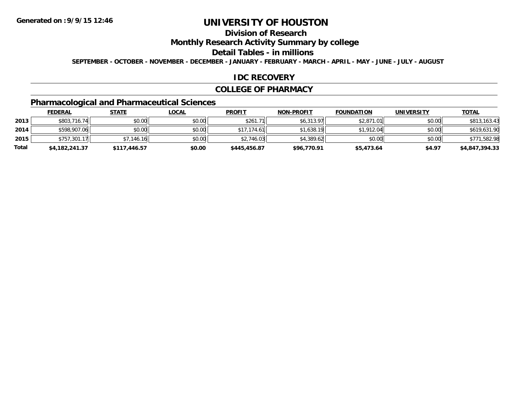# **Division of Research**

## **Monthly Research Activity Summary by college**

#### **Detail Tables - in millions**

**SEPTEMBER - OCTOBER - NOVEMBER - DECEMBER - JANUARY - FEBRUARY - MARCH - APRIL - MAY - JUNE - JULY - AUGUST**

### **IDC RECOVERY**

#### **COLLEGE OF PHARMACY**

# **Pharmacological and Pharmaceutical Sciences**

|       | <b>FEDERAL</b> | <u>STATE</u> | <u>LOCAL</u> | <b>PROFIT</b> | <b>NON-PROFIT</b> | <b>FOUNDATION</b> | <b>UNIVERSITY</b> | <b>TOTAL</b>   |
|-------|----------------|--------------|--------------|---------------|-------------------|-------------------|-------------------|----------------|
| 2013  | \$803,716.74   | \$0.00       | \$0.00       | \$261.7       | \$6,313.97        | \$2,871.01        | \$0.00            | \$813,163.43   |
| 2014  | \$598,907.06   | \$0.00       | \$0.00       | \$17.174.61   | \$1,638.19        | \$1,912.04        | \$0.00            | \$619,631.90   |
| 2015  | \$757,301.17   | \$7.146.16   | \$0.00       | \$2.746.03    | \$4.389.62        | \$0.00            | \$0.00            | \$771,582.98   |
| Total | \$4,182,241.37 | \$117,446.57 | \$0.00       | \$445,456.87  | \$96,770.91       | \$5,473.64        | \$4.97            | \$4,847,394.33 |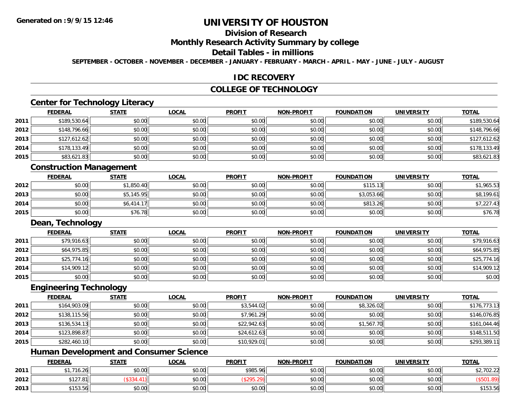# **Division of Research**

#### **Monthly Research Activity Summary by college**

#### **Detail Tables - in millions**

**SEPTEMBER - OCTOBER - NOVEMBER - DECEMBER - JANUARY - FEBRUARY - MARCH - APRIL - MAY - JUNE - JULY - AUGUST**

#### **IDC RECOVERY**

## **COLLEGE OF TECHNOLOGY**

# **Center for Technology Literacy**

|      | <b>FEDERAL</b> | <b>STATE</b> | <u>LOCAL</u> | <b>PROFIT</b> | <b>NON-PROFIT</b> | <b>FOUNDATION</b> | <b>UNIVERSITY</b> | <u>TOTAL</u> |
|------|----------------|--------------|--------------|---------------|-------------------|-------------------|-------------------|--------------|
| 2011 | \$189,530.64   | \$0.00       | \$0.00       | \$0.00        | \$0.00            | \$0.00            | \$0.00            | \$189,530.64 |
| 2012 | \$148,796.66   | \$0.00       | \$0.00       | \$0.00        | \$0.00            | \$0.00            | \$0.00            | \$148,796.66 |
| 2013 | \$127,612.62   | \$0.00       | \$0.00       | \$0.00        | \$0.00            | \$0.00            | \$0.00            | \$127,612.62 |
| 2014 | \$178,133.49   | \$0.00       | \$0.00       | \$0.00        | \$0.00            | \$0.00            | \$0.00            | \$178,133.49 |
| 2015 | \$83,621.83    | \$0.00       | \$0.00       | \$0.00        | \$0.00            | \$0.00            | \$0.00            | \$83,621.83  |

## **Construction Management**

|      | <u>FEDERAL</u> | <b>STATE</b> | <u>LOCAL</u> | <b>PROFIT</b> | <b>NON-PROFIT</b> | <b>FOUNDATION</b> | <b>UNIVERSITY</b> | <u>TOTAL</u> |
|------|----------------|--------------|--------------|---------------|-------------------|-------------------|-------------------|--------------|
| 2012 | \$0.00         | \$1,850.40   | \$0.00       | \$0.00        | \$0.00            | \$115.13<br>่ 1 ใ | \$0.00            | \$1,965.53   |
| 2013 | \$0.00         | \$5,145.95   | \$0.00       | \$0.00        | \$0.00            | \$3,053.66        | \$0.00            | \$8,199.61   |
| 2014 | \$0.00         | \$6.414.17   | \$0.00       | \$0.00        | \$0.00            | \$813.26          | \$0.00            | \$7,227.43   |
| 2015 | \$0.00         | \$76.78      | \$0.00       | \$0.00        | \$0.00            | \$0.00            | \$0.00            | \$76.78      |

#### **Dean, Technology**

|      | <b>FEDERAL</b> | <b>STATE</b> | <b>LOCAL</b> | <b>PROFIT</b> | <b>NON-PROFIT</b> | <b>FOUNDATION</b> | <b>UNIVERSITY</b> | <b>TOTAL</b> |
|------|----------------|--------------|--------------|---------------|-------------------|-------------------|-------------------|--------------|
| 2011 | \$79,916.63    | \$0.00       | \$0.00       | \$0.00        | \$0.00            | \$0.00            | \$0.00            | \$79,916.63  |
| 2012 | \$64,975.85    | \$0.00       | \$0.00       | \$0.00        | \$0.00            | \$0.00            | \$0.00            | \$64,975.85  |
| 2013 | \$25,774.16    | \$0.00       | \$0.00       | \$0.00        | \$0.00            | \$0.00            | \$0.00            | \$25,774.16  |
| 2014 | \$14,909.12    | \$0.00       | \$0.00       | \$0.00        | \$0.00            | \$0.00            | \$0.00            | \$14,909.12  |
| 2015 | \$0.00         | \$0.00       | \$0.00       | \$0.00        | \$0.00            | \$0.00            | \$0.00            | \$0.00       |

#### **Engineering Technology**

|      | <b>FEDERAL</b> | <b>STATE</b> | <u>LOCAL</u> | <b>PROFIT</b> | <b>NON-PROFIT</b> | <b>FOUNDATION</b> | <b>UNIVERSITY</b> | <b>TOTAL</b> |
|------|----------------|--------------|--------------|---------------|-------------------|-------------------|-------------------|--------------|
| 2011 | \$164,903.09   | \$0.00       | \$0.00       | \$3,544.02    | \$0.00            | \$8,326.02        | \$0.00            | \$176,773.13 |
| 2012 | \$138,115.56   | \$0.00       | \$0.00       | \$7,961.29    | \$0.00            | \$0.00            | \$0.00            | \$146,076.85 |
| 2013 | \$136,534.13   | \$0.00       | \$0.00       | \$22,942.63   | \$0.00            | \$1,567.70        | \$0.00            | \$161,044.46 |
| 2014 | \$123,898.87   | \$0.00       | \$0.00       | \$24,612.63   | \$0.00            | \$0.00            | \$0.00            | \$148,511.50 |
| 2015 | \$282,460.10   | \$0.00       | \$0.00       | \$10,929.01   | \$0.00            | \$0.00            | \$0.00            | \$293,389.11 |

## **Human Development and Consumer Science**

|      | <b>FEDERAL</b>                    | <b>STATE</b> | LOCAL          | <b>PROFIT</b> | <b>NON-PROFIT</b> | <b>FOUNDATION</b> | <b>UNIVERSITY</b> | <b>TOTAL</b> |
|------|-----------------------------------|--------------|----------------|---------------|-------------------|-------------------|-------------------|--------------|
| 2011 | $\sim$<br>16.26                   | \$0.00       | 40.00<br>DU.UU | \$985.96      | \$0.00            | \$0.00            | \$0.00            | \$2,702.22   |
| 2012 | 27.81                             |              | \$0.00         | .             | \$0.00            | \$0.00            | \$0.00            |              |
| 2013 | $A + B$<br>$\mathbf{r}$<br>199.90 | \$0.00       | \$0.00         | \$0.00        | \$0.00            | \$0.00            | \$0.00            | \$153.56     |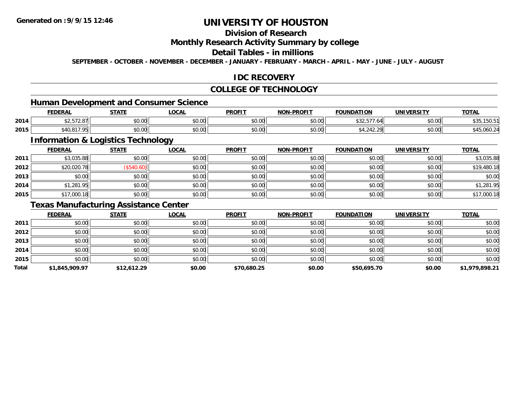# **Division of Research**

#### **Monthly Research Activity Summary by college**

#### **Detail Tables - in millions**

**SEPTEMBER - OCTOBER - NOVEMBER - DECEMBER - JANUARY - FEBRUARY - MARCH - APRIL - MAY - JUNE - JULY - AUGUST**

### **IDC RECOVERY**

## **COLLEGE OF TECHNOLOGY**

<u> 1989 - Johann Stoff, deutscher Stoffen und der Stoffen und der Stoffen und der Stoffen und der Stoffen und de</u>

## **Human Development and Consumer Science**

|      | <b>FEDERAL</b>                   | <b>STATE</b>                     | LOCAL                  | <b>PROFIT</b>   | L <b>DDAEIT</b><br>MON. | <b>FOUNDATION</b>                               | <b>UNIVERSITY</b>    | $\cdots$<br>101 <sub>h</sub> |
|------|----------------------------------|----------------------------------|------------------------|-----------------|-------------------------|-------------------------------------------------|----------------------|------------------------------|
| 2014 | $- - - -$<br>$\sim$<br>92.JIZ.OI | $\circ$ $\circ$ $\circ$<br>DU.UU | <b>JU.UU</b>           | \$0.00          | 0000<br>⊋U.U∪           | $\sim$ $\sim$ $\sim$ $\sim$<br>. . 04<br>، بے ب | $\sim$ 00<br>DU.UG   | פ.טפו<br>ັບປ                 |
| 2015 | 0170F                            | $\circ$ $\circ$ $\circ$<br>DU.UU | $\sim$ $\sim$<br>JU.UU | \$0.00<br>JU.UU | 0000<br>pu.uu           |                                                 | 0.00<br><b>DU.UG</b> | -45,000.Z4                   |

# **Information & Logistics Technology**

|      | <b>FEDERAL</b> | <b>STATE</b> | <b>LOCAL</b> | <b>PROFIT</b> | <b>NON-PROFIT</b> | <b>FOUNDATION</b> | <b>UNIVERSITY</b> | <b>TOTAL</b> |
|------|----------------|--------------|--------------|---------------|-------------------|-------------------|-------------------|--------------|
| 2011 | \$3,035.88     | \$0.00       | \$0.00       | \$0.00        | \$0.00            | \$0.00            | \$0.00            | \$3,035.88   |
| 2012 | \$20,020.78    | (\$540.60)   | \$0.00       | \$0.00        | \$0.00            | \$0.00            | \$0.00            | \$19,480.18  |
| 2013 | \$0.00         | \$0.00       | \$0.00       | \$0.00        | \$0.00            | \$0.00            | \$0.00            | \$0.00       |
| 2014 | \$1,281.95     | \$0.00       | \$0.00       | \$0.00        | \$0.00            | \$0.00            | \$0.00            | \$1,281.95   |
| 2015 | \$17,000.18    | \$0.00       | \$0.00       | \$0.00        | \$0.00            | \$0.00            | \$0.00            | \$17,000.18  |

## **Texas Manufacturing Assistance Center**

|       | <b>FEDERAL</b> | <b>STATE</b> | <b>LOCAL</b> | <b>PROFIT</b> | <b>NON-PROFIT</b> | <b>FOUNDATION</b> | <b>UNIVERSITY</b> | <b>TOTAL</b>   |
|-------|----------------|--------------|--------------|---------------|-------------------|-------------------|-------------------|----------------|
| 2011  | \$0.00         | \$0.00       | \$0.00       | \$0.00        | \$0.00            | \$0.00            | \$0.00            | \$0.00         |
| 2012  | \$0.00         | \$0.00       | \$0.00       | \$0.00        | \$0.00            | \$0.00            | \$0.00            | \$0.00         |
| 2013  | \$0.00         | \$0.00       | \$0.00       | \$0.00        | \$0.00            | \$0.00            | \$0.00            | \$0.00         |
| 2014  | \$0.00         | \$0.00       | \$0.00       | \$0.00        | \$0.00            | \$0.00            | \$0.00            | \$0.00         |
| 2015  | \$0.00         | \$0.00       | \$0.00       | \$0.00        | \$0.00            | \$0.00            | \$0.00            | \$0.00         |
| Total | \$1,845,909.97 | \$12,612.29  | \$0.00       | \$70,680.25   | \$0.00            | \$50,695.70       | \$0.00            | \$1,979,898.21 |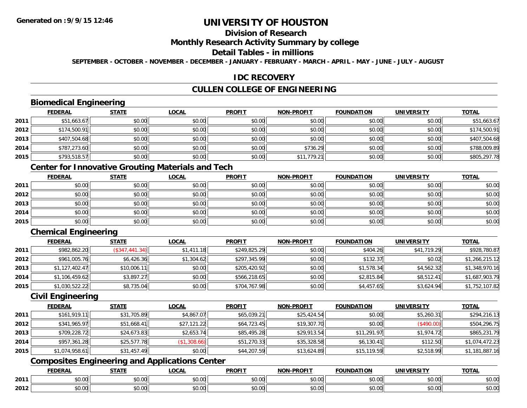# **Division of Research**

### **Monthly Research Activity Summary by college**

#### **Detail Tables - in millions**

**SEPTEMBER - OCTOBER - NOVEMBER - DECEMBER - JANUARY - FEBRUARY - MARCH - APRIL - MAY - JUNE - JULY - AUGUST**

## **IDC RECOVERY**

# **CULLEN COLLEGE OF ENGINEERING**

## **Biomedical Engineering**

|      | <b>FEDERAL</b> | <b>STATE</b> | <b>LOCAL</b> | <b>PROFIT</b> | <b>NON-PROFIT</b> | <b>FOUNDATION</b> | <b>UNIVERSITY</b> | <b>TOTAL</b> |
|------|----------------|--------------|--------------|---------------|-------------------|-------------------|-------------------|--------------|
| 2011 | \$51,663.67    | \$0.00       | \$0.00       | \$0.00        | \$0.00            | \$0.00            | \$0.00            | \$51,663.67  |
| 2012 | \$174,500.91   | \$0.00       | \$0.00       | \$0.00        | \$0.00            | \$0.00            | \$0.00            | \$174,500.91 |
| 2013 | \$407,504.68   | \$0.00       | \$0.00       | \$0.00        | \$0.00            | \$0.00            | \$0.00            | \$407,504.68 |
| 2014 | \$787,273.60   | \$0.00       | \$0.00       | \$0.00        | \$736.29          | \$0.00            | \$0.00            | \$788,009.89 |
| 2015 | \$793,518.57   | \$0.00       | \$0.00       | \$0.00        | \$11,779.21       | \$0.00            | \$0.00            | \$805,297.78 |

## **Center for Innovative Grouting Materials and Tech**

|      | <b>FEDERAL</b> | <b>STATE</b> | <u>LOCAL</u> | <b>PROFIT</b> | <b>NON-PROFIT</b> | <b>FOUNDATION</b> | <b>UNIVERSITY</b> | <b>TOTAL</b> |
|------|----------------|--------------|--------------|---------------|-------------------|-------------------|-------------------|--------------|
| 2011 | \$0.00         | \$0.00       | \$0.00       | \$0.00        | \$0.00            | \$0.00            | \$0.00            | \$0.00       |
| 2012 | \$0.00         | \$0.00       | \$0.00       | \$0.00        | \$0.00            | \$0.00            | \$0.00            | \$0.00       |
| 2013 | \$0.00         | \$0.00       | \$0.00       | \$0.00        | \$0.00            | \$0.00            | \$0.00            | \$0.00       |
| 2014 | \$0.00         | \$0.00       | \$0.00       | \$0.00        | \$0.00            | \$0.00            | \$0.00            | \$0.00       |
| 2015 | \$0.00         | \$0.00       | \$0.00       | \$0.00        | \$0.00            | \$0.00            | \$0.00            | \$0.00       |

# **Chemical Engineering**

|      | <b>FEDERAL</b> | <b>STATE</b>   | <b>LOCAL</b> | <b>PROFIT</b> | <b>NON-PROFIT</b> | <b>FOUNDATION</b> | <b>UNIVERSITY</b> | <b>TOTAL</b>   |
|------|----------------|----------------|--------------|---------------|-------------------|-------------------|-------------------|----------------|
| 2011 | \$982,862.20   | (S347, 441.34) | \$1,411.18   | \$249,825.29  | \$0.00            | \$404.26          | \$41,719.29       | \$928,780.87   |
| 2012 | \$961,005.76   | \$6,426.36     | \$1,304.62   | \$297,345.99  | \$0.00            | \$132.37          | \$0.02            | \$1,266,215.12 |
| 2013 | \$1,127,402.47 | \$10,006.11    | \$0.00       | \$205,420.92  | \$0.00            | \$1,578.34        | \$4,562.32        | \$1,348,970.16 |
| 2014 | \$1,106,459.62 | \$3,897.27     | \$0.00       | \$566,218.65  | \$0.00            | \$2,815.84        | \$8,512.41        | \$1,687,903.79 |
| 2015 | \$1,030,522.22 | \$8,735.04     | \$0.00       | \$704,767.98  | \$0.00            | \$4,457.65        | \$3,624.94        | \$1,752,107.82 |

#### **Civil Engineering**

|      | <b>FEDERAL</b> | <b>STATE</b> | <b>LOCAL</b> | <b>PROFIT</b> | <b>NON-PROFIT</b> | <b>FOUNDATION</b> | <b>UNIVERSITY</b> | <b>TOTAL</b>   |
|------|----------------|--------------|--------------|---------------|-------------------|-------------------|-------------------|----------------|
| 2011 | \$161.919.11   | \$31,705.89  | \$4,867.07   | \$65,039.21   | \$25,424.54       | \$0.00            | \$5,260.31        | \$294,216.13   |
| 2012 | \$341,965.97   | \$51,668.41  | \$27,121.22  | \$64,723.45   | \$19,307.70       | \$0.00            | (\$490.00)        | \$504,296.75   |
| 2013 | \$709,228.72   | \$24,673.83  | \$2,653.74   | \$85,495.28   | \$29,913.54       | \$11,291.97       | \$1,974.72        | \$865,231.79   |
| 2014 | \$957,361.28   | \$25,577.78  | (S1, 308.66) | \$51,270.33   | \$35,328.58       | \$6,130.41        | \$112.50          | \$1,074,472.23 |
| 2015 | \$1,074,958.61 | \$31,457.49  | \$0.00       | \$44,207.59   | \$13,624.89       | \$15,119.59       | \$2,518.99        | \$1,181,887.16 |

## **Composites Engineering and Applications Center**

|      | DERAI  | CTATI     | .OCAL     | <b>PROFIT</b> | <b>DDOCIT</b><br><b>ארות</b> | ΓΙΩΝ    | UNIVERSITY                                   | <b>TOTAL</b> |
|------|--------|-----------|-----------|---------------|------------------------------|---------|----------------------------------------------|--------------|
| 2011 | $\sim$ | $\sim$    | $\sim$    | $\cdots$      | 0000                         | 0.00    | $\mathsf{A} \cap \mathsf{A} \cap \mathsf{A}$ | 0000         |
|      | ∕∪.∪∪  | JU.UU     | vv.vv     | vu.vu         | vu.vu                        | - JU.UU | PO.OO                                        | <b>JU.UU</b> |
|      | 0.00   | $\sim$ 00 | $\sim$ 00 | $\cdots$      | 0.00                         | 0.00    | $\sim$ $\sim$                                | $\cdots$     |
| 2012 | וט.טי  | JU.L      | JU.UU     | vv.vv         | JU.UU                        | ww.uu   | PO.OO                                        | <b>JU.UU</b> |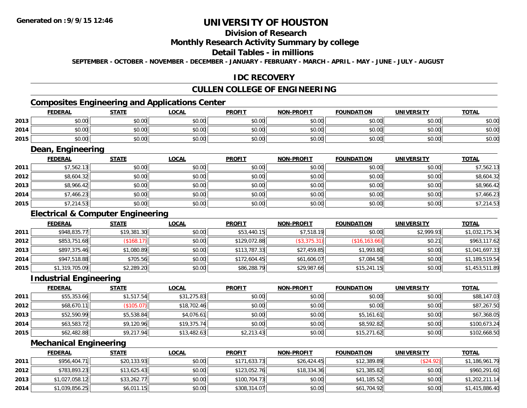# **Division of Research**

#### **Monthly Research Activity Summary by college**

#### **Detail Tables - in millions**

**SEPTEMBER - OCTOBER - NOVEMBER - DECEMBER - JANUARY - FEBRUARY - MARCH - APRIL - MAY - JUNE - JULY - AUGUST**

## **IDC RECOVERY**

# **CULLEN COLLEGE OF ENGINEERING**

# **Composites Engineering and Applications Center**

|      | Composites Engineering and Applications Center |              |              |               |                   |                   |                   |              |  |  |  |
|------|------------------------------------------------|--------------|--------------|---------------|-------------------|-------------------|-------------------|--------------|--|--|--|
|      | <b>FEDERAL</b>                                 | <b>STATE</b> | <b>LOCAL</b> | <b>PROFIT</b> | <b>NON-PROFIT</b> | <b>FOUNDATION</b> | <b>UNIVERSITY</b> | <b>TOTAL</b> |  |  |  |
| 2013 | \$0.00                                         | \$0.00       | \$0.00       | \$0.00        | \$0.00            | \$0.00            | \$0.00            | \$0.00       |  |  |  |
| 2014 | \$0.00                                         | \$0.00       | \$0.00       | \$0.00        | \$0.00            | \$0.00            | \$0.00            | \$0.00       |  |  |  |
| 2015 | \$0.00                                         | \$0.00       | \$0.00       | \$0.00        | \$0.00            | \$0.00            | \$0.00            | \$0.00       |  |  |  |

<u> 1989 - Johann Stoff, deutscher Stoffen und der Stoffen und der Stoffen und der Stoffen und der Stoffen und der</u>

#### **Dean, Engineering**

|      | <b>FEDERAL</b> | <b>STATE</b> | <u>LOCAL</u> | <b>PROFIT</b> | <b>NON-PROFIT</b> | <b>FOUNDATION</b> | <b>UNIVERSITY</b> | <b>TOTAL</b> |
|------|----------------|--------------|--------------|---------------|-------------------|-------------------|-------------------|--------------|
| 2011 | \$7,562.13     | \$0.00       | \$0.00       | \$0.00        | \$0.00            | \$0.00            | \$0.00            | \$7,562.13   |
| 2012 | \$8,604.32     | \$0.00       | \$0.00       | \$0.00        | \$0.00            | \$0.00            | \$0.00            | \$8,604.32   |
| 2013 | \$8,966.42     | \$0.00       | \$0.00       | \$0.00        | \$0.00            | \$0.00            | \$0.00            | \$8,966.42   |
| 2014 | \$7,466.23     | \$0.00       | \$0.00       | \$0.00        | \$0.00            | \$0.00            | \$0.00            | \$7,466.23   |
| 2015 | \$7,214.53     | \$0.00       | \$0.00       | \$0.00        | \$0.00            | \$0.00            | \$0.00            | \$7,214.53   |

## **Electrical & Computer Engineering**

|      | <b>FEDERAL</b> | <b>STATE</b>              | <b>LOCAL</b> | <b>PROFIT</b> | <b>NON-PROFIT</b> | <b>FOUNDATION</b> | <b>UNIVERSITY</b> | <b>TOTAL</b>   |
|------|----------------|---------------------------|--------------|---------------|-------------------|-------------------|-------------------|----------------|
| 2011 | \$948,835.77   | \$19,381.30               | \$0.00       | \$53,440.15   | \$7,518.19        | \$0.00            | \$2,999.93        | \$1,032,175.34 |
| 2012 | \$853,751.68   | $($ \$168.17) $\parallel$ | \$0.00       | \$129,072.88  | (\$3,375.31)      | (\$16, 163.66)    | \$0.21            | \$963,117.62   |
| 2013 | \$897,375.46   | \$1,080.89                | \$0.00       | \$113,787.33  | \$27,459.85       | \$1,993.80        | \$0.00            | \$1,041,697.33 |
| 2014 | \$947,518.88   | \$705.56                  | \$0.00       | \$172,604.45  | \$61,606.07       | \$7,084.58        | \$0.00            | \$1,189,519.54 |
| 2015 | \$1,319,705.09 | \$2,289.20                | \$0.00       | \$86,288.79   | \$29,987.66       | \$15,241.15       | \$0.00            | \$1,453,511.89 |

#### **Industrial Engineering**

|      | <b>FEDERAL</b> | <b>STATE</b> | <u>LOCAL</u> | <b>PROFIT</b> | <b>NON-PROFIT</b> | <b>FOUNDATION</b> | <b>UNIVERSITY</b> | <u>TOTAL</u> |
|------|----------------|--------------|--------------|---------------|-------------------|-------------------|-------------------|--------------|
| 2011 | \$55,353.66    | \$1,517.54   | \$31,275.83  | \$0.00        | \$0.00            | \$0.00            | \$0.00            | \$88,147.03  |
| 2012 | \$68,670.11    | (\$105.07)   | \$18,702.46  | \$0.00        | \$0.00            | \$0.00            | \$0.00            | \$87,267.50  |
| 2013 | \$52,590.99    | \$5,538.84   | \$4,076.61   | \$0.00        | \$0.00            | \$5,161.61        | \$0.00            | \$67,368.05  |
| 2014 | \$63,583.72    | \$9,120.96   | \$19,375.74  | \$0.00        | \$0.00            | \$8,592.82        | \$0.00            | \$100,673.24 |
| 2015 | \$62,482.88    | \$9,217.94   | \$13,482.63  | \$2,213.43    | \$0.00            | \$15,271.62       | \$0.00            | \$102,668.50 |

#### **Mechanical Engineering**

|      | <b>FEDERAL</b> | <u>STATE</u> | <u>LOCAL</u> | <b>PROFIT</b> | <b>NON-PROFIT</b> | <b>FOUNDATION</b> | UNIVERSITY | <b>TOTAL</b>   |
|------|----------------|--------------|--------------|---------------|-------------------|-------------------|------------|----------------|
| 2011 | \$956,404.71   | \$20,133.93  | \$0.00       | \$171,633.73  | \$26,424.45       | \$12,389.89       | (\$24.92)  | \$1,186,961.79 |
| 2012 | \$783,893.23   | \$13,625.43  | \$0.00       | \$123,052.76  | \$18,334.36       | \$21,385.82       | \$0.00     | \$960,291.60   |
| 2013 | \$1,027,058.12 | \$33,262.77  | \$0.00       | \$100,704.73  | \$0.00            | \$41,185.52       | \$0.00     | \$1,202,211.14 |
| 2014 | \$1,039,856.25 | \$6,011.15   | \$0.00       | \$308,314.07  | \$0.00            | \$61,704.92       | \$0.00     | \$1,415,886.40 |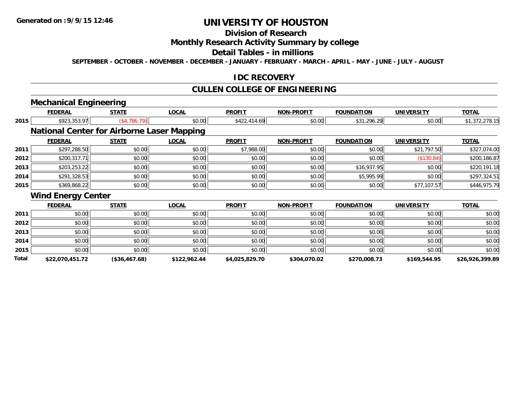## **Division of Research**

## **Monthly Research Activity Summary by college**

#### **Detail Tables - in millions**

**SEPTEMBER - OCTOBER - NOVEMBER - DECEMBER - JANUARY - FEBRUARY - MARCH - APRIL - MAY - JUNE - JULY - AUGUST**

### **IDC RECOVERY**

## **CULLEN COLLEGE OF ENGINEERING**

# **Mechanical Engineering**

|       | <b>FEDERAL</b>            | <b>STATE</b>                                      | <b>LOCAL</b> | <b>PROFIT</b>  | <b>NON-PROFIT</b> | <b>FOUNDATION</b> | <b>UNIVERSITY</b> | <b>TOTAL</b>    |
|-------|---------------------------|---------------------------------------------------|--------------|----------------|-------------------|-------------------|-------------------|-----------------|
| 2015  | \$923,353.97              | (\$4,786.79)                                      | \$0.00       | \$422,414.69   | \$0.00            | \$31,296.29       | \$0.00            | \$1,372,278.15  |
|       |                           | <b>National Center for Airborne Laser Mapping</b> |              |                |                   |                   |                   |                 |
|       | <b>FEDERAL</b>            | <b>STATE</b>                                      | <b>LOCAL</b> | <b>PROFIT</b>  | <b>NON-PROFIT</b> | <b>FOUNDATION</b> | <b>UNIVERSITY</b> | <b>TOTAL</b>    |
| 2011  | \$297,288.50              | \$0.00                                            | \$0.00       | \$7,988.00     | \$0.00            | \$0.00            | \$21,797.50       | \$327,074.00    |
| 2012  | \$200,317.71              | \$0.00                                            | \$0.00       | \$0.00         | \$0.00            | \$0.00            | (\$130.84)        | \$200,186.87    |
| 2013  | \$203,253.22              | \$0.00                                            | \$0.00       | \$0.00         | \$0.00            | \$16,937.95       | \$0.00            | \$220,191.18    |
| 2014  | \$291,328.53              | \$0.00                                            | \$0.00       | \$0.00         | \$0.00            | \$5,995.99        | \$0.00            | \$297,324.51    |
| 2015  | \$369,868.22              | \$0.00                                            | \$0.00       | \$0.00         | \$0.00            | \$0.00            | \$77,107.57       | \$446,975.79    |
|       | <b>Wind Energy Center</b> |                                                   |              |                |                   |                   |                   |                 |
|       | <b>FEDERAL</b>            | <b>STATE</b>                                      | <b>LOCAL</b> | <b>PROFIT</b>  | <b>NON-PROFIT</b> | <b>FOUNDATION</b> | <b>UNIVERSITY</b> | <b>TOTAL</b>    |
| 2011  | \$0.00                    | \$0.00                                            | \$0.00       | \$0.00         | \$0.00            | \$0.00            | \$0.00            | \$0.00          |
| 2012  | \$0.00                    | \$0.00                                            | \$0.00       | \$0.00         | \$0.00            | \$0.00            | \$0.00            | \$0.00          |
| 2013  | \$0.00                    | \$0.00                                            | \$0.00       | \$0.00         | \$0.00            | \$0.00            | \$0.00            | \$0.00          |
| 2014  | \$0.00                    | \$0.00                                            | \$0.00       | \$0.00         | \$0.00            | \$0.00            | \$0.00            | \$0.00          |
| 2015  | \$0.00                    | \$0.00                                            | \$0.00       | \$0.00         | \$0.00            | \$0.00            | \$0.00            | \$0.00          |
| Total | \$22,070,451.72           | $($ \$36.467.68)                                  | \$122.962.44 | \$4,025,829.70 | \$304,070.02      | \$270,008.73      | \$169.544.95      | \$26.926.399.89 |

**\$22,070,451.72 (\$36,467.68) \$122,962.44 \$4,025,829.70 \$304,070.02 \$270,008.73 \$169,544.95 \$26,926,399.89**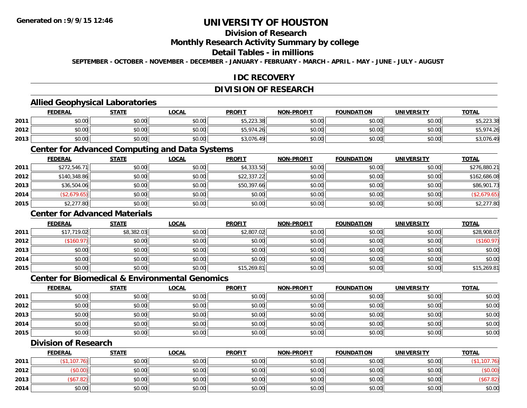# **Division of Research**

#### **Monthly Research Activity Summary by college**

#### **Detail Tables - in millions**

**SEPTEMBER - OCTOBER - NOVEMBER - DECEMBER - JANUARY - FEBRUARY - MARCH - APRIL - MAY - JUNE - JULY - AUGUST**

## **IDC RECOVERY**

## **DIVISION OF RESEARCH**

## **Allied Geophysical Laboratories**

|      | <b>FEDERAL</b> | <u>STATE</u> | <u>LOCAL</u> | <b>PROFIT</b> | <b>NON-PROFIT</b> | <b>FOUNDATION</b> | <b>UNIVERSITY</b> | <b>TOTAL</b>           |
|------|----------------|--------------|--------------|---------------|-------------------|-------------------|-------------------|------------------------|
| 2011 | \$0.00         | \$0.00       | \$0.00       | \$5,223.38    | \$0.00            | \$0.00            | \$0.00            | : ววว วด<br>90,ZZJ.JOI |
| 2012 | \$0.00         | \$0.00       | \$0.00       | \$5,974.26    | \$0.00            | \$0.00            | \$0.00            | . بن ب                 |
| 2013 | \$0.00         | \$0.00       | \$0.00       | \$3,076.49    | \$0.00            | \$0.00            | \$0.00            | \$3,076.49             |

#### **Center for Advanced Computing and Data Systems**

|      | <b>FEDERAL</b> | <u>STATE</u> | <b>LOCAL</b> | <b>PROFIT</b> | <b>NON-PROFIT</b> | <b>FOUNDATION</b> | <b>UNIVERSITY</b> | <b>TOTAL</b> |
|------|----------------|--------------|--------------|---------------|-------------------|-------------------|-------------------|--------------|
| 2011 | \$272,546.71   | \$0.00       | \$0.00       | \$4,333.50    | \$0.00            | \$0.00            | \$0.00            | \$276,880.21 |
| 2012 | \$140,348.86   | \$0.00       | \$0.00       | \$22,337.22   | \$0.00            | \$0.00            | \$0.00            | \$162,686.08 |
| 2013 | \$36,504.06    | \$0.00       | \$0.00       | \$50,397.66   | \$0.00            | \$0.00            | \$0.00            | \$86,901.73  |
| 2014 | (\$2,679.65)   | \$0.00       | \$0.00       | \$0.00        | \$0.00            | \$0.00            | \$0.00            | (\$2,679.65) |
| 2015 | \$2,277.80     | \$0.00       | \$0.00       | \$0.00        | \$0.00            | \$0.00            | \$0.00            | \$2,277.80   |

## **Center for Advanced Materials**

|      | <b>FEDERAL</b> | <b>STATE</b> | <u>LOCAL</u> | <b>PROFIT</b> | <b>NON-PROFIT</b> | <b>FOUNDATION</b> | <b>UNIVERSITY</b> | <b>TOTAL</b> |
|------|----------------|--------------|--------------|---------------|-------------------|-------------------|-------------------|--------------|
| 2011 | \$17,719.02    | \$8,382.03   | \$0.00       | \$2,807.02    | \$0.00            | \$0.00            | \$0.00            | \$28,908.07  |
| 2012 | \$160.97       | \$0.00       | \$0.00       | \$0.00        | \$0.00            | \$0.00            | \$0.00            | (\$160.97)   |
| 2013 | \$0.00         | \$0.00       | \$0.00       | \$0.00        | \$0.00            | \$0.00            | \$0.00            | \$0.00       |
| 2014 | \$0.00         | \$0.00       | \$0.00       | \$0.00        | \$0.00            | \$0.00            | \$0.00            | \$0.00       |
| 2015 | \$0.00         | \$0.00       | \$0.00       | \$15,269.81   | \$0.00            | \$0.00            | \$0.00            | \$15,269.81  |

#### **Center for Biomedical & Environmental Genomics**

|      | <b>FEDERAL</b> | <b>STATE</b> | <b>LOCAL</b> | <b>PROFIT</b> | <b>NON-PROFIT</b> | <b>FOUNDATION</b> | <b>UNIVERSITY</b> | <b>TOTAL</b> |
|------|----------------|--------------|--------------|---------------|-------------------|-------------------|-------------------|--------------|
| 2011 | \$0.00         | \$0.00       | \$0.00       | \$0.00        | \$0.00            | \$0.00            | \$0.00            | \$0.00       |
| 2012 | \$0.00         | \$0.00       | \$0.00       | \$0.00        | \$0.00            | \$0.00            | \$0.00            | \$0.00       |
| 2013 | \$0.00         | \$0.00       | \$0.00       | \$0.00        | \$0.00            | \$0.00            | \$0.00            | \$0.00       |
| 2014 | \$0.00         | \$0.00       | \$0.00       | \$0.00        | \$0.00            | \$0.00            | \$0.00            | \$0.00       |
| 2015 | \$0.00         | \$0.00       | \$0.00       | \$0.00        | \$0.00            | \$0.00            | \$0.00            | \$0.00       |

### **Division of Research**

|      | <b>FEDERAL</b> | STATE  | <b>LOCAL</b> | <b>PROFIT</b> | <b>NON-PROFIT</b> | <b>FOUNDATION</b> | <b>UNIVERSITY</b> | <b>TOTAL</b> |
|------|----------------|--------|--------------|---------------|-------------------|-------------------|-------------------|--------------|
| 2011 | 107            | \$0.00 | \$0.00       | \$0.00        | \$0.00            | \$0.00            | \$0.00            |              |
| 2012 | $$0.00$ )      | \$0.00 | \$0.00       | \$0.00        | \$0.00            | \$0.00            | \$0.00            | <b>PU.UU</b> |
| 2013 | 2.82           | \$0.00 | \$0.00       | \$0.00        | \$0.00            | \$0.00            | \$0.00            | (\$67.82)    |
| 2014 | \$0.00         | \$0.00 | \$0.00       | \$0.00        | \$0.00            | \$0.00            | \$0.00            | \$0.00       |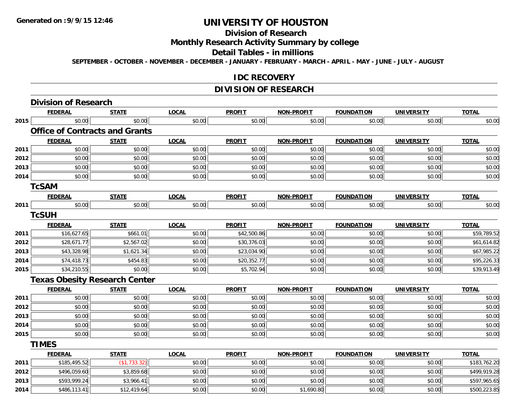## **Division of Research**

**Monthly Research Activity Summary by college**

#### **Detail Tables - in millions**

**SEPTEMBER - OCTOBER - NOVEMBER - DECEMBER - JANUARY - FEBRUARY - MARCH - APRIL - MAY - JUNE - JULY - AUGUST**

#### **IDC RECOVERY**

## **DIVISION OF RESEARCH**

|      | <b>Division of Research</b>           |              |              |               |                   |                   |                   |              |
|------|---------------------------------------|--------------|--------------|---------------|-------------------|-------------------|-------------------|--------------|
|      | <b>FEDERAL</b>                        | <b>STATE</b> | <b>LOCAL</b> | <b>PROFIT</b> | <b>NON-PROFIT</b> | <b>FOUNDATION</b> | <b>UNIVERSITY</b> | <b>TOTAL</b> |
| 2015 | \$0.00                                | \$0.00       | \$0.00       | \$0.00        | \$0.00            | \$0.00            | \$0.00            | \$0.00       |
|      | <b>Office of Contracts and Grants</b> |              |              |               |                   |                   |                   |              |
|      | <b>FEDERAL</b>                        | <b>STATE</b> | <b>LOCAL</b> | <b>PROFIT</b> | <b>NON-PROFIT</b> | <b>FOUNDATION</b> | <b>UNIVERSITY</b> | <b>TOTAL</b> |
| 2011 | \$0.00                                | \$0.00       | \$0.00       | \$0.00        | \$0.00            | \$0.00            | \$0.00            | \$0.00       |
| 2012 | \$0.00                                | \$0.00       | \$0.00       | \$0.00        | \$0.00            | \$0.00            | \$0.00            | \$0.00       |
| 2013 | \$0.00                                | \$0.00       | \$0.00       | \$0.00        | \$0.00            | \$0.00            | \$0.00            | \$0.00       |
| 2014 | \$0.00                                | \$0.00       | \$0.00       | \$0.00        | \$0.00            | \$0.00            | \$0.00            | \$0.00       |
|      | <b>TcSAM</b>                          |              |              |               |                   |                   |                   |              |
|      | <b>FEDERAL</b>                        | <b>STATE</b> | <b>LOCAL</b> | <b>PROFIT</b> | <b>NON-PROFIT</b> | <b>FOUNDATION</b> | <b>UNIVERSITY</b> | <b>TOTAL</b> |
| 2011 | \$0.00                                | \$0.00       | \$0.00       | \$0.00        | \$0.00            | \$0.00            | \$0.00            | \$0.00       |
|      | <b>TcSUH</b>                          |              |              |               |                   |                   |                   |              |
|      | <b>FEDERAL</b>                        | <b>STATE</b> | <b>LOCAL</b> | <b>PROFIT</b> | <b>NON-PROFIT</b> | <b>FOUNDATION</b> | <b>UNIVERSITY</b> | <b>TOTAL</b> |
| 2011 | \$16,627.65                           | \$661.01     | \$0.00       | \$42,500.86   | \$0.00            | \$0.00            | \$0.00            | \$59,789.52  |
| 2012 | \$28,671.77                           | \$2,567.02   | \$0.00       | \$30,376.03   | \$0.00            | \$0.00            | \$0.00            | \$61,614.82  |
| 2013 | \$43,328.98                           | \$1,621.34   | \$0.00       | \$23,034.90   | \$0.00            | \$0.00            | \$0.00            | \$67,985.22  |
| 2014 | \$74,418.73                           | \$454.83     | \$0.00       | \$20,352.77   | \$0.00            | \$0.00            | \$0.00            | \$95,226.33  |
| 2015 | \$34,210.55                           | \$0.00       | \$0.00       | \$5,702.94    | \$0.00            | \$0.00            | \$0.00            | \$39,913.49  |
|      | <b>Texas Obesity Research Center</b>  |              |              |               |                   |                   |                   |              |
|      | <b>FEDERAL</b>                        | <b>STATE</b> | <b>LOCAL</b> | <b>PROFIT</b> | <b>NON-PROFIT</b> | <b>FOUNDATION</b> | <b>UNIVERSITY</b> | <b>TOTAL</b> |
| 2011 | \$0.00                                | \$0.00       | \$0.00       | \$0.00        | \$0.00            | \$0.00            | \$0.00            | \$0.00       |
| 2012 | \$0.00                                | \$0.00       | \$0.00       | \$0.00        | \$0.00            | \$0.00            | \$0.00            | \$0.00       |
| 2013 | \$0.00                                | \$0.00       | \$0.00       | \$0.00        | \$0.00            | \$0.00            | \$0.00            | \$0.00       |
| 2014 | \$0.00                                | \$0.00       | \$0.00       | \$0.00        | \$0.00            | \$0.00            | \$0.00            | \$0.00       |
| 2015 | \$0.00                                | \$0.00       | \$0.00       | \$0.00        | \$0.00            | \$0.00            | \$0.00            | \$0.00       |
|      | <b>TIMES</b>                          |              |              |               |                   |                   |                   |              |
|      | <b>FEDERAL</b>                        | <b>STATE</b> | <b>LOCAL</b> | <b>PROFIT</b> | <b>NON-PROFIT</b> | <b>FOUNDATION</b> | <b>UNIVERSITY</b> | <b>TOTAL</b> |
| 2011 | \$185,495.52                          | (\$1,733.32) | \$0.00       | \$0.00        | \$0.00            | \$0.00            | \$0.00            | \$183,762.20 |
| 2012 | \$496,059.60                          | \$3,859.68   | \$0.00       | \$0.00        | \$0.00            | \$0.00            | \$0.00            | \$499,919.28 |
| 2013 | \$593,999.24                          | \$3,966.41   | \$0.00       | \$0.00        | \$0.00            | \$0.00            | \$0.00            | \$597,965.65 |
| 2014 | \$486,113.41                          | \$12,419.64  | \$0.00       | \$0.00        | \$1,690.80        | \$0.00            | \$0.00            | \$500,223.85 |

4 \$486,113.41|| \$12,419.64|| \$0.00|| \$0.00|| \$0.00|| \$1,690.80|| \$0.00|| \$500,223.85|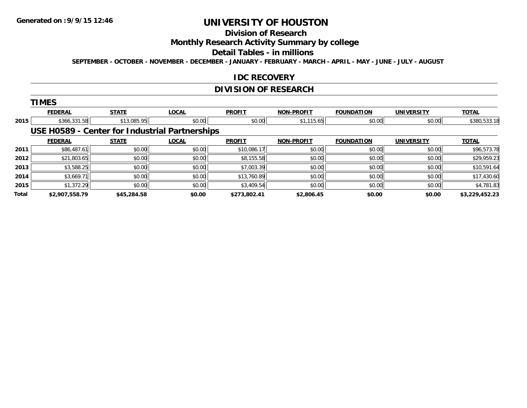# **Division of Research**

**Monthly Research Activity Summary by college**

#### **Detail Tables - in millions**

**SEPTEMBER - OCTOBER - NOVEMBER - DECEMBER - JANUARY - FEBRUARY - MARCH - APRIL - MAY - JUNE - JULY - AUGUST**

### **IDC RECOVERY**

## **DIVISION OF RESEARCH**

|  |  |  | ٠ |  |
|--|--|--|---|--|
|  |  |  |   |  |

|              | <b>FEDERAL</b> | <b>STATE</b> | <b>LOCAL</b>                                   | <b>PROFIT</b> | <b>NON-PROFIT</b> | <b>FOUNDATION</b> | <b>UNIVERSITY</b> | <b>TOTAL</b>   |
|--------------|----------------|--------------|------------------------------------------------|---------------|-------------------|-------------------|-------------------|----------------|
| 2015         | \$366,331.58   | \$13,085.95  | \$0.00                                         | \$0.00        | \$1,115.65        | \$0.00            | \$0.00            | \$380,533.18   |
|              |                |              | USE H0589 - Center for Industrial Partnerships |               |                   |                   |                   |                |
|              | <b>FEDERAL</b> | <b>STATE</b> | <b>LOCAL</b>                                   | <b>PROFIT</b> | <b>NON-PROFIT</b> | <b>FOUNDATION</b> | <b>UNIVERSITY</b> | <b>TOTAL</b>   |
| 2011         | \$86,487.61    | \$0.00       | \$0.00                                         | \$10,086.17   | \$0.00            | \$0.00            | \$0.00            | \$96,573.78    |
| 2012         | \$21,803.65    | \$0.00       | \$0.00                                         | \$8,155.58    | \$0.00            | \$0.00            | \$0.00            | \$29,959.23    |
| 2013         | \$3,588.25     | \$0.00       | \$0.00                                         | \$7,003.39    | \$0.00            | \$0.00            | \$0.00            | \$10,591.64    |
| 2014         | \$3,669.71     | \$0.00       | \$0.00                                         | \$13,760.89   | \$0.00            | \$0.00            | \$0.00            | \$17,430.60    |
| 2015         | \$1,372.29     | \$0.00       | \$0.00                                         | \$3,409.54    | \$0.00            | \$0.00            | \$0.00            | \$4,781.83     |
| <b>Total</b> | \$2,907,558.79 | \$45,284.58  | \$0.00                                         | \$273,802.41  | \$2,806.45        | \$0.00            | \$0.00            | \$3,229,452.23 |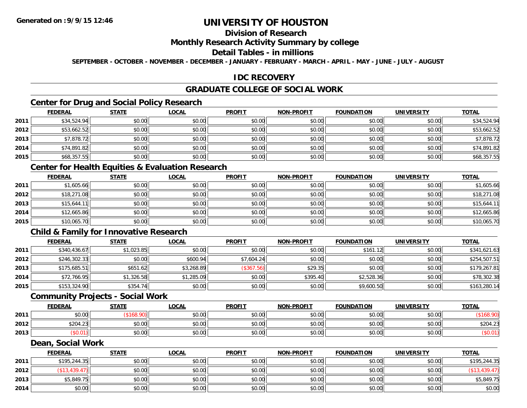# **Division of Research**

#### **Monthly Research Activity Summary by college**

#### **Detail Tables - in millions**

**SEPTEMBER - OCTOBER - NOVEMBER - DECEMBER - JANUARY - FEBRUARY - MARCH - APRIL - MAY - JUNE - JULY - AUGUST**

## **IDC RECOVERY**

## **GRADUATE COLLEGE OF SOCIAL WORK**

# **Center for Drug and Social Policy Research**

|      | <b>FEDERAL</b> | <b>STATE</b> | <b>LOCAL</b> | <b>PROFIT</b> | <b>NON-PROFIT</b> | <b>FOUNDATION</b> | <b>UNIVERSITY</b> | <b>TOTAL</b> |
|------|----------------|--------------|--------------|---------------|-------------------|-------------------|-------------------|--------------|
| 2011 | \$34,524.94    | \$0.00       | \$0.00       | \$0.00        | \$0.00            | \$0.00            | \$0.00            | \$34,524.94  |
| 2012 | \$53,662.52    | \$0.00       | \$0.00       | \$0.00        | \$0.00            | \$0.00            | \$0.00            | \$53,662.52  |
| 2013 | \$7,878.72     | \$0.00       | \$0.00       | \$0.00        | \$0.00            | \$0.00            | \$0.00            | \$7,878.72   |
| 2014 | \$74,891.82    | \$0.00       | \$0.00       | \$0.00        | \$0.00            | \$0.00            | \$0.00            | \$74,891.82  |
| 2015 | \$68,357.55    | \$0.00       | \$0.00       | \$0.00        | \$0.00            | \$0.00            | \$0.00            | \$68,357.55  |

### **Center for Health Equities & Evaluation Research**

|      | <b>FEDERAL</b> | <b>STATE</b> | <u>LOCAL</u> | <b>PROFIT</b> | <b>NON-PROFIT</b> | <b>FOUNDATION</b> | <b>UNIVERSITY</b> | <b>TOTAL</b> |
|------|----------------|--------------|--------------|---------------|-------------------|-------------------|-------------------|--------------|
| 2011 | \$1,605.66     | \$0.00       | \$0.00       | \$0.00        | \$0.00            | \$0.00            | \$0.00            | \$1,605.66   |
| 2012 | \$18,271.08    | \$0.00       | \$0.00       | \$0.00        | \$0.00            | \$0.00            | \$0.00            | \$18,271.08  |
| 2013 | \$15,644.11    | \$0.00       | \$0.00       | \$0.00        | \$0.00            | \$0.00            | \$0.00            | \$15,644.11  |
| 2014 | \$12,665.86    | \$0.00       | \$0.00       | \$0.00        | \$0.00            | \$0.00            | \$0.00            | \$12,665.86  |
| 2015 | \$10,065.70    | \$0.00       | \$0.00       | \$0.00        | \$0.00            | \$0.00            | \$0.00            | \$10,065.70  |

## **Child & Family for Innovative Research**

|      | <b>FEDERAL</b> | <b>STATE</b> | <b>LOCAL</b> | <b>PROFIT</b> | <b>NON-PROFIT</b> | <b>FOUNDATION</b> | <b>UNIVERSITY</b> | <b>TOTAL</b> |
|------|----------------|--------------|--------------|---------------|-------------------|-------------------|-------------------|--------------|
| 2011 | \$340,436.67   | \$1,023.85   | \$0.00       | \$0.00        | \$0.00            | \$161.12          | \$0.00            | \$341,621.63 |
| 2012 | \$246,302.33   | \$0.00       | \$600.94     | \$7,604.24    | \$0.00            | \$0.00            | \$0.00            | \$254,507.51 |
| 2013 | \$175,685.51   | \$651.62     | \$3,268.89   | (\$367.56)    | \$29.35           | \$0.00            | \$0.00            | \$179,267.81 |
| 2014 | \$72,766.95    | \$1,326.58   | \$1,285.09   | \$0.00        | \$395.40          | \$2,528.36        | \$0.00            | \$78,302.38  |
| 2015 | \$153,324.90   | \$354.74     | \$0.00       | \$0.00        | \$0.00            | \$9,600.50        | \$0.00            | \$163,280.14 |

#### **Community Projects - Social Work**

|      | <b>FEDERAL</b>           | <b>STATE</b>  | <u>LOCAL</u> | <b>PROFIT</b> | <b>NON-PROFIT</b> | <b>FOUNDATION</b> | <b>UNIVERSITY</b> | <b>TOTAL</b> |
|------|--------------------------|---------------|--------------|---------------|-------------------|-------------------|-------------------|--------------|
| 2011 | ÷n.<br>$\Omega$<br>DU.UU |               | \$0.00       | \$0.00        | \$0.00            | \$0.00            | \$0.00            |              |
| 2012 | \$204.23                 | 0000<br>JU.UU | \$0.00       | \$0.00        | \$0.00            | \$0.00            | \$0.00            | \$204.23     |
| 2013 | $0.01^\circ$             | \$0.00        | \$0.00       | \$0.00        | \$0.00            | \$0.00            | \$0.00            | ง∪.∪         |

#### **Dean, Social Work**

|      | <b>FEDERAL</b> | <b>STATE</b> | <u>LOCAL</u> | <b>PROFIT</b> | <b>NON-PROFIT</b> | <b>FOUNDATION</b> | UNIVERSITY | <b>TOTAL</b> |
|------|----------------|--------------|--------------|---------------|-------------------|-------------------|------------|--------------|
| 2011 | \$195,244.35   | \$0.00       | \$0.00       | \$0.00        | \$0.00            | \$0.00            | \$0.00     | \$195,244.35 |
| 2012 | \$13,439.47    | \$0.00       | \$0.00       | \$0.00        | \$0.00            | \$0.00            | \$0.00     | (\$13,439.47 |
| 2013 | \$5,849.75     | \$0.00       | \$0.00       | \$0.00        | \$0.00            | \$0.00            | \$0.00     | \$5,849.75   |
| 2014 | \$0.00         | \$0.00       | \$0.00       | \$0.00        | \$0.00            | \$0.00            | \$0.00     | \$0.00       |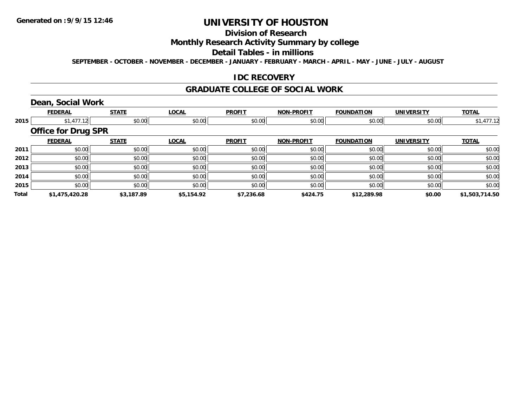# **Division of Research**

## **Monthly Research Activity Summary by college**

#### **Detail Tables - in millions**

**SEPTEMBER - OCTOBER - NOVEMBER - DECEMBER - JANUARY - FEBRUARY - MARCH - APRIL - MAY - JUNE - JULY - AUGUST**

### **IDC RECOVERY**

#### **GRADUATE COLLEGE OF SOCIAL WORK**

## **Dean, Social Work**

|              | <b>FEDERAL</b>             | <b>STATE</b> | <b>LOCAL</b> | <b>PROFIT</b> | <b>NON-PROFIT</b> | <b>FOUNDATION</b> | <b>UNIVERSITY</b> | <b>TOTAL</b>   |
|--------------|----------------------------|--------------|--------------|---------------|-------------------|-------------------|-------------------|----------------|
| 2015         | \$1,477.12                 | \$0.00       | \$0.00       | \$0.00        | \$0.00            | \$0.00            | \$0.00            | \$1,477.12     |
|              | <b>Office for Drug SPR</b> |              |              |               |                   |                   |                   |                |
|              | <b>FEDERAL</b>             | <b>STATE</b> | <b>LOCAL</b> | <b>PROFIT</b> | <b>NON-PROFIT</b> | <b>FOUNDATION</b> | <b>UNIVERSITY</b> | <b>TOTAL</b>   |
| 2011         | \$0.00                     | \$0.00       | \$0.00       | \$0.00        | \$0.00            | \$0.00            | \$0.00            | \$0.00         |
| 2012         | \$0.00                     | \$0.00       | \$0.00       | \$0.00        | \$0.00            | \$0.00            | \$0.00            | \$0.00         |
| 2013         | \$0.00                     | \$0.00       | \$0.00       | \$0.00        | \$0.00            | \$0.00            | \$0.00            | \$0.00         |
| 2014         | \$0.00                     | \$0.00       | \$0.00       | \$0.00        | \$0.00            | \$0.00            | \$0.00            | \$0.00         |
| 2015         | \$0.00                     | \$0.00       | \$0.00       | \$0.00        | \$0.00            | \$0.00            | \$0.00            | \$0.00         |
| <b>Total</b> | \$1,475,420.28             | \$3,187.89   | \$5,154.92   | \$7,236.68    | \$424.75          | \$12,289.98       | \$0.00            | \$1,503,714.50 |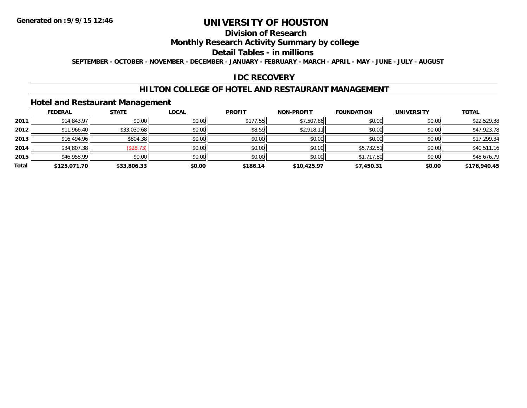# **Division of Research**

## **Monthly Research Activity Summary by college**

#### **Detail Tables - in millions**

**SEPTEMBER - OCTOBER - NOVEMBER - DECEMBER - JANUARY - FEBRUARY - MARCH - APRIL - MAY - JUNE - JULY - AUGUST**

### **IDC RECOVERY**

### **HILTON COLLEGE OF HOTEL AND RESTAURANT MANAGEMENT**

## **Hotel and Restaurant Management**

|       | <b>FEDERAL</b> | <b>STATE</b> | <b>LOCAL</b> | <b>PROFIT</b> | <b>NON-PROFIT</b> | <b>FOUNDATION</b> | <b>UNIVERSITY</b> | <b>TOTAL</b> |
|-------|----------------|--------------|--------------|---------------|-------------------|-------------------|-------------------|--------------|
| 2011  | \$14,843.97    | \$0.00       | \$0.00       | \$177.55      | \$7,507.86        | \$0.00            | \$0.00            | \$22,529.38  |
| 2012  | \$11,966.40    | \$33,030.68  | \$0.00       | \$8.59        | \$2,918.11        | \$0.00            | \$0.00            | \$47,923.78  |
| 2013  | \$16,494.96    | \$804.38     | \$0.00       | \$0.00        | \$0.00            | \$0.00            | \$0.00            | \$17,299.34  |
| 2014  | \$34,807.38    | (\$28.73)    | \$0.00       | \$0.00        | \$0.00            | \$5,732.51        | \$0.00            | \$40,511.16  |
| 2015  | \$46,958.99    | \$0.00       | \$0.00       | \$0.00        | \$0.00            | \$1,717.80        | \$0.00            | \$48,676.79  |
| Total | \$125,071.70   | \$33,806.33  | \$0.00       | \$186.14      | \$10,425.97       | \$7,450.31        | \$0.00            | \$176,940.45 |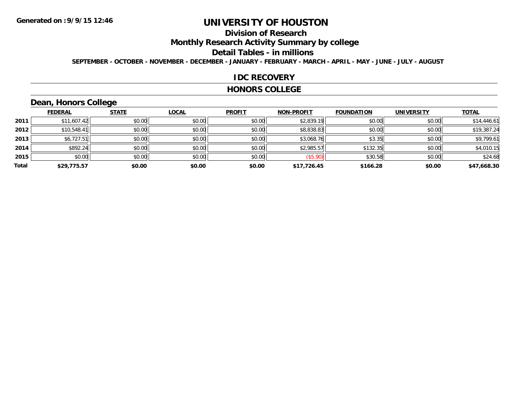# **Division of Research**

**Monthly Research Activity Summary by college**

#### **Detail Tables - in millions**

**SEPTEMBER - OCTOBER - NOVEMBER - DECEMBER - JANUARY - FEBRUARY - MARCH - APRIL - MAY - JUNE - JULY - AUGUST**

#### **IDC RECOVERY**

#### **HONORS COLLEGE**

# **Dean, Honors College**

|       |                | $\sim$       |              |               |                   |                   |                   |              |
|-------|----------------|--------------|--------------|---------------|-------------------|-------------------|-------------------|--------------|
|       | <b>FEDERAL</b> | <b>STATE</b> | <b>LOCAL</b> | <b>PROFIT</b> | <b>NON-PROFIT</b> | <b>FOUNDATION</b> | <b>UNIVERSITY</b> | <b>TOTAL</b> |
| 2011  | \$11,607.42    | \$0.00       | \$0.00       | \$0.00        | \$2,839.19        | \$0.00            | \$0.00            | \$14,446.61  |
| 2012  | \$10,548.41    | \$0.00       | \$0.00       | \$0.00        | \$8,838.83        | \$0.00            | \$0.00            | \$19,387.24  |
| 2013  | \$6,727.51     | \$0.00       | \$0.00       | \$0.00        | \$3,068.76        | \$3.35            | \$0.00            | \$9,799.61   |
| 2014  | \$892.24       | \$0.00       | \$0.00       | \$0.00        | \$2,985.57        | \$132.35          | \$0.00            | \$4,010.15   |
| 2015  | \$0.00         | \$0.00       | \$0.00       | \$0.00        | (\$5.90)          | \$30.58           | \$0.00            | \$24.68      |
| Total | \$29,775.57    | \$0.00       | \$0.00       | \$0.00        | \$17,726.45       | \$166.28          | \$0.00            | \$47,668.30  |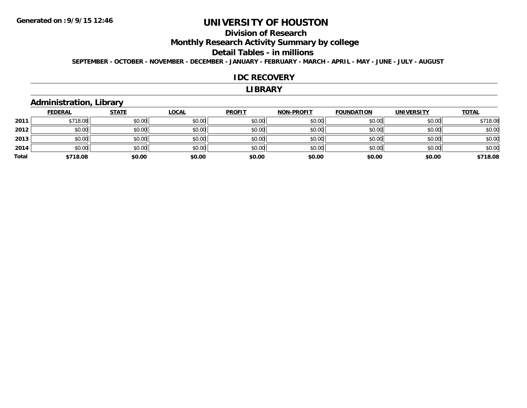## **Division of Research**

**Monthly Research Activity Summary by college**

#### **Detail Tables - in millions**

**SEPTEMBER - OCTOBER - NOVEMBER - DECEMBER - JANUARY - FEBRUARY - MARCH - APRIL - MAY - JUNE - JULY - AUGUST**

#### **IDC RECOVERY**

#### **LIBRARY**

## **Administration, Library**

|       | <b>FEDERAL</b> | <b>STATE</b> | <u>LOCAL</u> | <b>PROFIT</b> | <b>NON-PROFIT</b> | FOUNDATION | <b>UNIVERSITY</b> | <b>TOTAL</b> |
|-------|----------------|--------------|--------------|---------------|-------------------|------------|-------------------|--------------|
| 2011  | \$718.08       | \$0.00       | \$0.00       | \$0.00        | \$0.00            | \$0.00     | \$0.00            | \$718.08     |
| 2012  | \$0.00         | \$0.00       | \$0.00       | \$0.00        | \$0.00            | \$0.00     | \$0.00            | \$0.00       |
| 2013  | \$0.00         | \$0.00       | \$0.00       | \$0.00        | \$0.00            | \$0.00     | \$0.00            | \$0.00       |
| 2014  | \$0.00         | \$0.00       | \$0.00       | \$0.00        | \$0.00            | \$0.00     | \$0.00            | \$0.00       |
| Total | \$718.08       | \$0.00       | \$0.00       | \$0.00        | \$0.00            | \$0.00     | \$0.00            | \$718.08     |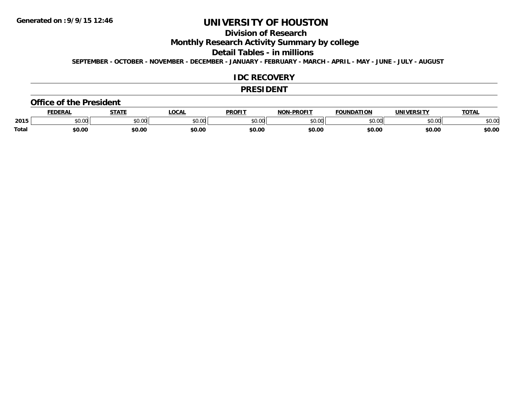## **Division of Research**

**Monthly Research Activity Summary by college**

#### **Detail Tables - in millions**

**SEPTEMBER - OCTOBER - NOVEMBER - DECEMBER - JANUARY - FEBRUARY - MARCH - APRIL - MAY - JUNE - JULY - AUGUST**

#### **IDC RECOVERY**

#### **PRESIDENT**

#### **Office of the President**

|       | EDERAL | <b>STATE</b>       | <b>OCAL</b> | PROFIT        | <b>I-PROFIT</b><br>וחרות | <b>FOUNDATION</b> | UNIVERSITY | <b>TOTAL</b> |
|-------|--------|--------------------|-------------|---------------|--------------------------|-------------------|------------|--------------|
| 2015  | \$0.00 | $\sim$ 00<br>vv.vv | \$0.00      | 0000<br>vv.vv | 0000<br>,u.uu            | \$0.00            | \$0.00     | 400<br>√∪.∪⊌ |
| Total | \$0.00 | \$0.00             | \$0.00      | \$0.00        | \$0.00                   | \$0.00            | \$0.00     | \$0.00       |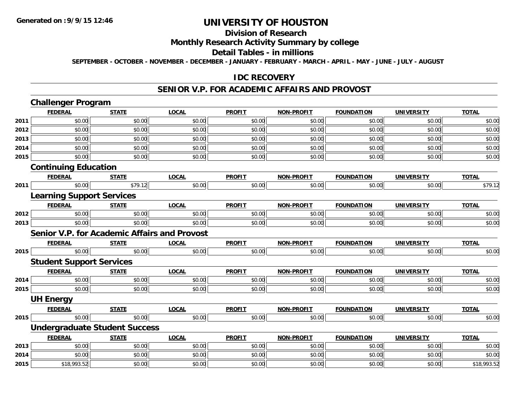# **Division of Research**

## **Monthly Research Activity Summary by college**

#### **Detail Tables - in millions**

**SEPTEMBER - OCTOBER - NOVEMBER - DECEMBER - JANUARY - FEBRUARY - MARCH - APRIL - MAY - JUNE - JULY - AUGUST**

#### **IDC RECOVERY**

#### **SENIOR V.P. FOR ACADEMIC AFFAIRS AND PROVOST**

|      | <b>Challenger Program</b>                           |              |              |               |                   |                   |                   |              |
|------|-----------------------------------------------------|--------------|--------------|---------------|-------------------|-------------------|-------------------|--------------|
|      | <b>FEDERAL</b>                                      | <b>STATE</b> | <b>LOCAL</b> | <b>PROFIT</b> | <b>NON-PROFIT</b> | <b>FOUNDATION</b> | <b>UNIVERSITY</b> | <b>TOTAL</b> |
| 2011 | \$0.00                                              | \$0.00       | \$0.00       | \$0.00        | \$0.00            | \$0.00            | \$0.00            | \$0.00       |
| 2012 | \$0.00                                              | \$0.00       | \$0.00       | \$0.00        | \$0.00            | \$0.00            | \$0.00            | \$0.00       |
| 2013 | \$0.00                                              | \$0.00       | \$0.00       | \$0.00        | \$0.00            | \$0.00            | \$0.00            | \$0.00       |
| 2014 | \$0.00                                              | \$0.00       | \$0.00       | \$0.00        | \$0.00            | \$0.00            | \$0.00            | \$0.00       |
| 2015 | \$0.00                                              | \$0.00       | \$0.00       | \$0.00        | \$0.00            | \$0.00            | \$0.00            | \$0.00       |
|      | <b>Continuing Education</b>                         |              |              |               |                   |                   |                   |              |
|      | <b>FEDERAL</b>                                      | <b>STATE</b> | <b>LOCAL</b> | <b>PROFIT</b> | <b>NON-PROFIT</b> | <b>FOUNDATION</b> | <b>UNIVERSITY</b> | <b>TOTAL</b> |
| 2011 | \$0.00                                              | \$79.12      | \$0.00       | \$0.00        | \$0.00            | \$0.00            | \$0.00            | \$79.12      |
|      | <b>Learning Support Services</b>                    |              |              |               |                   |                   |                   |              |
|      | <b>FEDERAL</b>                                      | <b>STATE</b> | <b>LOCAL</b> | <b>PROFIT</b> | <b>NON-PROFIT</b> | <b>FOUNDATION</b> | <b>UNIVERSITY</b> | <b>TOTAL</b> |
| 2012 | \$0.00                                              | \$0.00       | \$0.00       | \$0.00        | \$0.00            | \$0.00            | \$0.00            | \$0.00       |
| 2013 | \$0.00                                              | \$0.00       | \$0.00       | \$0.00        | \$0.00            | \$0.00            | \$0.00            | \$0.00       |
|      | <b>Senior V.P. for Academic Affairs and Provost</b> |              |              |               |                   |                   |                   |              |
|      | <b>FEDERAL</b>                                      | <b>STATE</b> | <b>LOCAL</b> | <b>PROFIT</b> | <b>NON-PROFIT</b> | <b>FOUNDATION</b> | <b>UNIVERSITY</b> | <b>TOTAL</b> |
| 2015 | \$0.00                                              | \$0.00       | \$0.00       | \$0.00        | \$0.00            | \$0.00            | \$0.00            | \$0.00       |
|      | <b>Student Support Services</b>                     |              |              |               |                   |                   |                   |              |
|      | <b>FEDERAL</b>                                      | <b>STATE</b> | <b>LOCAL</b> | <b>PROFIT</b> | <b>NON-PROFIT</b> | <b>FOUNDATION</b> | <b>UNIVERSITY</b> | <b>TOTAL</b> |
| 2014 | \$0.00                                              | \$0.00       | \$0.00       | \$0.00        | \$0.00            | \$0.00            | \$0.00            | \$0.00       |
| 2015 | \$0.00                                              | \$0.00       | \$0.00       | \$0.00        | \$0.00            | \$0.00            | \$0.00            | \$0.00       |
|      | <b>UH Energy</b>                                    |              |              |               |                   |                   |                   |              |
|      | <b>FEDERAL</b>                                      | <b>STATE</b> | <b>LOCAL</b> | <b>PROFIT</b> | <b>NON-PROFIT</b> | <b>FOUNDATION</b> | <b>UNIVERSITY</b> | <b>TOTAL</b> |
| 2015 | \$0.00                                              | \$0.00       | \$0.00       | \$0.00        | \$0.00            | \$0.00            | \$0.00            | \$0.00       |
|      | <b>Undergraduate Student Success</b>                |              |              |               |                   |                   |                   |              |
|      | <b>FEDERAL</b>                                      | <b>STATE</b> | <b>LOCAL</b> | <b>PROFIT</b> | <b>NON-PROFIT</b> | <b>FOUNDATION</b> | <b>UNIVERSITY</b> | <b>TOTAL</b> |
| 2013 | \$0.00                                              | \$0.00       | \$0.00       | \$0.00        | \$0.00            | \$0.00            | \$0.00            | \$0.00       |
| 2014 | \$0.00                                              | \$0.00       | \$0.00       | \$0.00        | \$0.00            | \$0.00            | \$0.00            | \$0.00       |
| 2015 | \$18,993.52                                         | \$0.00       | \$0.00       | \$0.00        | \$0.00            | \$0.00            | \$0.00            | \$18,993.52  |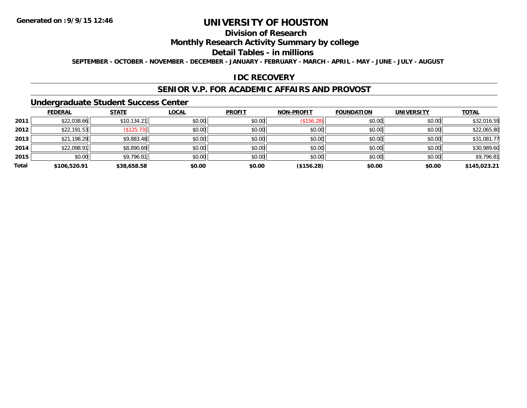# **Division of Research**

## **Monthly Research Activity Summary by college**

#### **Detail Tables - in millions**

**SEPTEMBER - OCTOBER - NOVEMBER - DECEMBER - JANUARY - FEBRUARY - MARCH - APRIL - MAY - JUNE - JULY - AUGUST**

### **IDC RECOVERY**

#### **SENIOR V.P. FOR ACADEMIC AFFAIRS AND PROVOST**

### **Undergraduate Student Success Center**

|       | <b>FEDERAL</b> | <b>STATE</b> | <b>LOCAL</b> | <b>PROFIT</b> | NON-PROFIT | <b>FOUNDATION</b> | <b>UNIVERSITY</b> | <b>TOTAL</b> |
|-------|----------------|--------------|--------------|---------------|------------|-------------------|-------------------|--------------|
| 2011  | \$22,038.66    | \$10,134.21  | \$0.00       | \$0.00        | (\$156.28) | \$0.00            | \$0.00            | \$32,016.59  |
| 2012  | \$22,191.53    | (\$125.73)   | \$0.00       | \$0.00        | \$0.00     | \$0.00            | \$0.00            | \$22,065.80  |
| 2013  | \$21,198.29    | \$9,883.48   | \$0.00       | \$0.00        | \$0.00     | \$0.00            | \$0.00            | \$31,081.77  |
| 2014  | \$22,098.91    | \$8,890.69   | \$0.00       | \$0.00        | \$0.00     | \$0.00            | \$0.00            | \$30,989.60  |
| 2015  | \$0.00         | \$9,796.81   | \$0.00       | \$0.00        | \$0.00     | \$0.00            | \$0.00            | \$9,796.81   |
| Total | \$106,520.91   | \$38,658.58  | \$0.00       | \$0.00        | (\$156.28) | \$0.00            | \$0.00            | \$145,023.21 |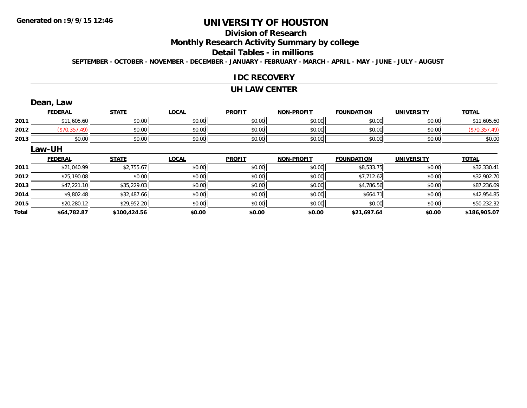# **Division of Research**

**Monthly Research Activity Summary by college**

#### **Detail Tables - in millions**

**SEPTEMBER - OCTOBER - NOVEMBER - DECEMBER - JANUARY - FEBRUARY - MARCH - APRIL - MAY - JUNE - JULY - AUGUST**

#### **IDC RECOVERY**

#### **UH LAW CENTER**

|              | Dean, Law      |              |              |               |                   |                   |                   |               |
|--------------|----------------|--------------|--------------|---------------|-------------------|-------------------|-------------------|---------------|
|              | <b>FEDERAL</b> | <b>STATE</b> | <b>LOCAL</b> | <b>PROFIT</b> | <b>NON-PROFIT</b> | <b>FOUNDATION</b> | <b>UNIVERSITY</b> | <b>TOTAL</b>  |
| 2011         | \$11,605.60    | \$0.00       | \$0.00       | \$0.00        | \$0.00            | \$0.00            | \$0.00            | \$11,605.60   |
| 2012         | (\$70,357.49)  | \$0.00       | \$0.00       | \$0.00        | \$0.00            | \$0.00            | \$0.00            | (\$70,357.49) |
| 2013         | \$0.00         | \$0.00       | \$0.00       | \$0.00        | \$0.00            | \$0.00            | \$0.00            | \$0.00        |
|              | Law-UH         |              |              |               |                   |                   |                   |               |
|              | <b>FEDERAL</b> | <b>STATE</b> | <b>LOCAL</b> | <b>PROFIT</b> | <b>NON-PROFIT</b> | <b>FOUNDATION</b> | <b>UNIVERSITY</b> | <b>TOTAL</b>  |
| 2011         | \$21,040.99    | \$2,755.67   | \$0.00       | \$0.00        | \$0.00            | \$8,533.75        | \$0.00            | \$32,330.41   |
| 2012         | \$25,190.08    | \$0.00       | \$0.00       | \$0.00        | \$0.00            | \$7,712.62        | \$0.00            | \$32,902.70   |
| 2013         | \$47,221.10    | \$35,229.03  | \$0.00       | \$0.00        | \$0.00            | \$4,786.56        | \$0.00            | \$87,236.69   |
| 2014         | \$9,802.48     | \$32,487.66  | \$0.00       | \$0.00        | \$0.00            | \$664.71          | \$0.00            | \$42,954.85   |
| 2015         | \$20,280.12    | \$29,952.20  | \$0.00       | \$0.00        | \$0.00            | \$0.00            | \$0.00            | \$50,232.32   |
| <b>Total</b> | \$64,782.87    | \$100,424.56 | \$0.00       | \$0.00        | \$0.00            | \$21,697.64       | \$0.00            | \$186,905.07  |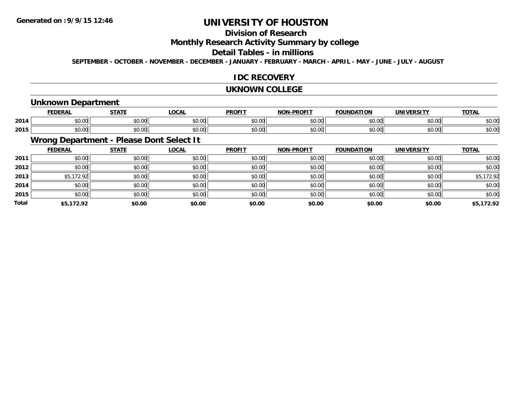# **UNIVERSITY OF HOUSTON**

# **Division of Research**

**Monthly Research Activity Summary by college**

#### **Detail Tables - in millions**

**SEPTEMBER - OCTOBER - NOVEMBER - DECEMBER - JANUARY - FEBRUARY - MARCH - APRIL - MAY - JUNE - JULY - AUGUST**

### **IDC RECOVERY**

#### **UKNOWN COLLEGE**

### **Unknown Department**

|      | <b>FEDERAI</b> | <b>CTATE</b>  | 000<br>-UUM-           | <b>PROFIT</b> | <b>DDOEL1</b><br><b>MAR</b> | ΓΙΟΝ<br>IΊΔ   | UNIVERSITY | <b>TOTAL</b> |
|------|----------------|---------------|------------------------|---------------|-----------------------------|---------------|------------|--------------|
| 2014 | ሶስ ሰሰ<br>JU.UU | 0.00<br>JU.UU | $\sim$ $\sim$<br>JU.UU | 0000<br>JU.UU | 0.00<br>וטטוע               | 0000<br>DU.UU | \$0.00     | \$0.00       |
| 2015 | ሶስ ሰሰ<br>JU.UU | 0000<br>JU.UU | JU.UU                  | 0000<br>JU.UU | $\sim$ 00<br>DU.UU          | \$0.00        | \$0.00     | \$0.00       |

# **Wrong Department - Please Dont Select It**

|              | <b>FEDERAL</b> | <b>STATE</b> | <u>LOCAL</u> | <b>PROFIT</b> | <b>NON-PROFIT</b> | <b>FOUNDATION</b> | <b>UNIVERSITY</b> | <b>TOTAL</b> |
|--------------|----------------|--------------|--------------|---------------|-------------------|-------------------|-------------------|--------------|
| 2011         | \$0.00         | \$0.00       | \$0.00       | \$0.00        | \$0.00            | \$0.00            | \$0.00            | \$0.00       |
| 2012         | \$0.00         | \$0.00       | \$0.00       | \$0.00        | \$0.00            | \$0.00            | \$0.00            | \$0.00       |
| 2013         | \$5,172.92     | \$0.00       | \$0.00       | \$0.00        | \$0.00            | \$0.00            | \$0.00            | \$5,172.92   |
| 2014         | \$0.00         | \$0.00       | \$0.00       | \$0.00        | \$0.00            | \$0.00            | \$0.00            | \$0.00       |
| 2015         | \$0.00         | \$0.00       | \$0.00       | \$0.00        | \$0.00            | \$0.00            | \$0.00            | \$0.00       |
| <b>Total</b> | \$5,172.92     | \$0.00       | \$0.00       | \$0.00        | \$0.00            | \$0.00            | \$0.00            | \$5,172.92   |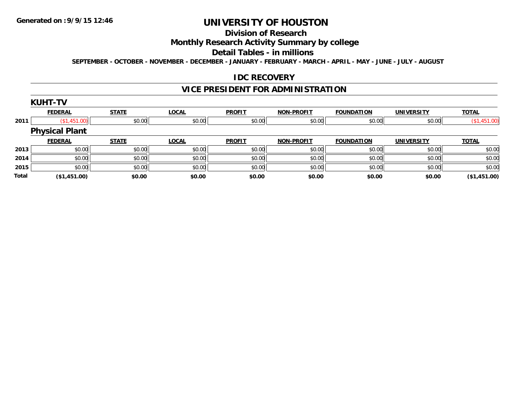# **UNIVERSITY OF HOUSTON**

# **Division of Research**

# **Monthly Research Activity Summary by college**

#### **Detail Tables - in millions**

**SEPTEMBER - OCTOBER - NOVEMBER - DECEMBER - JANUARY - FEBRUARY - MARCH - APRIL - MAY - JUNE - JULY - AUGUST**

### **IDC RECOVERY**

## **VICE PRESIDENT FOR ADMINISTRATION**

|              | <b>KUHT-TV</b>        |              |              |               |                   |                   |                   |              |
|--------------|-----------------------|--------------|--------------|---------------|-------------------|-------------------|-------------------|--------------|
|              | <b>FEDERAL</b>        | <b>STATE</b> | <b>LOCAL</b> | <b>PROFIT</b> | <b>NON-PROFIT</b> | <b>FOUNDATION</b> | <b>UNIVERSITY</b> | <b>TOTAL</b> |
| 2011         | \$1,451.00            | \$0.00       | \$0.00       | \$0.00        | \$0.00            | \$0.00            | \$0.00            | (\$1,451.00) |
|              | <b>Physical Plant</b> |              |              |               |                   |                   |                   |              |
|              | <b>FEDERAL</b>        | <b>STATE</b> | <b>LOCAL</b> | <b>PROFIT</b> | <b>NON-PROFIT</b> | <b>FOUNDATION</b> | <b>UNIVERSITY</b> | <b>TOTAL</b> |
| 2013         | \$0.00                | \$0.00       | \$0.00       | \$0.00        | \$0.00            | \$0.00            | \$0.00            | \$0.00       |
| 2014         | \$0.00                | \$0.00       | \$0.00       | \$0.00        | \$0.00            | \$0.00            | \$0.00            | \$0.00       |
| 2015         | \$0.00                | \$0.00       | \$0.00       | \$0.00        | \$0.00            | \$0.00            | \$0.00            | \$0.00       |
| <b>Total</b> | (\$1,451.00)          | \$0.00       | \$0.00       | \$0.00        | \$0.00            | \$0.00            | \$0.00            | (\$1,451.00) |